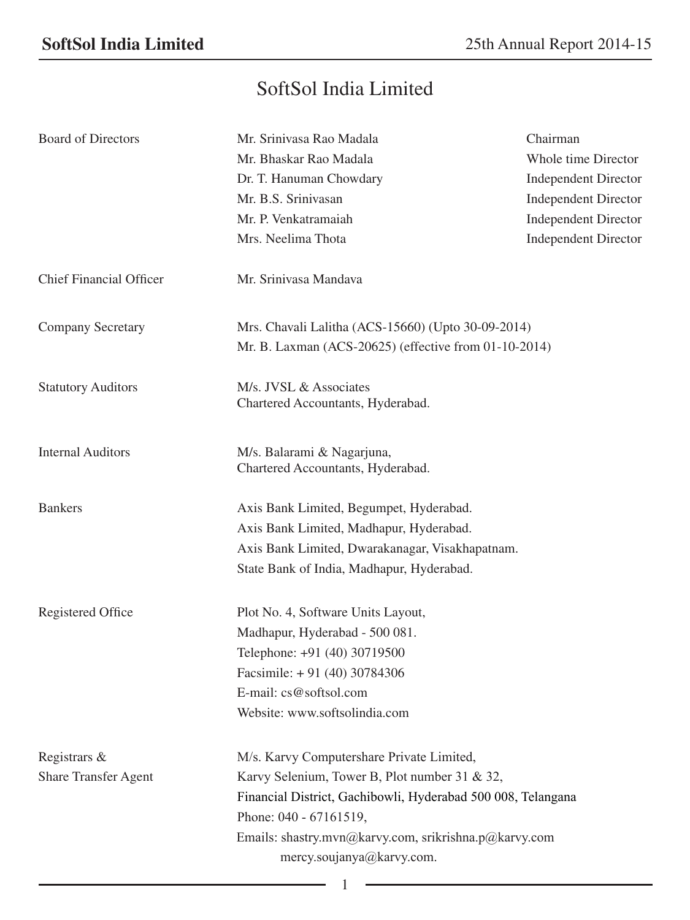# SoftSol India Limited

| <b>Board of Directors</b>                   | Mr. Srinivasa Rao Madala<br>Mr. Bhaskar Rao Madala<br>Dr. T. Hanuman Chowdary<br>Mr. B.S. Srinivasan<br>Mr. P. Venkatramaiah<br>Mrs. Neelima Thota                                                                                                                         | Chairman<br>Whole time Director<br><b>Independent Director</b><br><b>Independent Director</b><br><b>Independent Director</b><br><b>Independent Director</b> |
|---------------------------------------------|----------------------------------------------------------------------------------------------------------------------------------------------------------------------------------------------------------------------------------------------------------------------------|-------------------------------------------------------------------------------------------------------------------------------------------------------------|
| <b>Chief Financial Officer</b>              | Mr. Srinivasa Mandava                                                                                                                                                                                                                                                      |                                                                                                                                                             |
| <b>Company Secretary</b>                    | Mrs. Chavali Lalitha (ACS-15660) (Upto 30-09-2014)<br>Mr. B. Laxman (ACS-20625) (effective from 01-10-2014)                                                                                                                                                                |                                                                                                                                                             |
| <b>Statutory Auditors</b>                   | M/s. JVSL & Associates<br>Chartered Accountants, Hyderabad.                                                                                                                                                                                                                |                                                                                                                                                             |
| <b>Internal Auditors</b>                    | M/s. Balarami & Nagarjuna,<br>Chartered Accountants, Hyderabad.                                                                                                                                                                                                            |                                                                                                                                                             |
| <b>Bankers</b>                              | Axis Bank Limited, Begumpet, Hyderabad.<br>Axis Bank Limited, Madhapur, Hyderabad.<br>Axis Bank Limited, Dwarakanagar, Visakhapatnam.<br>State Bank of India, Madhapur, Hyderabad.                                                                                         |                                                                                                                                                             |
| Registered Office                           | Plot No. 4, Software Units Layout,<br>Madhapur, Hyderabad - 500 081.<br>Telephone: +91 (40) 30719500<br>Facsimile: +91 (40) 30784306<br>E-mail: cs@softsol.com<br>Website: www.softsolindia.com                                                                            |                                                                                                                                                             |
| Registrars &<br><b>Share Transfer Agent</b> | M/s. Karvy Computershare Private Limited,<br>Karvy Selenium, Tower B, Plot number 31 & 32,<br>Financial District, Gachibowli, Hyderabad 500 008, Telangana<br>Phone: 040 - 67161519,<br>Emails: shastry.mvn@karvy.com, srikrishna.p@karvy.com<br>mercy.soujanya@karvy.com. |                                                                                                                                                             |

1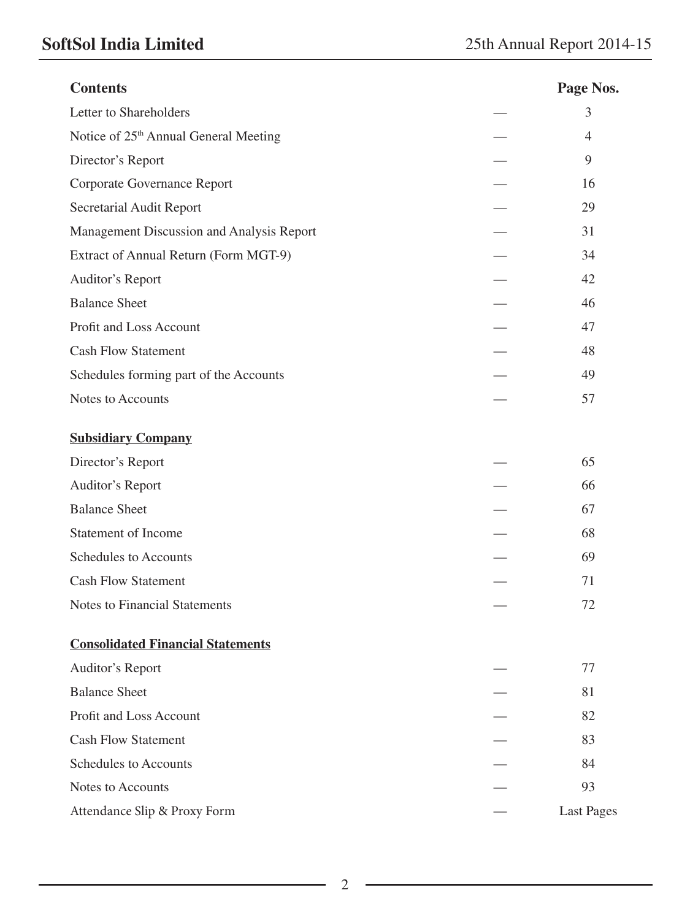| <b>Contents</b>                                   | Page Nos.         |
|---------------------------------------------------|-------------------|
| Letter to Shareholders                            | 3                 |
| Notice of 25 <sup>th</sup> Annual General Meeting | 4                 |
| Director's Report                                 | 9                 |
| Corporate Governance Report                       | 16                |
| Secretarial Audit Report                          | 29                |
| Management Discussion and Analysis Report         | 31                |
| Extract of Annual Return (Form MGT-9)             | 34                |
| Auditor's Report                                  | 42                |
| <b>Balance Sheet</b>                              | 46                |
| Profit and Loss Account                           | 47                |
| <b>Cash Flow Statement</b>                        | 48                |
| Schedules forming part of the Accounts            | 49                |
| Notes to Accounts                                 | 57                |
| <b>Subsidiary Company</b>                         |                   |
| Director's Report                                 | 65                |
| Auditor's Report                                  | 66                |
| <b>Balance Sheet</b>                              | 67                |
| Statement of Income                               | 68                |
| Schedules to Accounts                             | 69                |
| <b>Cash Flow Statement</b>                        | 71                |
| <b>Notes to Financial Statements</b>              | 72                |
| <b>Consolidated Financial Statements</b>          |                   |
| Auditor's Report                                  | 77                |
| <b>Balance Sheet</b>                              | 81                |
| Profit and Loss Account                           | 82                |
| <b>Cash Flow Statement</b>                        | 83                |
| Schedules to Accounts                             | 84                |
| Notes to Accounts                                 | 93                |
| Attendance Slip & Proxy Form                      | <b>Last Pages</b> |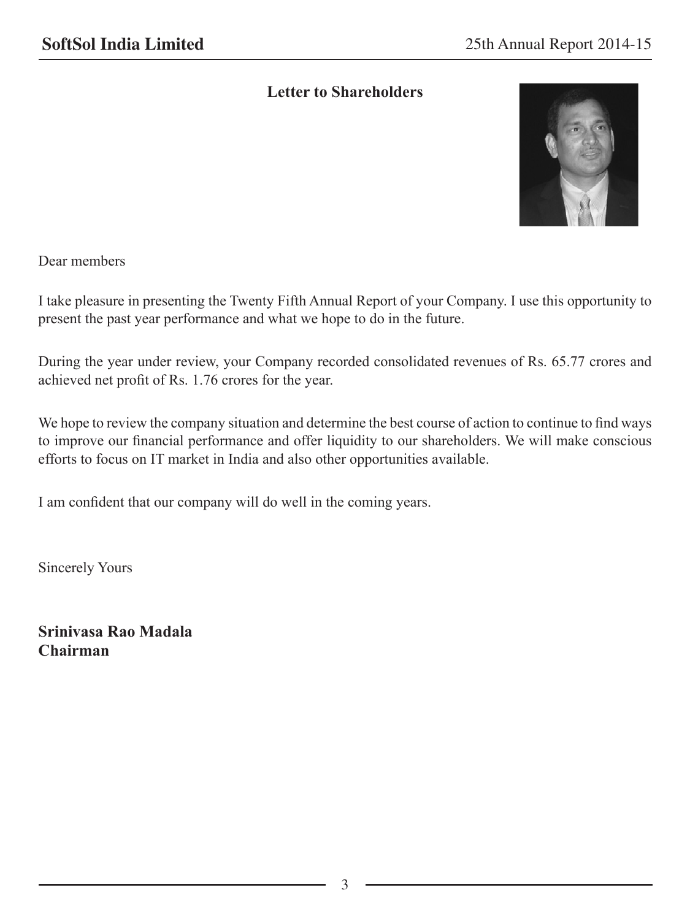# **Letter to Shareholders**



Dear members

I take pleasure in presenting the Twenty Fifth Annual Report of your Company. I use this opportunity to present the past year performance and what we hope to do in the future.

During the year under review, your Company recorded consolidated revenues of Rs. 65.77 crores and achieved net profit of Rs. 1.76 crores for the year.

We hope to review the company situation and determine the best course of action to continue to find ways to improve our financial performance and offer liquidity to our shareholders. We will make conscious efforts to focus on IT market in India and also other opportunities available.

I am confident that our company will do well in the coming years.

Sincerely Yours

**Srinivasa Rao Madala Chairman**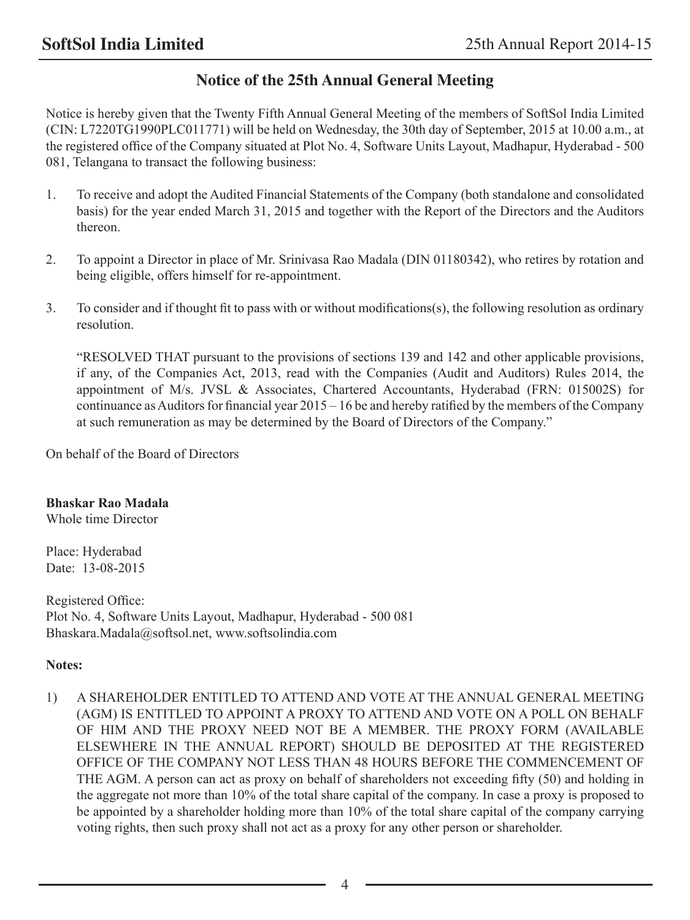## **Notice of the 25th Annual General Meeting**

Notice is hereby given that the Twenty Fifth Annual General Meeting of the members of SoftSol India Limited (CIN: L7220TG1990PLC011771) will be held on Wednesday, the 30th day of September, 2015 at 10.00 a.m., at the registered office of the Company situated at Plot No. 4, Software Units Layout, Madhapur, Hyderabad - 500 081, Telangana to transact the following business:

- 1. To receive and adopt the Audited Financial Statements of the Company (both standalone and consolidated basis) for the year ended March 31, 2015 and together with the Report of the Directors and the Auditors thereon.
- 2. To appoint a Director in place of Mr. Srinivasa Rao Madala (DIN 01180342), who retires by rotation and being eligible, offers himself for re-appointment.
- 3. To consider and if thought fit to pass with or without modifications(s), the following resolution as ordinary resolution.

"RESOLVED THAT pursuant to the provisions of sections 139 and 142 and other applicable provisions, if any, of the Companies Act, 2013, read with the Companies (Audit and Auditors) Rules 2014, the appointment of M/s. JVSL & Associates, Chartered Accountants, Hyderabad (FRN: 015002S) for continuance as Auditors for financial year 2015 – 16 be and hereby ratified by the members of the Company at such remuneration as may be determined by the Board of Directors of the Company."

On behalf of the Board of Directors

## **Bhaskar Rao Madala**

Whole time Director

Place: Hyderabad Date: 13-08-2015

Registered Office: Plot No. 4, Software Units Layout, Madhapur, Hyderabad - 500 081 Bhaskara.Madala@softsol.net, www.softsolindia.com

## **Notes:**

1) A SHAREHOLDER ENTITLED TO ATTEND AND VOTE AT THE ANNUAL GENERAL MEETING (AGM) IS ENTITLED TO APPOINT A PROXY TO ATTEND AND VOTE ON A POLL ON BEHALF OF HIM AND THE PROXY NEED NOT BE A MEMBER. THE PROXY FORM (AVAILABLE ELSEWHERE IN THE ANNUAL REPORT) SHOULD BE DEPOSITED AT THE REGISTERED OFFICE OF THE COMPANY NOT LESS THAN 48 HOURS BEFORE THE COMMENCEMENT OF THE AGM. A person can act as proxy on behalf of shareholders not exceeding fifty (50) and holding in the aggregate not more than 10% of the total share capital of the company. In case a proxy is proposed to be appointed by a shareholder holding more than 10% of the total share capital of the company carrying voting rights, then such proxy shall not act as a proxy for any other person or shareholder.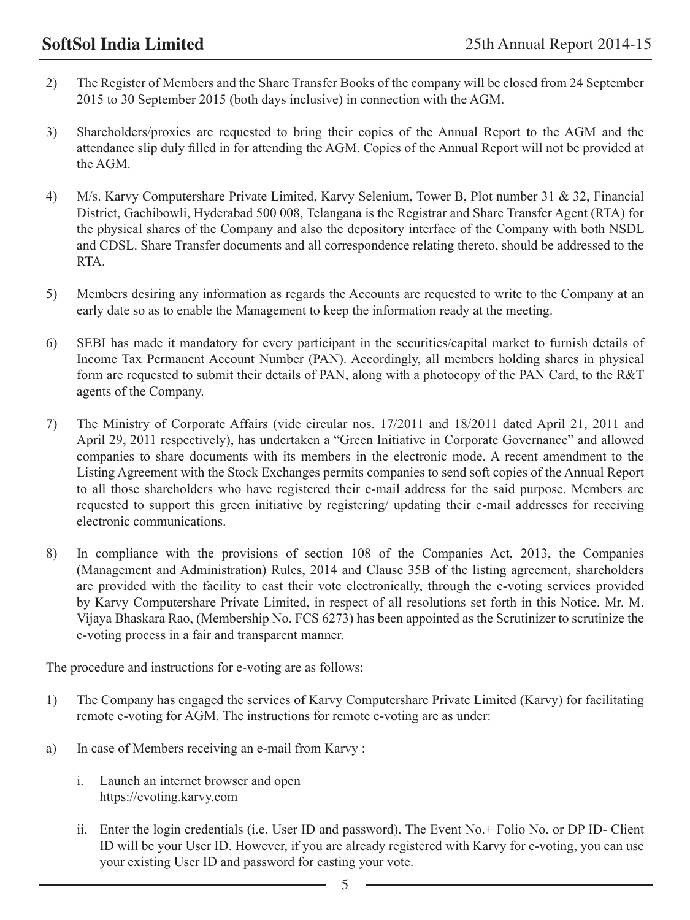- 2) The Register of Members and the Share Transfer Books of the company will be closed from 24 September 2015 to 30 September 2015 (both days inclusive) in connection with the AGM.
- 3) Shareholders/proxies are requested to bring their copies of the Annual Report to the AGM and the attendance slip duly filled in for attending the AGM. Copies of the Annual Report will not be provided at the AGM.
- 4) M/s. Karvy Computershare Private Limited, Karvy Selenium, Tower B, Plot number 31 & 32, Financial District, Gachibowli, Hyderabad 500 008, Telangana is the Registrar and Share Transfer Agent (RTA) for the physical shares of the Company and also the depository interface of the Company with both NSDL and CDSL. Share Transfer documents and all correspondence relating thereto, should be addressed to the RTA.
- 5) Members desiring any information as regards the Accounts are requested to write to the Company at an early date so as to enable the Management to keep the information ready at the meeting.
- 6) SEBI has made it mandatory for every participant in the securities/capital market to furnish details of Income Tax Permanent Account Number (PAN). Accordingly, all members holding shares in physical form are requested to submit their details of PAN, along with a photocopy of the PAN Card, to the R&T agents of the Company.
- 7) The Ministry of Corporate Affairs (vide circular nos. 17/2011 and 18/2011 dated April 21, 2011 and April 29, 2011 respectively), has undertaken a "Green Initiative in Corporate Governance" and allowed companies to share documents with its members in the electronic mode. A recent amendment to the Listing Agreement with the Stock Exchanges permits companies to send soft copies of the Annual Report to all those shareholders who have registered their e-mail address for the said purpose. Members are requested to support this green initiative by registering/ updating their e-mail addresses for receiving electronic communications.
- 8) In compliance with the provisions of section 108 of the Companies Act, 2013, the Companies (Management and Administration) Rules, 2014 and Clause 35B of the listing agreement, shareholders are provided with the facility to cast their vote electronically, through the e-voting services provided by Karvy Computershare Private Limited, in respect of all resolutions set forth in this Notice. Mr. M. Vijaya Bhaskara Rao, (Membership No. FCS 6273) has been appointed as the Scrutinizer to scrutinize the e-voting process in a fair and transparent manner.

The procedure and instructions for e-voting are as follows:

- 1) The Company has engaged the services of Karvy Computershare Private Limited (Karvy) for facilitating remote e-voting for AGM. The instructions for remote e-voting are as under:
- a) In case of Members receiving an e-mail from Karvy :
	- i. Launch an internet browser and open https://evoting.karvy.com
	- ii. Enter the login credentials (i.e. User ID and password). The Event No.+ Folio No. or DP ID- Client ID will be your User ID. However, if you are already registered with Karvy for e-voting, you can use your existing User ID and password for casting your vote.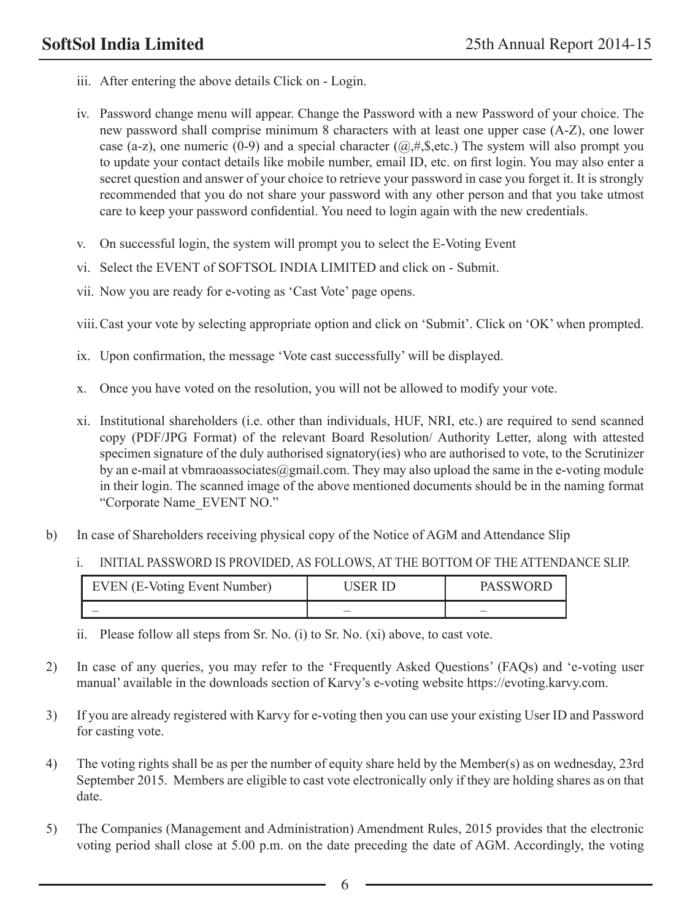- iii. After entering the above details Click on Login.
- iv. Password change menu will appear. Change the Password with a new Password of your choice. The new password shall comprise minimum 8 characters with at least one upper case (A-Z), one lower case (a-z), one numeric (0-9) and a special character ( $\mathcal{O},\mathcal{H},\mathcal{S},\text{etc.}$ ) The system will also prompt you to update your contact details like mobile number, email ID, etc. on first login. You may also enter a secret question and answer of your choice to retrieve your password in case you forget it. It is strongly recommended that you do not share your password with any other person and that you take utmost care to keep your password confidential. You need to login again with the new credentials.
- v. On successful login, the system will prompt you to select the E-Voting Event
- vi. Select the EVENT of SOFTSOL INDIA LIMITED and click on Submit.
- vii. Now you are ready for e-voting as 'Cast Vote' page opens.

viii.Cast your vote by selecting appropriate option and click on 'Submit'. Click on 'OK' when prompted.

- ix. Upon confirmation, the message 'Vote cast successfully' will be displayed.
- x. Once you have voted on the resolution, you will not be allowed to modify your vote.
- xi. Institutional shareholders (i.e. other than individuals, HUF, NRI, etc.) are required to send scanned copy (PDF/JPG Format) of the relevant Board Resolution/ Authority Letter, along with attested specimen signature of the duly authorised signatory(ies) who are authorised to vote, to the Scrutinizer by an e-mail at vbmraoassociates@gmail.com. They may also upload the same in the e-voting module in their login. The scanned image of the above mentioned documents should be in the naming format "Corporate Name\_EVENT NO."
- b) In case of Shareholders receiving physical copy of the Notice of AGM and Attendance Slip
	- i. INITIAL PASSWORD IS PROVIDED, AS FOLLOWS, AT THE BOTTOM OF THE ATTENDANCE SLIP.

| EVEN (E-Voting Event Number) | ISER ID | <b>PASSWORD</b> |
|------------------------------|---------|-----------------|
|                              |         |                 |

- ii. Please follow all steps from Sr. No. (i) to Sr. No. (xi) above, to cast vote.
- 2) In case of any queries, you may refer to the 'Frequently Asked Questions' (FAQs) and 'e-voting user manual' available in the downloads section of Karvy's e-voting website https://evoting.karvy.com.
- 3) If you are already registered with Karvy for e-voting then you can use your existing User ID and Password for casting vote.
- 4) The voting rights shall be as per the number of equity share held by the Member(s) as on wednesday, 23rd September 2015. Members are eligible to cast vote electronically only if they are holding shares as on that date.
- 5) The Companies (Management and Administration) Amendment Rules, 2015 provides that the electronic voting period shall close at 5.00 p.m. on the date preceding the date of AGM. Accordingly, the voting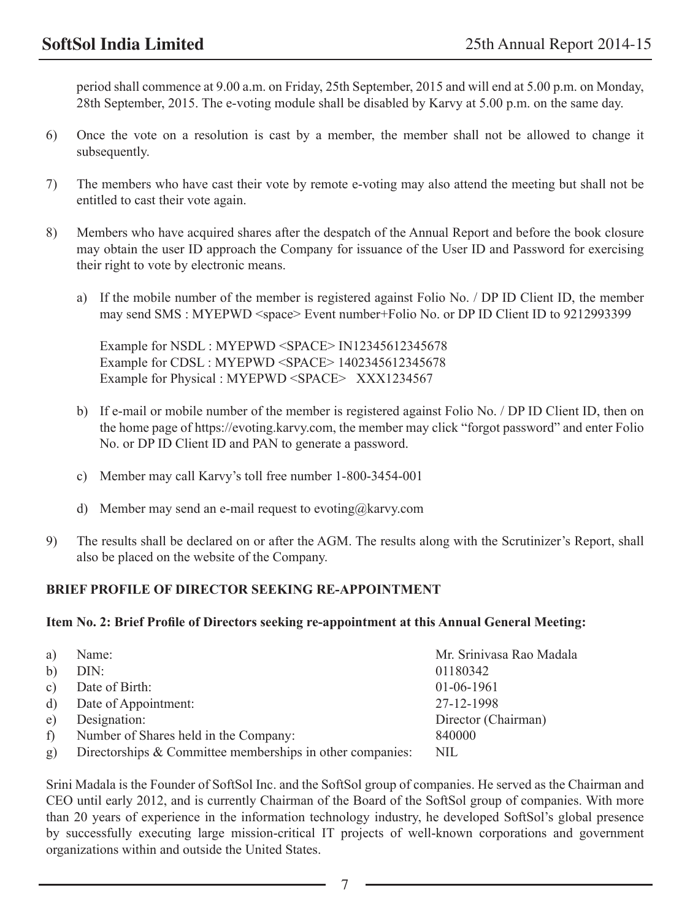period shall commence at 9.00 a.m. on Friday, 25th September, 2015 and will end at 5.00 p.m. on Monday, 28th September, 2015. The e-voting module shall be disabled by Karvy at 5.00 p.m. on the same day.

- 6) Once the vote on a resolution is cast by a member, the member shall not be allowed to change it subsequently.
- 7) The members who have cast their vote by remote e-voting may also attend the meeting but shall not be entitled to cast their vote again.
- 8) Members who have acquired shares after the despatch of the Annual Report and before the book closure may obtain the user ID approach the Company for issuance of the User ID and Password for exercising their right to vote by electronic means.
	- a) If the mobile number of the member is registered against Folio No. / DP ID Client ID, the member may send SMS : MYEPWD <space> Event number+Folio No. or DP ID Client ID to 9212993399

 Example for NSDL : MYEPWD <SPACE> IN12345612345678 Example for CDSL : MYEPWD <SPACE> 1402345612345678 Example for Physical : MYEPWD <SPACE> XXX1234567

- b) If e-mail or mobile number of the member is registered against Folio No. / DP ID Client ID, then on the home page of https://evoting.karvy.com, the member may click "forgot password" and enter Folio No. or DP ID Client ID and PAN to generate a password.
- c) Member may call Karvy's toll free number 1-800-3454-001
- d) Member may send an e-mail request to evoting@karvy.com
- 9) The results shall be declared on or after the AGM. The results along with the Scrutinizer's Report, shall also be placed on the website of the Company.

## **BRIEF PROFILE OF DIRECTOR SEEKING RE-APPOINTMENT**

## **Item No. 2: Brief Profile of Directors seeking re-appointment at this Annual General Meeting:**

| a)           | Name:                                                     | Mr. Srinivasa Rao Madala |
|--------------|-----------------------------------------------------------|--------------------------|
| $\mathbf{b}$ | DIN:                                                      | 01180342                 |
| c)           | Date of Birth:                                            | $01-06-1961$             |
| d)           | Date of Appointment:                                      | 27-12-1998               |
| e)           | Designation:                                              | Director (Chairman)      |
| f            | Number of Shares held in the Company:                     | 840000                   |
| g)           | Directorships & Committee memberships in other companies: | NIL                      |

Srini Madala is the Founder of SoftSol Inc. and the SoftSol group of companies. He served as the Chairman and CEO until early 2012, and is currently Chairman of the Board of the SoftSol group of companies. With more than 20 years of experience in the information technology industry, he developed SoftSol's global presence by successfully executing large mission-critical IT projects of well-known corporations and government organizations within and outside the United States.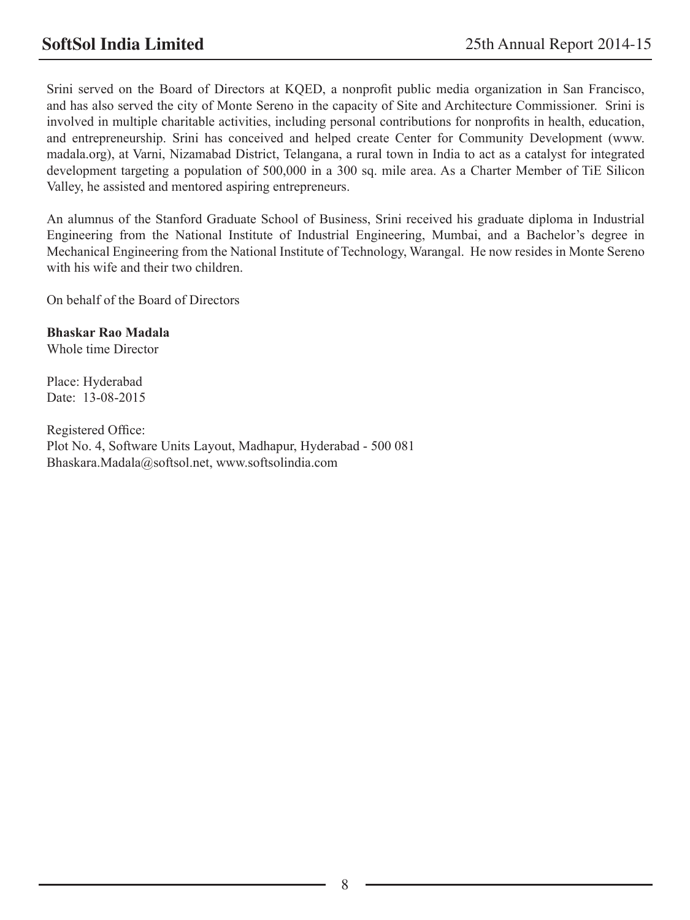Srini served on the Board of Directors at KQED, a nonprofit public media organization in San Francisco, and has also served the city of Monte Sereno in the capacity of Site and Architecture Commissioner. Srini is involved in multiple charitable activities, including personal contributions for nonprofits in health, education, and entrepreneurship. Srini has conceived and helped create Center for Community Development (www. madala.org), at Varni, Nizamabad District, Telangana, a rural town in India to act as a catalyst for integrated development targeting a population of 500,000 in a 300 sq. mile area. As a Charter Member of TiE Silicon Valley, he assisted and mentored aspiring entrepreneurs.

An alumnus of the Stanford Graduate School of Business, Srini received his graduate diploma in Industrial Engineering from the National Institute of Industrial Engineering, Mumbai, and a Bachelor's degree in Mechanical Engineering from the National Institute of Technology, Warangal. He now resides in Monte Sereno with his wife and their two children.

On behalf of the Board of Directors

**Bhaskar Rao Madala** Whole time Director

Place: Hyderabad Date: 13-08-2015

Registered Office: Plot No. 4, Software Units Layout, Madhapur, Hyderabad - 500 081 Bhaskara.Madala@softsol.net, www.softsolindia.com

8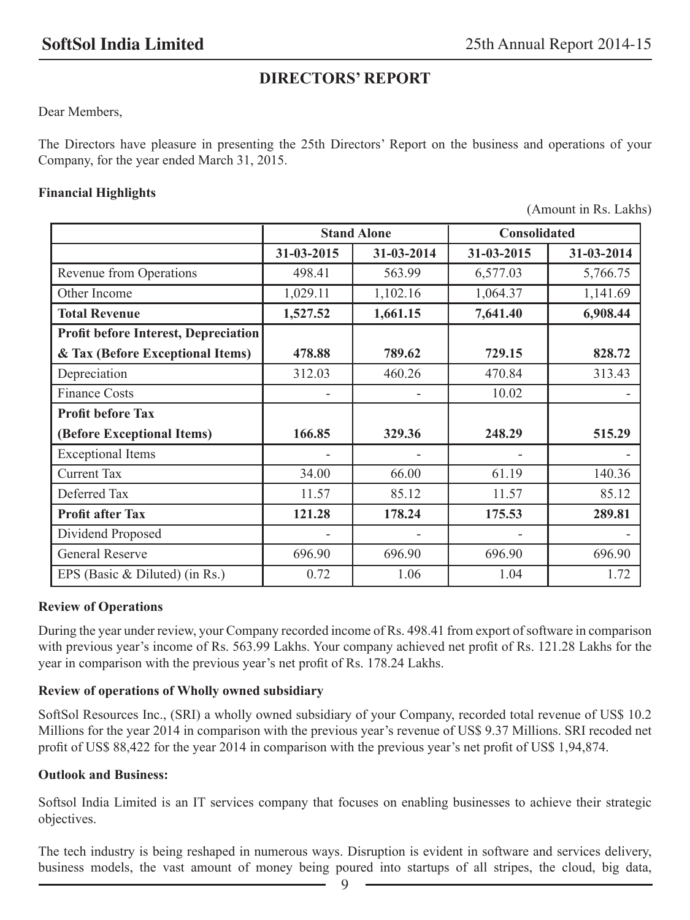## **DIRECTORS' REPORT**

Dear Members,

The Directors have pleasure in presenting the 25th Directors' Report on the business and operations of your Company, for the year ended March 31, 2015.

## **Financial Highlights**

(Amount in Rs. Lakhs)

|                                             | <b>Stand Alone</b> |            | <b>Consolidated</b> |            |
|---------------------------------------------|--------------------|------------|---------------------|------------|
|                                             | 31-03-2015         | 31-03-2014 | 31-03-2015          | 31-03-2014 |
| Revenue from Operations                     | 498.41             | 563.99     | 6,577.03            | 5,766.75   |
| Other Income                                | 1,029.11           | 1,102.16   | 1,064.37            | 1,141.69   |
| <b>Total Revenue</b>                        | 1,527.52           | 1,661.15   | 7,641.40            | 6,908.44   |
| <b>Profit before Interest, Depreciation</b> |                    |            |                     |            |
| & Tax (Before Exceptional Items)            | 478.88             | 789.62     | 729.15              | 828.72     |
| Depreciation                                | 312.03             | 460.26     | 470.84              | 313.43     |
| Finance Costs                               |                    |            | 10.02               |            |
| <b>Profit before Tax</b>                    |                    |            |                     |            |
| (Before Exceptional Items)                  | 166.85             | 329.36     | 248.29              | 515.29     |
| <b>Exceptional Items</b>                    |                    |            |                     |            |
| <b>Current Tax</b>                          | 34.00              | 66.00      | 61.19               | 140.36     |
| Deferred Tax                                | 11.57              | 85.12      | 11.57               | 85.12      |
| <b>Profit after Tax</b>                     | 121.28             | 178.24     | 175.53              | 289.81     |
| Dividend Proposed                           |                    |            |                     |            |
| <b>General Reserve</b>                      | 696.90             | 696.90     | 696.90              | 696.90     |
| EPS (Basic & Diluted) (in Rs.)              | 0.72               | 1.06       | 1.04                | 1.72       |

## **Review of Operations**

During the year under review, your Company recorded income of Rs. 498.41 from export of software in comparison with previous year's income of Rs. 563.99 Lakhs. Your company achieved net profit of Rs. 121.28 Lakhs for the year in comparison with the previous year's net profit of Rs. 178.24 Lakhs.

## **Review of operations of Wholly owned subsidiary**

SoftSol Resources Inc., (SRI) a wholly owned subsidiary of your Company, recorded total revenue of US\$ 10.2 Millions for the year 2014 in comparison with the previous year's revenue of US\$ 9.37 Millions. SRI recoded net profit of US\$ 88,422 for the year 2014 in comparison with the previous year's net profit of US\$ 1,94,874.

## **Outlook and Business:**

Softsol India Limited is an IT services company that focuses on enabling businesses to achieve their strategic objectives.

The tech industry is being reshaped in numerous ways. Disruption is evident in software and services delivery, business models, the vast amount of money being poured into startups of all stripes, the cloud, big data,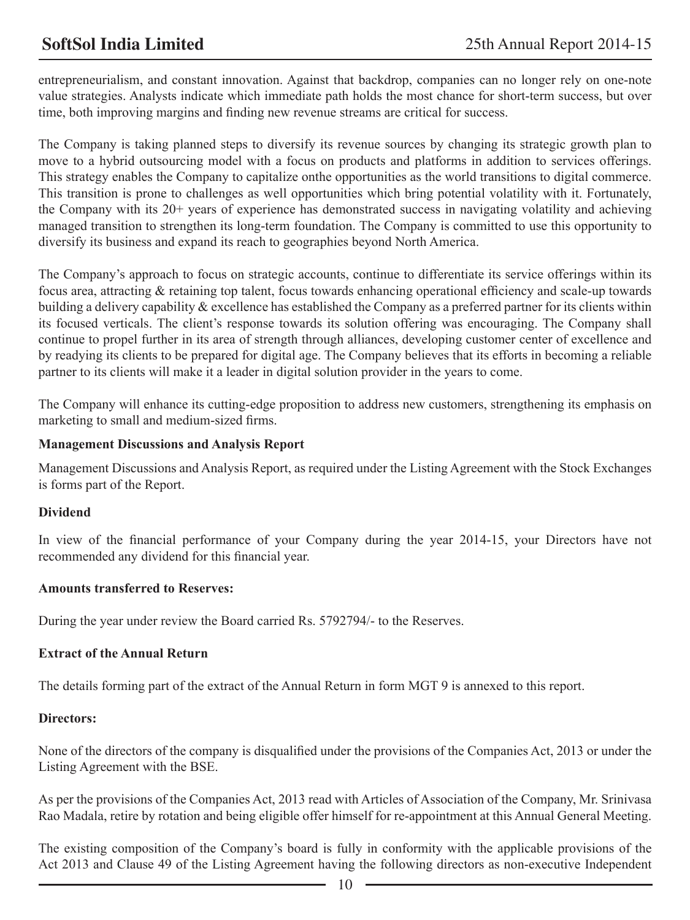entrepreneurialism, and constant innovation. Against that backdrop, companies can no longer rely on one-note value strategies. Analysts indicate which immediate path holds the most chance for short-term success, but over time, both improving margins and finding new revenue streams are critical for success.

The Company is taking planned steps to diversify its revenue sources by changing its strategic growth plan to move to a hybrid outsourcing model with a focus on products and platforms in addition to services offerings. This strategy enables the Company to capitalize onthe opportunities as the world transitions to digital commerce. This transition is prone to challenges as well opportunities which bring potential volatility with it. Fortunately, the Company with its 20+ years of experience has demonstrated success in navigating volatility and achieving managed transition to strengthen its long-term foundation. The Company is committed to use this opportunity to diversify its business and expand its reach to geographies beyond North America.

The Company's approach to focus on strategic accounts, continue to differentiate its service offerings within its focus area, attracting & retaining top talent, focus towards enhancing operational efficiency and scale-up towards building a delivery capability & excellence has established the Company as a preferred partner for its clients within its focused verticals. The client's response towards its solution offering was encouraging. The Company shall continue to propel further in its area of strength through alliances, developing customer center of excellence and by readying its clients to be prepared for digital age. The Company believes that its efforts in becoming a reliable partner to its clients will make it a leader in digital solution provider in the years to come.

The Company will enhance its cutting-edge proposition to address new customers, strengthening its emphasis on marketing to small and medium-sized firms.

## **Management Discussions and Analysis Report**

Management Discussions and Analysis Report, as required under the Listing Agreement with the Stock Exchanges is forms part of the Report.

## **Dividend**

In view of the financial performance of your Company during the year 2014-15, your Directors have not recommended any dividend for this financial year.

## **Amounts transferred to Reserves:**

During the year under review the Board carried Rs. 5792794/- to the Reserves.

## **Extract of the Annual Return**

The details forming part of the extract of the Annual Return in form MGT 9 is annexed to this report.

## **Directors:**

None of the directors of the company is disqualified under the provisions of the Companies Act, 2013 or under the Listing Agreement with the BSE.

As per the provisions of the Companies Act, 2013 read with Articles of Association of the Company, Mr. Srinivasa Rao Madala, retire by rotation and being eligible offer himself for re-appointment at this Annual General Meeting.

The existing composition of the Company's board is fully in conformity with the applicable provisions of the Act 2013 and Clause 49 of the Listing Agreement having the following directors as non-executive Independent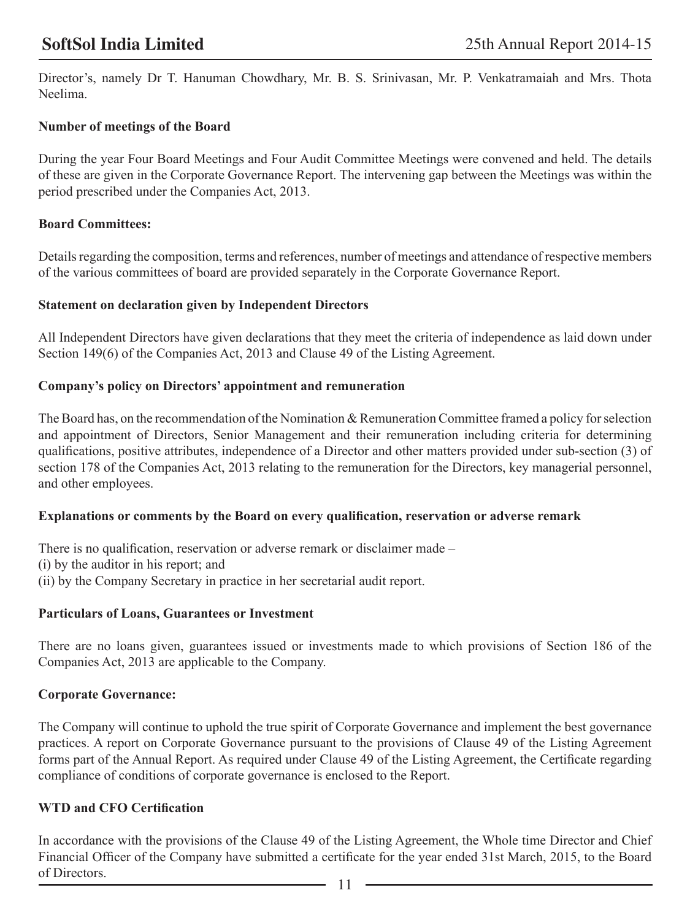Director's, namely Dr T. Hanuman Chowdhary, Mr. B. S. Srinivasan, Mr. P. Venkatramaiah and Mrs. Thota Neelima.

## **Number of meetings of the Board**

During the year Four Board Meetings and Four Audit Committee Meetings were convened and held. The details of these are given in the Corporate Governance Report. The intervening gap between the Meetings was within the period prescribed under the Companies Act, 2013.

## **Board Committees:**

Details regarding the composition, terms and references, number of meetings and attendance of respective members of the various committees of board are provided separately in the Corporate Governance Report.

## **Statement on declaration given by Independent Directors**

All Independent Directors have given declarations that they meet the criteria of independence as laid down under Section 149(6) of the Companies Act, 2013 and Clause 49 of the Listing Agreement.

## **Company's policy on Directors' appointment and remuneration**

The Board has, on the recommendation of the Nomination & Remuneration Committee framed a policy for selection and appointment of Directors, Senior Management and their remuneration including criteria for determining qualifications, positive attributes, independence of a Director and other matters provided under sub-section (3) of section 178 of the Companies Act, 2013 relating to the remuneration for the Directors, key managerial personnel, and other employees.

## **Explanations or comments by the Board on every qualification, reservation or adverse remark**

There is no qualification, reservation or adverse remark or disclaimer made –

- (i) by the auditor in his report; and
- (ii) by the Company Secretary in practice in her secretarial audit report.

## **Particulars of Loans, Guarantees or Investment**

There are no loans given, guarantees issued or investments made to which provisions of Section 186 of the Companies Act, 2013 are applicable to the Company.

## **Corporate Governance:**

The Company will continue to uphold the true spirit of Corporate Governance and implement the best governance practices. A report on Corporate Governance pursuant to the provisions of Clause 49 of the Listing Agreement forms part of the Annual Report. As required under Clause 49 of the Listing Agreement, the Certificate regarding compliance of conditions of corporate governance is enclosed to the Report.

## **WTD and CFO Certification**

In accordance with the provisions of the Clause 49 of the Listing Agreement, the Whole time Director and Chief Financial Officer of the Company have submitted a certificate for the year ended 31st March, 2015, to the Board of Directors.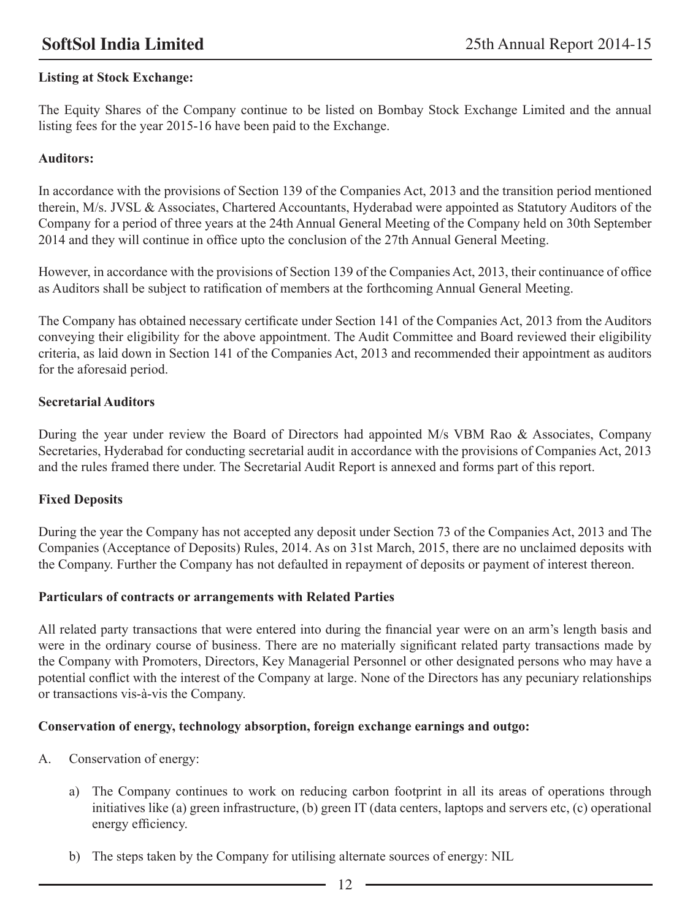## **Listing at Stock Exchange:**

The Equity Shares of the Company continue to be listed on Bombay Stock Exchange Limited and the annual listing fees for the year 2015-16 have been paid to the Exchange.

## **Auditors:**

In accordance with the provisions of Section 139 of the Companies Act, 2013 and the transition period mentioned therein, M/s. JVSL & Associates, Chartered Accountants, Hyderabad were appointed as Statutory Auditors of the Company for a period of three years at the 24th Annual General Meeting of the Company held on 30th September 2014 and they will continue in office upto the conclusion of the 27th Annual General Meeting.

However, in accordance with the provisions of Section 139 of the Companies Act, 2013, their continuance of office as Auditors shall be subject to ratification of members at the forthcoming Annual General Meeting.

The Company has obtained necessary certificate under Section 141 of the Companies Act, 2013 from the Auditors conveying their eligibility for the above appointment. The Audit Committee and Board reviewed their eligibility criteria, as laid down in Section 141 of the Companies Act, 2013 and recommended their appointment as auditors for the aforesaid period.

## **Secretarial Auditors**

During the year under review the Board of Directors had appointed M/s VBM Rao & Associates, Company Secretaries, Hyderabad for conducting secretarial audit in accordance with the provisions of Companies Act, 2013 and the rules framed there under. The Secretarial Audit Report is annexed and forms part of this report.

## **Fixed Deposits**

During the year the Company has not accepted any deposit under Section 73 of the Companies Act, 2013 and The Companies (Acceptance of Deposits) Rules, 2014. As on 31st March, 2015, there are no unclaimed deposits with the Company. Further the Company has not defaulted in repayment of deposits or payment of interest thereon.

#### **Particulars of contracts or arrangements with Related Parties**

All related party transactions that were entered into during the financial year were on an arm's length basis and were in the ordinary course of business. There are no materially significant related party transactions made by the Company with Promoters, Directors, Key Managerial Personnel or other designated persons who may have a potential conflict with the interest of the Company at large. None of the Directors has any pecuniary relationships or transactions vis-à-vis the Company.

## **Conservation of energy, technology absorption, foreign exchange earnings and outgo:**

- A. Conservation of energy:
	- a) The Company continues to work on reducing carbon footprint in all its areas of operations through initiatives like (a) green infrastructure, (b) green IT (data centers, laptops and servers etc, (c) operational energy efficiency.
	- b) The steps taken by the Company for utilising alternate sources of energy: NIL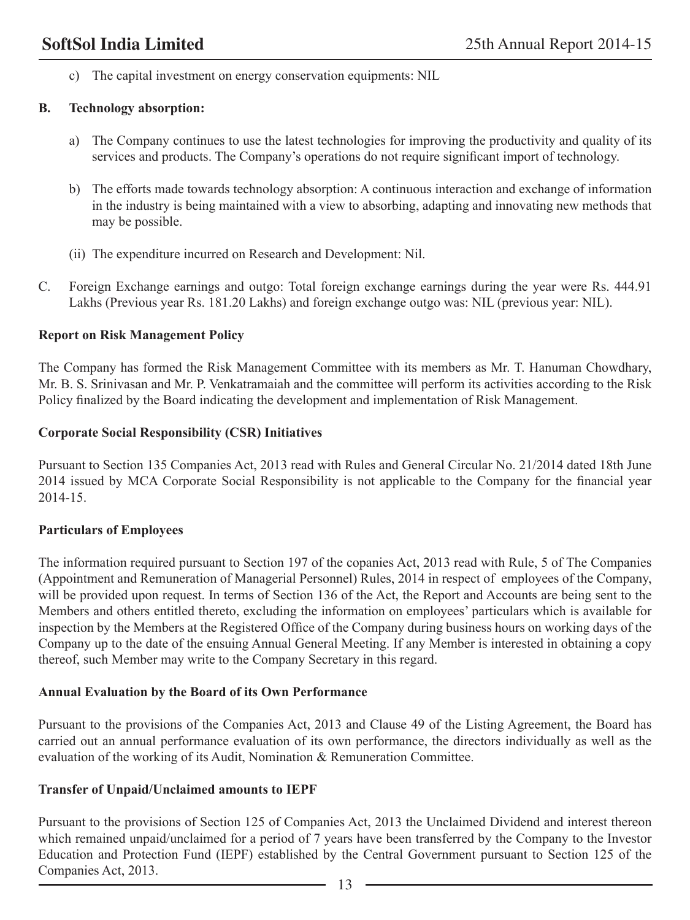c) The capital investment on energy conservation equipments: NIL

## **B. Technology absorption:**

- a) The Company continues to use the latest technologies for improving the productivity and quality of its services and products. The Company's operations do not require significant import of technology.
- b) The efforts made towards technology absorption: A continuous interaction and exchange of information in the industry is being maintained with a view to absorbing, adapting and innovating new methods that may be possible.
- (ii) The expenditure incurred on Research and Development: Nil.
- C. Foreign Exchange earnings and outgo: Total foreign exchange earnings during the year were Rs. 444.91 Lakhs (Previous year Rs. 181.20 Lakhs) and foreign exchange outgo was: NIL (previous year: NIL).

## **Report on Risk Management Policy**

The Company has formed the Risk Management Committee with its members as Mr. T. Hanuman Chowdhary, Mr. B. S. Srinivasan and Mr. P. Venkatramaiah and the committee will perform its activities according to the Risk Policy finalized by the Board indicating the development and implementation of Risk Management.

## **Corporate Social Responsibility (CSR) Initiatives**

Pursuant to Section 135 Companies Act, 2013 read with Rules and General Circular No. 21/2014 dated 18th June 2014 issued by MCA Corporate Social Responsibility is not applicable to the Company for the financial year 2014-15.

## **Particulars of Employees**

The information required pursuant to Section 197 of the copanies Act, 2013 read with Rule, 5 of The Companies (Appointment and Remuneration of Managerial Personnel) Rules, 2014 in respect of employees of the Company, will be provided upon request. In terms of Section 136 of the Act, the Report and Accounts are being sent to the Members and others entitled thereto, excluding the information on employees' particulars which is available for inspection by the Members at the Registered Office of the Company during business hours on working days of the Company up to the date of the ensuing Annual General Meeting. If any Member is interested in obtaining a copy thereof, such Member may write to the Company Secretary in this regard.

## **Annual Evaluation by the Board of its Own Performance**

Pursuant to the provisions of the Companies Act, 2013 and Clause 49 of the Listing Agreement, the Board has carried out an annual performance evaluation of its own performance, the directors individually as well as the evaluation of the working of its Audit, Nomination & Remuneration Committee.

## **Transfer of Unpaid/Unclaimed amounts to IEPF**

Pursuant to the provisions of Section 125 of Companies Act, 2013 the Unclaimed Dividend and interest thereon which remained unpaid/unclaimed for a period of 7 years have been transferred by the Company to the Investor Education and Protection Fund (IEPF) established by the Central Government pursuant to Section 125 of the Companies Act, 2013.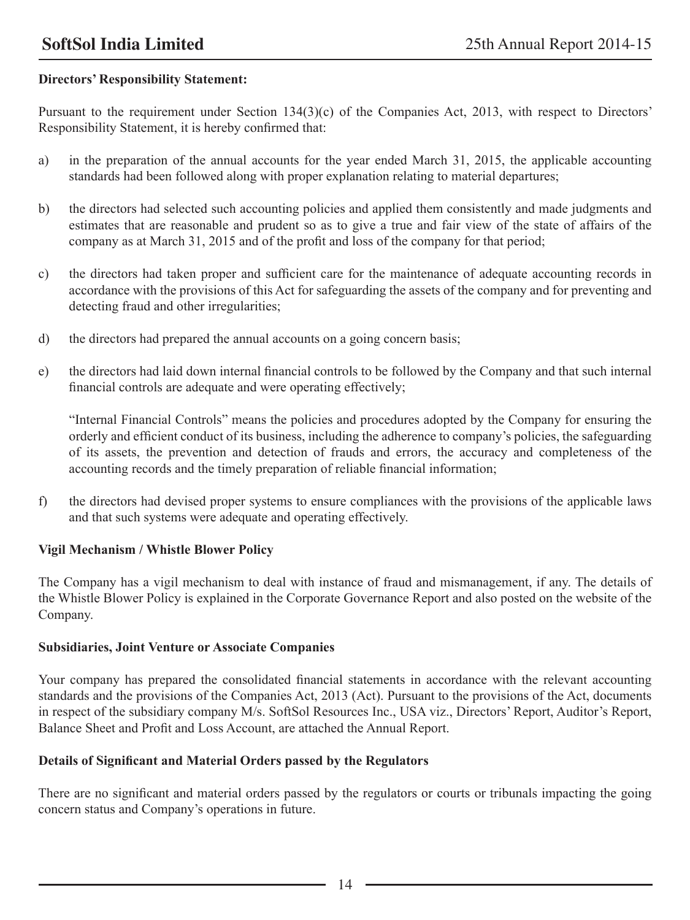## **Directors' Responsibility Statement:**

Pursuant to the requirement under Section 134(3)(c) of the Companies Act, 2013, with respect to Directors' Responsibility Statement, it is hereby confirmed that:

- a) in the preparation of the annual accounts for the year ended March 31, 2015, the applicable accounting standards had been followed along with proper explanation relating to material departures;
- b) the directors had selected such accounting policies and applied them consistently and made judgments and estimates that are reasonable and prudent so as to give a true and fair view of the state of affairs of the company as at March 31, 2015 and of the profit and loss of the company for that period;
- c) the directors had taken proper and sufficient care for the maintenance of adequate accounting records in accordance with the provisions of this Act for safeguarding the assets of the company and for preventing and detecting fraud and other irregularities;
- d) the directors had prepared the annual accounts on a going concern basis;
- e) the directors had laid down internal financial controls to be followed by the Company and that such internal financial controls are adequate and were operating effectively;

"Internal Financial Controls" means the policies and procedures adopted by the Company for ensuring the orderly and efficient conduct of its business, including the adherence to company's policies, the safeguarding of its assets, the prevention and detection of frauds and errors, the accuracy and completeness of the accounting records and the timely preparation of reliable financial information;

f) the directors had devised proper systems to ensure compliances with the provisions of the applicable laws and that such systems were adequate and operating effectively.

## **Vigil Mechanism / Whistle Blower Policy**

The Company has a vigil mechanism to deal with instance of fraud and mismanagement, if any. The details of the Whistle Blower Policy is explained in the Corporate Governance Report and also posted on the website of the Company.

## **Subsidiaries, Joint Venture or Associate Companies**

Your company has prepared the consolidated financial statements in accordance with the relevant accounting standards and the provisions of the Companies Act, 2013 (Act). Pursuant to the provisions of the Act, documents in respect of the subsidiary company M/s. SoftSol Resources Inc., USA viz., Directors' Report, Auditor's Report, Balance Sheet and Profit and Loss Account, are attached the Annual Report.

## **Details of Significant and Material Orders passed by the Regulators**

There are no significant and material orders passed by the regulators or courts or tribunals impacting the going concern status and Company's operations in future.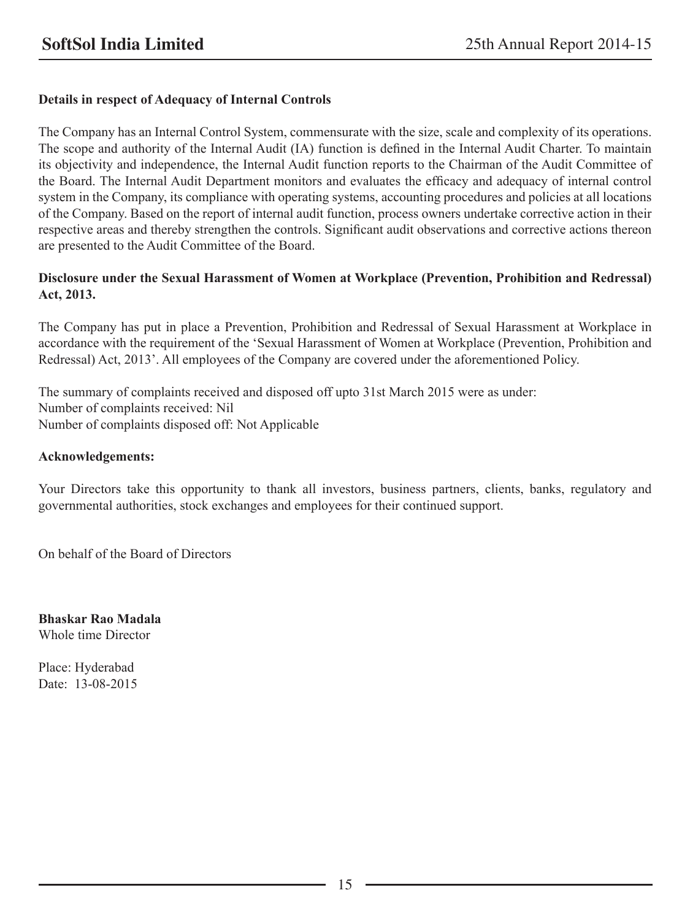## **Details in respect of Adequacy of Internal Controls**

The Company has an Internal Control System, commensurate with the size, scale and complexity of its operations. The scope and authority of the Internal Audit (IA) function is defined in the Internal Audit Charter. To maintain its objectivity and independence, the Internal Audit function reports to the Chairman of the Audit Committee of the Board. The Internal Audit Department monitors and evaluates the efficacy and adequacy of internal control system in the Company, its compliance with operating systems, accounting procedures and policies at all locations of the Company. Based on the report of internal audit function, process owners undertake corrective action in their respective areas and thereby strengthen the controls. Significant audit observations and corrective actions thereon are presented to the Audit Committee of the Board.

## **Disclosure under the Sexual Harassment of Women at Workplace (Prevention, Prohibition and Redressal) Act, 2013.**

The Company has put in place a Prevention, Prohibition and Redressal of Sexual Harassment at Workplace in accordance with the requirement of the 'Sexual Harassment of Women at Workplace (Prevention, Prohibition and Redressal) Act, 2013'. All employees of the Company are covered under the aforementioned Policy.

The summary of complaints received and disposed off upto 31st March 2015 were as under: Number of complaints received: Nil Number of complaints disposed off: Not Applicable

## **Acknowledgements:**

Your Directors take this opportunity to thank all investors, business partners, clients, banks, regulatory and governmental authorities, stock exchanges and employees for their continued support.

On behalf of the Board of Directors

**Bhaskar Rao Madala** Whole time Director

Place: Hyderabad Date: 13-08-2015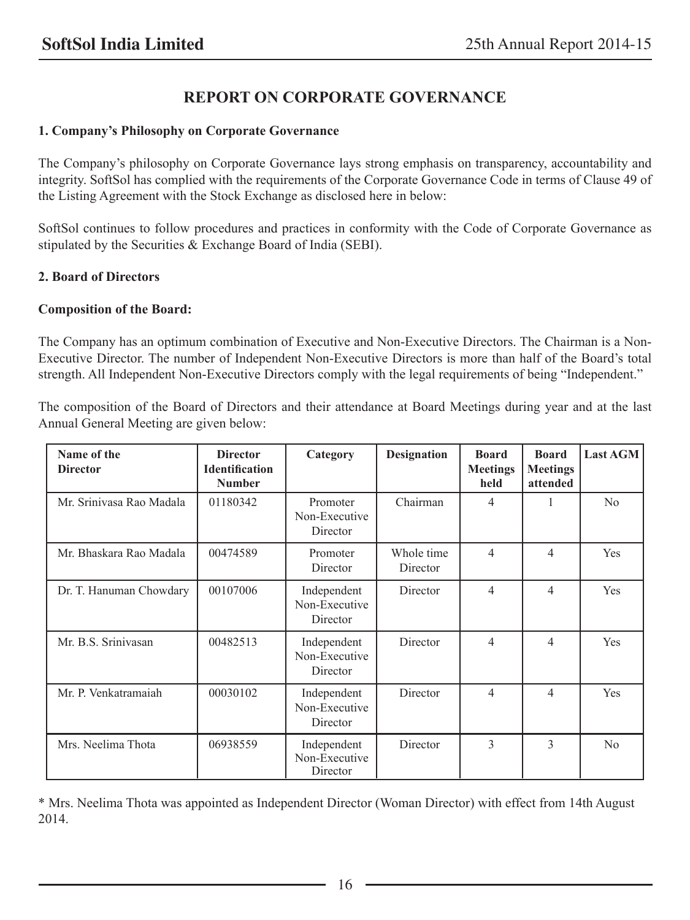# **REPORT ON CORPORATE GOVERNANCE**

## **1. Company's Philosophy on Corporate Governance**

The Company's philosophy on Corporate Governance lays strong emphasis on transparency, accountability and integrity. SoftSol has complied with the requirements of the Corporate Governance Code in terms of Clause 49 of the Listing Agreement with the Stock Exchange as disclosed here in below:

SoftSol continues to follow procedures and practices in conformity with the Code of Corporate Governance as stipulated by the Securities & Exchange Board of India (SEBI).

## **2. Board of Directors**

## **Composition of the Board:**

The Company has an optimum combination of Executive and Non-Executive Directors. The Chairman is a Non-Executive Director. The number of Independent Non-Executive Directors is more than half of the Board's total strength. All Independent Non-Executive Directors comply with the legal requirements of being "Independent."

The composition of the Board of Directors and their attendance at Board Meetings during year and at the last Annual General Meeting are given below:

| Name of the<br><b>Director</b> | <b>Director</b><br><b>Identification</b><br><b>Number</b> | Category                                 | <b>Designation</b>     | <b>Board</b><br><b>Meetings</b><br>held | <b>Board</b><br><b>Meetings</b><br>attended | <b>Last AGM</b> |
|--------------------------------|-----------------------------------------------------------|------------------------------------------|------------------------|-----------------------------------------|---------------------------------------------|-----------------|
| Mr. Sriniyasa Rao Madala       | 01180342                                                  | Promoter<br>Non-Executive<br>Director    | Chairman               | 4                                       |                                             | No              |
| Mr. Bhaskara Rao Madala        | 00474589                                                  | Promoter<br>Director                     | Whole time<br>Director | 4                                       | 4                                           | Yes             |
| Dr. T. Hanuman Chowdary        | 00107006                                                  | Independent<br>Non-Executive<br>Director | Director               | 4                                       | 4                                           | Yes             |
| Mr. B.S. Srinivasan            | 00482513                                                  | Independent<br>Non-Executive<br>Director | Director               | $\overline{4}$                          | 4                                           | Yes             |
| Mr. P. Venkatramaiah           | 00030102                                                  | Independent<br>Non-Executive<br>Director | Director               | 4                                       | 4                                           | Yes             |
| Mrs. Neelima Thota             | 06938559                                                  | Independent<br>Non-Executive<br>Director | Director               | 3                                       | 3                                           | N <sub>0</sub>  |

\* Mrs. Neelima Thota was appointed as Independent Director (Woman Director) with effect from 14th August 2014.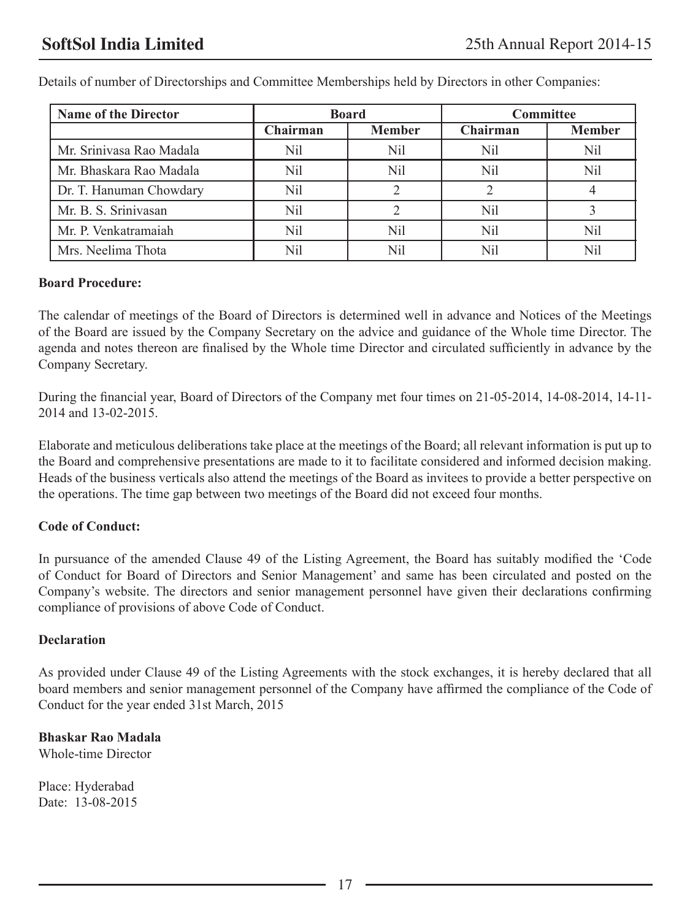| <b>Name of the Director</b> | <b>Board</b> |               | <b>Committee</b> |               |
|-----------------------------|--------------|---------------|------------------|---------------|
|                             | Chairman     | <b>Member</b> | Chairman         | <b>Member</b> |
| Mr. Srinivasa Rao Madala    | Nil          | Nil           | Nil              | Nil           |
| Mr. Bhaskara Rao Madala     | Nil          | Nil           | Nil              | Nil           |
| Dr. T. Hanuman Chowdary     | Nil          |               |                  |               |
| Mr. B. S. Srinivasan        | Nil          | 2             | Nil              |               |
| Mr. P. Venkatramaiah        | Nil          | Nil           | Nil              | Nil           |
| Mrs. Neelima Thota          | Nil          | Nil           | Nil              |               |

Details of number of Directorships and Committee Memberships held by Directors in other Companies:

## **Board Procedure:**

The calendar of meetings of the Board of Directors is determined well in advance and Notices of the Meetings of the Board are issued by the Company Secretary on the advice and guidance of the Whole time Director. The agenda and notes thereon are finalised by the Whole time Director and circulated sufficiently in advance by the Company Secretary.

During the financial year, Board of Directors of the Company met four times on 21-05-2014, 14-08-2014, 14-11- 2014 and 13-02-2015.

Elaborate and meticulous deliberations take place at the meetings of the Board; all relevant information is put up to the Board and comprehensive presentations are made to it to facilitate considered and informed decision making. Heads of the business verticals also attend the meetings of the Board as invitees to provide a better perspective on the operations. The time gap between two meetings of the Board did not exceed four months.

## **Code of Conduct:**

In pursuance of the amended Clause 49 of the Listing Agreement, the Board has suitably modified the 'Code of Conduct for Board of Directors and Senior Management' and same has been circulated and posted on the Company's website. The directors and senior management personnel have given their declarations confirming compliance of provisions of above Code of Conduct.

## **Declaration**

As provided under Clause 49 of the Listing Agreements with the stock exchanges, it is hereby declared that all board members and senior management personnel of the Company have affirmed the compliance of the Code of Conduct for the year ended 31st March, 2015

## **Bhaskar Rao Madala**

Whole-time Director

Place: Hyderabad Date: 13-08-2015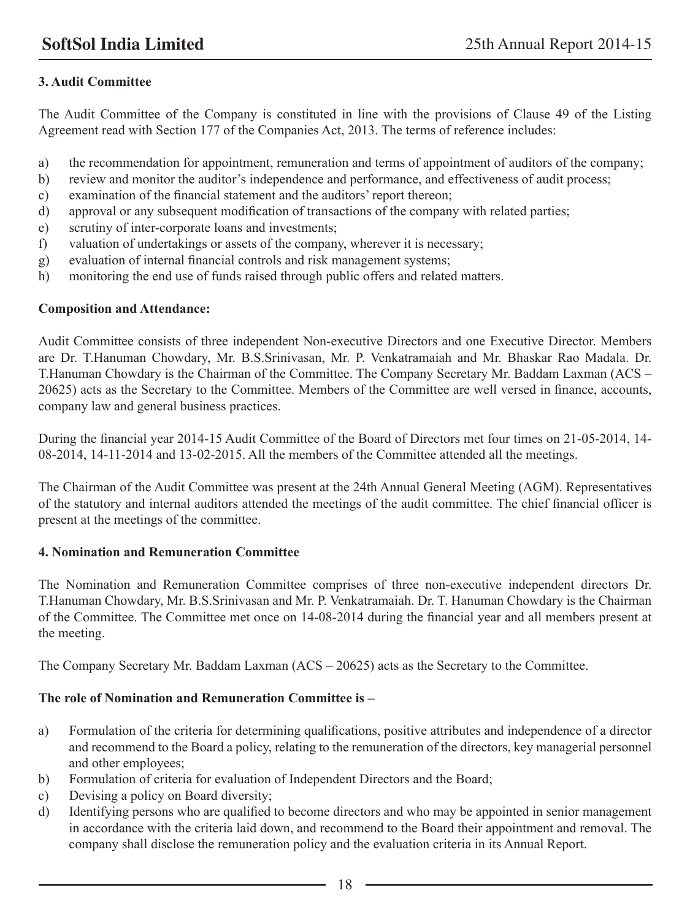## **3. Audit Committee**

The Audit Committee of the Company is constituted in line with the provisions of Clause 49 of the Listing Agreement read with Section 177 of the Companies Act, 2013. The terms of reference includes:

- a) the recommendation for appointment, remuneration and terms of appointment of auditors of the company;
- b) review and monitor the auditor's independence and performance, and effectiveness of audit process;
- c) examination of the financial statement and the auditors' report thereon;
- d) approval or any subsequent modification of transactions of the company with related parties;
- e) scrutiny of inter-corporate loans and investments;
- f) valuation of undertakings or assets of the company, wherever it is necessary;
- g) evaluation of internal financial controls and risk management systems;
- h) monitoring the end use of funds raised through public offers and related matters.

## **Composition and Attendance:**

Audit Committee consists of three independent Non-executive Directors and one Executive Director. Members are Dr. T.Hanuman Chowdary, Mr. B.S.Srinivasan, Mr. P. Venkatramaiah and Mr. Bhaskar Rao Madala. Dr. T.Hanuman Chowdary is the Chairman of the Committee. The Company Secretary Mr. Baddam Laxman (ACS – 20625) acts as the Secretary to the Committee. Members of the Committee are well versed in finance, accounts, company law and general business practices.

During the financial year 2014-15 Audit Committee of the Board of Directors met four times on 21-05-2014, 14- 08-2014, 14-11-2014 and 13-02-2015. All the members of the Committee attended all the meetings.

The Chairman of the Audit Committee was present at the 24th Annual General Meeting (AGM). Representatives of the statutory and internal auditors attended the meetings of the audit committee. The chief financial officer is present at the meetings of the committee.

## **4. Nomination and Remuneration Committee**

The Nomination and Remuneration Committee comprises of three non-executive independent directors Dr. T.Hanuman Chowdary, Mr. B.S.Srinivasan and Mr. P. Venkatramaiah. Dr. T. Hanuman Chowdary is the Chairman of the Committee. The Committee met once on 14-08-2014 during the financial year and all members present at the meeting.

The Company Secretary Mr. Baddam Laxman (ACS – 20625) acts as the Secretary to the Committee.

## **The role of Nomination and Remuneration Committee is –**

- a) Formulation of the criteria for determining qualifications, positive attributes and independence of a director and recommend to the Board a policy, relating to the remuneration of the directors, key managerial personnel and other employees;
- b) Formulation of criteria for evaluation of Independent Directors and the Board;
- c) Devising a policy on Board diversity;
- d) Identifying persons who are qualified to become directors and who may be appointed in senior management in accordance with the criteria laid down, and recommend to the Board their appointment and removal. The company shall disclose the remuneration policy and the evaluation criteria in its Annual Report.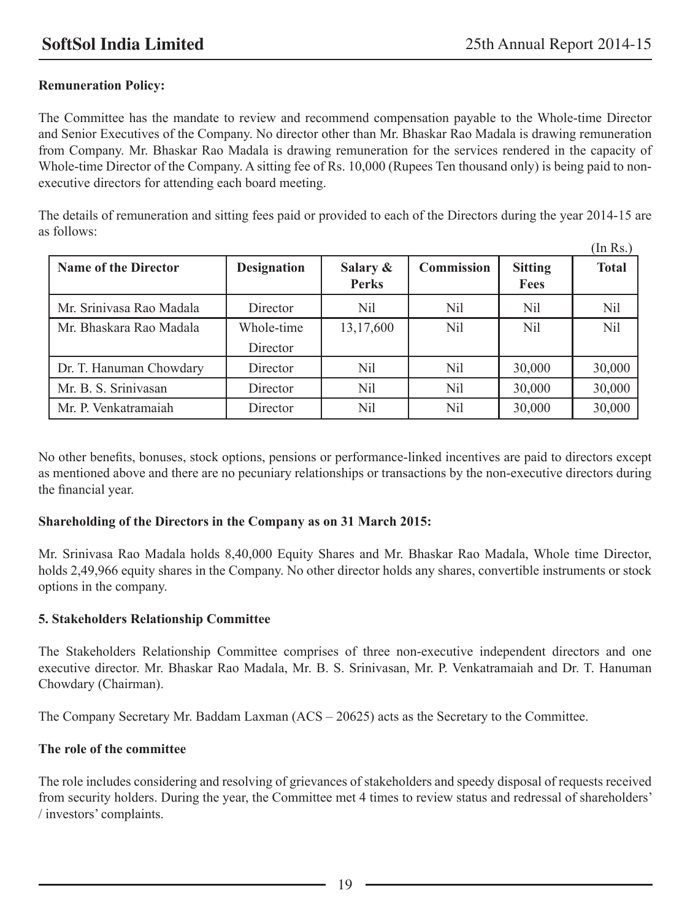## **Remuneration Policy:**

The Committee has the mandate to review and recommend compensation payable to the Whole-time Director and Senior Executives of the Company. No director other than Mr. Bhaskar Rao Madala is drawing remuneration from Company. Mr. Bhaskar Rao Madala is drawing remuneration for the services rendered in the capacity of Whole-time Director of the Company. A sitting fee of Rs. 10,000 (Rupees Ten thousand only) is being paid to nonexecutive directors for attending each board meeting.

The details of remuneration and sitting fees paid or provided to each of the Directors during the year 2014-15 are as follows:

|                             |                    |                          |                   |                        | (In Rs.)       |
|-----------------------------|--------------------|--------------------------|-------------------|------------------------|----------------|
| <b>Name of the Director</b> | <b>Designation</b> | Salary &<br><b>Perks</b> | <b>Commission</b> | <b>Sitting</b><br>Fees | <b>Total</b>   |
| Mr. Sriniyasa Rao Madala    | Director           | Nil                      | Nil               | Nil                    | Nil            |
| Mr. Bhaskara Rao Madala     | Whole-time         | 13,17,600                | Nil               | Nil                    | N <sub>i</sub> |
|                             | Director           |                          |                   |                        |                |
| Dr. T. Hanuman Chowdary     | Director           | Nil                      | Nil               | 30,000                 | 30,000         |
| Mr. B. S. Srinivasan        | Director           | Nil                      | <b>Nil</b>        | 30,000                 | 30,000         |
| Mr. P. Venkatramaiah        | Director           | Nil                      | Nil               | 30,000                 | 30,000         |

No other benefits, bonuses, stock options, pensions or performance-linked incentives are paid to directors except as mentioned above and there are no pecuniary relationships or transactions by the non-executive directors during the financial year.

## **Shareholding of the Directors in the Company as on 31 March 2015:**

Mr. Srinivasa Rao Madala holds 8,40,000 Equity Shares and Mr. Bhaskar Rao Madala, Whole time Director, holds 2,49,966 equity shares in the Company. No other director holds any shares, convertible instruments or stock options in the company.

## **5. Stakeholders Relationship Committee**

The Stakeholders Relationship Committee comprises of three non-executive independent directors and one executive director. Mr. Bhaskar Rao Madala, Mr. B. S. Srinivasan, Mr. P. Venkatramaiah and Dr. T. Hanuman Chowdary (Chairman).

The Company Secretary Mr. Baddam Laxman (ACS – 20625) acts as the Secretary to the Committee.

## **The role of the committee**

The role includes considering and resolving of grievances of stakeholders and speedy disposal of requests received from security holders. During the year, the Committee met 4 times to review status and redressal of shareholders' / investors' complaints.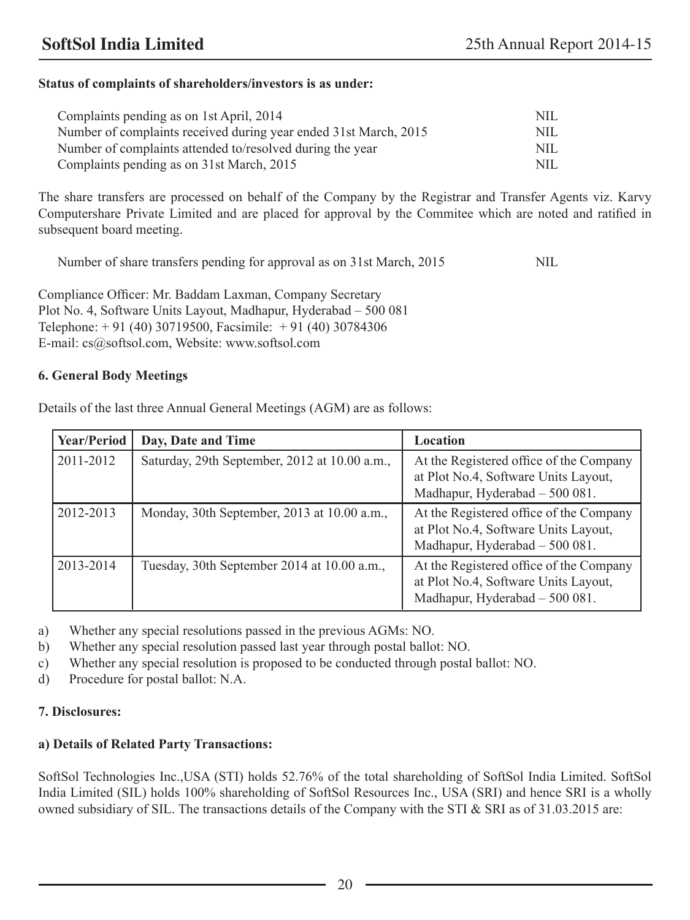## **Status of complaints of shareholders/investors is as under:**

| Complaints pending as on 1st April, 2014                         | NIL. |
|------------------------------------------------------------------|------|
| Number of complaints received during year ended 31st March, 2015 | NIL. |
| Number of complaints attended to/resolved during the year        | NIL. |
| Complaints pending as on 31st March, 2015                        | NIL. |

The share transfers are processed on behalf of the Company by the Registrar and Transfer Agents viz. Karvy Computershare Private Limited and are placed for approval by the Commitee which are noted and ratified in subsequent board meeting.

| Number of share transfers pending for approval as on 31st March, 2015 | NIL |
|-----------------------------------------------------------------------|-----|
|                                                                       |     |

Compliance Officer: Mr. Baddam Laxman, Company Secretary Plot No. 4, Software Units Layout, Madhapur, Hyderabad – 500 081 Telephone: + 91 (40) 30719500, Facsimile: + 91 (40) 30784306 E-mail: cs@softsol.com, Website: www.softsol.com

## **6. General Body Meetings**

Details of the last three Annual General Meetings (AGM) are as follows:

| <b>Year/Period</b> | Day, Date and Time                            | Location                                                                                                          |
|--------------------|-----------------------------------------------|-------------------------------------------------------------------------------------------------------------------|
| 2011-2012          | Saturday, 29th September, 2012 at 10.00 a.m., | At the Registered office of the Company<br>at Plot No.4, Software Units Layout,<br>Madhapur, Hyderabad - 500 081. |
| 2012-2013          | Monday, 30th September, 2013 at 10.00 a.m.,   | At the Registered office of the Company<br>at Plot No.4, Software Units Layout,<br>Madhapur, Hyderabad - 500 081. |
| 2013-2014          | Tuesday, 30th September 2014 at 10.00 a.m.,   | At the Registered office of the Company<br>at Plot No.4, Software Units Layout,<br>Madhapur, Hyderabad - 500 081. |

- a) Whether any special resolutions passed in the previous AGMs: NO.
- b) Whether any special resolution passed last year through postal ballot: NO.
- c) Whether any special resolution is proposed to be conducted through postal ballot: NO.
- d) Procedure for postal ballot: N.A.

## **7. Disclosures:**

## **a) Details of Related Party Transactions:**

SoftSol Technologies Inc.,USA (STI) holds 52.76% of the total shareholding of SoftSol India Limited. SoftSol India Limited (SIL) holds 100% shareholding of SoftSol Resources Inc., USA (SRI) and hence SRI is a wholly owned subsidiary of SIL. The transactions details of the Company with the STI & SRI as of 31.03.2015 are: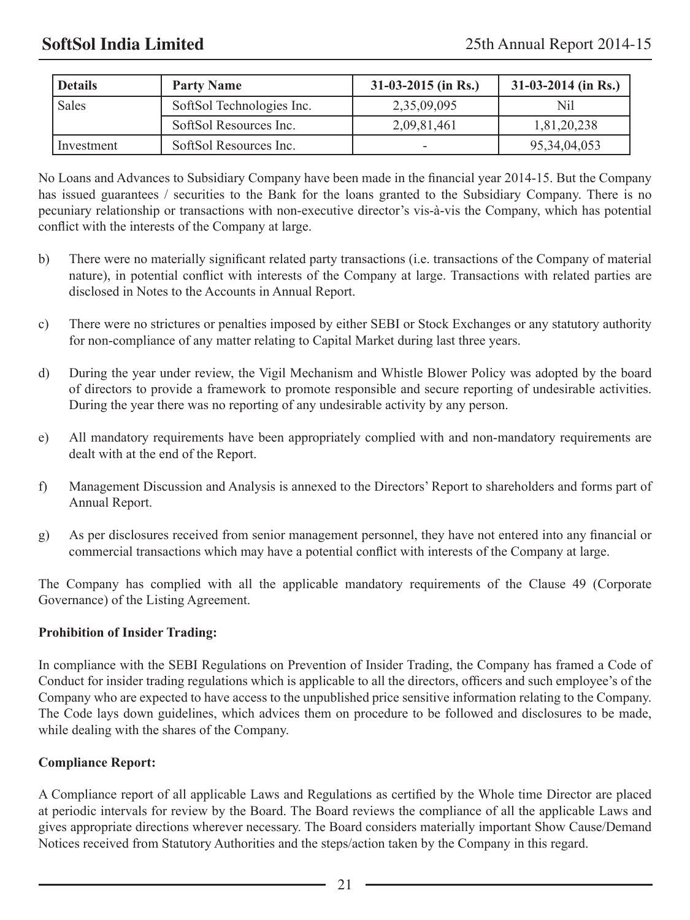| Details      | <b>Party Name</b>         | $31-03-2015$ (in Rs.) | $31-03-2014$ (in Rs.) |
|--------------|---------------------------|-----------------------|-----------------------|
| <b>Sales</b> | SoftSol Technologies Inc. | 2,35,09,095           | Nil                   |
|              | SoftSol Resources Inc.    | 2,09,81,461           | 1,81,20,238           |
| Investment   | SoftSol Resources Inc.    |                       | 95, 34, 04, 053       |

No Loans and Advances to Subsidiary Company have been made in the financial year 2014-15. But the Company has issued guarantees / securities to the Bank for the loans granted to the Subsidiary Company. There is no pecuniary relationship or transactions with non-executive director's vis-à-vis the Company, which has potential conflict with the interests of the Company at large.

- b) There were no materially significant related party transactions (i.e. transactions of the Company of material nature), in potential conflict with interests of the Company at large. Transactions with related parties are disclosed in Notes to the Accounts in Annual Report.
- c) There were no strictures or penalties imposed by either SEBI or Stock Exchanges or any statutory authority for non-compliance of any matter relating to Capital Market during last three years.
- d) During the year under review, the Vigil Mechanism and Whistle Blower Policy was adopted by the board of directors to provide a framework to promote responsible and secure reporting of undesirable activities. During the year there was no reporting of any undesirable activity by any person.
- e) All mandatory requirements have been appropriately complied with and non-mandatory requirements are dealt with at the end of the Report.
- f) Management Discussion and Analysis is annexed to the Directors' Report to shareholders and forms part of Annual Report.
- g) As per disclosures received from senior management personnel, they have not entered into any financial or commercial transactions which may have a potential conflict with interests of the Company at large.

The Company has complied with all the applicable mandatory requirements of the Clause 49 (Corporate Governance) of the Listing Agreement.

## **Prohibition of Insider Trading:**

In compliance with the SEBI Regulations on Prevention of Insider Trading, the Company has framed a Code of Conduct for insider trading regulations which is applicable to all the directors, officers and such employee's of the Company who are expected to have access to the unpublished price sensitive information relating to the Company. The Code lays down guidelines, which advices them on procedure to be followed and disclosures to be made, while dealing with the shares of the Company.

## **Compliance Report:**

A Compliance report of all applicable Laws and Regulations as certified by the Whole time Director are placed at periodic intervals for review by the Board. The Board reviews the compliance of all the applicable Laws and gives appropriate directions wherever necessary. The Board considers materially important Show Cause/Demand Notices received from Statutory Authorities and the steps/action taken by the Company in this regard.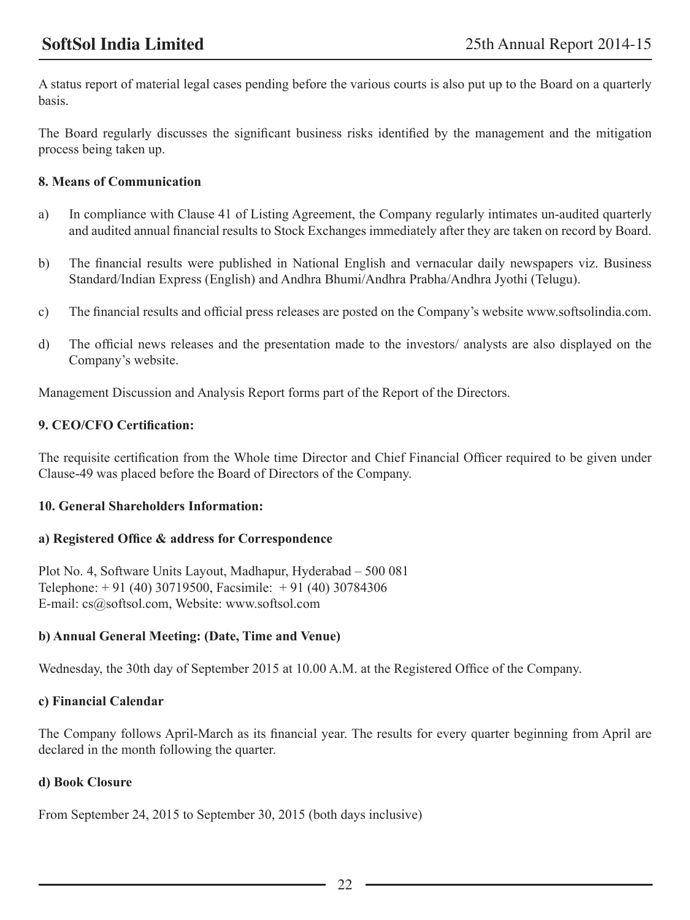A status report of material legal cases pending before the various courts is also put up to the Board on a quarterly basis.

The Board regularly discusses the significant business risks identified by the management and the mitigation process being taken up.

## **8. Means of Communication**

- a) In compliance with Clause 41 of Listing Agreement, the Company regularly intimates un-audited quarterly and audited annual financial results to Stock Exchanges immediately after they are taken on record by Board.
- b) The financial results were published in National English and vernacular daily newspapers viz. Business Standard/Indian Express (English) and Andhra Bhumi/Andhra Prabha/Andhra Jyothi (Telugu).
- c) The financial results and official press releases are posted on the Company's website www.softsolindia.com.
- d) The official news releases and the presentation made to the investors/ analysts are also displayed on the Company's website.

Management Discussion and Analysis Report forms part of the Report of the Directors.

## **9. CEO/CFO Certification:**

The requisite certification from the Whole time Director and Chief Financial Officer required to be given under Clause-49 was placed before the Board of Directors of the Company.

## **10. General Shareholders Information:**

## **a) Registered Office & address for Correspondence**

Plot No. 4, Software Units Layout, Madhapur, Hyderabad – 500 081 Telephone: + 91 (40) 30719500, Facsimile: + 91 (40) 30784306 E-mail: cs@softsol.com, Website: www.softsol.com

## **b) Annual General Meeting: (Date, Time and Venue)**

Wednesday, the 30th day of September 2015 at 10.00 A.M. at the Registered Office of the Company.

## **c) Financial Calendar**

The Company follows April-March as its financial year. The results for every quarter beginning from April are declared in the month following the quarter.

## **d) Book Closure**

From September 24, 2015 to September 30, 2015 (both days inclusive)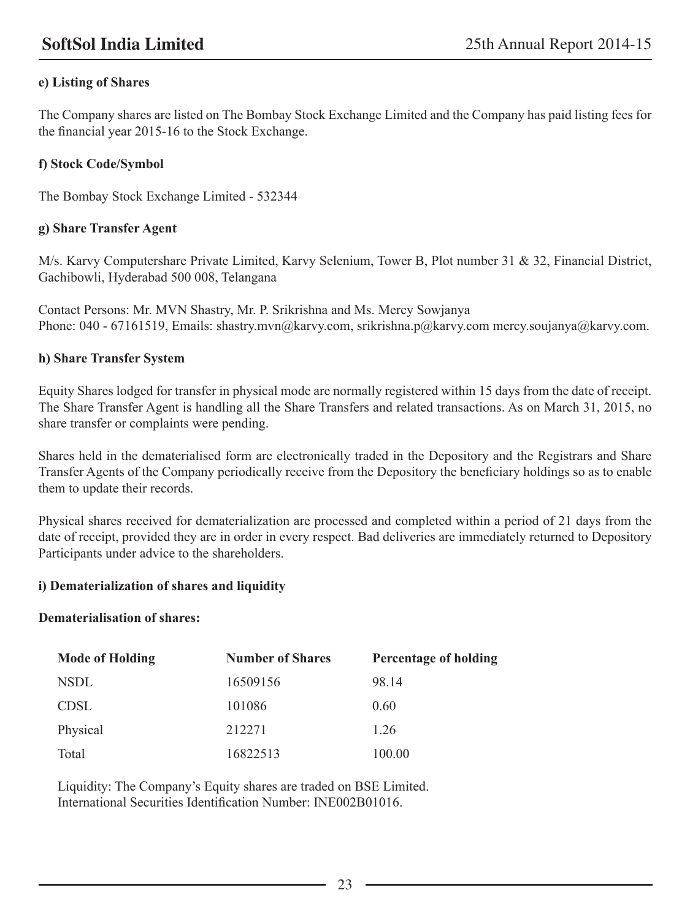## **e) Listing of Shares**

The Company shares are listed on The Bombay Stock Exchange Limited and the Company has paid listing fees for the financial year 2015-16 to the Stock Exchange.

## **f) Stock Code/Symbol**

The Bombay Stock Exchange Limited - 532344

## **g) Share Transfer Agent**

M/s. Karvy Computershare Private Limited, Karvy Selenium, Tower B, Plot number 31 & 32, Financial District, Gachibowli, Hyderabad 500 008, Telangana

Contact Persons: Mr. MVN Shastry, Mr. P. Srikrishna and Ms. Mercy Sowjanya Phone: 040 - 67161519, Emails: shastry.mvn@karvy.com, srikrishna.p@karvy.com mercy.soujanya@karvy.com.

## **h) Share Transfer System**

Equity Shares lodged for transfer in physical mode are normally registered within 15 days from the date of receipt. The Share Transfer Agent is handling all the Share Transfers and related transactions. As on March 31, 2015, no share transfer or complaints were pending.

Shares held in the dematerialised form are electronically traded in the Depository and the Registrars and Share Transfer Agents of the Company periodically receive from the Depository the beneficiary holdings so as to enable them to update their records.

Physical shares received for dematerialization are processed and completed within a period of 21 days from the date of receipt, provided they are in order in every respect. Bad deliveries are immediately returned to Depository Participants under advice to the shareholders.

## **i) Dematerialization of shares and liquidity**

## **Dematerialisation of shares:**

| <b>Mode of Holding</b> | <b>Number of Shares</b> | Percentage of holding |
|------------------------|-------------------------|-----------------------|
| <b>NSDL</b>            | 16509156                | 98.14                 |
| <b>CDSL</b>            | 101086                  | 0.60                  |
| Physical               | 212271                  | 1.26                  |
| Total                  | 16822513                | 100.00                |

Liquidity: The Company's Equity shares are traded on BSE Limited. International Securities Identification Number: INE002B01016.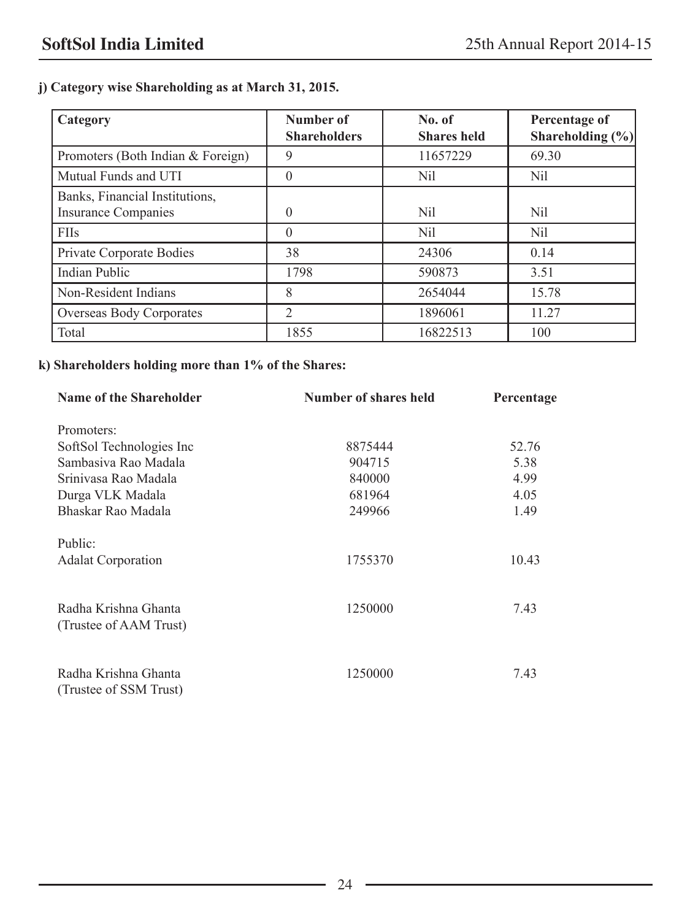**j) Category wise Shareholding as at March 31, 2015.**

| Category                                              | Number of<br><b>Shareholders</b> | No. of<br><b>Shares held</b> | Percentage of<br>Shareholding $(\% )$ |  |  |
|-------------------------------------------------------|----------------------------------|------------------------------|---------------------------------------|--|--|
| Promoters (Both Indian & Foreign)                     | 9                                | 11657229                     | 69.30                                 |  |  |
| Mutual Funds and UTI                                  | $\theta$                         | Nil                          | Nil                                   |  |  |
| Banks, Financial Institutions,<br>Insurance Companies | $\theta$                         | Nil                          | Nil                                   |  |  |
| <b>FIIs</b>                                           | $\Omega$                         | Nil                          | Nil                                   |  |  |
| Private Corporate Bodies                              | 38                               | 24306                        | 0.14                                  |  |  |
| <b>Indian Public</b>                                  | 1798                             | 590873                       | 3.51                                  |  |  |
| Non-Resident Indians                                  | 8                                | 2654044                      | 15.78                                 |  |  |
| Overseas Body Corporates                              | $\overline{2}$                   | 1896061                      | 11.27                                 |  |  |
| Total                                                 | 1855                             | 16822513                     | 100                                   |  |  |

## **k) Shareholders holding more than 1% of the Shares:**

| <b>Name of the Shareholder</b>                 | Number of shares held | Percentage |
|------------------------------------------------|-----------------------|------------|
| Promoters:                                     |                       |            |
| SoftSol Technologies Inc                       | 8875444               | 52.76      |
| Sambasiya Rao Madala                           | 904715                | 5.38       |
| Sriniyasa Rao Madala                           | 840000                | 4.99       |
| Durga VLK Madala                               | 681964                | 4.05       |
| Bhaskar Rao Madala                             | 249966                | 1.49       |
| Public:                                        |                       |            |
| <b>Adalat Corporation</b>                      | 1755370               | 10.43      |
| Radha Krishna Ghanta                           | 1250000               | 7.43       |
| (Trustee of AAM Trust)                         |                       |            |
|                                                |                       |            |
| Radha Krishna Ghanta<br>(Trustee of SSM Trust) | 1250000               | 7.43       |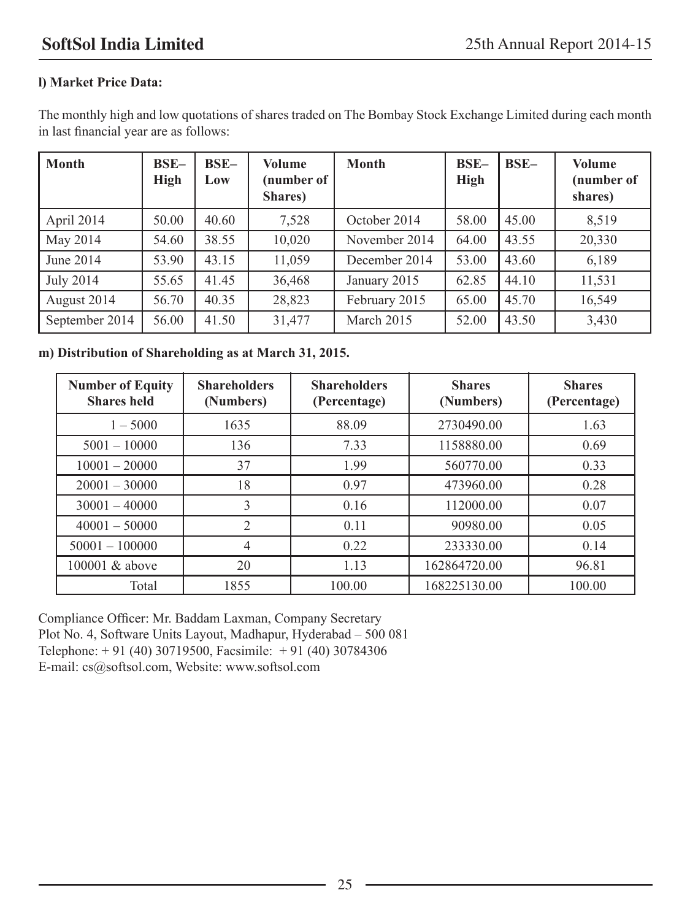## **l) Market Price Data:**

The monthly high and low quotations of shares traded on The Bombay Stock Exchange Limited during each month in last financial year are as follows:

| <b>Month</b>     | $BSE-$<br><b>High</b> | $BSE-$<br>Low | <b>Volume</b><br>(number of<br>Shares) | <b>Month</b>  | $BSE-$<br><b>High</b> | $BSE-$ | <b>Volume</b><br>(number of<br>shares) |  |
|------------------|-----------------------|---------------|----------------------------------------|---------------|-----------------------|--------|----------------------------------------|--|
| April 2014       | 50.00                 | 40.60         | 7,528                                  | October 2014  | 58.00                 | 45.00  | 8,519                                  |  |
| May 2014         | 54.60                 | 38.55         | 10,020                                 | November 2014 | 64.00                 | 43.55  | 20,330                                 |  |
| June 2014        | 53.90                 | 43.15         | 11,059                                 | December 2014 | 53.00                 | 43.60  | 6,189                                  |  |
| <b>July 2014</b> | 55.65                 | 41.45         | 36,468                                 | January 2015  | 62.85                 | 44.10  | 11,531                                 |  |
| August 2014      | 56.70                 | 40.35         | 28,823                                 | February 2015 | 65.00                 | 45.70  | 16,549                                 |  |
| September 2014   | 56.00                 | 41.50         | 31,477                                 | March 2015    | 52.00                 | 43.50  | 3,430                                  |  |

**m) Distribution of Shareholding as at March 31, 2015.**

| <b>Number of Equity</b><br><b>Shares held</b> | <b>Shareholders</b><br>(Numbers) | <b>Shareholders</b><br>(Percentage) | <b>Shares</b><br>(Numbers) | <b>Shares</b><br>(Percentage) |
|-----------------------------------------------|----------------------------------|-------------------------------------|----------------------------|-------------------------------|
| $1 - 5000$                                    | 1635                             | 88.09                               | 2730490.00                 | 1.63                          |
| $5001 - 10000$                                | 136                              | 7.33                                | 1158880.00                 | 0.69                          |
| $10001 - 20000$                               | 37                               | 1.99                                | 560770.00                  | 0.33                          |
| $20001 - 30000$                               | 18                               | 0.97                                | 473960.00                  | 0.28                          |
| $30001 - 40000$                               | 3                                | 0.16                                | 112000.00                  | 0.07                          |
| $40001 - 50000$                               | $\overline{2}$                   | 0.11                                | 90980.00                   | 0.05                          |
| $50001 - 100000$                              | 4                                | 0.22                                | 233330.00                  | 0.14                          |
| 100001 & above                                | 20                               | 1.13                                | 162864720.00               | 96.81                         |
| Total                                         | 1855                             | 100.00                              | 168225130.00               | 100.00                        |

Compliance Officer: Mr. Baddam Laxman, Company Secretary Plot No. 4, Software Units Layout, Madhapur, Hyderabad – 500 081 Telephone: + 91 (40) 30719500, Facsimile: + 91 (40) 30784306 E-mail: cs@softsol.com, Website: www.softsol.com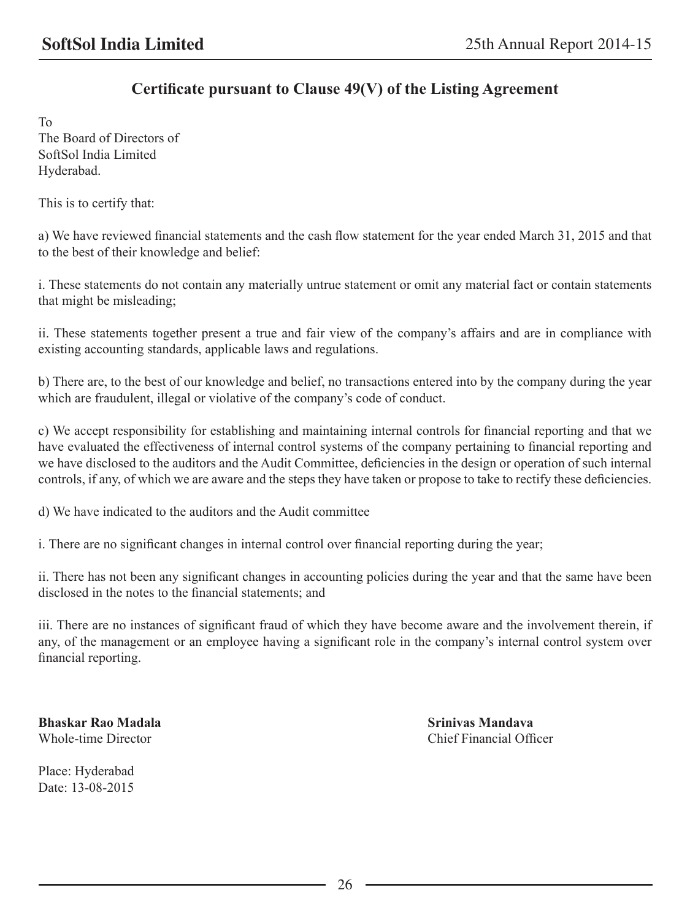# **Certificate pursuant to Clause 49(V) of the Listing Agreement**

To The Board of Directors of SoftSol India Limited Hyderabad.

This is to certify that:

a) We have reviewed financial statements and the cash flow statement for the year ended March 31, 2015 and that to the best of their knowledge and belief:

i. These statements do not contain any materially untrue statement or omit any material fact or contain statements that might be misleading;

ii. These statements together present a true and fair view of the company's affairs and are in compliance with existing accounting standards, applicable laws and regulations.

b) There are, to the best of our knowledge and belief, no transactions entered into by the company during the year which are fraudulent, illegal or violative of the company's code of conduct.

c) We accept responsibility for establishing and maintaining internal controls for financial reporting and that we have evaluated the effectiveness of internal control systems of the company pertaining to financial reporting and we have disclosed to the auditors and the Audit Committee, deficiencies in the design or operation of such internal controls, if any, of which we are aware and the steps they have taken or propose to take to rectify these deficiencies.

d) We have indicated to the auditors and the Audit committee

i. There are no significant changes in internal control over financial reporting during the year;

ii. There has not been any significant changes in accounting policies during the year and that the same have been disclosed in the notes to the financial statements; and

iii. There are no instances of significant fraud of which they have become aware and the involvement therein, if any, of the management or an employee having a significant role in the company's internal control system over financial reporting.

**Bhaskar Rao Madala Srinivas Mandava** Whole-time Director **Chief Financial Officer** 

Place: Hyderabad Date: 13-08-2015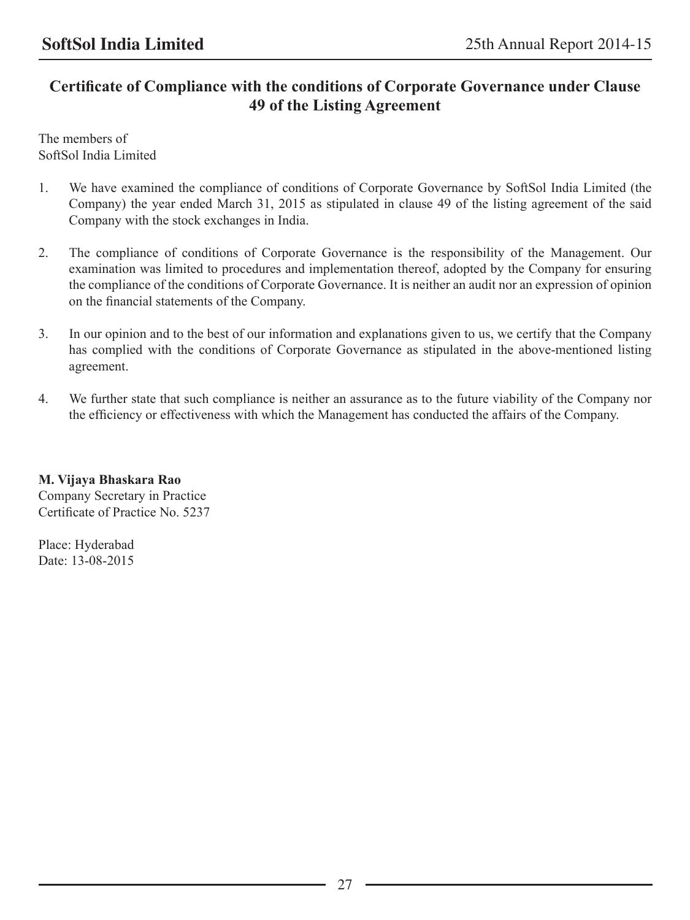# **Certificate of Compliance with the conditions of Corporate Governance under Clause 49 of the Listing Agreement**

The members of SoftSol India Limited

- 1. We have examined the compliance of conditions of Corporate Governance by SoftSol India Limited (the Company) the year ended March 31, 2015 as stipulated in clause 49 of the listing agreement of the said Company with the stock exchanges in India.
- 2. The compliance of conditions of Corporate Governance is the responsibility of the Management. Our examination was limited to procedures and implementation thereof, adopted by the Company for ensuring the compliance of the conditions of Corporate Governance. It is neither an audit nor an expression of opinion on the financial statements of the Company.
- 3. In our opinion and to the best of our information and explanations given to us, we certify that the Company has complied with the conditions of Corporate Governance as stipulated in the above-mentioned listing agreement.
- 4. We further state that such compliance is neither an assurance as to the future viability of the Company nor the efficiency or effectiveness with which the Management has conducted the affairs of the Company.

**M. Vijaya Bhaskara Rao** Company Secretary in Practice Certificate of Practice No. 5237

Place: Hyderabad Date: 13-08-2015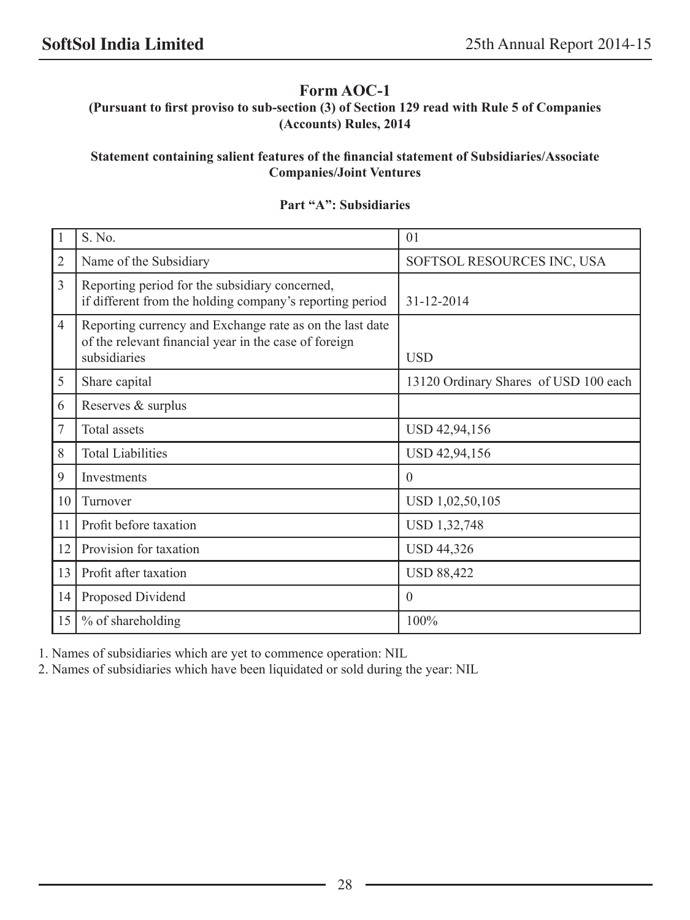## **Form AOC-1**

**(Pursuant to first proviso to sub-section (3) of Section 129 read with Rule 5 of Companies (Accounts) Rules, 2014**

**Statement containing salient features of the financial statement of Subsidiaries/Associate Companies/Joint Ventures**

## **Part "A": Subsidiaries**

|                | S. No.                                                                                                                            | 01                                    |
|----------------|-----------------------------------------------------------------------------------------------------------------------------------|---------------------------------------|
| 2              | Name of the Subsidiary                                                                                                            | SOFTSOL RESOURCES INC, USA            |
| 3              | Reporting period for the subsidiary concerned,<br>if different from the holding company's reporting period                        | 31-12-2014                            |
| $\overline{4}$ | Reporting currency and Exchange rate as on the last date<br>of the relevant financial year in the case of foreign<br>subsidiaries | <b>USD</b>                            |
| 5              | Share capital                                                                                                                     | 13120 Ordinary Shares of USD 100 each |
| 6              | Reserves & surplus                                                                                                                |                                       |
| 7              | Total assets                                                                                                                      | USD 42,94,156                         |
| 8              | <b>Total Liabilities</b>                                                                                                          | USD 42,94,156                         |
| 9              | Investments                                                                                                                       | $\Omega$                              |
| 10             | Turnover                                                                                                                          | USD 1,02,50,105                       |
| 11             | Profit before taxation                                                                                                            | USD 1,32,748                          |
| 12             | Provision for taxation                                                                                                            | <b>USD 44,326</b>                     |
| 13             | Profit after taxation                                                                                                             | <b>USD 88,422</b>                     |
| 14             | Proposed Dividend                                                                                                                 | $\theta$                              |
| 15             | % of shareholding                                                                                                                 | 100%                                  |

1. Names of subsidiaries which are yet to commence operation: NIL

2. Names of subsidiaries which have been liquidated or sold during the year: NIL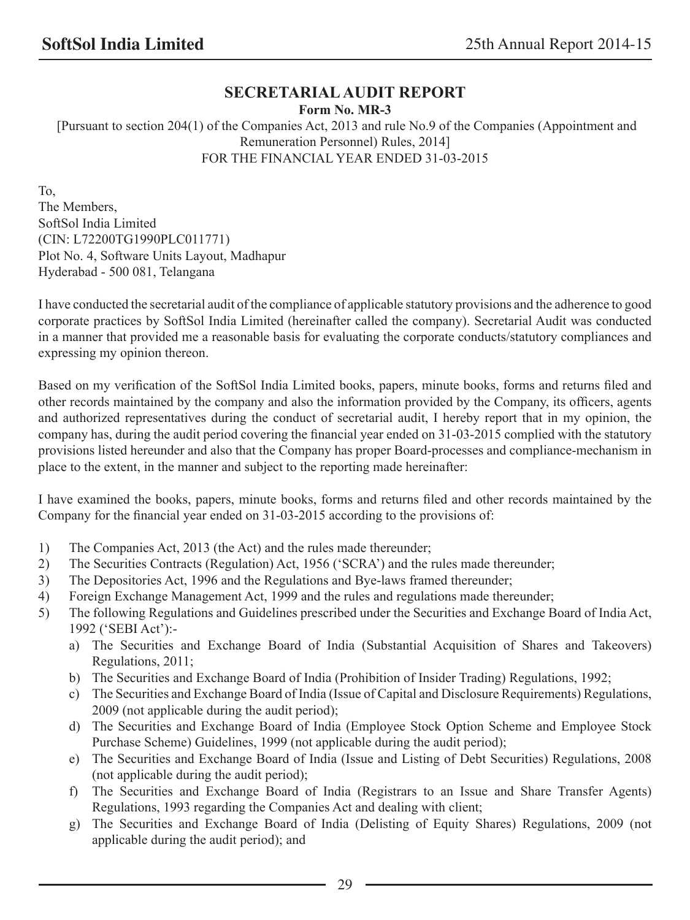## **SECRETARIAL AUDIT REPORT**

**Form No. MR-3**

 [Pursuant to section 204(1) of the Companies Act, 2013 and rule No.9 of the Companies (Appointment and Remuneration Personnel) Rules, 2014] FOR THE FINANCIAL YEAR ENDED 31-03-2015

To, The Members, SoftSol India Limited (CIN: L72200TG1990PLC011771) Plot No. 4, Software Units Layout, Madhapur Hyderabad - 500 081, Telangana

I have conducted the secretarial audit of the compliance of applicable statutory provisions and the adherence to good corporate practices by SoftSol India Limited (hereinafter called the company). Secretarial Audit was conducted in a manner that provided me a reasonable basis for evaluating the corporate conducts/statutory compliances and expressing my opinion thereon.

Based on my verification of the SoftSol India Limited books, papers, minute books, forms and returns filed and other records maintained by the company and also the information provided by the Company, its officers, agents and authorized representatives during the conduct of secretarial audit, I hereby report that in my opinion, the company has, during the audit period covering the financial year ended on 31-03-2015 complied with the statutory provisions listed hereunder and also that the Company has proper Board-processes and compliance-mechanism in place to the extent, in the manner and subject to the reporting made hereinafter:

I have examined the books, papers, minute books, forms and returns filed and other records maintained by the Company for the financial year ended on 31-03-2015 according to the provisions of:

- 1) The Companies Act, 2013 (the Act) and the rules made thereunder;
- 2) The Securities Contracts (Regulation) Act, 1956 ('SCRA') and the rules made thereunder;
- 3) The Depositories Act, 1996 and the Regulations and Bye-laws framed thereunder;
- 4) Foreign Exchange Management Act, 1999 and the rules and regulations made thereunder;
- 5) The following Regulations and Guidelines prescribed under the Securities and Exchange Board of India Act, 1992 ('SEBI Act'):
	- a) The Securities and Exchange Board of India (Substantial Acquisition of Shares and Takeovers) Regulations, 2011;
	- b) The Securities and Exchange Board of India (Prohibition of Insider Trading) Regulations, 1992;
	- c) The Securities and Exchange Board of India (Issue of Capital and Disclosure Requirements) Regulations, 2009 (not applicable during the audit period);
	- d) The Securities and Exchange Board of India (Employee Stock Option Scheme and Employee Stock Purchase Scheme) Guidelines, 1999 (not applicable during the audit period);
	- e) The Securities and Exchange Board of India (Issue and Listing of Debt Securities) Regulations, 2008 (not applicable during the audit period);
	- f) The Securities and Exchange Board of India (Registrars to an Issue and Share Transfer Agents) Regulations, 1993 regarding the Companies Act and dealing with client;
	- g) The Securities and Exchange Board of India (Delisting of Equity Shares) Regulations, 2009 (not applicable during the audit period); and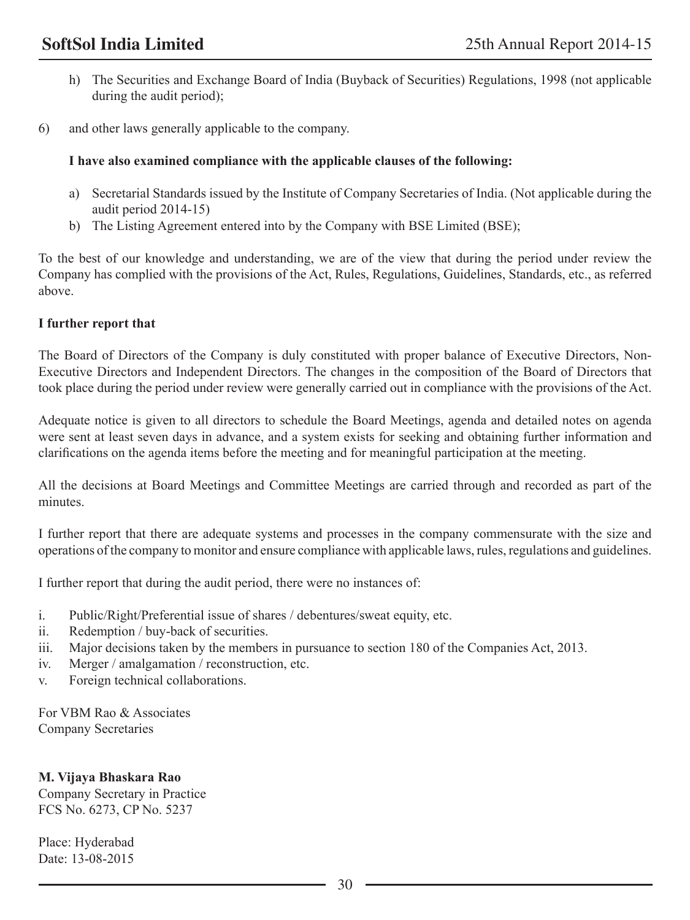- h) The Securities and Exchange Board of India (Buyback of Securities) Regulations, 1998 (not applicable during the audit period);
- 6) and other laws generally applicable to the company.

## **I have also examined compliance with the applicable clauses of the following:**

- a) Secretarial Standards issued by the Institute of Company Secretaries of India. (Not applicable during the audit period 2014-15)
- b) The Listing Agreement entered into by the Company with BSE Limited (BSE);

To the best of our knowledge and understanding, we are of the view that during the period under review the Company has complied with the provisions of the Act, Rules, Regulations, Guidelines, Standards, etc., as referred above.

## **I further report that**

The Board of Directors of the Company is duly constituted with proper balance of Executive Directors, Non-Executive Directors and Independent Directors. The changes in the composition of the Board of Directors that took place during the period under review were generally carried out in compliance with the provisions of the Act.

Adequate notice is given to all directors to schedule the Board Meetings, agenda and detailed notes on agenda were sent at least seven days in advance, and a system exists for seeking and obtaining further information and clarifications on the agenda items before the meeting and for meaningful participation at the meeting.

All the decisions at Board Meetings and Committee Meetings are carried through and recorded as part of the minutes.

I further report that there are adequate systems and processes in the company commensurate with the size and operations of the company to monitor and ensure compliance with applicable laws, rules, regulations and guidelines.

I further report that during the audit period, there were no instances of:

- i. Public/Right/Preferential issue of shares / debentures/sweat equity, etc.
- ii. Redemption / buy-back of securities.
- iii. Major decisions taken by the members in pursuance to section 180 of the Companies Act, 2013.
- iv. Merger / amalgamation / reconstruction, etc.
- v. Foreign technical collaborations.

For VBM Rao & Associates Company Secretaries

## **M. Vijaya Bhaskara Rao**

Company Secretary in Practice FCS No. 6273, CP No. 5237

Place: Hyderabad Date: 13-08-2015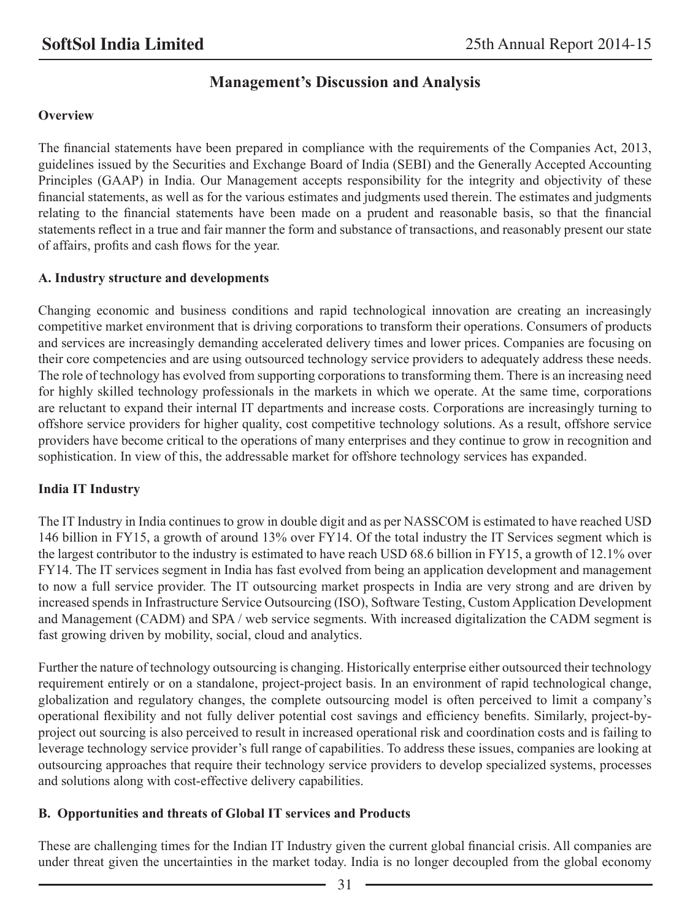## **Management's Discussion and Analysis**

## **Overview**

The financial statements have been prepared in compliance with the requirements of the Companies Act, 2013, guidelines issued by the Securities and Exchange Board of India (SEBI) and the Generally Accepted Accounting Principles (GAAP) in India. Our Management accepts responsibility for the integrity and objectivity of these financial statements, as well as for the various estimates and judgments used therein. The estimates and judgments relating to the financial statements have been made on a prudent and reasonable basis, so that the financial statements reflect in a true and fair manner the form and substance of transactions, and reasonably present our state of affairs, profits and cash flows for the year.

## **A. Industry structure and developments**

Changing economic and business conditions and rapid technological innovation are creating an increasingly competitive market environment that is driving corporations to transform their operations. Consumers of products and services are increasingly demanding accelerated delivery times and lower prices. Companies are focusing on their core competencies and are using outsourced technology service providers to adequately address these needs. The role of technology has evolved from supporting corporations to transforming them. There is an increasing need for highly skilled technology professionals in the markets in which we operate. At the same time, corporations are reluctant to expand their internal IT departments and increase costs. Corporations are increasingly turning to offshore service providers for higher quality, cost competitive technology solutions. As a result, offshore service providers have become critical to the operations of many enterprises and they continue to grow in recognition and sophistication. In view of this, the addressable market for offshore technology services has expanded.

## **India IT Industry**

The IT Industry in India continues to grow in double digit and as per NASSCOM is estimated to have reached USD 146 billion in FY15, a growth of around 13% over FY14. Of the total industry the IT Services segment which is the largest contributor to the industry is estimated to have reach USD 68.6 billion in FY15, a growth of 12.1% over FY14. The IT services segment in India has fast evolved from being an application development and management to now a full service provider. The IT outsourcing market prospects in India are very strong and are driven by increased spends in Infrastructure Service Outsourcing (ISO), Software Testing, Custom Application Development and Management (CADM) and SPA / web service segments. With increased digitalization the CADM segment is fast growing driven by mobility, social, cloud and analytics.

Further the nature of technology outsourcing is changing. Historically enterprise either outsourced their technology requirement entirely or on a standalone, project-project basis. In an environment of rapid technological change, globalization and regulatory changes, the complete outsourcing model is often perceived to limit a company's operational flexibility and not fully deliver potential cost savings and efficiency benefits. Similarly, project-byproject out sourcing is also perceived to result in increased operational risk and coordination costs and is failing to leverage technology service provider's full range of capabilities. To address these issues, companies are looking at outsourcing approaches that require their technology service providers to develop specialized systems, processes and solutions along with cost-effective delivery capabilities.

## **B. Opportunities and threats of Global IT services and Products**

These are challenging times for the Indian IT Industry given the current global financial crisis. All companies are under threat given the uncertainties in the market today. India is no longer decoupled from the global economy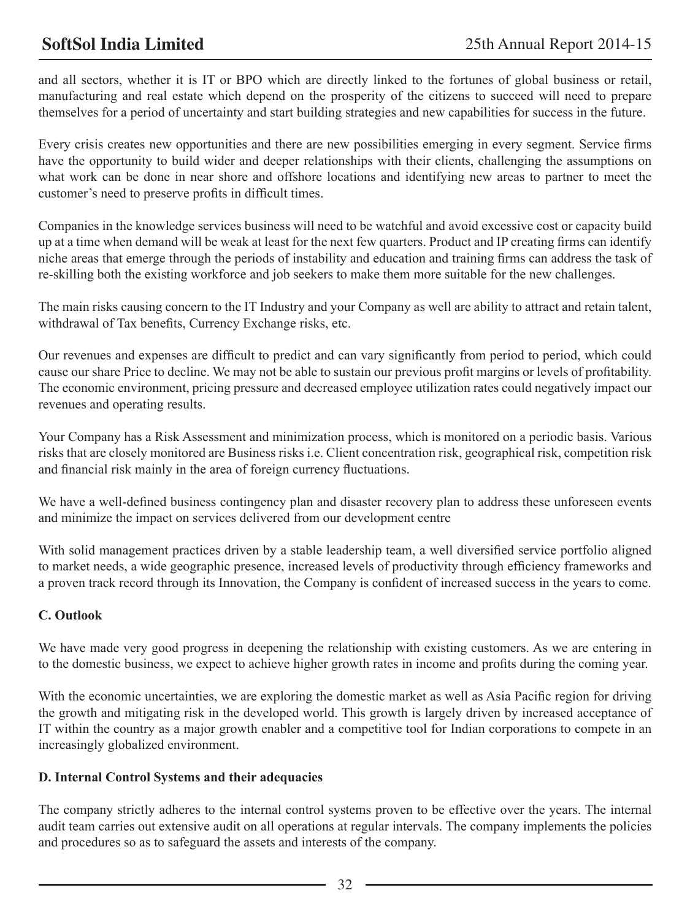and all sectors, whether it is IT or BPO which are directly linked to the fortunes of global business or retail, manufacturing and real estate which depend on the prosperity of the citizens to succeed will need to prepare themselves for a period of uncertainty and start building strategies and new capabilities for success in the future.

Every crisis creates new opportunities and there are new possibilities emerging in every segment. Service firms have the opportunity to build wider and deeper relationships with their clients, challenging the assumptions on what work can be done in near shore and offshore locations and identifying new areas to partner to meet the customer's need to preserve profits in difficult times.

Companies in the knowledge services business will need to be watchful and avoid excessive cost or capacity build up at a time when demand will be weak at least for the next few quarters. Product and IP creating firms can identify niche areas that emerge through the periods of instability and education and training firms can address the task of re-skilling both the existing workforce and job seekers to make them more suitable for the new challenges.

The main risks causing concern to the IT Industry and your Company as well are ability to attract and retain talent, withdrawal of Tax benefits, Currency Exchange risks, etc.

Our revenues and expenses are difficult to predict and can vary significantly from period to period, which could cause our share Price to decline. We may not be able to sustain our previous profit margins or levels of profitability. The economic environment, pricing pressure and decreased employee utilization rates could negatively impact our revenues and operating results.

Your Company has a Risk Assessment and minimization process, which is monitored on a periodic basis. Various risks that are closely monitored are Business risks i.e. Client concentration risk, geographical risk, competition risk and financial risk mainly in the area of foreign currency fluctuations.

We have a well-defined business contingency plan and disaster recovery plan to address these unforeseen events and minimize the impact on services delivered from our development centre

With solid management practices driven by a stable leadership team, a well diversified service portfolio aligned to market needs, a wide geographic presence, increased levels of productivity through efficiency frameworks and a proven track record through its Innovation, the Company is confident of increased success in the years to come.

## **C. Outlook**

We have made very good progress in deepening the relationship with existing customers. As we are entering in to the domestic business, we expect to achieve higher growth rates in income and profits during the coming year.

With the economic uncertainties, we are exploring the domestic market as well as Asia Pacific region for driving the growth and mitigating risk in the developed world. This growth is largely driven by increased acceptance of IT within the country as a major growth enabler and a competitive tool for Indian corporations to compete in an increasingly globalized environment.

## **D. Internal Control Systems and their adequacies**

The company strictly adheres to the internal control systems proven to be effective over the years. The internal audit team carries out extensive audit on all operations at regular intervals. The company implements the policies and procedures so as to safeguard the assets and interests of the company.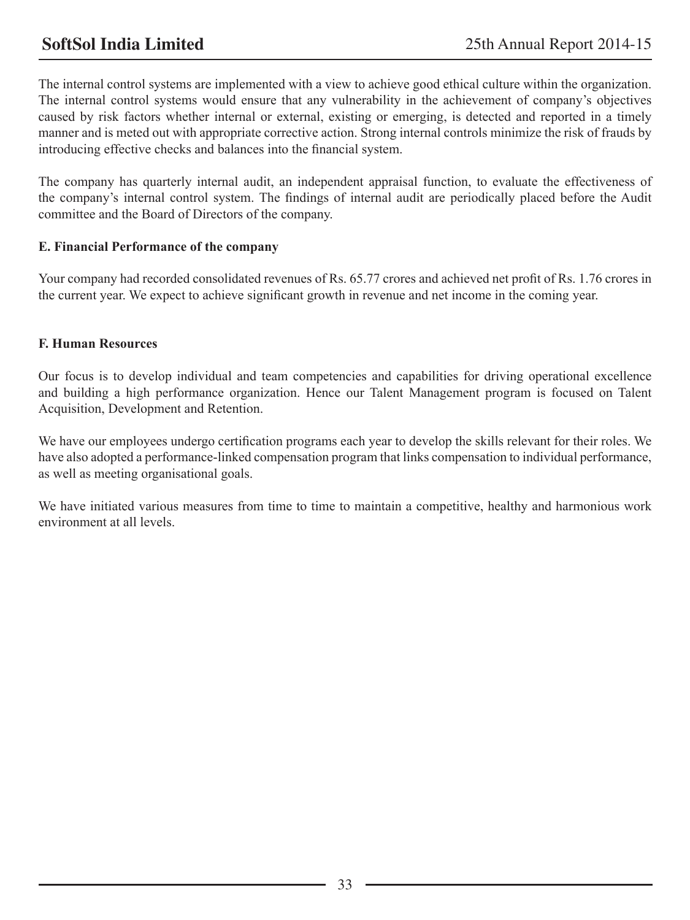The internal control systems are implemented with a view to achieve good ethical culture within the organization. The internal control systems would ensure that any vulnerability in the achievement of company's objectives caused by risk factors whether internal or external, existing or emerging, is detected and reported in a timely manner and is meted out with appropriate corrective action. Strong internal controls minimize the risk of frauds by introducing effective checks and balances into the financial system.

The company has quarterly internal audit, an independent appraisal function, to evaluate the effectiveness of the company's internal control system. The findings of internal audit are periodically placed before the Audit committee and the Board of Directors of the company.

## **E. Financial Performance of the company**

Your company had recorded consolidated revenues of Rs. 65.77 crores and achieved net profit of Rs. 1.76 crores in the current year. We expect to achieve significant growth in revenue and net income in the coming year.

## **F. Human Resources**

Our focus is to develop individual and team competencies and capabilities for driving operational excellence and building a high performance organization. Hence our Talent Management program is focused on Talent Acquisition, Development and Retention.

We have our employees undergo certification programs each year to develop the skills relevant for their roles. We have also adopted a performance-linked compensation program that links compensation to individual performance, as well as meeting organisational goals.

We have initiated various measures from time to time to maintain a competitive, healthy and harmonious work environment at all levels.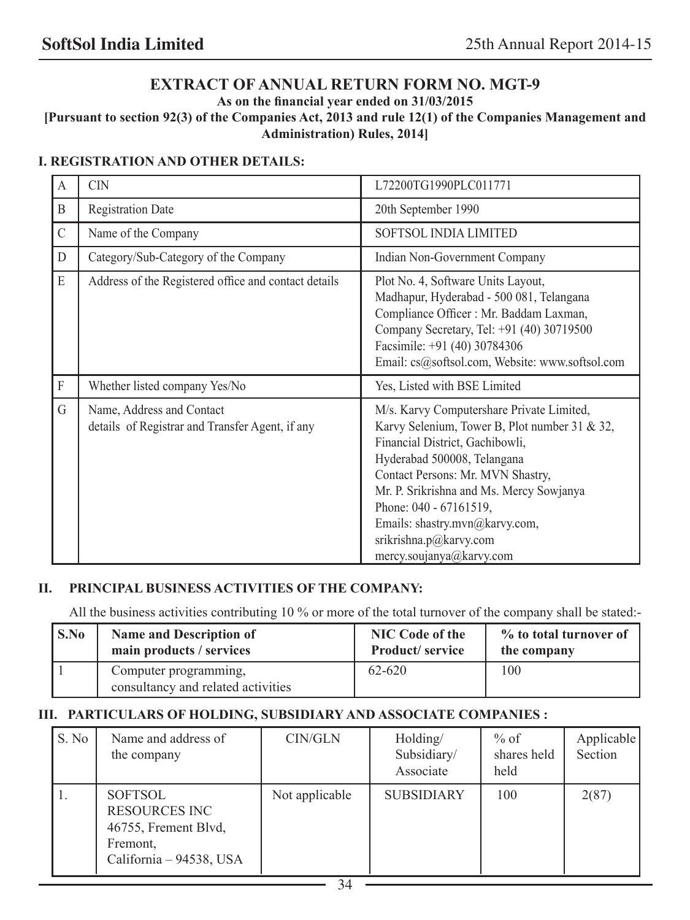# **EXTRACT OF ANNUAL RETURN FORM NO. MGT-9**

**As on the financial year ended on 31/03/2015**

**[Pursuant to section 92(3) of the Companies Act, 2013 and rule 12(1) of the Companies Management and Administration) Rules, 2014]**

## **I. REGISTRATION AND OTHER DETAILS:**

| A             | <b>CIN</b>                                                                   | L72200TG1990PLC011771                                                                                                                                                                                                                                                                                                                                           |
|---------------|------------------------------------------------------------------------------|-----------------------------------------------------------------------------------------------------------------------------------------------------------------------------------------------------------------------------------------------------------------------------------------------------------------------------------------------------------------|
| B             | <b>Registration Date</b>                                                     | 20th September 1990                                                                                                                                                                                                                                                                                                                                             |
| $\mathcal{C}$ | Name of the Company                                                          | <b>SOFTSOL INDIA LIMITED</b>                                                                                                                                                                                                                                                                                                                                    |
| D             | Category/Sub-Category of the Company                                         | Indian Non-Government Company                                                                                                                                                                                                                                                                                                                                   |
| E             | Address of the Registered office and contact details                         | Plot No. 4, Software Units Layout,<br>Madhapur, Hyderabad - 500 081, Telangana<br>Compliance Officer : Mr. Baddam Laxman,<br>Company Secretary, Tel: +91 (40) 30719500<br>Facsimile: +91 (40) 30784306<br>Email: cs@softsol.com, Website: www.softsol.com                                                                                                       |
| F             | Whether listed company Yes/No                                                | Yes, Listed with BSE Limited                                                                                                                                                                                                                                                                                                                                    |
| G             | Name, Address and Contact<br>details of Registrar and Transfer Agent, if any | M/s. Karvy Computershare Private Limited,<br>Karvy Selenium, Tower B, Plot number 31 & 32,<br>Financial District, Gachibowli,<br>Hyderabad 500008, Telangana<br>Contact Persons: Mr. MVN Shastry,<br>Mr. P. Srikrishna and Ms. Mercy Sowjanya<br>Phone: 040 - 67161519,<br>Emails: shastry.mvn@karvy.com,<br>srikrishna.p@karvy.com<br>mercy.soujanya@karvy.com |

## **II. PRINCIPAL BUSINESS ACTIVITIES OF THE COMPANY:**

All the business activities contributing 10 % or more of the total turnover of the company shall be stated:-

| S.No | <b>Name and Description of</b>                              | <b>NIC Code of the</b> | % to total turnover of |
|------|-------------------------------------------------------------|------------------------|------------------------|
|      | main products / services                                    | <b>Product/service</b> | the company            |
|      | Computer programming,<br>consultancy and related activities | $62 - 620$             | 100                    |

## **III. PARTICULARS OF HOLDING, SUBSIDIARY AND ASSOCIATE COMPANIES :**

| S. No | Name and address of<br>the company                                                                    | CIN/GLN        | Holding/<br>Subsidiary/<br>Associate | $%$ of<br>shares held<br>held | Applicable<br>Section |
|-------|-------------------------------------------------------------------------------------------------------|----------------|--------------------------------------|-------------------------------|-----------------------|
|       | <b>SOFTSOL</b><br><b>RESOURCES INC</b><br>46755, Frement Blvd,<br>Fremont.<br>California – 94538, USA | Not applicable | <b>SUBSIDIARY</b>                    | 100                           | 2(87)                 |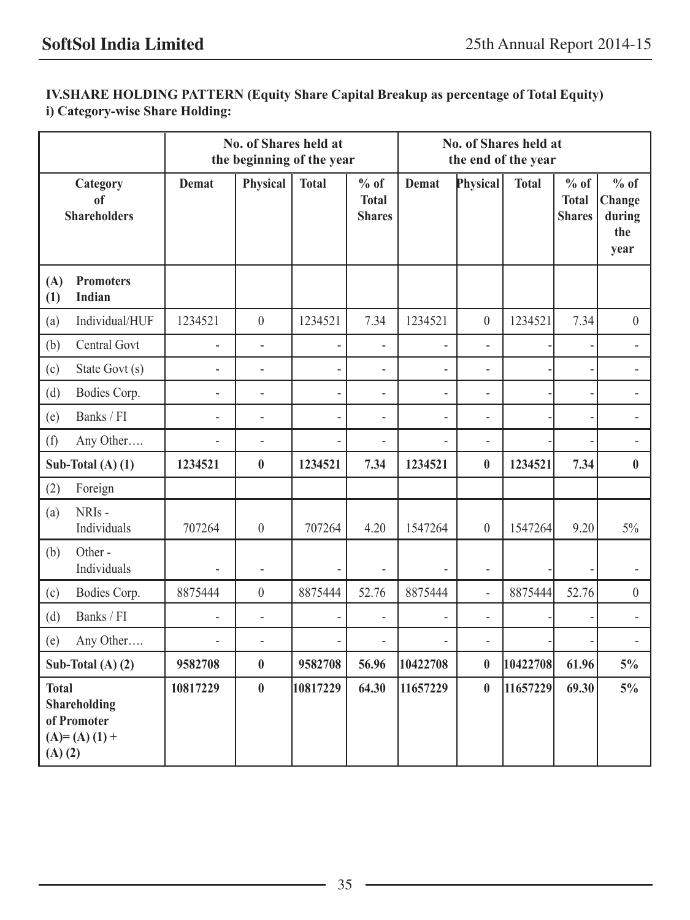## **IV.SHARE HOLDING PATTERN (Equity Share Capital Breakup as percentage of Total Equity) i) Category-wise Share Holding:**

|                             |                                                  |                          | No. of Shares held at<br>the beginning of the year |                          |                                         | No. of Shares held at<br>the end of the year |                          |              |                                         |                                           |
|-----------------------------|--------------------------------------------------|--------------------------|----------------------------------------------------|--------------------------|-----------------------------------------|----------------------------------------------|--------------------------|--------------|-----------------------------------------|-------------------------------------------|
|                             | Category<br><sub>of</sub><br><b>Shareholders</b> | <b>Demat</b>             | Physical                                           | <b>Total</b>             | $%$ of<br><b>Total</b><br><b>Shares</b> | Demat                                        | <b>Physical</b>          | <b>Total</b> | $%$ of<br><b>Total</b><br><b>Shares</b> | $%$ of<br>Change<br>during<br>the<br>year |
| (A)<br>(1)                  | <b>Promoters</b><br>Indian                       |                          |                                                    |                          |                                         |                                              |                          |              |                                         |                                           |
| (a)                         | Individual/HUF                                   | 1234521                  | $\boldsymbol{0}$                                   | 1234521                  | 7.34                                    | 1234521                                      | $\boldsymbol{0}$         | 1234521      | 7.34                                    | $\boldsymbol{0}$                          |
| (b)                         | Central Govt                                     | ÷.                       | $\overline{a}$                                     | $\overline{a}$           | $\overline{a}$                          |                                              | $\frac{1}{2}$            |              |                                         |                                           |
| (c)                         | State Govt (s)                                   | $\overline{a}$           | $\overline{a}$                                     | $\overline{a}$           | $\overline{a}$                          | $\blacksquare$                               | $\overline{a}$           |              |                                         |                                           |
| (d)                         | Bodies Corp.                                     | ٠                        | $\overline{a}$                                     | $\overline{\phantom{a}}$ | $\overline{\phantom{a}}$                | $\blacksquare$                               | $\overline{\phantom{a}}$ |              |                                         |                                           |
| (e)                         | Banks / FI                                       | $\overline{a}$           | $\overline{a}$                                     | $\overline{a}$           | $\overline{a}$                          | $\overline{a}$                               | $\overline{\phantom{0}}$ |              |                                         |                                           |
| (f)                         | Any Other                                        | $\overline{\phantom{0}}$ | $\blacksquare$                                     |                          | $\blacksquare$                          | $\overline{a}$                               | $\overline{\phantom{a}}$ |              |                                         | $\overline{\phantom{a}}$                  |
|                             | Sub-Total $(A)$ $(1)$                            | 1234521                  | $\bf{0}$                                           | 1234521                  | 7.34                                    | 1234521                                      | $\bf{0}$                 | 1234521      | 7.34                                    | $\bf{0}$                                  |
| (2)                         | Foreign                                          |                          |                                                    |                          |                                         |                                              |                          |              |                                         |                                           |
| (a)                         | NRIs-<br>Individuals                             | 707264                   | $\boldsymbol{0}$                                   | 707264                   | 4.20                                    | 1547264                                      | $\theta$                 | 1547264      | 9.20                                    | $5\%$                                     |
| (b)                         | Other-<br>Individuals                            |                          | $\blacksquare$                                     |                          |                                         |                                              | $\overline{\phantom{a}}$ |              |                                         |                                           |
| (c)                         | Bodies Corp.                                     | 8875444                  | $\boldsymbol{0}$                                   | 8875444                  | 52.76                                   | 8875444                                      | $\overline{a}$           | 8875444      | 52.76                                   | $\boldsymbol{0}$                          |
| (d)                         | Banks / FI                                       | $\overline{a}$           | $\blacksquare$                                     |                          | $\overline{\phantom{a}}$                |                                              | $\overline{\phantom{0}}$ |              |                                         |                                           |
| (e)                         | Any Other                                        | $\overline{a}$           | $\overline{a}$                                     |                          | $\overline{a}$                          |                                              | $\overline{\phantom{a}}$ |              |                                         |                                           |
|                             | Sub-Total $(A)$ $(2)$                            | 9582708                  | $\bf{0}$                                           | 9582708                  | 56.96                                   | 10422708                                     | $\pmb{0}$                | 10422708     | 61.96                                   | $5\%$                                     |
| <b>Total</b><br>$(A)$ $(2)$ | Shareholding<br>of Promoter<br>$(A)=(A) (1) +$   | 10817229                 | $\bf{0}$                                           | 10817229                 | 64.30                                   | 11657229                                     | $\bf{0}$                 | 11657229     | 69.30                                   | $5\%$                                     |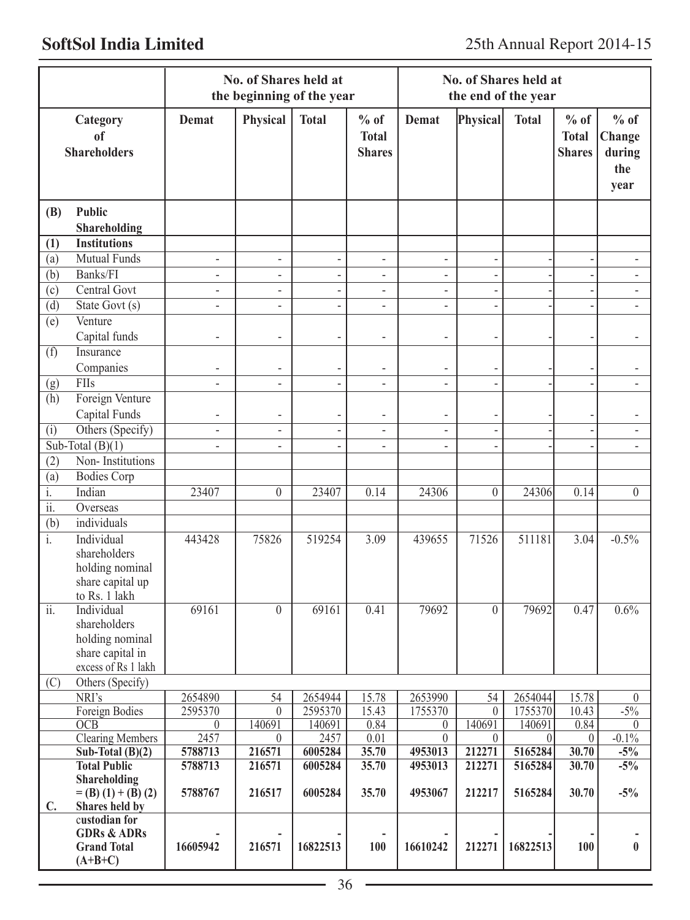|                          |                                                                                              | No. of Shares held at<br>the beginning of the year |                              |                              |                                         | No. of Shares held at<br>the end of the year |                    |                   |                                         |                                         |
|--------------------------|----------------------------------------------------------------------------------------------|----------------------------------------------------|------------------------------|------------------------------|-----------------------------------------|----------------------------------------------|--------------------|-------------------|-----------------------------------------|-----------------------------------------|
|                          | Category<br><sub>of</sub><br><b>Shareholders</b>                                             | Demat                                              | Physical                     | <b>Total</b>                 | $%$ of<br><b>Total</b><br><b>Shares</b> | Demat                                        | Physical           | <b>Total</b>      | $%$ of<br><b>Total</b><br><b>Shares</b> | % of<br>Change<br>during<br>the<br>year |
| (B)                      | <b>Public</b><br>Shareholding                                                                |                                                    |                              |                              |                                         |                                              |                    |                   |                                         |                                         |
| (1)                      | <b>Institutions</b>                                                                          |                                                    |                              |                              |                                         |                                              |                    |                   |                                         |                                         |
| (a)                      | <b>Mutual Funds</b>                                                                          | $\overline{\phantom{0}}$                           | ٠                            |                              | $\overline{\phantom{a}}$                | -                                            |                    |                   |                                         |                                         |
| $\overline{(b)}$         | Banks/FI                                                                                     | $\overline{\phantom{a}}$                           | ÷,                           | $\qquad \qquad \blacksquare$ | $\overline{\phantom{a}}$                | $\blacksquare$                               |                    |                   |                                         |                                         |
| $\overline{c}$           | Central Govt                                                                                 | $\blacksquare$                                     | $\blacksquare$               | $\overline{\phantom{a}}$     | $\blacksquare$                          | ÷.                                           |                    |                   |                                         | $\blacksquare$                          |
| (d)                      | State Govt (s)                                                                               | $\blacksquare$                                     |                              |                              |                                         |                                              |                    |                   |                                         |                                         |
|                          | Venture                                                                                      |                                                    | ÷,                           | ÷,                           | $\overline{\phantom{a}}$                | $\overline{\phantom{0}}$                     |                    |                   |                                         | $\overline{\phantom{a}}$                |
| (e)                      | Capital funds                                                                                |                                                    |                              |                              |                                         |                                              |                    |                   |                                         |                                         |
|                          | Insurance                                                                                    | $\overline{\phantom{a}}$                           | $\qquad \qquad \blacksquare$ | $\overline{\phantom{a}}$     | $\overline{\phantom{a}}$                | $\qquad \qquad \blacksquare$                 |                    |                   |                                         | $\overline{\phantom{a}}$                |
| (f)                      |                                                                                              |                                                    |                              |                              |                                         |                                              |                    |                   |                                         |                                         |
|                          | Companies                                                                                    |                                                    | $\overline{\phantom{0}}$     | -                            | $\overline{\phantom{0}}$                | $\overline{\phantom{0}}$                     |                    |                   |                                         |                                         |
| (g)                      | FIIs                                                                                         |                                                    | ÷.                           |                              |                                         |                                              |                    |                   |                                         |                                         |
| (h)                      | Foreign Venture                                                                              |                                                    |                              |                              |                                         |                                              |                    |                   |                                         |                                         |
|                          | Capital Funds                                                                                |                                                    | L,                           |                              | $\overline{\phantom{a}}$                |                                              |                    |                   |                                         |                                         |
| $\overline{(\text{i})}$  | Others (Specify)                                                                             |                                                    | L,                           | $\overline{\phantom{a}}$     | $\overline{\phantom{a}}$                |                                              |                    |                   |                                         | $\overline{\phantom{a}}$                |
|                          | Sub-Total $(B)(1)$                                                                           | $\overline{\phantom{0}}$                           | L,                           |                              | $\overline{\phantom{a}}$                | ÷,                                           |                    |                   |                                         |                                         |
| (2)                      | Non-Institutions                                                                             |                                                    |                              |                              |                                         |                                              |                    |                   |                                         |                                         |
| $\overline{a}$           | <b>Bodies Corp</b>                                                                           |                                                    |                              |                              |                                         |                                              |                    |                   |                                         |                                         |
| i.                       | Indian                                                                                       | 23407                                              | $\theta$                     | 23407                        | 0.14                                    | 24306                                        | $\mathbf{0}$       | 24306             | 0.14                                    | $\overline{0}$                          |
| $\overline{\text{ii}}$ . | Overseas                                                                                     |                                                    |                              |                              |                                         |                                              |                    |                   |                                         |                                         |
| (b)                      | individuals                                                                                  |                                                    |                              |                              |                                         |                                              |                    |                   |                                         |                                         |
| $\overline{i}$ .         | Individual<br>shareholders<br>holding nominal<br>share capital up<br>to Rs. 1 lakh           | 443428                                             | 75826                        | 519254                       | 3.09                                    | 439655                                       | 71526              | 511181            | 3.04                                    | $-0.5\%$                                |
| $\overline{ii}$ .        | Individual<br>shareholders<br>holding nominal<br>share capital in<br>excess of Rs 1 lakh     | 69161                                              | $\theta$                     | 69161                        | 0.41                                    | 79692                                        | $\theta$           | 79692             | 0.47                                    | 0.6%                                    |
| (C)                      | Others (Specify)                                                                             |                                                    |                              |                              |                                         |                                              |                    |                   |                                         |                                         |
|                          | NRI's<br>Foreign Bodies                                                                      | 2654890<br>2595370                                 | 54                           | 2654944                      | 15.78                                   | 2653990                                      | 54                 | 2654044           | 15.78                                   | $\theta$                                |
|                          | OCB                                                                                          | $\theta$                                           | $\theta$<br>140691           | 2595370<br>140691            | 15.43<br>0.84                           | 1755370<br>$\theta$                          | $\theta$<br>140691 | 1755370<br>140691 | 10.43<br>0.84                           | $-5\%$<br>$\theta$                      |
|                          | <b>Clearing Members</b>                                                                      | 2457                                               | $\theta$                     | 2457                         | 0.01                                    | $\theta$                                     | $\theta$           | $\theta$          | $\overline{0}$                          | $-0.1\%$                                |
|                          | Sub-Total $(B)(2)$                                                                           | 5788713                                            | 216571                       | 6005284                      | 35.70                                   | 4953013                                      | 212271             | 5165284           | 30.70                                   | $-5\%$                                  |
|                          | <b>Total Public</b>                                                                          | 5788713                                            | 216571                       | 6005284                      | 35.70                                   | 4953013                                      | 212271             | 5165284           | 30.70                                   | $-5\%$                                  |
|                          | Shareholding                                                                                 |                                                    |                              |                              |                                         |                                              |                    |                   |                                         |                                         |
|                          | $= (B) (1) + (B) (2)$                                                                        | 5788767                                            | 216517                       | 6005284                      | 35.70                                   | 4953067                                      | 212217             | 5165284           | 30.70                                   | $-5\%$                                  |
| C.                       | Shares held by<br>custodian for<br><b>GDRs &amp; ADRs</b><br><b>Grand Total</b><br>$(A+B+C)$ | 16605942                                           | 216571                       | 16822513                     | 100                                     | 16610242                                     | 212271             | 16822513          | 100                                     | $\mathbf{0}$                            |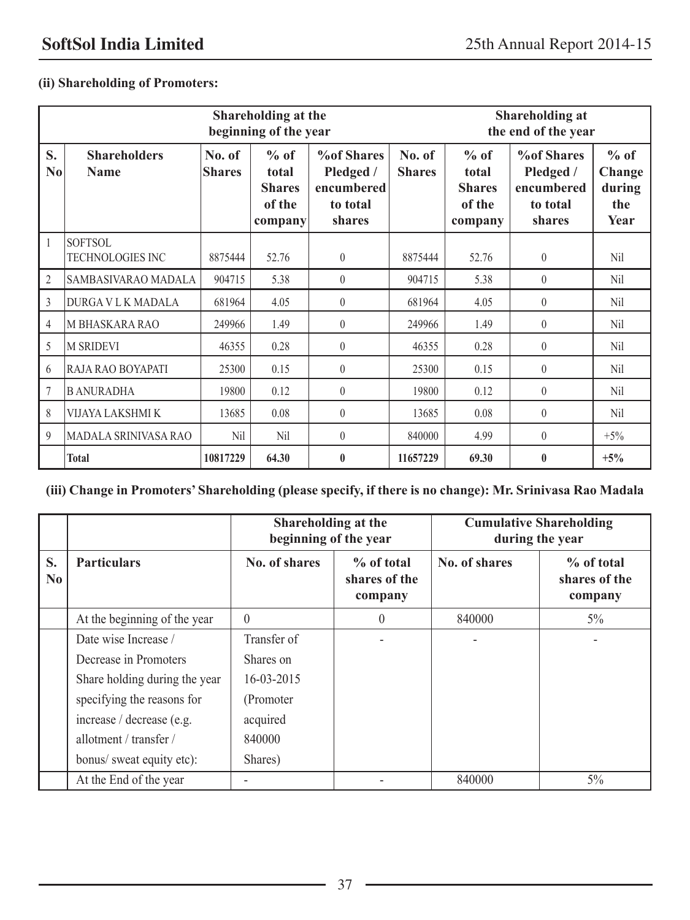### **(ii) Shareholding of Promoters:**

|                      | Shareholding at the<br>beginning of the year |                         |                                                       |                                                                    |                         |                                                       | <b>Shareholding at</b><br>the end of the year                      |                                           |
|----------------------|----------------------------------------------|-------------------------|-------------------------------------------------------|--------------------------------------------------------------------|-------------------------|-------------------------------------------------------|--------------------------------------------------------------------|-------------------------------------------|
| S.<br>N <sub>0</sub> | <b>Shareholders</b><br><b>Name</b>           | No. of<br><b>Shares</b> | $%$ of<br>total<br><b>Shares</b><br>of the<br>company | <b>%of Shares</b><br>Pledged /<br>encumbered<br>to total<br>shares | No. of<br><b>Shares</b> | $%$ of<br>total<br><b>Shares</b><br>of the<br>company | <b>%of Shares</b><br>Pledged /<br>encumbered<br>to total<br>shares | $%$ of<br>Change<br>during<br>the<br>Year |
| 1                    | <b>SOFTSOL</b><br><b>TECHNOLOGIES INC</b>    | 8875444                 | 52.76                                                 | $\theta$                                                           | 8875444                 | 52.76                                                 | $\theta$                                                           | Nil                                       |
| $\overline{2}$       | SAMBASIVARAO MADALA                          | 904715                  | 5.38                                                  | $\theta$                                                           | 904715                  | 5.38                                                  | $\theta$                                                           | Nil                                       |
| 3                    | DURGA V L K MADALA                           | 681964                  | 4.05                                                  | $\theta$                                                           | 681964                  | 4.05                                                  | $\theta$                                                           | Nil                                       |
| 4                    | <b>M BHASKARA RAO</b>                        | 249966                  | 1.49                                                  | $\theta$                                                           | 249966                  | 1.49                                                  | $\theta$                                                           | Nil                                       |
| 5                    | <b>M SRIDEVI</b>                             | 46355                   | 0.28                                                  | $\mathbf{0}$                                                       | 46355                   | 0.28                                                  | $\theta$                                                           | Nil                                       |
| 6                    | RAJA RAO BOYAPATI                            | 25300                   | 0.15                                                  | $\theta$                                                           | 25300                   | 0.15                                                  | $\theta$                                                           | Nil                                       |
| $\overline{7}$       | <b>B ANURADHA</b>                            | 19800                   | 0.12                                                  | $\theta$                                                           | 19800                   | 0.12                                                  | $\theta$                                                           | Nil                                       |
| 8                    | VIJAYA LAKSHMI K                             | 13685                   | 0.08                                                  | $\theta$                                                           | 13685                   | 0.08                                                  | $\theta$                                                           | Nil                                       |
| 9                    | MADALA SRINIVASA RAO                         | Nil                     | Nil                                                   | $\theta$                                                           | 840000                  | 4.99                                                  | $\theta$                                                           | $+5\%$                                    |
|                      | <b>Total</b>                                 | 10817229                | 64.30                                                 | $\mathbf{0}$                                                       | 11657229                | 69.30                                                 | $\mathbf{0}$                                                       | $+5%$                                     |

**(iii) Change in Promoters' Shareholding (please specify, if there is no change): Mr. Srinivasa Rao Madala**

|           |                               | Shareholding at the<br>beginning of the year |                                        | <b>Cumulative Shareholding</b><br>during the year |                                        |  |
|-----------|-------------------------------|----------------------------------------------|----------------------------------------|---------------------------------------------------|----------------------------------------|--|
| S.<br>No. | <b>Particulars</b>            | No. of shares                                | % of total<br>shares of the<br>company | No. of shares                                     | % of total<br>shares of the<br>company |  |
|           | At the beginning of the year  | $\theta$                                     | $\Omega$                               | 840000                                            | $5\%$                                  |  |
|           | Date wise Increase /          | Transfer of                                  |                                        |                                                   |                                        |  |
|           | Decrease in Promoters         | Shares on                                    |                                        |                                                   |                                        |  |
|           | Share holding during the year | $16-03-2015$                                 |                                        |                                                   |                                        |  |
|           | specifying the reasons for    | (Promoter)                                   |                                        |                                                   |                                        |  |
|           | increase / decrease (e.g.     | acquired                                     |                                        |                                                   |                                        |  |
|           | allotment / transfer /        | 840000                                       |                                        |                                                   |                                        |  |
|           | bonus/ sweat equity etc):     | Shares)                                      |                                        |                                                   |                                        |  |
|           | At the End of the year        |                                              |                                        | 840000                                            | $5\%$                                  |  |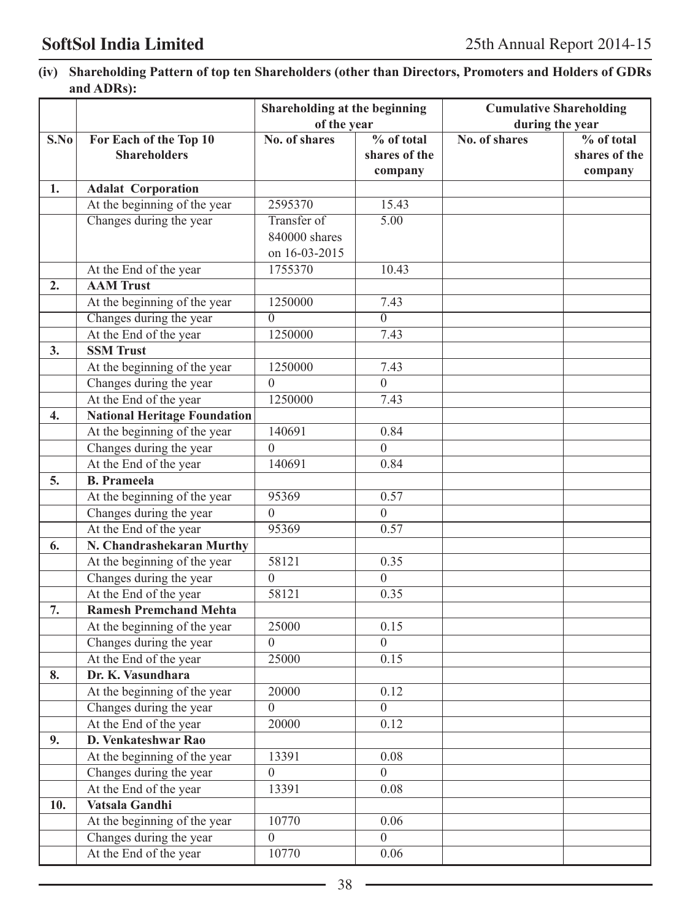### **(iv) Shareholding Pattern of top ten Shareholders (other than Directors, Promoters and Holders of GDRs and ADRs):**

|                  |                                               | Shareholding at the beginning<br>of the year  |                                                    | <b>Cumulative Shareholding</b><br>during the year |                                                    |  |
|------------------|-----------------------------------------------|-----------------------------------------------|----------------------------------------------------|---------------------------------------------------|----------------------------------------------------|--|
| S.No             | For Each of the Top 10<br><b>Shareholders</b> | No. of shares                                 | $\frac{9}{6}$ of total<br>shares of the<br>company | No. of shares                                     | $\frac{9}{6}$ of total<br>shares of the<br>company |  |
| 1.               | <b>Adalat Corporation</b>                     |                                               |                                                    |                                                   |                                                    |  |
|                  | At the beginning of the year                  | 2595370                                       | 15.43                                              |                                                   |                                                    |  |
|                  | Changes during the year                       | Transfer of<br>840000 shares<br>on 16-03-2015 | 5.00                                               |                                                   |                                                    |  |
|                  | At the End of the year                        | 1755370                                       | 10.43                                              |                                                   |                                                    |  |
| $\overline{2.}$  | <b>AAM Trust</b>                              |                                               |                                                    |                                                   |                                                    |  |
|                  | At the beginning of the year                  | 1250000                                       | 7.43                                               |                                                   |                                                    |  |
|                  | Changes during the year                       | $\overline{0}$                                | $\overline{0}$                                     |                                                   |                                                    |  |
|                  | At the End of the year                        | 1250000                                       | 7.43                                               |                                                   |                                                    |  |
| 3.               | <b>SSM Trust</b>                              |                                               |                                                    |                                                   |                                                    |  |
|                  | At the beginning of the year                  | 1250000                                       | 7.43                                               |                                                   |                                                    |  |
|                  | Changes during the year                       | $\Omega$                                      | $\theta$                                           |                                                   |                                                    |  |
|                  | At the End of the year                        | 1250000                                       | 7.43                                               |                                                   |                                                    |  |
| $\overline{4}$ . | <b>National Heritage Foundation</b>           |                                               |                                                    |                                                   |                                                    |  |
|                  | At the beginning of the year                  | 140691                                        | 0.84                                               |                                                   |                                                    |  |
|                  | Changes during the year                       | $\theta$                                      | $\theta$                                           |                                                   |                                                    |  |
|                  | At the End of the year                        | 140691                                        | 0.84                                               |                                                   |                                                    |  |
| 5.               | <b>B.</b> Prameela                            |                                               |                                                    |                                                   |                                                    |  |
|                  | At the beginning of the year                  | 95369                                         | 0.57                                               |                                                   |                                                    |  |
|                  | Changes during the year                       | $\theta$                                      | $\theta$                                           |                                                   |                                                    |  |
|                  | At the End of the year                        | 95369                                         | 0.57                                               |                                                   |                                                    |  |
| 6.               | N. Chandrashekaran Murthy                     |                                               |                                                    |                                                   |                                                    |  |
|                  | At the beginning of the year                  | 58121                                         | 0.35                                               |                                                   |                                                    |  |
|                  | Changes during the year                       | $\theta$                                      | $\theta$                                           |                                                   |                                                    |  |
|                  | At the End of the year                        | 58121                                         | 0.35                                               |                                                   |                                                    |  |
| 7.               | <b>Ramesh Premchand Mehta</b>                 |                                               |                                                    |                                                   |                                                    |  |
|                  | At the beginning of the year                  | 25000                                         | 0.15                                               |                                                   |                                                    |  |
|                  | Changes during the year                       | $\theta$                                      | $\theta$                                           |                                                   |                                                    |  |
|                  | At the End of the year                        | 25000                                         | 0.15                                               |                                                   |                                                    |  |
| 8.               | Dr. K. Vasundhara                             |                                               |                                                    |                                                   |                                                    |  |
|                  | At the beginning of the year                  | 20000                                         | 0.12                                               |                                                   |                                                    |  |
|                  | Changes during the year                       | $\boldsymbol{0}$                              | $\bf{0}$                                           |                                                   |                                                    |  |
|                  | At the End of the year                        | 20000                                         | 0.12                                               |                                                   |                                                    |  |
| 9.               | D. Venkateshwar Rao                           |                                               |                                                    |                                                   |                                                    |  |
|                  | At the beginning of the year                  | 13391                                         | 0.08                                               |                                                   |                                                    |  |
|                  | Changes during the year                       | $\overline{0}$                                | $\boldsymbol{0}$                                   |                                                   |                                                    |  |
|                  | At the End of the year                        | 13391                                         | 0.08                                               |                                                   |                                                    |  |
| 10.              | Vatsala Gandhi                                |                                               |                                                    |                                                   |                                                    |  |
|                  | At the beginning of the year                  | 10770                                         | 0.06                                               |                                                   |                                                    |  |
|                  | Changes during the year                       | $\boldsymbol{0}$                              | $\overline{0}$                                     |                                                   |                                                    |  |
|                  | At the End of the year                        | 10770                                         | 0.06                                               |                                                   |                                                    |  |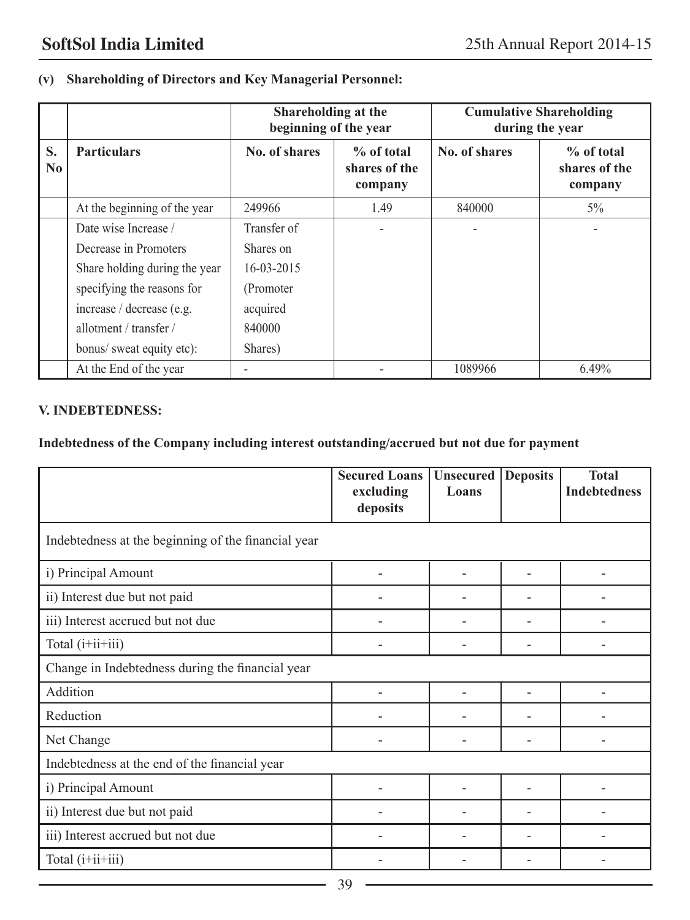## **(v) Shareholding of Directors and Key Managerial Personnel:**

|                      |                               | Shareholding at the<br>beginning of the year |                                          | <b>Cumulative Shareholding</b><br>during the year |                                          |  |
|----------------------|-------------------------------|----------------------------------------------|------------------------------------------|---------------------------------------------------|------------------------------------------|--|
| S.<br>N <sub>0</sub> | <b>Particulars</b>            | No. of shares                                | $%$ of total<br>shares of the<br>company | No. of shares                                     | $%$ of total<br>shares of the<br>company |  |
|                      | At the beginning of the year  | 249966                                       | 1.49                                     | 840000                                            | $5\%$                                    |  |
|                      | Date wise Increase /          | Transfer of                                  |                                          |                                                   |                                          |  |
|                      | Decrease in Promoters         | Shares on                                    |                                          |                                                   |                                          |  |
|                      | Share holding during the year | $16 - 03 - 2015$                             |                                          |                                                   |                                          |  |
|                      | specifying the reasons for    | (Promoter)                                   |                                          |                                                   |                                          |  |
|                      | increase / decrease (e.g.     | acquired                                     |                                          |                                                   |                                          |  |
|                      | allotment / transfer /        | 840000                                       |                                          |                                                   |                                          |  |
|                      | bonus/ sweat equity etc):     | Shares)                                      |                                          |                                                   |                                          |  |
|                      | At the End of the year        |                                              |                                          | 1089966                                           | 6.49%                                    |  |

### **V. INDEBTEDNESS:**

## **Indebtedness of the Company including interest outstanding/accrued but not due for payment**

|                                                     | <b>Secured Loans</b><br>excluding<br>deposits | <b>Unsecured</b><br>Loans | <b>Deposits</b> | <b>Total</b><br><b>Indebtedness</b> |
|-----------------------------------------------------|-----------------------------------------------|---------------------------|-----------------|-------------------------------------|
| Indebtedness at the beginning of the financial year |                                               |                           |                 |                                     |
| i) Principal Amount                                 |                                               |                           |                 |                                     |
| ii) Interest due but not paid                       |                                               |                           |                 |                                     |
| iii) Interest accrued but not due                   |                                               |                           |                 |                                     |
| Total (i+ii+iii)                                    |                                               |                           |                 |                                     |
| Change in Indebtedness during the financial year    |                                               |                           |                 |                                     |
| Addition                                            |                                               |                           |                 |                                     |
| Reduction                                           |                                               |                           |                 |                                     |
| Net Change                                          |                                               |                           |                 |                                     |
| Indebtedness at the end of the financial year       |                                               |                           |                 |                                     |
| i) Principal Amount                                 |                                               |                           |                 |                                     |
| ii) Interest due but not paid                       |                                               |                           |                 |                                     |
| iii) Interest accrued but not due                   |                                               |                           |                 |                                     |
| Total (i+ii+iii)                                    |                                               |                           |                 |                                     |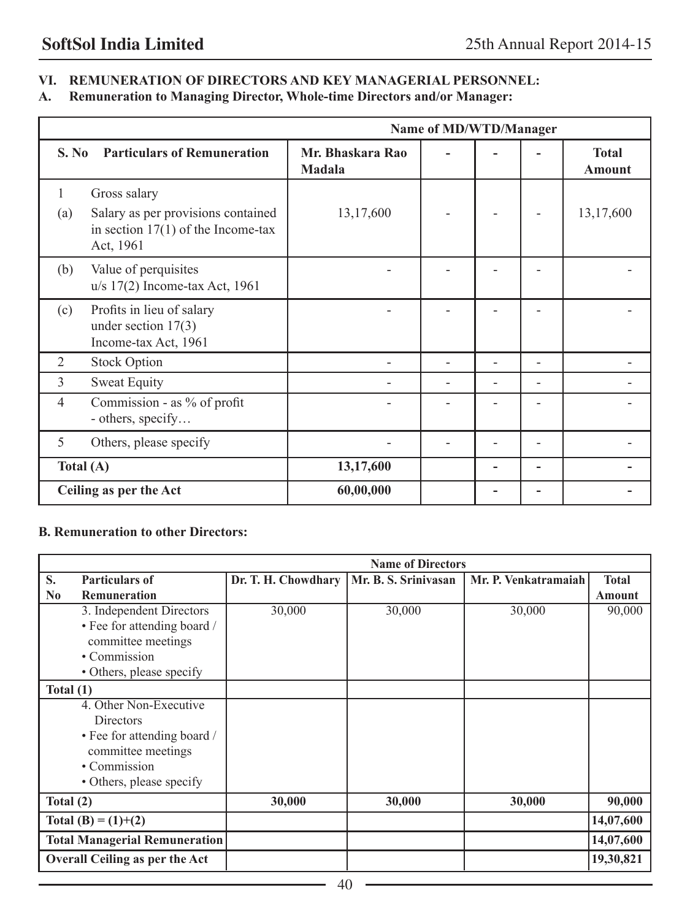## **VI. REMUNERATION OF DIRECTORS AND KEY MANAGERIAL PERSONNEL:**

**A. Remuneration to Managing Director, Whole-time Directors and/or Manager:**

|                |                                                                                                         |                                   | Name of MD/WTD/Manager |   |                        |
|----------------|---------------------------------------------------------------------------------------------------------|-----------------------------------|------------------------|---|------------------------|
| S. No          | <b>Particulars of Remuneration</b>                                                                      | Mr. Bhaskara Rao<br><b>Madala</b> |                        |   | <b>Total</b><br>Amount |
| 1<br>(a)       | Gross salary<br>Salary as per provisions contained<br>in section $17(1)$ of the Income-tax<br>Act, 1961 | 13,17,600                         |                        |   | 13,17,600              |
| (b)            | Value of perquisites<br>$u/s$ 17(2) Income-tax Act, 1961                                                |                                   |                        |   |                        |
| (c)            | Profits in lieu of salary<br>under section $17(3)$<br>Income-tax Act, 1961                              |                                   |                        |   |                        |
| 2              | <b>Stock Option</b>                                                                                     |                                   |                        |   |                        |
| 3              | <b>Sweat Equity</b>                                                                                     |                                   |                        |   |                        |
| $\overline{4}$ | Commission - as % of profit<br>- others, specify                                                        |                                   |                        |   |                        |
| 5              | Others, please specify                                                                                  |                                   |                        |   |                        |
| Total $(A)$    |                                                                                                         | 13,17,600                         |                        | - |                        |
|                | Ceiling as per the Act                                                                                  | 60,00,000                         |                        |   |                        |

#### **B. Remuneration to other Directors:**

|             |                                       | <b>Name of Directors</b> |                      |                      |               |  |  |
|-------------|---------------------------------------|--------------------------|----------------------|----------------------|---------------|--|--|
| S.          | <b>Particulars of</b>                 | Dr. T. H. Chowdhary      | Mr. B. S. Srinivasan | Mr. P. Venkatramaiah | <b>Total</b>  |  |  |
| $\bf No$    | <b>Remuneration</b>                   |                          |                      |                      | <b>Amount</b> |  |  |
|             | 3. Independent Directors              | 30,000                   | 30,000               | 30,000               | 90,000        |  |  |
|             | • Fee for attending board /           |                          |                      |                      |               |  |  |
|             | committee meetings                    |                          |                      |                      |               |  |  |
|             | • Commission                          |                          |                      |                      |               |  |  |
|             | • Others, please specify              |                          |                      |                      |               |  |  |
| Total $(1)$ |                                       |                          |                      |                      |               |  |  |
|             | 4. Other Non-Executive                |                          |                      |                      |               |  |  |
|             | <b>Directors</b>                      |                          |                      |                      |               |  |  |
|             | • Fee for attending board /           |                          |                      |                      |               |  |  |
|             | committee meetings                    |                          |                      |                      |               |  |  |
|             | • Commission                          |                          |                      |                      |               |  |  |
|             | • Others, please specify              |                          |                      |                      |               |  |  |
| Total $(2)$ |                                       | 30,000                   | 30,000               | 30,000               | 90,000        |  |  |
|             | Total (B) = $(1)+(2)$                 |                          |                      |                      | 14,07,600     |  |  |
|             | <b>Total Managerial Remuneration</b>  |                          |                      |                      | 14,07,600     |  |  |
|             | <b>Overall Ceiling as per the Act</b> |                          |                      |                      | 19,30,821     |  |  |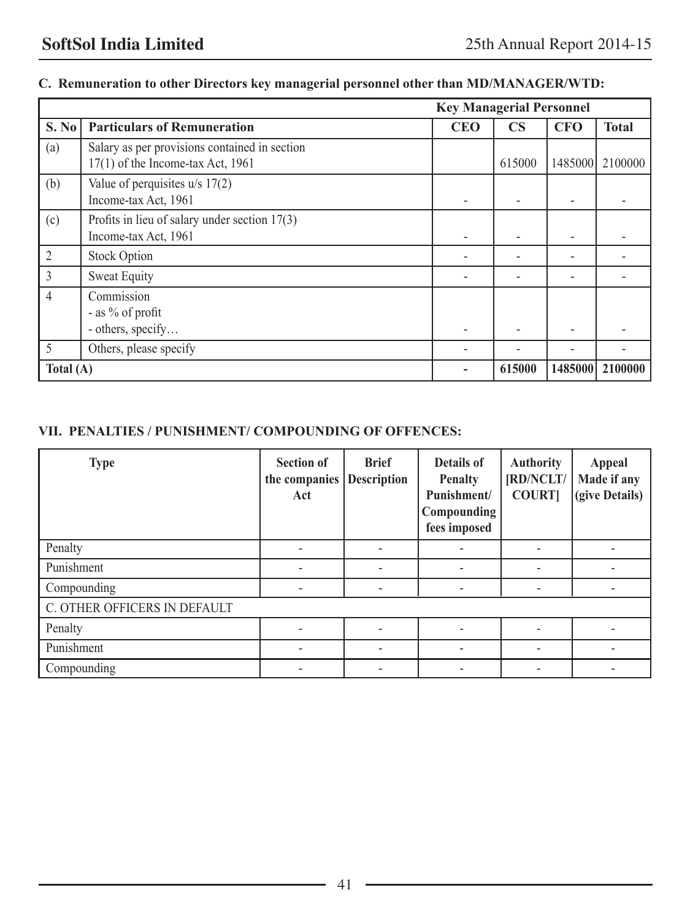|                |                                                                                      | <b>Key Managerial Personnel</b> |               |            |                 |
|----------------|--------------------------------------------------------------------------------------|---------------------------------|---------------|------------|-----------------|
| S. No          | <b>Particulars of Remuneration</b>                                                   | <b>CEO</b>                      | $\mathbf{CS}$ | <b>CFO</b> | <b>Total</b>    |
| (a)            | Salary as per provisions contained in section<br>$17(1)$ of the Income-tax Act, 1961 |                                 | 615000        |            | 1485000 2100000 |
| (b)            | Value of perquisites $u/s$ 17(2)<br>Income-tax Act, 1961                             |                                 |               |            |                 |
| (c)            | Profits in lieu of salary under section $17(3)$<br>Income-tax Act, 1961              |                                 |               |            |                 |
| $\overline{2}$ | <b>Stock Option</b>                                                                  |                                 |               |            |                 |
| 3              | <b>Sweat Equity</b>                                                                  |                                 |               |            |                 |
| 4              | Commission<br>- as % of profit<br>- others, specify                                  |                                 |               |            |                 |
| 5              | Others, please specify                                                               |                                 |               |            |                 |
| Total (A)      |                                                                                      |                                 | 615000        |            | 1485000 2100000 |

## **C. Remuneration to other Directors key managerial personnel other than MD/MANAGER/WTD:**

#### **VII. PENALTIES / PUNISHMENT/ COMPOUNDING OF OFFENCES:**

| <b>Type</b>                  | <b>Section of</b><br>the companies<br>Act | <b>Brief</b><br><b>Description</b> | Details of<br>Penalty<br>Punishment/<br>Compounding<br>fees imposed | <b>Authority</b><br>[RD/NCLT/<br><b>COURT</b> | <b>Appeal</b><br>Made if any<br>(give Details) |
|------------------------------|-------------------------------------------|------------------------------------|---------------------------------------------------------------------|-----------------------------------------------|------------------------------------------------|
| Penalty                      |                                           |                                    |                                                                     |                                               |                                                |
| Punishment                   |                                           |                                    |                                                                     |                                               |                                                |
| Compounding                  |                                           |                                    |                                                                     |                                               |                                                |
| C. OTHER OFFICERS IN DEFAULT |                                           |                                    |                                                                     |                                               |                                                |
| Penalty                      |                                           |                                    |                                                                     |                                               |                                                |
| Punishment                   |                                           |                                    |                                                                     |                                               |                                                |
| Compounding                  |                                           |                                    |                                                                     |                                               |                                                |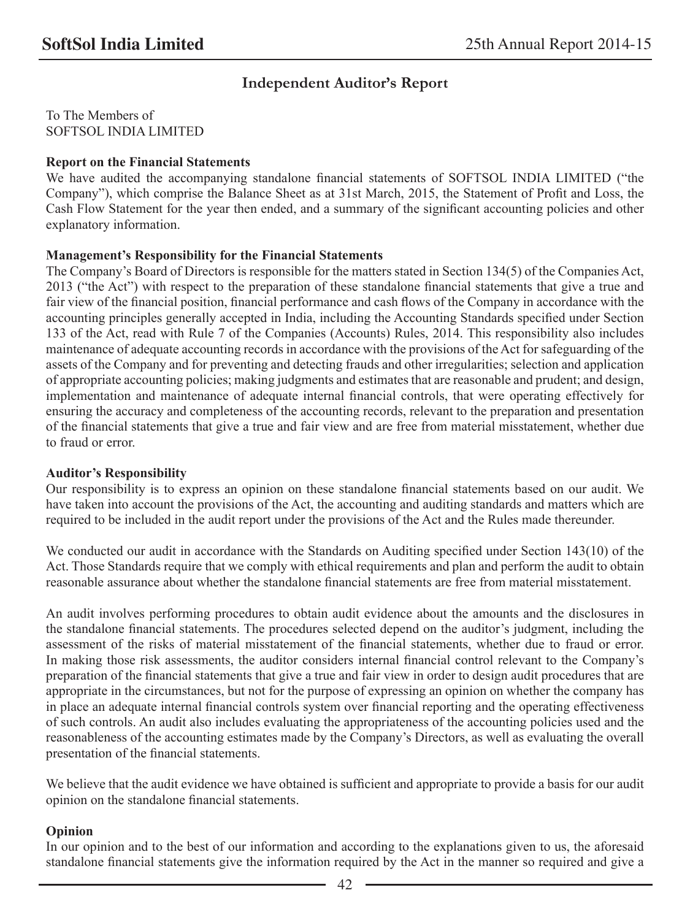## **Independent Auditor's Report**

To The Members of SOFTSOL INDIA LIMITED

#### **Report on the Financial Statements**

We have audited the accompanying standalone financial statements of SOFTSOL INDIA LIMITED ("the Company"), which comprise the Balance Sheet as at 31st March, 2015, the Statement of Profit and Loss, the Cash Flow Statement for the year then ended, and a summary of the significant accounting policies and other explanatory information.

#### **Management's Responsibility for the Financial Statements**

The Company's Board of Directors is responsible for the matters stated in Section 134(5) of the Companies Act, 2013 ("the Act") with respect to the preparation of these standalone financial statements that give a true and fair view of the financial position, financial performance and cash flows of the Company in accordance with the accounting principles generally accepted in India, including the Accounting Standards specified under Section 133 of the Act, read with Rule 7 of the Companies (Accounts) Rules, 2014. This responsibility also includes maintenance of adequate accounting records in accordance with the provisions of the Act for safeguarding of the assets of the Company and for preventing and detecting frauds and other irregularities; selection and application of appropriate accounting policies; making judgments and estimates that are reasonable and prudent; and design, implementation and maintenance of adequate internal financial controls, that were operating effectively for ensuring the accuracy and completeness of the accounting records, relevant to the preparation and presentation of the financial statements that give a true and fair view and are free from material misstatement, whether due to fraud or error.

#### **Auditor's Responsibility**

Our responsibility is to express an opinion on these standalone financial statements based on our audit. We have taken into account the provisions of the Act, the accounting and auditing standards and matters which are required to be included in the audit report under the provisions of the Act and the Rules made thereunder.

We conducted our audit in accordance with the Standards on Auditing specified under Section 143(10) of the Act. Those Standards require that we comply with ethical requirements and plan and perform the audit to obtain reasonable assurance about whether the standalone financial statements are free from material misstatement.

An audit involves performing procedures to obtain audit evidence about the amounts and the disclosures in the standalone financial statements. The procedures selected depend on the auditor's judgment, including the assessment of the risks of material misstatement of the financial statements, whether due to fraud or error. In making those risk assessments, the auditor considers internal financial control relevant to the Company's preparation of the financial statements that give a true and fair view in order to design audit procedures that are appropriate in the circumstances, but not for the purpose of expressing an opinion on whether the company has in place an adequate internal financial controls system over financial reporting and the operating effectiveness of such controls. An audit also includes evaluating the appropriateness of the accounting policies used and the reasonableness of the accounting estimates made by the Company's Directors, as well as evaluating the overall presentation of the financial statements.

We believe that the audit evidence we have obtained is sufficient and appropriate to provide a basis for our audit opinion on the standalone financial statements.

#### **Opinion**

In our opinion and to the best of our information and according to the explanations given to us, the aforesaid standalone financial statements give the information required by the Act in the manner so required and give a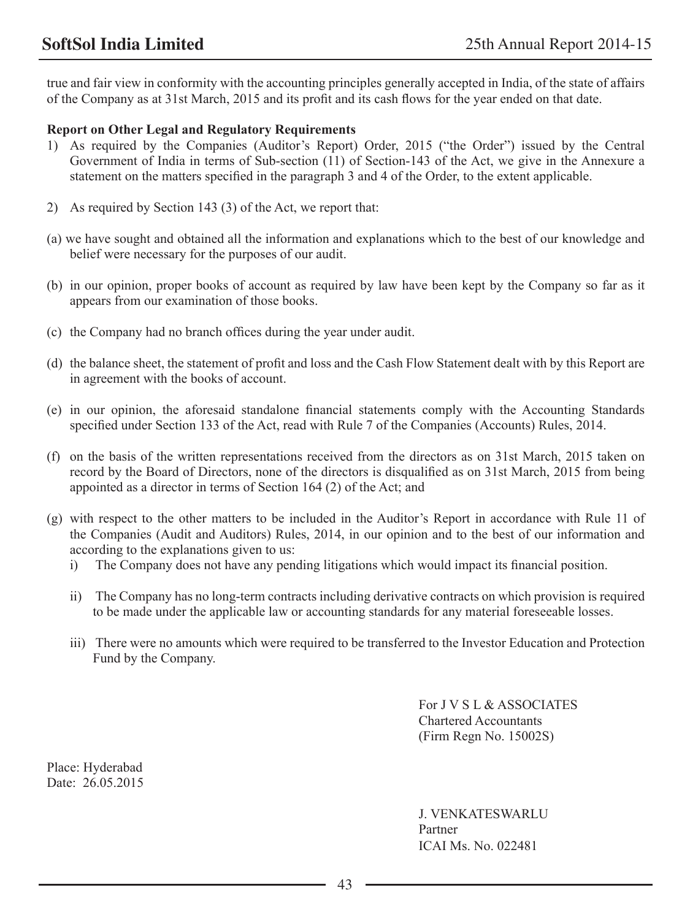true and fair view in conformity with the accounting principles generally accepted in India, of the state of affairs of the Company as at 31st March, 2015 and its profit and its cash flows for the year ended on that date.

### **Report on Other Legal and Regulatory Requirements**

- 1) As required by the Companies (Auditor's Report) Order, 2015 ("the Order") issued by the Central Government of India in terms of Sub-section (11) of Section-143 of the Act, we give in the Annexure a statement on the matters specified in the paragraph 3 and 4 of the Order, to the extent applicable.
- 2) As required by Section 143 (3) of the Act, we report that:
- (a) we have sought and obtained all the information and explanations which to the best of our knowledge and belief were necessary for the purposes of our audit.
- (b) in our opinion, proper books of account as required by law have been kept by the Company so far as it appears from our examination of those books.
- (c) the Company had no branch offices during the year under audit.
- (d) the balance sheet, the statement of profit and loss and the Cash Flow Statement dealt with by this Report are in agreement with the books of account.
- (e) in our opinion, the aforesaid standalone financial statements comply with the Accounting Standards specified under Section 133 of the Act, read with Rule 7 of the Companies (Accounts) Rules, 2014.
- (f) on the basis of the written representations received from the directors as on 31st March, 2015 taken on record by the Board of Directors, none of the directors is disqualified as on 31st March, 2015 from being appointed as a director in terms of Section 164 (2) of the Act; and
- (g) with respect to the other matters to be included in the Auditor's Report in accordance with Rule 11 of the Companies (Audit and Auditors) Rules, 2014, in our opinion and to the best of our information and according to the explanations given to us:
	- i) The Company does not have any pending litigations which would impact its financial position.
	- ii) The Company has no long-term contracts including derivative contracts on which provision is required to be made under the applicable law or accounting standards for any material foreseeable losses.
	- iii) There were no amounts which were required to be transferred to the Investor Education and Protection Fund by the Company.

For J V S L & ASSOCIATES Chartered Accountants (Firm Regn No. 15002S)

Place: Hyderabad Date: 26.05.2015

> J. VENKATESWARLU Partner ICAI Ms. No. 022481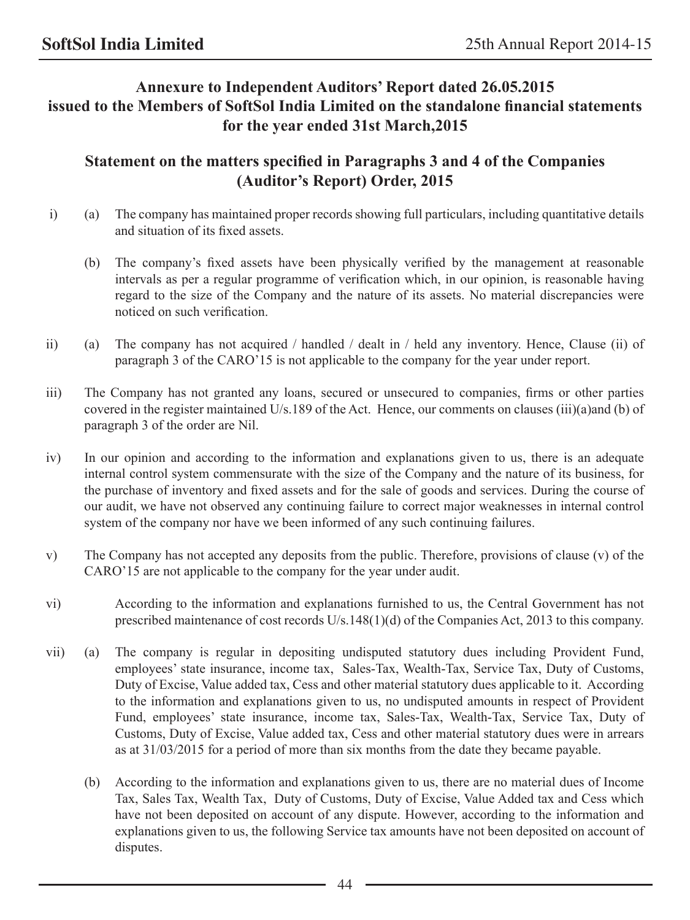## **Annexure to Independent Auditors' Report dated 26.05.2015 issued to the Members of SoftSol India Limited on the standalone financial statements for the year ended 31st March,2015**

## **Statement on the matters specified in Paragraphs 3 and 4 of the Companies (Auditor's Report) Order, 2015**

- i) (a) The company has maintained proper records showing full particulars, including quantitative details and situation of its fixed assets.
	- (b) The company's fixed assets have been physically verified by the management at reasonable intervals as per a regular programme of verification which, in our opinion, is reasonable having regard to the size of the Company and the nature of its assets. No material discrepancies were noticed on such verification.
- ii) (a) The company has not acquired / handled / dealt in / held any inventory. Hence, Clause (ii) of paragraph 3 of the CARO'15 is not applicable to the company for the year under report.
- iii) The Company has not granted any loans, secured or unsecured to companies, firms or other parties covered in the register maintained U/s.189 of the Act. Hence, our comments on clauses (iii)(a)and (b) of paragraph 3 of the order are Nil.
- iv) In our opinion and according to the information and explanations given to us, there is an adequate internal control system commensurate with the size of the Company and the nature of its business, for the purchase of inventory and fixed assets and for the sale of goods and services. During the course of our audit, we have not observed any continuing failure to correct major weaknesses in internal control system of the company nor have we been informed of any such continuing failures.
- v) The Company has not accepted any deposits from the public. Therefore, provisions of clause (v) of the CARO'15 are not applicable to the company for the year under audit.
- vi) According to the information and explanations furnished to us, the Central Government has not prescribed maintenance of cost records U/s.148(1)(d) of the Companies Act, 2013 to this company.
- vii) (a) The company is regular in depositing undisputed statutory dues including Provident Fund, employees' state insurance, income tax, Sales-Tax, Wealth-Tax, Service Tax, Duty of Customs, Duty of Excise, Value added tax, Cess and other material statutory dues applicable to it. According to the information and explanations given to us, no undisputed amounts in respect of Provident Fund, employees' state insurance, income tax, Sales-Tax, Wealth-Tax, Service Tax, Duty of Customs, Duty of Excise, Value added tax, Cess and other material statutory dues were in arrears as at 31/03/2015 for a period of more than six months from the date they became payable.
	- (b) According to the information and explanations given to us, there are no material dues of Income Tax, Sales Tax, Wealth Tax, Duty of Customs, Duty of Excise, Value Added tax and Cess which have not been deposited on account of any dispute. However, according to the information and explanations given to us, the following Service tax amounts have not been deposited on account of disputes.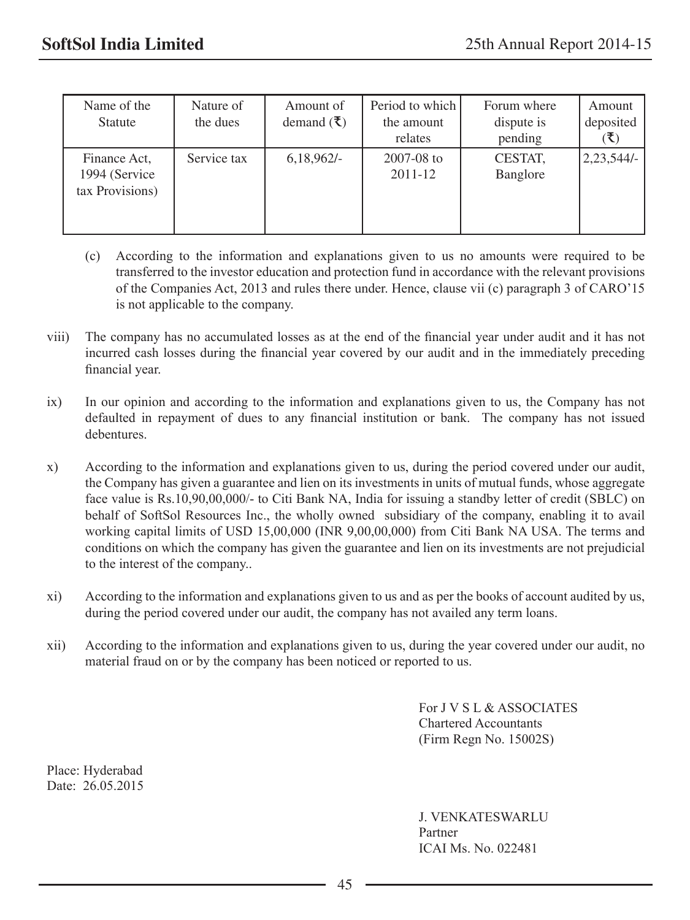| Name of the<br>Statute                            | Nature of<br>the dues | Amount of<br>demand $(\xi)$ | Period to which<br>the amount<br>relates | Forum where<br>dispute is<br>pending | Amount<br>deposited |
|---------------------------------------------------|-----------------------|-----------------------------|------------------------------------------|--------------------------------------|---------------------|
| Finance Act.<br>1994 (Service)<br>tax Provisions) | Service tax           | $6,18,962/-$                | $2007 - 08$ to<br>$2011 - 12$            | CESTAT,<br>Banglore                  | 2,23,544/           |

- (c) According to the information and explanations given to us no amounts were required to be transferred to the investor education and protection fund in accordance with the relevant provisions of the Companies Act, 2013 and rules there under. Hence, clause vii (c) paragraph 3 of CARO'15 is not applicable to the company.
- viii) The company has no accumulated losses as at the end of the financial year under audit and it has not incurred cash losses during the financial year covered by our audit and in the immediately preceding financial year.
- ix) In our opinion and according to the information and explanations given to us, the Company has not defaulted in repayment of dues to any financial institution or bank. The company has not issued debentures.
- x) According to the information and explanations given to us, during the period covered under our audit, the Company has given a guarantee and lien on its investments in units of mutual funds, whose aggregate face value is Rs.10,90,00,000/- to Citi Bank NA, India for issuing a standby letter of credit (SBLC) on behalf of SoftSol Resources Inc., the wholly owned subsidiary of the company, enabling it to avail working capital limits of USD 15,00,000 (INR 9,00,00,000) from Citi Bank NA USA. The terms and conditions on which the company has given the guarantee and lien on its investments are not prejudicial to the interest of the company..
- xi) According to the information and explanations given to us and as per the books of account audited by us, during the period covered under our audit, the company has not availed any term loans.
- xii) According to the information and explanations given to us, during the year covered under our audit, no material fraud on or by the company has been noticed or reported to us.

For J V S L & ASSOCIATES Chartered Accountants (Firm Regn No. 15002S)

Place: Hyderabad Date: 26.05.2015

> J. VENKATESWARLU Partner ICAI Ms. No. 022481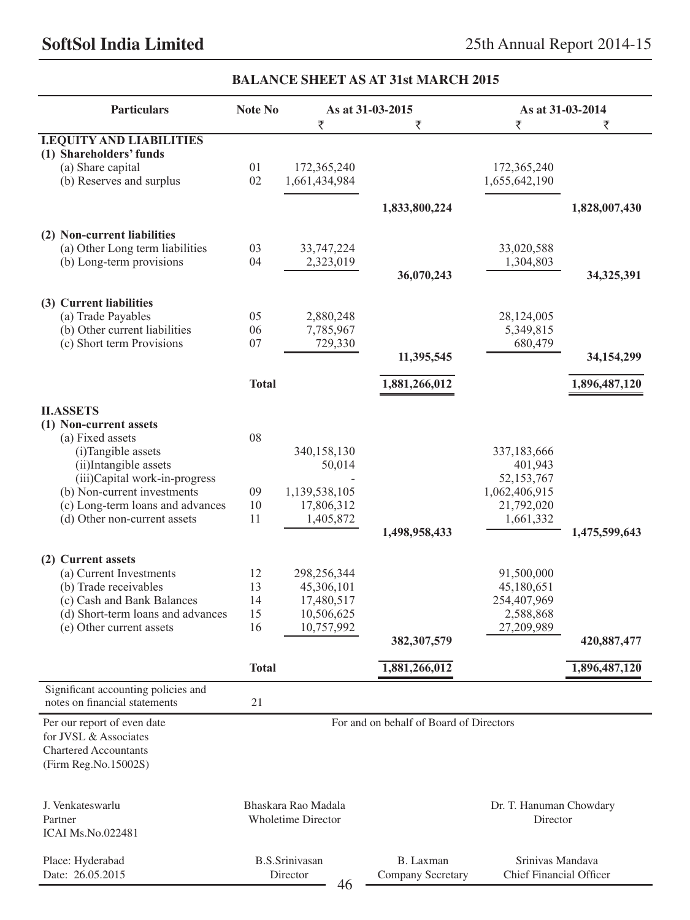## 46 **Particulars Note No As at 31-03-2015 As at 31-03-2014**  र र र **I.EQUITY AND LIABILITIES (1) Shareholders' funds** (a) Share capital 01 172,365,240 172,365,240 (b) Reserves and surplus 02 1,661,434,984 1,655,642,190 **1,833,800,224 1,828,007,430 (2) Non-current liabilities** (a) Other Long term liabilities  $\begin{array}{ccc} 03 & 33,747,224 & 33,020,588 \\ 01 \text{ Long-term provisions} & 04 & 2,323,019 & 1,304,803 \end{array}$ (b) Long-term provisions  $04 \t 2,323,019 \t 36,070,243 \t 1,304,803$ **36,070,243 34,325,391 (3) Current liabilities** (a) Trade Payables 05 2,880,248 28,124,005<br>
(b) Other current liabilities 06 7,785,967 5,349,815 (b) Other current liabilities (c) Short term Provisions  $07 \quad \underline{\hspace{1cm} 729,330}$   $11,395,545 \quad \underline{\hspace{1cm} 680,479}$ **11,395,545** 34,154,299 **Total 1,881,266,012 1,896,487,120 II.ASSETS (1) Non-current assets** (a) Fixed assets 08 (i)Tangible assets 340,158,130 337,183,666 (ii)Intangible assets  $50,014$  401,943<br>(iii)Capital work-in-progress  $52,153,767$ (iii)Capital work-in-progress<br>Non-current investments (09) (b) Non-current investments 09 1,139,538,105 1,062,406,915 (c) Long-term loans and advances  $10$  17,806,312 21,792,020<br>
(d) Other non-current assets  $11$  1,405,872 1,661,332  $(d)$  Other non-current assets 1,498,958,433 1,475,599,643 **(2) Current assets** (a) Current Investments 12 298,256,344 91,500,000 (b) Trade receivables 13 45,306,101 45,180,651<br>
(c) Cash and Bank Balances 14 17,480,517 254,407,969 (c) Cash and Bank Balances 14 17,480,517 254,407,969<br>
(d) Short-term loans and advances 15 10.506.625 2.588.868 (d) Short-term loans and advances 15 10,506,625 2,588,868 2 2,588,868 (e) Other current assets 16 10,757,992 27,209,989 (e) Other current assets  $16 \frac{10,757,992}{282,307,579}$ **382,307,579** 420,887,477 **Total 1,881,266,012 1,896,487,120** Significant accounting policies and notes on financial statements 21 Per our report of even date For and on behalf of Board of Directors for JVSL & Associates Chartered Accountants (Firm Reg.No.15002S) J. Venkateswarlu Bhaskara Rao Madala Dr. T. Hanuman Chowdary Partner **Contract Contract Contract Contract Contract Contract Contract Contract Contract Contract Contract Contract Contract Contract Contract Contract Contract Contract Contract Contract Contract Contract Contract Contra** ICAI Ms.No.022481 Place: Hyderabad B.S.Srinivasan B. Laxman Srinivas Mandava Date: 26.05.2015 Director Company Secretary Chief Financial Officer

#### **BALANCE SHEET AS AT 31st MARCH 2015**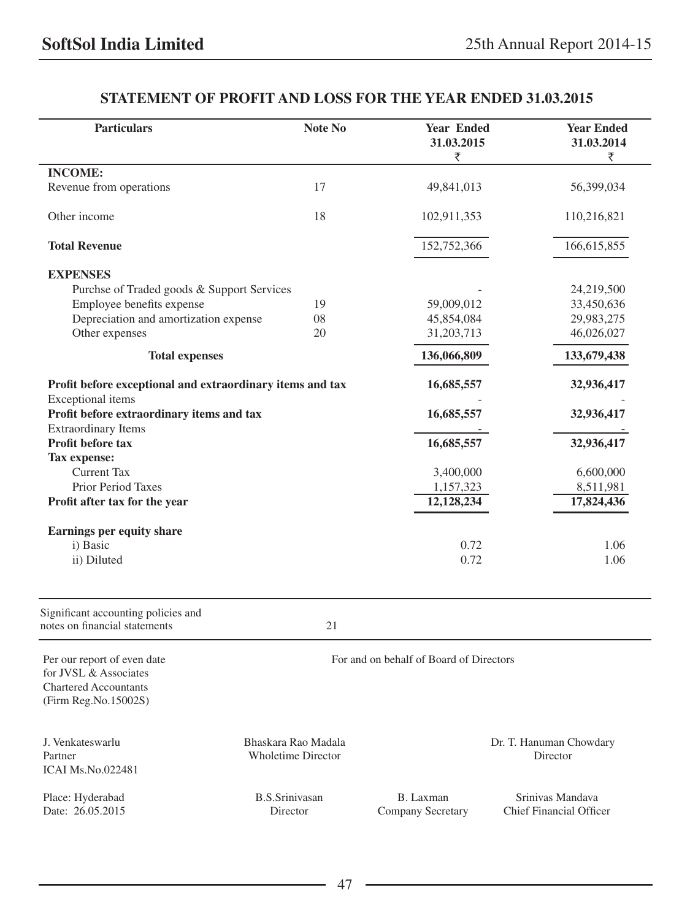## **STATEMENT OF PROFIT AND LOSS FOR THE YEAR ENDED 31.03.2015**

| <b>Particulars</b>                                                   | Note No                                          | <b>Year Ended</b><br>31.03.2015         | <b>Year Ended</b><br>31.03.2014             |
|----------------------------------------------------------------------|--------------------------------------------------|-----------------------------------------|---------------------------------------------|
|                                                                      |                                                  | ₹                                       | ₹                                           |
| <b>INCOME:</b>                                                       |                                                  |                                         |                                             |
| Revenue from operations                                              | 17                                               | 49,841,013                              | 56,399,034                                  |
| Other income                                                         | 18                                               | 102,911,353                             | 110,216,821                                 |
| <b>Total Revenue</b>                                                 |                                                  | 152,752,366                             | 166,615,855                                 |
| <b>EXPENSES</b>                                                      |                                                  |                                         |                                             |
| Purchse of Traded goods & Support Services                           |                                                  |                                         | 24,219,500                                  |
| Employee benefits expense                                            | 19                                               | 59,009,012                              | 33,450,636                                  |
| Depreciation and amortization expense                                | 08                                               | 45,854,084                              | 29,983,275                                  |
| Other expenses                                                       | 20                                               | 31,203,713                              | 46,026,027                                  |
| <b>Total expenses</b>                                                |                                                  | 136,066,809                             | 133,679,438                                 |
| Profit before exceptional and extraordinary items and tax            |                                                  | 16,685,557                              | 32,936,417                                  |
| Exceptional items<br>Profit before extraordinary items and tax       |                                                  | 16,685,557                              | 32,936,417                                  |
| Extraordinary Items<br>Profit before tax                             |                                                  | 16,685,557                              | 32,936,417                                  |
| Tax expense:<br><b>Current Tax</b>                                   |                                                  | 3,400,000                               | 6,600,000                                   |
| Prior Period Taxes                                                   |                                                  | 1,157,323                               | 8,511,981                                   |
| Profit after tax for the year                                        |                                                  | 12,128,234                              | 17,824,436                                  |
|                                                                      |                                                  |                                         |                                             |
| Earnings per equity share                                            |                                                  |                                         |                                             |
| i) Basic                                                             |                                                  | 0.72                                    | 1.06                                        |
| ii) Diluted                                                          |                                                  | 0.72                                    | 1.06                                        |
|                                                                      |                                                  |                                         |                                             |
| Significant accounting policies and<br>notes on financial statements | 21                                               |                                         |                                             |
| Per our report of even date<br>for JVSL & Associates                 |                                                  | For and on behalf of Board of Directors |                                             |
| <b>Chartered Accountants</b><br>(Firm Reg.No.15002S)                 |                                                  |                                         |                                             |
| J. Venkateswarlu<br>Partner                                          | Bhaskara Rao Madala<br><b>Wholetime Director</b> |                                         | Dr. T. Hanuman Chowdary<br>Director         |
| <b>ICAI Ms.No.022481</b>                                             |                                                  |                                         |                                             |
| Place: Hyderabad<br>Date: 26.05.2015                                 | <b>B.S.Srinivasan</b><br>Director                | B. Laxman<br>Company Secretary          | Srinivas Mandava<br>Chief Financial Officer |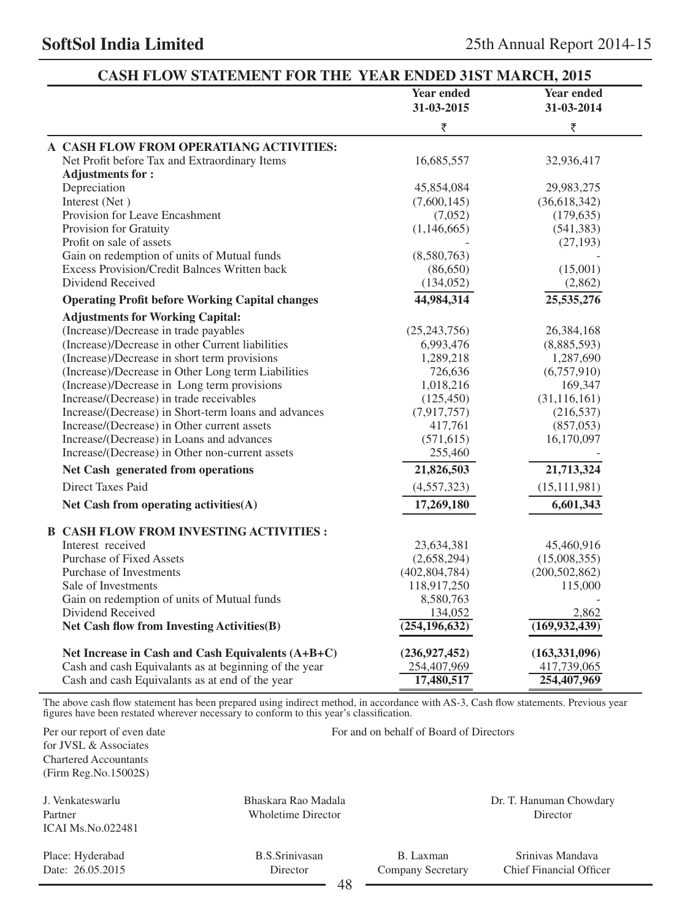|                                                        | <b>Year ended</b><br>31-03-2015 | <b>Year ended</b><br>31-03-2014 |
|--------------------------------------------------------|---------------------------------|---------------------------------|
|                                                        | ₹                               | ₹                               |
| A CASH FLOW FROM OPERATIANG ACTIVITIES:                |                                 |                                 |
| Net Profit before Tax and Extraordinary Items          | 16,685,557                      | 32,936,417                      |
| <b>Adjustments for:</b>                                |                                 |                                 |
| Depreciation                                           | 45,854,084                      | 29,983,275                      |
| Interest (Net)                                         | (7,600,145)                     | (36,618,342)                    |
| Provision for Leave Encashment                         | (7,052)                         | (179, 635)                      |
| Provision for Gratuity                                 | (1,146,665)                     | (541, 383)                      |
| Profit on sale of assets                               |                                 | (27, 193)                       |
| Gain on redemption of units of Mutual funds            | (8,580,763)                     |                                 |
| <b>Excess Provision/Credit Balnces Written back</b>    | (86,650)                        | (15,001)                        |
| Dividend Received                                      | (134, 052)                      | (2,862)                         |
| <b>Operating Profit before Working Capital changes</b> | 44,984,314                      | 25,535,276                      |
| <b>Adjustments for Working Capital:</b>                |                                 |                                 |
| (Increase)/Decrease in trade payables                  | (25, 243, 756)                  | 26,384,168                      |
| (Increase)/Decrease in other Current liabilities       | 6,993,476                       | (8,885,593)                     |
| (Increase)/Decrease in short term provisions           | 1,289,218                       | 1,287,690                       |
| (Increase)/Decrease in Other Long term Liabilities     | 726,636                         | (6,757,910)                     |
| (Increase)/Decrease in Long term provisions            | 1,018,216                       | 169,347                         |
| Increase/(Decrease) in trade receivables               | (125, 450)                      | (31, 116, 161)                  |
| Increase/(Decrease) in Short-term loans and advances   | (7,917,757)                     | (216, 537)                      |
| Increase/(Decrease) in Other current assets            | 417,761                         | (857,053)                       |
| Increase/(Decrease) in Loans and advances              | (571, 615)                      | 16,170,097                      |
| Increase/(Decrease) in Other non-current assets        | 255,460                         |                                 |
| Net Cash generated from operations                     | 21,826,503                      | 21,713,324                      |
| Direct Taxes Paid                                      | (4,557,323)                     | (15, 111, 981)                  |
| Net Cash from operating activities(A)                  | 17,269,180                      | 6,601,343                       |
| <b>B CASH FLOW FROM INVESTING ACTIVITIES :</b>         |                                 |                                 |
| Interest received                                      | 23,634,381                      | 45,460,916                      |
| <b>Purchase of Fixed Assets</b>                        | (2,658,294)                     | (15,008,355)                    |
| Purchase of Investments                                | (402, 804, 784)                 | (200, 502, 862)                 |
| Sale of Investments                                    | 118,917,250                     | 115,000                         |
| Gain on redemption of units of Mutual funds            | 8,580,763                       |                                 |
| Dividend Received                                      | 134,052                         | 2,862                           |
| Net Cash flow from Investing Activities(B)             | (254, 196, 632)                 | (169, 932, 439)                 |
| Net Increase in Cash and Cash Equivalents (A+B+C)      | (236,927,452)                   | (163,331,096)                   |
| Cash and cash Equivalants as at beginning of the year  | 254,407,969                     | 417,739,065                     |
|                                                        |                                 |                                 |

Per our report of even date For and on behalf of Board of Directors The above cash flow statement has been prepared using indirect method, in accordance with AS-3, Cash flow statements. Previous year figures have been restated wherever necessary to conform to this year's classification.

Cash and cash Equivalants as at end of the year **17,480,517** 254,407,969

for JVSL & Associates Chartered Accountants (Firm Reg.No.15002S)

ICAI Ms.No.022481

Partner **Microsoft Contact Contact Contact Contact Contact Contact Contact Contact Contact Contact Contact Director** 

J. Venkateswarlu Bhaskara Rao Madala Dr. T. Hanuman Chowdary

Place: Hyderabad B.S.Srinivasan B. Laxman Srinivas Mandava Date: 26.05.2015 Director Company Secretary Chief Financial Officer

48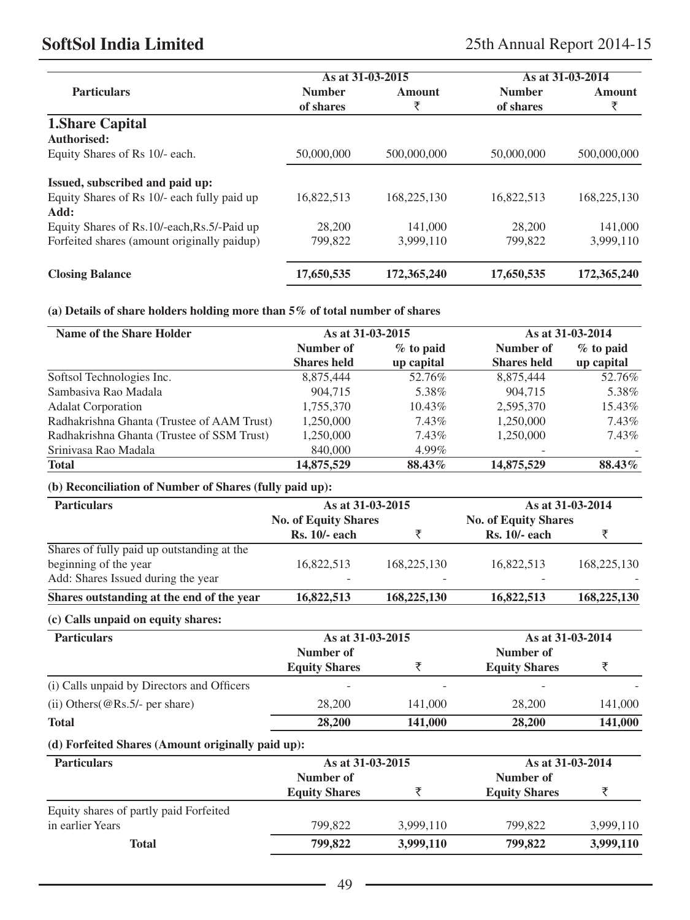|                                             | As at 31-03-2015 |             |               | As at 31-03-2014 |
|---------------------------------------------|------------------|-------------|---------------|------------------|
| <b>Particulars</b>                          | <b>Number</b>    | Amount      | <b>Number</b> | Amount           |
|                                             | of shares        | ₹           | of shares     | ₹                |
| <b>1.Share Capital</b>                      |                  |             |               |                  |
| Authorised:                                 |                  |             |               |                  |
| Equity Shares of Rs 10/- each.              | 50,000,000       | 500,000,000 | 50,000,000    | 500,000,000      |
| Issued, subscribed and paid up:             |                  |             |               |                  |
| Equity Shares of Rs 10/- each fully paid up | 16.822.513       | 168,225,130 | 16.822.513    | 168,225,130      |
| Add:                                        |                  |             |               |                  |
| Equity Shares of Rs.10/-each, Rs.5/-Paid up | 28,200           | 141,000     | 28,200        | 141,000          |
| Forfeited shares (amount originally paidup) | 799,822          | 3,999,110   | 799,822       | 3,999,110        |
| <b>Closing Balance</b>                      | 17,650,535       | 172,365,240 | 17,650,535    | 172,365,240      |

#### **(a) Details of share holders holding more than 5% of total number of shares**

| Name of the Share Holder                   | As at 31-03-2015   |             |                    | As at 31-03-2014 |
|--------------------------------------------|--------------------|-------------|--------------------|------------------|
|                                            | Number of          | $%$ to paid | Number of          | $%$ to paid      |
|                                            | <b>Shares held</b> | up capital  | <b>Shares held</b> | up capital       |
| Softsol Technologies Inc.                  | 8,875,444          | 52.76%      | 8,875,444          | 52.76%           |
| Sambasiya Rao Madala                       | 904.715            | 5.38%       | 904,715            | 5.38%            |
| <b>Adalat Corporation</b>                  | 1.755.370          | $10.43\%$   | 2,595,370          | 15.43%           |
| Radhakrishna Ghanta (Trustee of AAM Trust) | 1.250,000          | 7.43%       | 1,250,000          | 7.43%            |
| Radhakrishna Ghanta (Trustee of SSM Trust) | 1,250,000          | 7.43%       | 1.250,000          | 7.43%            |
| Sriniyasa Rao Madala                       | 840,000            | 4.99%       |                    |                  |
| <b>Total</b>                               | 14,875,529         | 88.43%      | 14,875,529         | 88.43%           |

#### **(b) Reconciliation of Number of Shares (fully paid up):**

| <b>Particulars</b>                         | As at 31-03-2015            |             |                             | As at 31-03-2014 |
|--------------------------------------------|-----------------------------|-------------|-----------------------------|------------------|
|                                            | <b>No. of Equity Shares</b> |             | <b>No. of Equity Shares</b> |                  |
|                                            | $Rs. 10/- each$             |             | $Rs. 10/- each$             |                  |
| Shares of fully paid up outstanding at the |                             |             |                             |                  |
| beginning of the year                      | 16.822.513                  | 168,225,130 | 16.822.513                  | 168,225,130      |
| Add: Shares Issued during the year         |                             |             | $\overline{\phantom{0}}$    |                  |
| Shares outstanding at the end of the year  | 16,822,513                  | 168,225,130 | 16,822,513                  | 168,225,130      |

### **(c) Calls unpaid on equity shares:**

| <b>Particulars</b>                         | As at 31-03-2015                  |         | As at 31-03-2014                  |         |
|--------------------------------------------|-----------------------------------|---------|-----------------------------------|---------|
|                                            | Number of<br><b>Equity Shares</b> |         | Number of<br><b>Equity Shares</b> |         |
| (i) Calls unpaid by Directors and Officers |                                   |         | $\overline{\phantom{0}}$          |         |
| $(ii)$ Others (@Rs.5/- per share)          | 28,200                            | 141,000 | 28,200                            | 141,000 |
| <b>Total</b>                               | 28,200                            | 141,000 | 28,200                            | 141,000 |

## **(d) Forfeited Shares (Amount originally paid up):**

| <b>Particulars</b>                     | As at 31-03-2015     |           | As at 31-03-2014     |           |
|----------------------------------------|----------------------|-----------|----------------------|-----------|
|                                        | Number of            |           | Number of            |           |
|                                        | <b>Equity Shares</b> |           | <b>Equity Shares</b> |           |
| Equity shares of partly paid Forfeited |                      |           |                      |           |
| in earlier Years                       | 799,822              | 3.999.110 | 799,822              | 3,999,110 |
| Total                                  | 799,822              | 3,999,110 | 799,822              | 3,999,110 |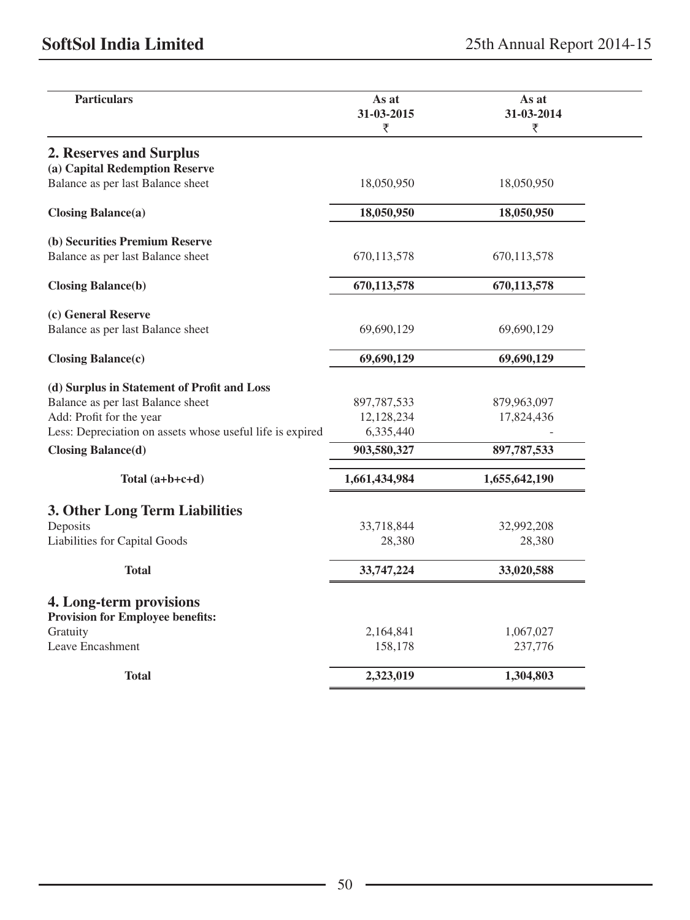| <b>Particulars</b>                                        | As at<br>31-03-2015<br>₹ | As at<br>31-03-2014<br>₹ |
|-----------------------------------------------------------|--------------------------|--------------------------|
| 2. Reserves and Surplus                                   |                          |                          |
| (a) Capital Redemption Reserve                            |                          |                          |
| Balance as per last Balance sheet                         | 18,050,950               | 18,050,950               |
| <b>Closing Balance(a)</b>                                 | 18,050,950               | 18,050,950               |
| (b) Securities Premium Reserve                            |                          |                          |
| Balance as per last Balance sheet                         | 670,113,578              | 670,113,578              |
| <b>Closing Balance(b)</b>                                 | 670,113,578              | 670,113,578              |
| (c) General Reserve                                       |                          |                          |
| Balance as per last Balance sheet                         | 69,690,129               | 69,690,129               |
| <b>Closing Balance(c)</b>                                 | 69,690,129               | 69,690,129               |
| (d) Surplus in Statement of Profit and Loss               |                          |                          |
| Balance as per last Balance sheet                         | 897,787,533              | 879,963,097              |
| Add: Profit for the year                                  | 12,128,234               | 17,824,436               |
| Less: Depreciation on assets whose useful life is expired | 6,335,440                |                          |
| <b>Closing Balance(d)</b>                                 | 903,580,327              | 897,787,533              |
| Total $(a+b+c+d)$                                         | 1,661,434,984            | 1,655,642,190            |
| 3. Other Long Term Liabilities                            |                          |                          |
| Deposits                                                  | 33,718,844               | 32,992,208               |
| Liabilities for Capital Goods                             | 28,380                   | 28,380                   |
| <b>Total</b>                                              | 33,747,224               | 33,020,588               |
| 4. Long-term provisions                                   |                          |                          |
| <b>Provision for Employee benefits:</b>                   |                          |                          |
| Gratuity<br>Leave Encashment                              | 2,164,841<br>158,178     | 1,067,027<br>237,776     |
| <b>Total</b>                                              | 2,323,019                | 1,304,803                |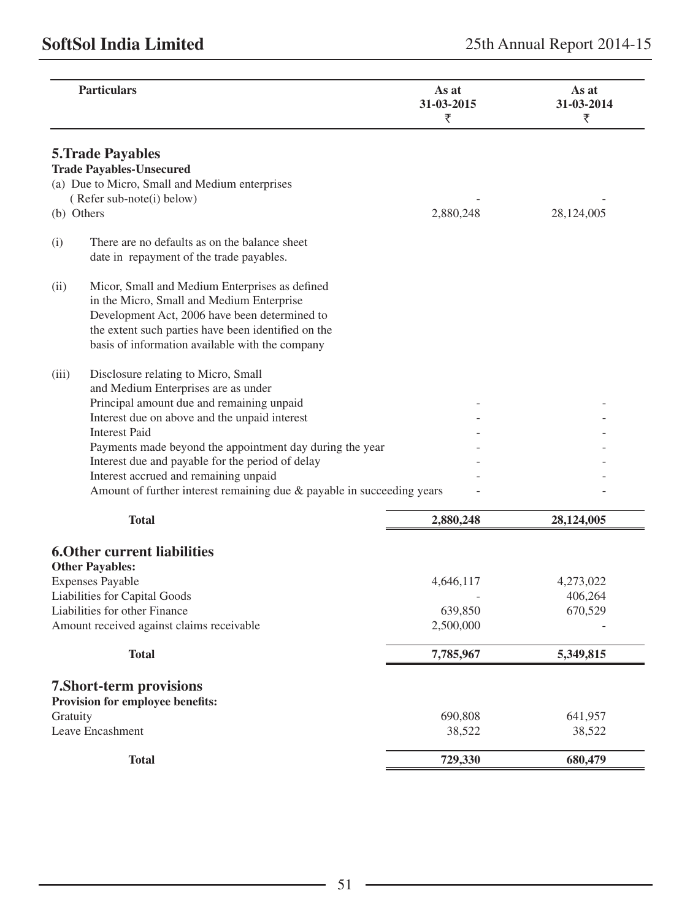|            | <b>Particulars</b>                                                                                                                                                                                                                                                                                                                                                                                                                     | As at<br>31-03-2015<br>₹          | As at<br>31-03-2014<br>₹        |
|------------|----------------------------------------------------------------------------------------------------------------------------------------------------------------------------------------------------------------------------------------------------------------------------------------------------------------------------------------------------------------------------------------------------------------------------------------|-----------------------------------|---------------------------------|
| (b) Others | <b>5. Trade Payables</b><br><b>Trade Payables-Unsecured</b><br>(a) Due to Micro, Small and Medium enterprises<br>(Refer sub-note(i) below)                                                                                                                                                                                                                                                                                             | 2,880,248                         | 28,124,005                      |
| (i)        | There are no defaults as on the balance sheet<br>date in repayment of the trade payables.                                                                                                                                                                                                                                                                                                                                              |                                   |                                 |
| (ii)       | Micor, Small and Medium Enterprises as defined<br>in the Micro, Small and Medium Enterprise<br>Development Act, 2006 have been determined to<br>the extent such parties have been identified on the<br>basis of information available with the company                                                                                                                                                                                 |                                   |                                 |
| (iii)      | Disclosure relating to Micro, Small<br>and Medium Enterprises are as under<br>Principal amount due and remaining unpaid<br>Interest due on above and the unpaid interest<br><b>Interest Paid</b><br>Payments made beyond the appointment day during the year<br>Interest due and payable for the period of delay<br>Interest accrued and remaining unpaid<br>Amount of further interest remaining due $\&$ payable in succeeding years |                                   |                                 |
|            | <b>Total</b>                                                                                                                                                                                                                                                                                                                                                                                                                           | 2,880,248                         | 28,124,005                      |
|            | <b>6. Other current liabilities</b><br><b>Other Payables:</b><br><b>Expenses Payable</b><br>Liabilities for Capital Goods<br>Liabilities for other Finance<br>Amount received against claims receivable                                                                                                                                                                                                                                | 4,646,117<br>639,850<br>2,500,000 | 4,273,022<br>406,264<br>670,529 |
|            | <b>Total</b>                                                                                                                                                                                                                                                                                                                                                                                                                           | 7,785,967                         | 5,349,815                       |
| Gratuity   | 7. Short-term provisions<br>Provision for employee benefits:<br>Leave Encashment                                                                                                                                                                                                                                                                                                                                                       | 690,808<br>38,522                 | 641,957<br>38,522               |
|            | <b>Total</b>                                                                                                                                                                                                                                                                                                                                                                                                                           | 729,330                           | 680,479                         |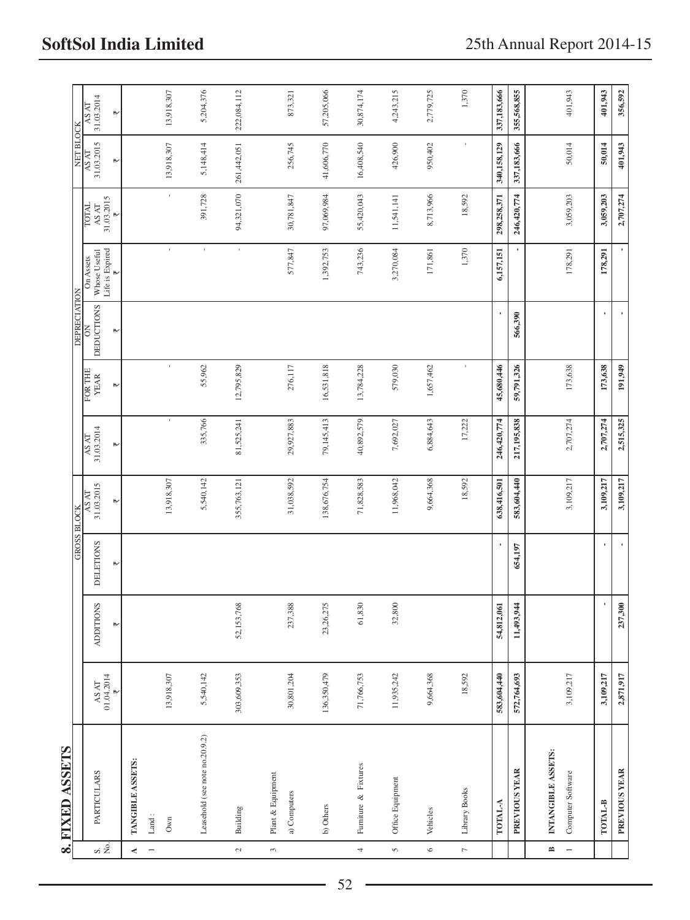|                                | 8. FIXED ASSETS                         |                                                                                   |                       |                       | <b>GROSS BLOCK</b> |                           |                  | <b>DEPRECIATION</b> |                                 |                                   | NET BLOCK                                                            |                 |
|--------------------------------|-----------------------------------------|-----------------------------------------------------------------------------------|-----------------------|-----------------------|--------------------|---------------------------|------------------|---------------------|---------------------------------|-----------------------------------|----------------------------------------------------------------------|-----------------|
|                                |                                         |                                                                                   |                       |                       | AS AT              | $\frac{ASAT}{31.03.2014}$ | FOR THE          | š                   | On Assets                       | TOTAL                             | $\begin{array}{c}\n  \  \, \text{AS AT} \\  31.03.2015\n\end{array}$ | AS AT           |
| s .<br>Xo.                     | <b>PARTICULARS</b>                      | $\begin{array}{c} \text{AS AT} \\ 01.04.2014 \end{array}$<br>$\ddot{\phantom{1}}$ | <b>ADDITIONS</b><br>₩ | <b>DELETIONS</b><br>₩ | 31.03.2015<br>₩    | Ѩ                         | <b>YEAR</b><br>₩ | DEDUCTIONS<br>₩     | Whose Useful<br>Life is Expired | $\frac{\text{AS AT}}{31.03.2015}$ | ₩                                                                    | 31.03.2014<br>₩ |
| ∢                              | TANGIBLE ASSETS:                        |                                                                                   |                       |                       |                    |                           |                  |                     |                                 |                                   |                                                                      |                 |
|                                | $\ensuremath{\text{\sf Land}}$ :        |                                                                                   |                       |                       |                    |                           |                  |                     |                                 |                                   |                                                                      |                 |
|                                | $_{\rm{Own}}$                           | 13,918,307                                                                        |                       |                       | 13,918,307         |                           | $\,$             |                     | ï                               | ï                                 | 13,918,307                                                           | 13,918,307      |
|                                | Leasehold (see note no.20.9.2)          | 5,540,142                                                                         |                       |                       | 5,540,142          | 335,766                   | 55,962           |                     | $\mathbf{r}$                    | 391,728                           | 5,148,414                                                            | 5,204,376       |
| $\sim$                         | Building                                | 303,609,353                                                                       | 52,153,768            |                       | 355,763,121        | 81,525,241                | 12,795,829       |                     | Î,                              | 94,321,070                        | 261,442,051                                                          | 222,084,112     |
| $\tilde{\epsilon}$             | Plant & Equipment                       |                                                                                   |                       |                       |                    |                           |                  |                     |                                 |                                   |                                                                      |                 |
|                                | a) Computers                            | 30,801,204                                                                        | 237,388               |                       | 31,038,592         | 29,927,883                | 276,117          |                     | 577,847                         | 30,781,847                        | 256,745                                                              | 873,321         |
|                                | b) Others                               | 136,350,479                                                                       | 23,26,275             |                       | 138,676,754        | 79,145,413                | 16,531,818       |                     | 1,392,753                       | 97,069,984                        | 41,606,770                                                           | 57,205,066      |
| $\overline{a}$                 | Furniture & Fixtures                    | 71,766,753                                                                        | 61,830                |                       | 71,828,583         | 40,892,579                | 13,784,228       |                     | 743,236                         | 55,420,043                        | 16,408,540                                                           | 30,874,174      |
| 5                              | Office Equipment                        | 11,935,242                                                                        | 32,800                |                       | 11,968,042         | 7,692,027                 | 579,030          |                     | 3,270,084                       | 11,541,141                        | 426,900                                                              | 4,243,215       |
| $\circ$                        | Vehicles                                | 9,664,368                                                                         |                       |                       | 9,664,368          | 6,884,643                 | 1,657,462        |                     | 171,861                         | 8,713,966                         | 950,402                                                              | 2,779,725       |
| $\overline{r}$                 | Library Books                           | 18,592                                                                            |                       |                       | 18,592             | 17,222                    | $\bar{1}$        |                     | $1.370\,$                       | 18,592                            |                                                                      | 1,370           |
|                                | TOTAL-A                                 | 583,604,440                                                                       | 54,812,061            |                       | 638,416,501        | 246,420,774               | 45,680,446       |                     | 6,157,151                       | 298,258,371                       | 340,158,129                                                          | 337,183,666     |
|                                | PREVIOUS YEAR                           | 572,764,693                                                                       | 11,493,944            | 654,197               | 583,604,440        | 217,195,838               | 59,791,326       | 566,390             |                                 | 246,420,774                       | 337,183,666                                                          | 355,568,855     |
| $\mathbf{r}$<br>$\overline{a}$ | INTANGIBLE ASSETS:<br>Computer Software | 3,109,217                                                                         |                       |                       | 3,109,217          | 2,707,274                 | 173,638          |                     | 178,291                         | 3,059,203                         | 50,014                                                               | 401,943         |
|                                | TOTAL-B                                 | 3,109,217                                                                         |                       | ×,                    | 3,109,217          | 2,707,274                 | 173,638          | ×,                  | 178,291                         | 3,059,203                         | 50,014                                                               | 401,943         |
|                                | PREVIOUS YEAR                           | 2,871,917                                                                         | 237,300               |                       | 3,109,217          | 2,515,325                 | 191,949          |                     |                                 | 2,707,274                         | 401,943                                                              | 356,592         |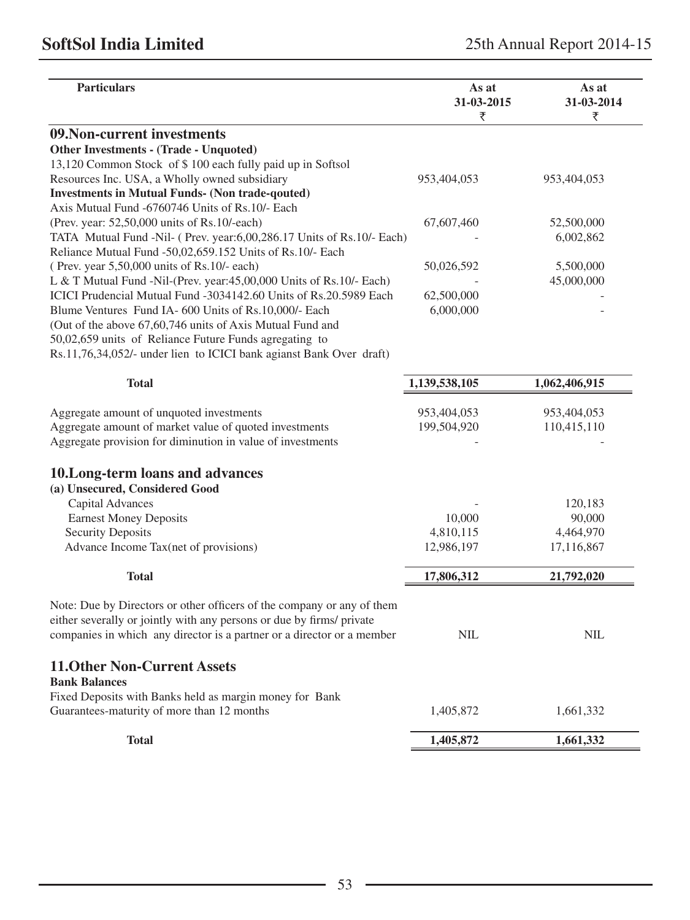| <b>Particulars</b>                                                     | As at<br>31-03-2015<br>₹ | As at<br>31-03-2014<br>₹ |
|------------------------------------------------------------------------|--------------------------|--------------------------|
| 09. Non-current investments                                            |                          |                          |
| Other Investments - (Trade - Unquoted)                                 |                          |                          |
| 13,120 Common Stock of \$100 each fully paid up in Softsol             |                          |                          |
| Resources Inc. USA, a Wholly owned subsidiary                          | 953,404,053              | 953,404,053              |
| <b>Investments in Mutual Funds- (Non trade-qouted)</b>                 |                          |                          |
| Axis Mutual Fund -6760746 Units of Rs.10/- Each                        |                          |                          |
| (Prev. year: 52,50,000 units of Rs.10/-each)                           | 67,607,460               | 52,500,000               |
| TATA Mutual Fund -Nil- (Prev. year:6,00,286.17 Units of Rs.10/- Each)  |                          | 6,002,862                |
| Reliance Mutual Fund -50,02,659.152 Units of Rs.10/- Each              |                          |                          |
| (Prev. year 5,50,000 units of Rs.10/- each)                            | 50,026,592               | 5,500,000                |
| L & T Mutual Fund -Nil-(Prev. year:45,00,000 Units of Rs.10/- Each)    |                          | 45,000,000               |
| ICICI Prudencial Mutual Fund -3034142.60 Units of Rs.20.5989 Each      | 62,500,000               |                          |
| Blume Ventures Fund IA- 600 Units of Rs.10,000/- Each                  | 6,000,000                |                          |
| (Out of the above 67,60,746 units of Axis Mutual Fund and              |                          |                          |
| 50,02,659 units of Reliance Future Funds agregating to                 |                          |                          |
| Rs.11,76,34,052/- under lien to ICICI bank agianst Bank Over draft)    |                          |                          |
|                                                                        |                          |                          |
| <b>Total</b>                                                           | 1,139,538,105            | 1,062,406,915            |
| Aggregate amount of unquoted investments                               | 953,404,053              | 953,404,053              |
| Aggregate amount of market value of quoted investments                 | 199,504,920              | 110,415,110              |
| Aggregate provision for diminution in value of investments             |                          |                          |
|                                                                        |                          |                          |
| 10. Long-term loans and advances                                       |                          |                          |
| (a) Unsecured, Considered Good                                         |                          |                          |
| Capital Advances                                                       |                          | 120,183                  |
| <b>Earnest Money Deposits</b>                                          | 10,000                   | 90,000                   |
| <b>Security Deposits</b>                                               | 4,810,115                | 4,464,970                |
| Advance Income Tax(net of provisions)                                  | 12,986,197               | 17,116,867               |
|                                                                        |                          |                          |
| <b>Total</b>                                                           | 17,806,312               | 21,792,020               |
|                                                                        |                          |                          |
| Note: Due by Directors or other officers of the company or any of them |                          |                          |
| either severally or jointly with any persons or due by firms/ private  |                          |                          |
| companies in which any director is a partner or a director or a member | <b>NIL</b>               | <b>NIL</b>               |
| <b>11.Other Non-Current Assets</b><br><b>Bank Balances</b>             |                          |                          |
|                                                                        |                          |                          |
| Fixed Deposits with Banks held as margin money for Bank                |                          |                          |
| Guarantees-maturity of more than 12 months                             | 1,405,872                | 1,661,332                |
| <b>Total</b>                                                           | 1,405,872                | 1,661,332                |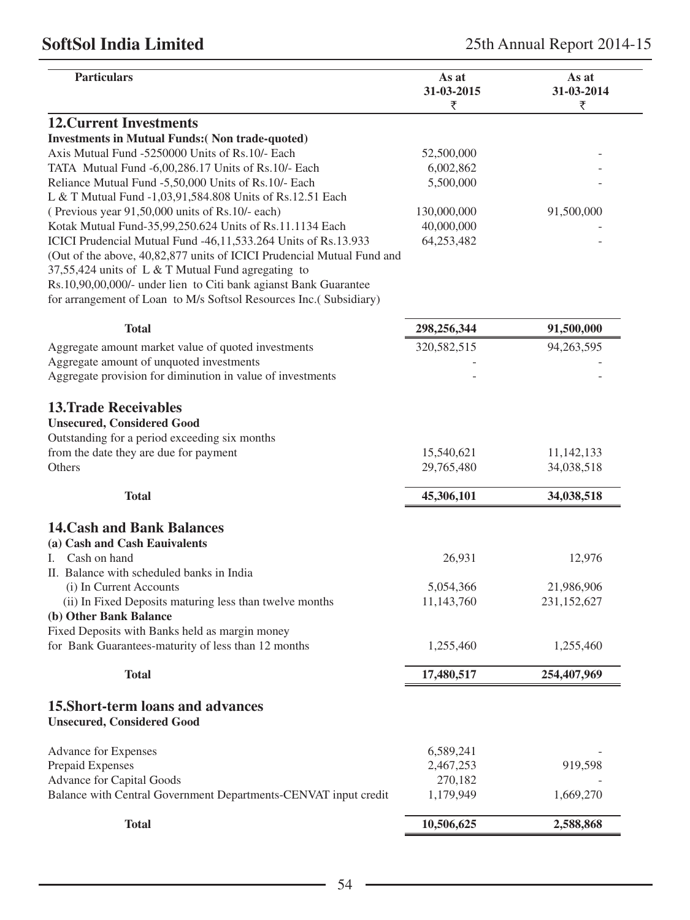| <b>Particulars</b>                                                                                                                                                     | As at<br>31-03-2015<br>₹ | As at<br>31-03-2014<br>₹   |
|------------------------------------------------------------------------------------------------------------------------------------------------------------------------|--------------------------|----------------------------|
| <b>12. Current Investments</b>                                                                                                                                         |                          |                            |
| <b>Investments in Mutual Funds: (Non trade-quoted)</b>                                                                                                                 |                          |                            |
| Axis Mutual Fund -5250000 Units of Rs.10/- Each                                                                                                                        | 52,500,000               |                            |
| TATA Mutual Fund -6,00,286.17 Units of Rs.10/- Each                                                                                                                    | 6,002,862                |                            |
| Reliance Mutual Fund -5,50,000 Units of Rs.10/- Each                                                                                                                   | 5,500,000                |                            |
| L & T Mutual Fund -1,03,91,584.808 Units of Rs.12.51 Each                                                                                                              |                          |                            |
| (Previous year 91,50,000 units of Rs.10/- each)                                                                                                                        | 130,000,000              | 91,500,000                 |
| Kotak Mutual Fund-35,99,250.624 Units of Rs.11.1134 Each                                                                                                               | 40,000,000               |                            |
| ICICI Prudencial Mutual Fund -46,11,533.264 Units of Rs.13.933                                                                                                         | 64,253,482               |                            |
| (Out of the above, 40,82,877 units of ICICI Prudencial Mutual Fund and                                                                                                 |                          |                            |
| 37,55,424 units of L & T Mutual Fund agregating to                                                                                                                     |                          |                            |
| Rs.10,90,00,000/- under lien to Citi bank agianst Bank Guarantee                                                                                                       |                          |                            |
| for arrangement of Loan to M/s Softsol Resources Inc.(Subsidiary)                                                                                                      |                          |                            |
| <b>Total</b>                                                                                                                                                           | 298,256,344              | 91,500,000                 |
| Aggregate amount market value of quoted investments                                                                                                                    | 320,582,515              | 94,263,595                 |
| Aggregate amount of unquoted investments                                                                                                                               |                          |                            |
| Aggregate provision for diminution in value of investments                                                                                                             |                          |                            |
| <b>13. Trade Receivables</b><br><b>Unsecured, Considered Good</b><br>Outstanding for a period exceeding six months<br>from the date they are due for payment<br>Others | 15,540,621<br>29,765,480 | 11, 142, 133<br>34,038,518 |
| <b>Total</b>                                                                                                                                                           | 45,306,101               | 34,038,518                 |
| <b>14. Cash and Bank Balances</b>                                                                                                                                      |                          |                            |
| (a) Cash and Cash Eauivalents                                                                                                                                          |                          |                            |
| I. Cash on hand                                                                                                                                                        | 26,931                   | 12,976                     |
| II. Balance with scheduled banks in India                                                                                                                              |                          |                            |
| (i) In Current Accounts                                                                                                                                                | 5,054,366                | 21,986,906                 |
| (ii) In Fixed Deposits maturing less than twelve months                                                                                                                | 11,143,760               | 231,152,627                |
| (b) Other Bank Balance                                                                                                                                                 |                          |                            |
| Fixed Deposits with Banks held as margin money                                                                                                                         |                          |                            |
| for Bank Guarantees-maturity of less than 12 months                                                                                                                    | 1,255,460                | 1,255,460                  |
| <b>Total</b>                                                                                                                                                           | 17,480,517               | 254,407,969                |
| 15. Short-term loans and advances<br><b>Unsecured, Considered Good</b>                                                                                                 |                          |                            |
|                                                                                                                                                                        |                          |                            |
|                                                                                                                                                                        |                          |                            |
| Advance for Expenses                                                                                                                                                   | 6,589,241                | 919,598                    |
| Prepaid Expenses<br>Advance for Capital Goods                                                                                                                          | 2,467,253<br>270,182     |                            |
| Balance with Central Government Departments-CENVAT input credit                                                                                                        | 1,179,949                | 1,669,270                  |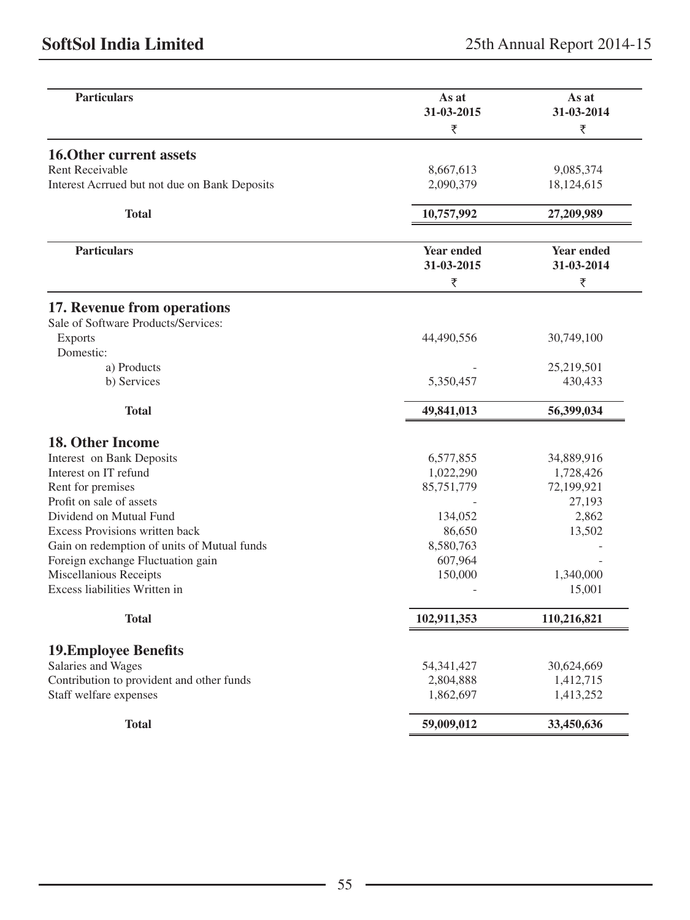| <b>Particulars</b>                                                  | As at                  | As at                  |
|---------------------------------------------------------------------|------------------------|------------------------|
|                                                                     | 31-03-2015             | 31-03-2014             |
|                                                                     | ₹                      | ₹                      |
| 16.0ther current assets                                             |                        |                        |
| <b>Rent Receivable</b>                                              | 8,667,613              | 9,085,374              |
| Interest Acrrued but not due on Bank Deposits                       | 2,090,379              | 18,124,615             |
| <b>Total</b>                                                        | 10,757,992             | 27,209,989             |
|                                                                     |                        |                        |
| <b>Particulars</b>                                                  | <b>Year ended</b>      | <b>Year ended</b>      |
|                                                                     | 31-03-2015             | 31-03-2014             |
|                                                                     | ₹                      | ₹                      |
| 17. Revenue from operations                                         |                        |                        |
| Sale of Software Products/Services:                                 |                        |                        |
| Exports                                                             | 44,490,556             | 30,749,100             |
| Domestic:                                                           |                        |                        |
| a) Products                                                         |                        | 25,219,501             |
| b) Services                                                         | 5,350,457              | 430,433                |
| <b>Total</b>                                                        | 49,841,013             | 56,399,034             |
| 18. Other Income                                                    |                        |                        |
| Interest on Bank Deposits                                           | 6,577,855              | 34,889,916             |
| Interest on IT refund                                               | 1,022,290              | 1,728,426              |
| Rent for premises                                                   | 85,751,779             | 72,199,921             |
| Profit on sale of assets                                            |                        | 27,193                 |
| Dividend on Mutual Fund                                             | 134,052                | 2,862                  |
| Excess Provisions written back                                      | 86,650                 | 13,502                 |
| Gain on redemption of units of Mutual funds                         | 8,580,763              |                        |
| Foreign exchange Fluctuation gain                                   | 607,964                |                        |
| Miscellanious Receipts                                              | 150,000                | 1,340,000              |
| Excess liabilities Written in                                       |                        | 15,001                 |
| <b>Total</b>                                                        | 102,911,353            | 110,216,821            |
| <b>19. Employee Benefits</b>                                        |                        |                        |
|                                                                     | 54, 341, 427           | 30,624,669             |
|                                                                     |                        |                        |
| Salaries and Wages                                                  |                        |                        |
| Contribution to provident and other funds<br>Staff welfare expenses | 2,804,888<br>1,862,697 | 1,412,715<br>1,413,252 |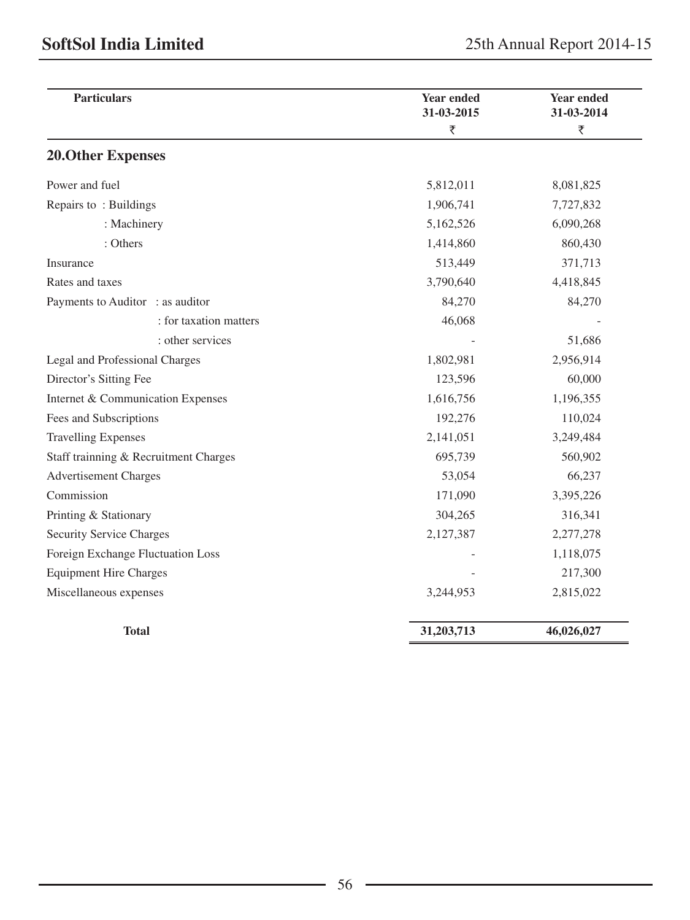| <b>Particulars</b>                    | <b>Year ended</b><br>31-03-2015 | <b>Year ended</b><br>31-03-2014 |
|---------------------------------------|---------------------------------|---------------------------------|
|                                       | ₹                               | ₹                               |
| <b>20.Other Expenses</b>              |                                 |                                 |
| Power and fuel                        | 5,812,011                       | 8,081,825                       |
| Repairs to: Buildings                 | 1,906,741                       | 7,727,832                       |
| : Machinery                           | 5,162,526                       | 6,090,268                       |
| : Others                              | 1,414,860                       | 860,430                         |
| Insurance                             | 513,449                         | 371,713                         |
| Rates and taxes                       | 3,790,640                       | 4,418,845                       |
| Payments to Auditor : as auditor      | 84,270                          | 84,270                          |
| : for taxation matters                | 46,068                          |                                 |
| : other services                      |                                 | 51,686                          |
| Legal and Professional Charges        | 1,802,981                       | 2,956,914                       |
| Director's Sitting Fee                | 123,596                         | 60,000                          |
| Internet & Communication Expenses     | 1,616,756                       | 1,196,355                       |
| Fees and Subscriptions                | 192,276                         | 110,024                         |
| <b>Travelling Expenses</b>            | 2,141,051                       | 3,249,484                       |
| Staff trainning & Recruitment Charges | 695,739                         | 560,902                         |
| <b>Advertisement Charges</b>          | 53,054                          | 66,237                          |
| Commission                            | 171,090                         | 3,395,226                       |
| Printing & Stationary                 | 304,265                         | 316,341                         |
| Security Service Charges              | 2,127,387                       | 2,277,278                       |
| Foreign Exchange Fluctuation Loss     |                                 | 1,118,075                       |
| <b>Equipment Hire Charges</b>         |                                 | 217,300                         |
| Miscellaneous expenses                | 3,244,953                       | 2,815,022                       |
| <b>Total</b>                          | 31,203,713                      | 46,026,027                      |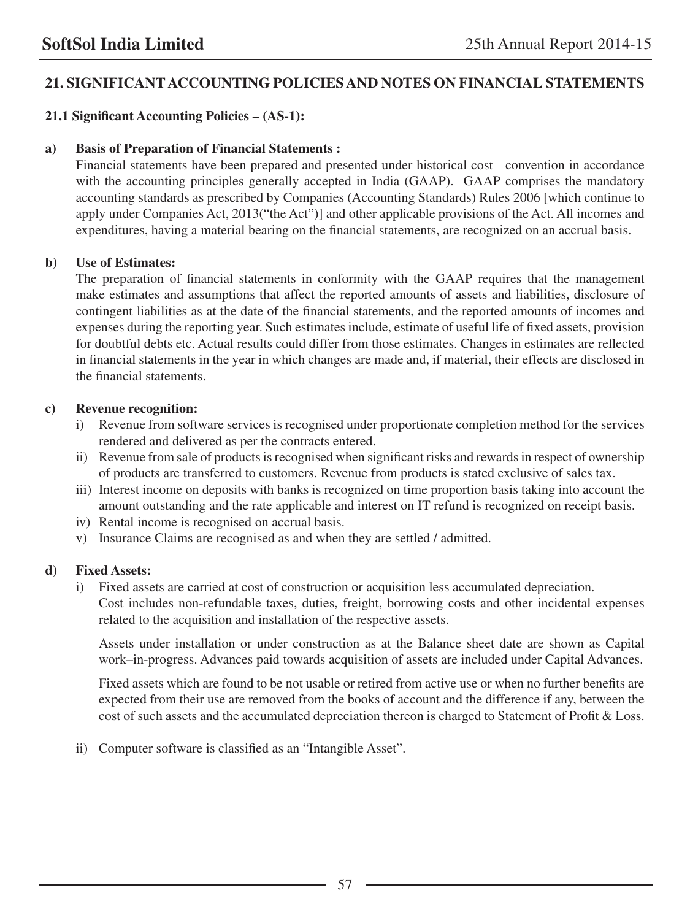## **21. SIGNIFICANT ACCOUNTING POLICIES AND NOTES ON FINANCIAL STATEMENTS**

### **21.1 Significant Accounting Policies – (AS-1):**

#### **a) Basis of Preparation of Financial Statements :**

Financial statements have been prepared and presented under historical cost convention in accordance with the accounting principles generally accepted in India (GAAP). GAAP comprises the mandatory accounting standards as prescribed by Companies (Accounting Standards) Rules 2006 [which continue to apply under Companies Act, 2013("the Act")] and other applicable provisions of the Act. All incomes and expenditures, having a material bearing on the financial statements, are recognized on an accrual basis.

#### **b) Use of Estimates:**

The preparation of financial statements in conformity with the GAAP requires that the management make estimates and assumptions that affect the reported amounts of assets and liabilities, disclosure of contingent liabilities as at the date of the financial statements, and the reported amounts of incomes and expenses during the reporting year. Such estimates include, estimate of useful life of fixed assets, provision for doubtful debts etc. Actual results could differ from those estimates. Changes in estimates are reflected in financial statements in the year in which changes are made and, if material, their effects are disclosed in the financial statements.

#### **c) Revenue recognition:**

- i) Revenue from software services is recognised under proportionate completion method for the services rendered and delivered as per the contracts entered.
- ii) Revenue from sale of products is recognised when significant risks and rewards in respect of ownership of products are transferred to customers. Revenue from products is stated exclusive of sales tax.
- iii) Interest income on deposits with banks is recognized on time proportion basis taking into account the amount outstanding and the rate applicable and interest on IT refund is recognized on receipt basis.
- iv) Rental income is recognised on accrual basis.
- v) Insurance Claims are recognised as and when they are settled / admitted.

#### **d) Fixed Assets:**

i) Fixed assets are carried at cost of construction or acquisition less accumulated depreciation. Cost includes non-refundable taxes, duties, freight, borrowing costs and other incidental expenses related to the acquisition and installation of the respective assets.

 Assets under installation or under construction as at the Balance sheet date are shown as Capital work–in-progress. Advances paid towards acquisition of assets are included under Capital Advances.

 Fixed assets which are found to be not usable or retired from active use or when no further benefits are expected from their use are removed from the books of account and the difference if any, between the cost of such assets and the accumulated depreciation thereon is charged to Statement of Profit & Loss.

ii) Computer software is classified as an "Intangible Asset".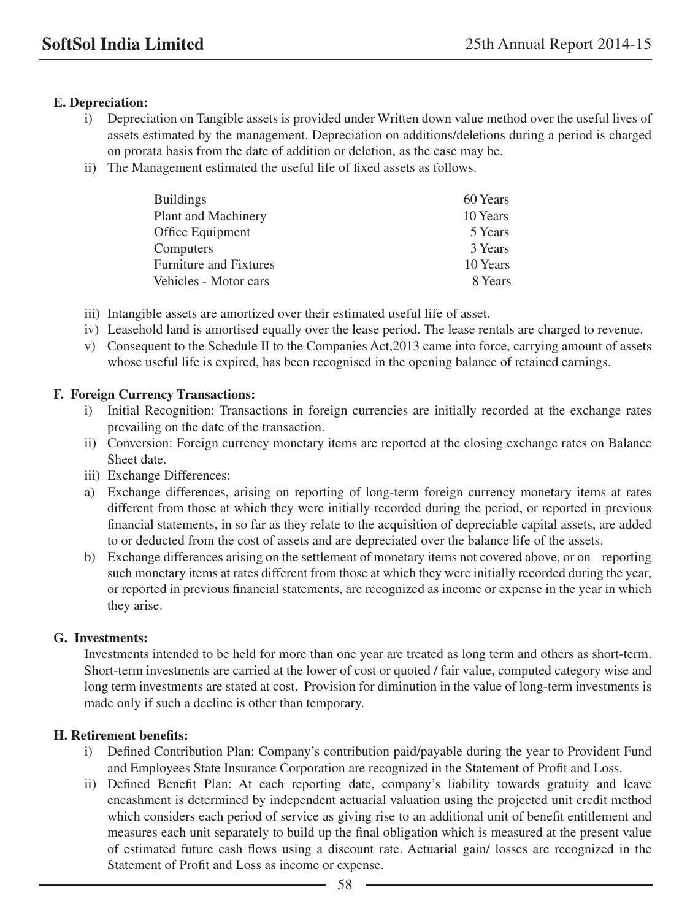#### **E. Depreciation:**

- i) Depreciation on Tangible assets is provided under Written down value method over the useful lives of assets estimated by the management. Depreciation on additions/deletions during a period is charged on prorata basis from the date of addition or deletion, as the case may be.
- ii) The Management estimated the useful life of fixed assets as follows.

| <b>Buildings</b>              | 60 Years |
|-------------------------------|----------|
| Plant and Machinery           | 10 Years |
| Office Equipment              | 5 Years  |
| Computers                     | 3 Years  |
| <b>Furniture and Fixtures</b> | 10 Years |
| Vehicles - Motor cars         | 8 Years  |

- iii) Intangible assets are amortized over their estimated useful life of asset.
- iv) Leasehold land is amortised equally over the lease period. The lease rentals are charged to revenue.
- v) Consequent to the Schedule II to the Companies Act,2013 came into force, carrying amount of assets whose useful life is expired, has been recognised in the opening balance of retained earnings.

#### **F. Foreign Currency Transactions:**

- i) Initial Recognition: Transactions in foreign currencies are initially recorded at the exchange rates prevailing on the date of the transaction.
- ii) Conversion: Foreign currency monetary items are reported at the closing exchange rates on Balance Sheet date.
- iii) Exchange Differences:
- a) Exchange differences, arising on reporting of long-term foreign currency monetary items at rates different from those at which they were initially recorded during the period, or reported in previous financial statements, in so far as they relate to the acquisition of depreciable capital assets, are added to or deducted from the cost of assets and are depreciated over the balance life of the assets.
- b) Exchange differences arising on the settlement of monetary items not covered above, or on reporting such monetary items at rates different from those at which they were initially recorded during the year, or reported in previous financial statements, are recognized as income or expense in the year in which they arise.

#### **G. Investments:**

Investments intended to be held for more than one year are treated as long term and others as short-term. Short-term investments are carried at the lower of cost or quoted / fair value, computed category wise and long term investments are stated at cost. Provision for diminution in the value of long-term investments is made only if such a decline is other than temporary.

#### **H. Retirement benefits:**

- i) Defined Contribution Plan: Company's contribution paid/payable during the year to Provident Fund and Employees State Insurance Corporation are recognized in the Statement of Profit and Loss.
- ii) Defined Benefit Plan: At each reporting date, company's liability towards gratuity and leave encashment is determined by independent actuarial valuation using the projected unit credit method which considers each period of service as giving rise to an additional unit of benefit entitlement and measures each unit separately to build up the final obligation which is measured at the present value of estimated future cash flows using a discount rate. Actuarial gain/ losses are recognized in the Statement of Profit and Loss as income or expense.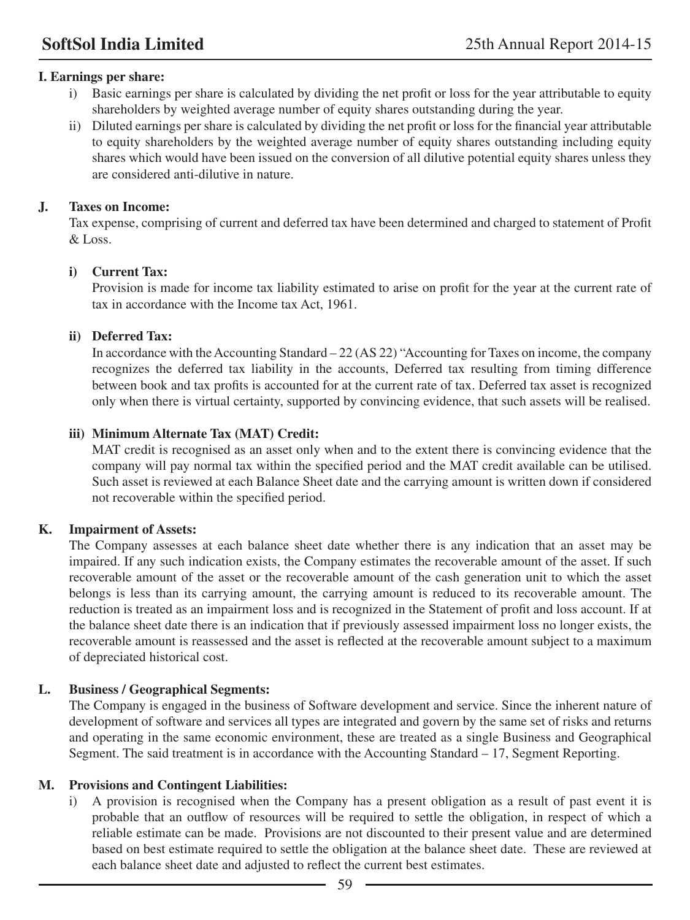#### **I. Earnings per share:**

- i) Basic earnings per share is calculated by dividing the net profit or loss for the year attributable to equity shareholders by weighted average number of equity shares outstanding during the year.
- ii) Diluted earnings per share is calculated by dividing the net profit or loss for the financial year attributable to equity shareholders by the weighted average number of equity shares outstanding including equity shares which would have been issued on the conversion of all dilutive potential equity shares unless they are considered anti-dilutive in nature.

#### **J. Taxes on Income:**

Tax expense, comprising of current and deferred tax have been determined and charged to statement of Profit  $&$  Loss.

#### **i) Current Tax:**

 Provision is made for income tax liability estimated to arise on profit for the year at the current rate of tax in accordance with the Income tax Act, 1961.

#### **ii) Deferred Tax:**

 In accordance with the Accounting Standard – 22 (AS 22) "Accounting for Taxes on income, the company recognizes the deferred tax liability in the accounts, Deferred tax resulting from timing difference between book and tax profits is accounted for at the current rate of tax. Deferred tax asset is recognized only when there is virtual certainty, supported by convincing evidence, that such assets will be realised.

#### **iii) Minimum Alternate Tax (MAT) Credit:**

 MAT credit is recognised as an asset only when and to the extent there is convincing evidence that the company will pay normal tax within the specified period and the MAT credit available can be utilised. Such asset is reviewed at each Balance Sheet date and the carrying amount is written down if considered not recoverable within the specified period.

#### **K. Impairment of Assets:**

The Company assesses at each balance sheet date whether there is any indication that an asset may be impaired. If any such indication exists, the Company estimates the recoverable amount of the asset. If such recoverable amount of the asset or the recoverable amount of the cash generation unit to which the asset belongs is less than its carrying amount, the carrying amount is reduced to its recoverable amount. The reduction is treated as an impairment loss and is recognized in the Statement of profit and loss account. If at the balance sheet date there is an indication that if previously assessed impairment loss no longer exists, the recoverable amount is reassessed and the asset is reflected at the recoverable amount subject to a maximum of depreciated historical cost.

#### **L. Business / Geographical Segments:**

The Company is engaged in the business of Software development and service. Since the inherent nature of development of software and services all types are integrated and govern by the same set of risks and returns and operating in the same economic environment, these are treated as a single Business and Geographical Segment. The said treatment is in accordance with the Accounting Standard – 17, Segment Reporting.

#### **M. Provisions and Contingent Liabilities:**

i) A provision is recognised when the Company has a present obligation as a result of past event it is probable that an outflow of resources will be required to settle the obligation, in respect of which a reliable estimate can be made. Provisions are not discounted to their present value and are determined based on best estimate required to settle the obligation at the balance sheet date. These are reviewed at each balance sheet date and adjusted to reflect the current best estimates.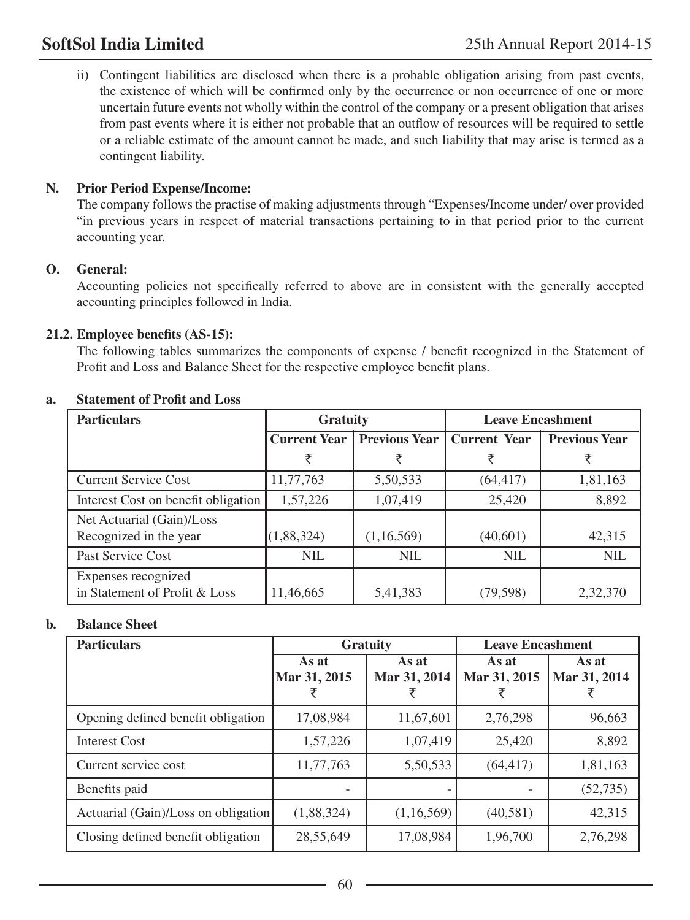ii) Contingent liabilities are disclosed when there is a probable obligation arising from past events, the existence of which will be confirmed only by the occurrence or non occurrence of one or more uncertain future events not wholly within the control of the company or a present obligation that arises from past events where it is either not probable that an outflow of resources will be required to settle or a reliable estimate of the amount cannot be made, and such liability that may arise is termed as a contingent liability.

#### **N. Prior Period Expense/Income:**

The company follows the practise of making adjustments through "Expenses/Income under/ over provided "in previous years in respect of material transactions pertaining to in that period prior to the current accounting year.

#### **O. General:**

Accounting policies not specifically referred to above are in consistent with the generally accepted accounting principles followed in India.

#### **21.2. Employee benefits (AS-15):**

The following tables summarizes the components of expense / benefit recognized in the Statement of Profit and Loss and Balance Sheet for the respective employee benefit plans.

| <b>Statement of Profit and Loss</b><br><b>a.</b> |
|--------------------------------------------------|
|--------------------------------------------------|

| <b>Particulars</b>                                   | <b>Gratuity</b>     |                      | <b>Leave Encashment</b> |                      |
|------------------------------------------------------|---------------------|----------------------|-------------------------|----------------------|
|                                                      | <b>Current Year</b> | <b>Previous Year</b> | <b>Current Year</b>     | <b>Previous Year</b> |
|                                                      |                     |                      |                         |                      |
| <b>Current Service Cost</b>                          | 11,77,763           | 5,50,533             | (64, 417)               | 1,81,163             |
| Interest Cost on benefit obligation                  | 1,57,226            | 1,07,419             | 25,420                  | 8,892                |
| Net Actuarial (Gain)/Loss<br>Recognized in the year  | (1,88,324)          | (1,16,569)           | (40,601)                | 42,315               |
| Past Service Cost                                    | <b>NIL</b>          | <b>NIL</b>           | <b>NIL</b>              | <b>NIL</b>           |
| Expenses recognized<br>in Statement of Profit & Loss | 11,46,665           | 5,41,383             | (79, 598)               | 2,32,370             |

#### **b. Balance Sheet**

| <b>Particulars</b>                  | <b>Gratuity</b>       |                       | <b>Leave Encashment</b> |                       |
|-------------------------------------|-----------------------|-----------------------|-------------------------|-----------------------|
|                                     | As at<br>Mar 31, 2015 | As at<br>Mar 31, 2014 | As at<br>Mar 31, 2015   | As at<br>Mar 31, 2014 |
| Opening defined benefit obligation  | 17,08,984             | 11,67,601             | 2,76,298                | 96,663                |
| Interest Cost                       | 1,57,226              | 1,07,419              | 25,420                  | 8,892                 |
| Current service cost                | 11,77,763             | 5,50,533              | (64, 417)               | 1,81,163              |
| Benefits paid                       |                       |                       |                         | (52, 735)             |
| Actuarial (Gain)/Loss on obligation | (1,88,324)            | (1,16,569)            | (40,581)                | 42,315                |
| Closing defined benefit obligation  | 28,55,649             | 17,08,984             | 1,96,700                | 2,76,298              |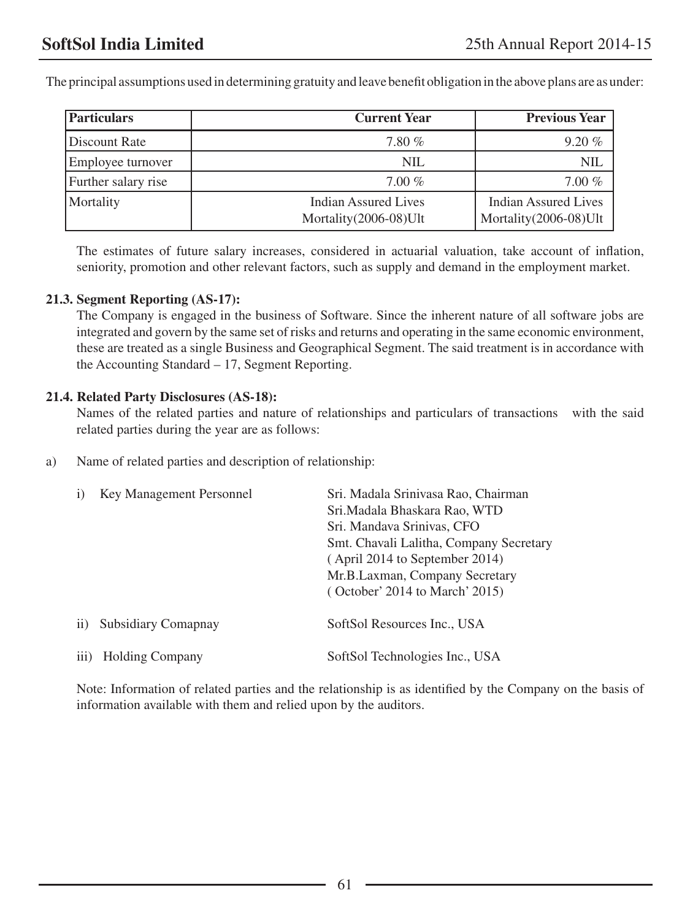The principal assumptions used in determining gratuity and leave benefit obligation in the above plans are as under:

| <b>Particulars</b>  | <b>Current Year</b>                                      | <b>Previous Year</b>                                 |
|---------------------|----------------------------------------------------------|------------------------------------------------------|
| Discount Rate       | $7.80\%$                                                 | $9.20\%$                                             |
| Employee turnover   | <b>NIL</b>                                               | <b>NIL</b>                                           |
| Further salary rise | $7.00\%$                                                 | $7.00\%$                                             |
| Mortality           | <b>Indian Assured Lives</b><br>Mortality $(2006-08)$ Ult | <b>Indian Assured Lives</b><br>Mortality(2006-08)Ult |

The estimates of future salary increases, considered in actuarial valuation, take account of inflation, seniority, promotion and other relevant factors, such as supply and demand in the employment market.

#### **21.3. Segment Reporting (AS-17):**

The Company is engaged in the business of Software. Since the inherent nature of all software jobs are integrated and govern by the same set of risks and returns and operating in the same economic environment, these are treated as a single Business and Geographical Segment. The said treatment is in accordance with the Accounting Standard – 17, Segment Reporting.

#### **21.4. Related Party Disclosures (AS-18):**

Names of the related parties and nature of relationships and particulars of transactions with the said related parties during the year are as follows:

a) Name of related parties and description of relationship:

|      | Key Management Personnel | Sri. Madala Srinivasa Rao, Chairman<br>Sri. Madala Bhaskara Rao, WTD<br>Sri. Mandava Srinivas, CFO<br>Smt. Chavali Lalitha, Company Secretary<br>(April 2014 to September 2014)<br>Mr.B.Laxman, Company Secretary |
|------|--------------------------|-------------------------------------------------------------------------------------------------------------------------------------------------------------------------------------------------------------------|
| 11)  | Subsidiary Comapnay      | $($ October' 2014 to March' 2015)<br>SoftSol Resources Inc., USA                                                                                                                                                  |
| 111) | <b>Holding Company</b>   | SoftSol Technologies Inc., USA                                                                                                                                                                                    |

Note: Information of related parties and the relationship is as identified by the Company on the basis of information available with them and relied upon by the auditors.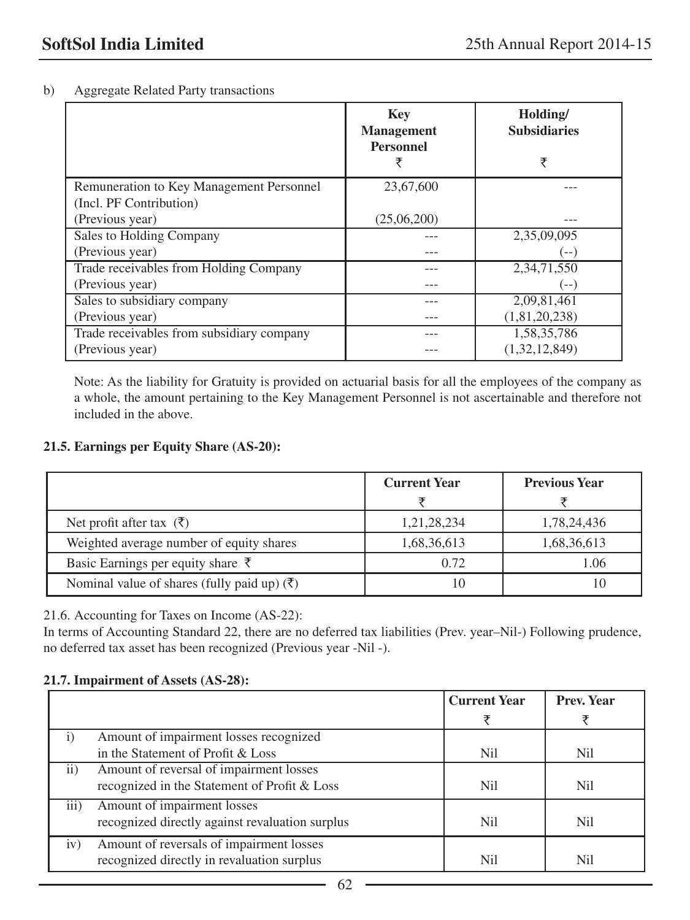#### b) Aggregate Related Party transactions

|                                           | <b>Key</b><br><b>Management</b><br><b>Personnel</b> | Holding/<br><b>Subsidiaries</b><br>₹ |
|-------------------------------------------|-----------------------------------------------------|--------------------------------------|
| Remuneration to Key Management Personnel  | 23,67,600                                           |                                      |
| (Incl. PF Contribution)                   |                                                     |                                      |
| (Previous year)                           | (25,06,200)                                         |                                      |
| Sales to Holding Company                  |                                                     | 2,35,09,095                          |
| (Previous year)                           |                                                     | (--)                                 |
| Trade receivables from Holding Company    |                                                     | 2,34,71,550                          |
| (Previous year)                           |                                                     | $(--)$                               |
| Sales to subsidiary company               |                                                     | 2,09,81,461                          |
| (Previous year)                           |                                                     | (1,81,20,238)                        |
| Trade receivables from subsidiary company |                                                     | 1,58,35,786                          |
| (Previous year)                           |                                                     | (1,32,12,849)                        |

Note: As the liability for Gratuity is provided on actuarial basis for all the employees of the company as a whole, the amount pertaining to the Key Management Personnel is not ascertainable and therefore not included in the above.

#### **21.5. Earnings per Equity Share (AS-20):**

|                                                                | <b>Current Year</b> | <b>Previous Year</b> |
|----------------------------------------------------------------|---------------------|----------------------|
|                                                                |                     |                      |
| Net profit after tax $(\bar{\zeta})$                           | 1, 21, 28, 234      | 1,78,24,436          |
| Weighted average number of equity shares                       | 1,68,36,613         | 1,68,36,613          |
| Basic Earnings per equity share ₹                              | 0.72                | 1.06                 |
| Nominal value of shares (fully paid up) $(\bar{\mathbf{\xi}})$ | 10                  |                      |

21.6. Accounting for Taxes on Income (AS-22):

In terms of Accounting Standard 22, there are no deferred tax liabilities (Prev. year–Nil-) Following prudence, no deferred tax asset has been recognized (Previous year -Nil -).

#### **21.7. Impairment of Assets (AS-28):**

|                   |                                                 | <b>Current Year</b> | <b>Prev. Year</b> |
|-------------------|-------------------------------------------------|---------------------|-------------------|
|                   |                                                 |                     |                   |
| $\mathbf{i}$      | Amount of impairment losses recognized          |                     |                   |
|                   | in the Statement of Profit & Loss               | Nil                 | Nil               |
| $\overline{11}$ ) | Amount of reversal of impairment losses         |                     |                   |
|                   | recognized in the Statement of Profit & Loss    | N <sub>il</sub>     | <b>Nil</b>        |
| $\overline{111}$  | Amount of impairment losses                     |                     |                   |
|                   | recognized directly against revaluation surplus | N <sub>il</sub>     | <b>Nil</b>        |
| iv)               | Amount of reversals of impairment losses        |                     |                   |
|                   | recognized directly in revaluation surplus      | N <sub>il</sub>     | Nil               |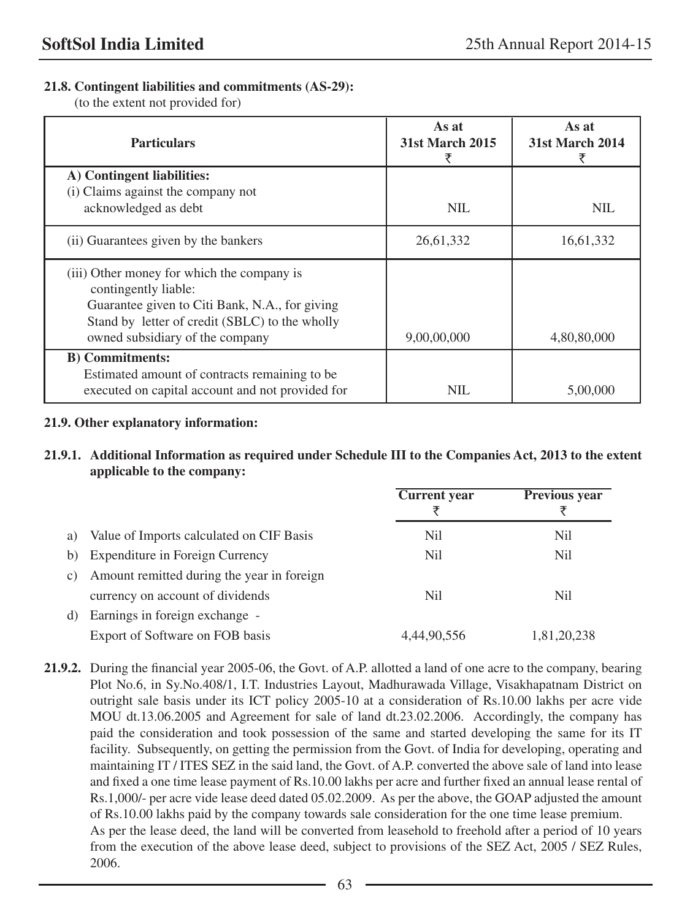#### **21.8. Contingent liabilities and commitments (AS-29):**

(to the extent not provided for)

| <b>Particulars</b>                                                                                                                                                                                        | As at<br>31st March 2015 | As at<br><b>31st March 2014</b> |
|-----------------------------------------------------------------------------------------------------------------------------------------------------------------------------------------------------------|--------------------------|---------------------------------|
| A) Contingent liabilities:<br>(i) Claims against the company not<br>acknowledged as debt                                                                                                                  | <b>NIL</b>               | <b>NIL</b>                      |
| (ii) Guarantees given by the bankers                                                                                                                                                                      | 26,61,332                | 16,61,332                       |
| (iii) Other money for which the company is<br>contingently liable:<br>Guarantee given to Citi Bank, N.A., for giving<br>Stand by letter of credit (SBLC) to the wholly<br>owned subsidiary of the company | 9,00,00,000              | 4,80,80,000                     |
| <b>B</b> ) Commitments:<br>Estimated amount of contracts remaining to be.<br>executed on capital account and not provided for                                                                             | <b>NIL</b>               | 5,00,000                        |

#### **21.9. Other explanatory information:**

#### **21.9.1. Additional Information as required under Schedule III to the Companies Act, 2013 to the extent applicable to the company:**

|    |                                            | <b>Current</b> year<br>₹ | <b>Previous year</b> |
|----|--------------------------------------------|--------------------------|----------------------|
| a) | Value of Imports calculated on CIF Basis   | Nil                      | Nil                  |
| b) | Expenditure in Foreign Currency            | <b>Nil</b>               | Nil                  |
| C) | Amount remitted during the year in foreign |                          |                      |
|    | currency on account of dividends           | <b>Nil</b>               | Nil                  |
| d) | Earnings in foreign exchange -             |                          |                      |
|    | Export of Software on FOB basis            | 4,44,90,556              | 1,81,20,238          |

**21.9.2.** During the financial year 2005-06, the Govt. of A.P. allotted a land of one acre to the company, bearing Plot No.6, in Sy.No.408/1, I.T. Industries Layout, Madhurawada Village, Visakhapatnam District on outright sale basis under its ICT policy 2005-10 at a consideration of Rs.10.00 lakhs per acre vide MOU dt.13.06.2005 and Agreement for sale of land dt.23.02.2006. Accordingly, the company has paid the consideration and took possession of the same and started developing the same for its IT facility. Subsequently, on getting the permission from the Govt. of India for developing, operating and maintaining IT / ITES SEZ in the said land, the Govt. of A.P. converted the above sale of land into lease and fixed a one time lease payment of Rs.10.00 lakhs per acre and further fixed an annual lease rental of Rs.1,000/- per acre vide lease deed dated 05.02.2009. As per the above, the GOAP adjusted the amount of Rs.10.00 lakhs paid by the company towards sale consideration for the one time lease premium. As per the lease deed, the land will be converted from leasehold to freehold after a period of 10 years from the execution of the above lease deed, subject to provisions of the SEZ Act, 2005 / SEZ Rules, 2006.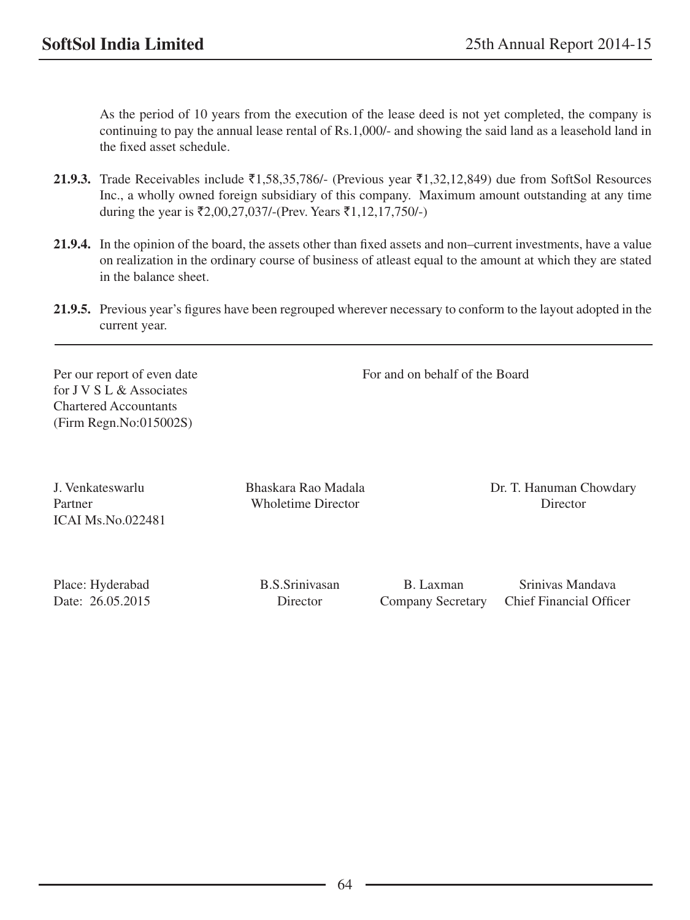As the period of 10 years from the execution of the lease deed is not yet completed, the company is continuing to pay the annual lease rental of Rs.1,000/- and showing the said land as a leasehold land in the fixed asset schedule.

- **21.9.3.** Trade Receivables include  $\bar{\tau}$ 1,58,35,786/- (Previous year  $\bar{\tau}$ 1,32,12,849) due from SoftSol Resources Inc., a wholly owned foreign subsidiary of this company. Maximum amount outstanding at any time during the year is  $\bar{\tau}$ 2,00,27,037/-(Prev. Years  $\bar{\tau}$ 1,12,17,750/-)
- **21.9.4.** In the opinion of the board, the assets other than fixed assets and non–current investments, have a value on realization in the ordinary course of business of atleast equal to the amount at which they are stated in the balance sheet.
- **21.9.5.** Previous year's figures have been regrouped wherever necessary to conform to the layout adopted in the current year.

for J V S L & Associates Chartered Accountants (Firm Regn.No:015002S)

Per our report of even date For and on behalf of the Board

ICAI Ms.No.022481

Partner Wholetime Director Director Director

J. Venkateswarlu Bhaskara Rao Madala Dr. T. Hanuman Chowdary

Place: Hyderabad B.S.S.Srinivasan B. Laxman Srinivas Mandava Date: 26.05.2015 Director Company Secretary Chief Financial Officer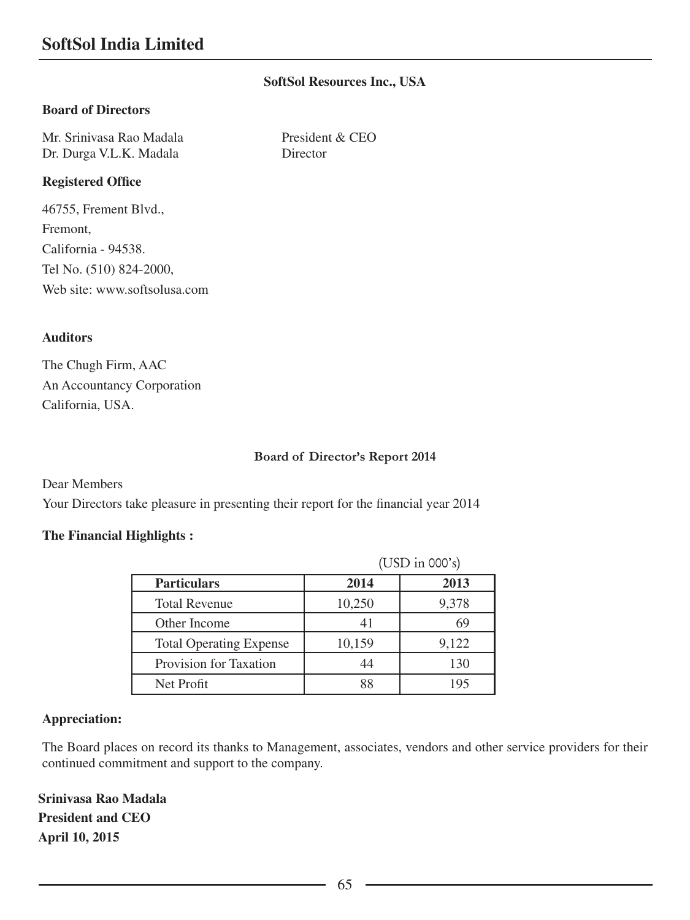#### **SoftSol Resources Inc., USA**

#### **Board of Directors**

Mr. Srinivasa Rao Madala President & CEO Dr. Durga V.L.K. Madala Director

#### **Registered Office**

46755, Frement Blvd., Fremont, California - 94538. Tel No. (510) 824-2000, Web site: www.softsolusa.com

#### **Auditors**

The Chugh Firm, AAC An Accountancy Corporation California, USA.

#### **Board of Director's Report 2014**

Dear Members

Your Directors take pleasure in presenting their report for the financial year 2014

#### **The Financial Highlights :**

|                                | (USD in 000's) |       |  |
|--------------------------------|----------------|-------|--|
| <b>Particulars</b>             | 2014           | 2013  |  |
| <b>Total Revenue</b>           | 10,250         | 9,378 |  |
| Other Income                   | 41             | 69    |  |
| <b>Total Operating Expense</b> | 10,159         | 9.122 |  |
| Provision for Taxation         | 44             | 130   |  |
| Net Profit                     | 88             | 195   |  |

#### **Appreciation:**

The Board places on record its thanks to Management, associates, vendors and other service providers for their continued commitment and support to the company.

**Srinivasa Rao Madala President and CEO April 10, 2015**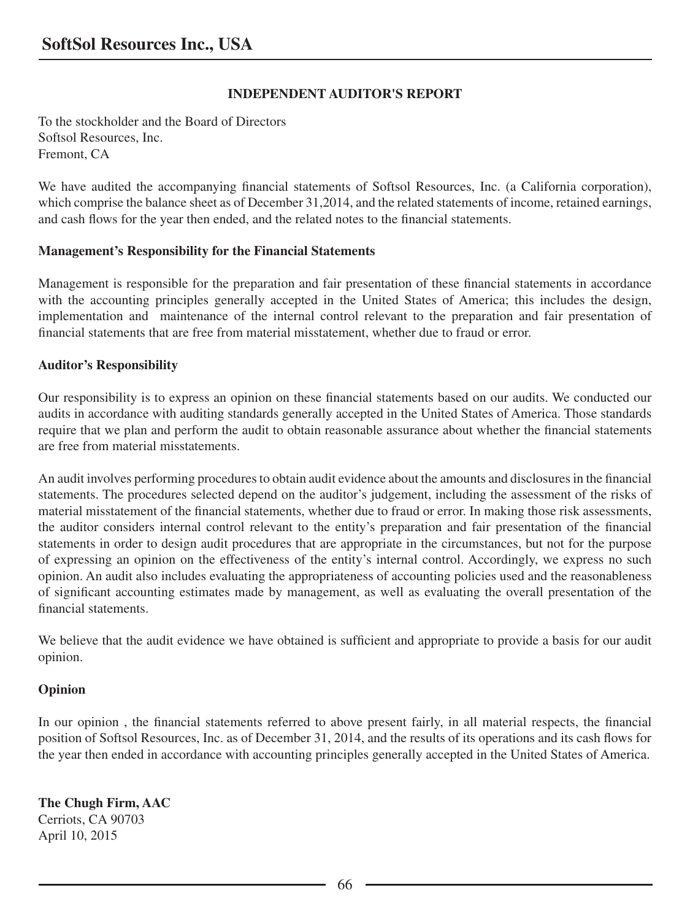#### **INDEPENDENT AUDITOR'S REPORT**

To the stockholder and the Board of Directors Softsol Resources, Inc. Fremont, CA

We have audited the accompanying financial statements of Softsol Resources, Inc. (a California corporation), which comprise the balance sheet as of December 31,2014, and the related statements of income, retained earnings, and cash flows for the year then ended, and the related notes to the financial statements.

#### **Management's Responsibility for the Financial Statements**

Management is responsible for the preparation and fair presentation of these financial statements in accordance with the accounting principles generally accepted in the United States of America; this includes the design, implementation and maintenance of the internal control relevant to the preparation and fair presentation of financial statements that are free from material misstatement, whether due to fraud or error.

#### **Auditor's Responsibility**

Our responsibility is to express an opinion on these financial statements based on our audits. We conducted our audits in accordance with auditing standards generally accepted in the United States of America. Those standards require that we plan and perform the audit to obtain reasonable assurance about whether the financial statements are free from material misstatements.

An audit involves performing procedures to obtain audit evidence about the amounts and disclosures in the financial statements. The procedures selected depend on the auditor's judgement, including the assessment of the risks of material misstatement of the financial statements, whether due to fraud or error. In making those risk assessments, the auditor considers internal control relevant to the entity's preparation and fair presentation of the financial statements in order to design audit procedures that are appropriate in the circumstances, but not for the purpose of expressing an opinion on the effectiveness of the entity's internal control. Accordingly, we express no such opinion. An audit also includes evaluating the appropriateness of accounting policies used and the reasonableness of significant accounting estimates made by management, as well as evaluating the overall presentation of the financial statements.

We believe that the audit evidence we have obtained is sufficient and appropriate to provide a basis for our audit opinion.

#### **Opinion**

In our opinion , the financial statements referred to above present fairly, in all material respects, the financial position of Softsol Resources, Inc. as of December 31, 2014, and the results of its operations and its cash flows for the year then ended in accordance with accounting principles generally accepted in the United States of America.

**The Chugh Firm, AAC** Cerriots, CA 90703 April 10, 2015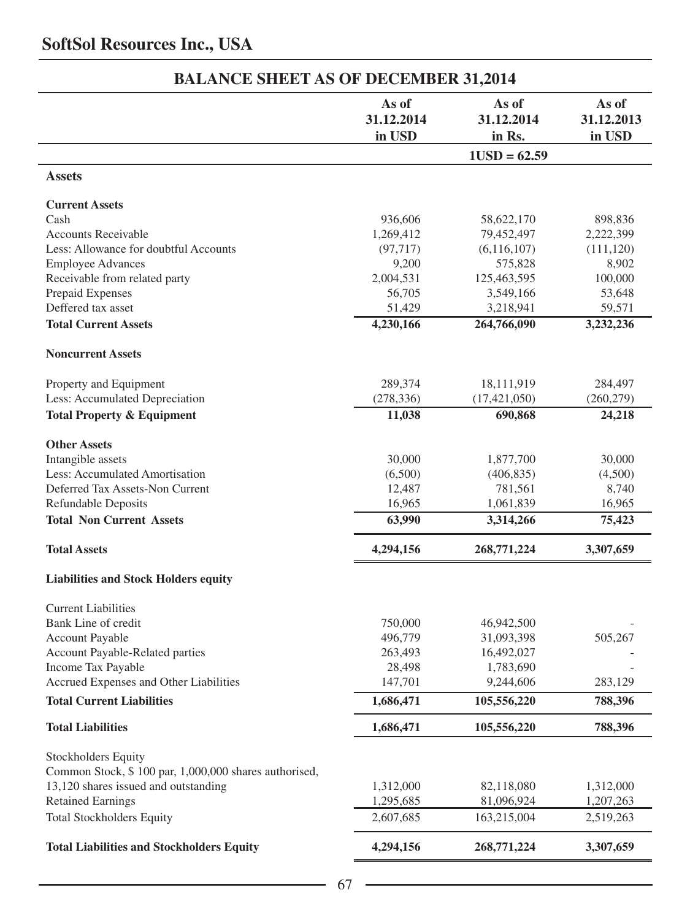## **SoftSol Resources Inc., USA**

|                                                       | As of<br>31.12.2014<br>in USD | As of<br>31.12.2014<br>in Rs. | As of<br>31.12.2013<br>in USD |
|-------------------------------------------------------|-------------------------------|-------------------------------|-------------------------------|
|                                                       |                               | $1USD = 62.59$                |                               |
| <b>Assets</b>                                         |                               |                               |                               |
| <b>Current Assets</b>                                 |                               |                               |                               |
| Cash                                                  | 936,606                       | 58,622,170                    | 898,836                       |
| <b>Accounts Receivable</b>                            | 1,269,412                     | 79,452,497                    | 2,222,399                     |
| Less: Allowance for doubtful Accounts                 | (97, 717)                     | (6, 116, 107)                 | (111, 120)                    |
| <b>Employee Advances</b>                              | 9,200                         | 575,828                       | 8,902                         |
| Receivable from related party                         | 2,004,531                     | 125,463,595                   | 100,000                       |
| Prepaid Expenses                                      | 56,705                        | 3,549,166                     | 53,648                        |
| Deffered tax asset                                    | 51,429                        | 3,218,941                     | 59,571                        |
| <b>Total Current Assets</b>                           | 4,230,166                     | 264,766,090                   | 3,232,236                     |
| <b>Noncurrent Assets</b>                              |                               |                               |                               |
| Property and Equipment                                | 289,374                       | 18,111,919                    | 284,497                       |
| Less: Accumulated Depreciation                        | (278, 336)                    | (17, 421, 050)                | (260, 279)                    |
| <b>Total Property &amp; Equipment</b>                 | 11,038                        | 690,868                       | 24,218                        |
| <b>Other Assets</b>                                   |                               |                               |                               |
| Intangible assets                                     | 30,000                        | 1,877,700                     | 30,000                        |
| Less: Accumulated Amortisation                        | (6,500)                       | (406, 835)                    | (4,500)                       |
| Deferred Tax Assets-Non Current                       | 12,487                        | 781,561                       | 8,740                         |
| Refundable Deposits                                   | 16,965                        | 1,061,839                     | 16,965                        |
| <b>Total Non Current Assets</b>                       | 63,990                        | 3,314,266                     | 75,423                        |
| <b>Total Assets</b>                                   | 4,294,156                     | 268,771,224                   | 3,307,659                     |
| <b>Liabilities and Stock Holders equity</b>           |                               |                               |                               |
| <b>Current Liabilities</b>                            |                               |                               |                               |
| Bank Line of credit                                   | 750,000                       | 46,942,500                    |                               |
| Account Payable                                       | 496,779                       | 31,093,398                    | 505,267                       |
| Account Payable-Related parties                       | 263,493                       | 16,492,027                    |                               |
| Income Tax Payable                                    | 28,498                        | 1,783,690                     |                               |
| Accrued Expenses and Other Liabilities                | 147,701                       | 9,244,606                     | 283,129                       |
| <b>Total Current Liabilities</b>                      | 1,686,471                     | 105,556,220                   | 788,396                       |
| <b>Total Liabilities</b>                              | 1,686,471                     | 105,556,220                   | 788,396                       |
| <b>Stockholders Equity</b>                            |                               |                               |                               |
| Common Stock, \$100 par, 1,000,000 shares authorised, |                               |                               |                               |
| 13,120 shares issued and outstanding                  | 1,312,000                     | 82,118,080                    | 1,312,000                     |
| <b>Retained Earnings</b>                              | 1,295,685                     | 81,096,924                    | 1,207,263                     |
| <b>Total Stockholders Equity</b>                      | 2,607,685                     | 163,215,004                   | 2,519,263                     |
| <b>Total Liabilities and Stockholders Equity</b>      | 4,294,156                     | 268,771,224                   | 3,307,659                     |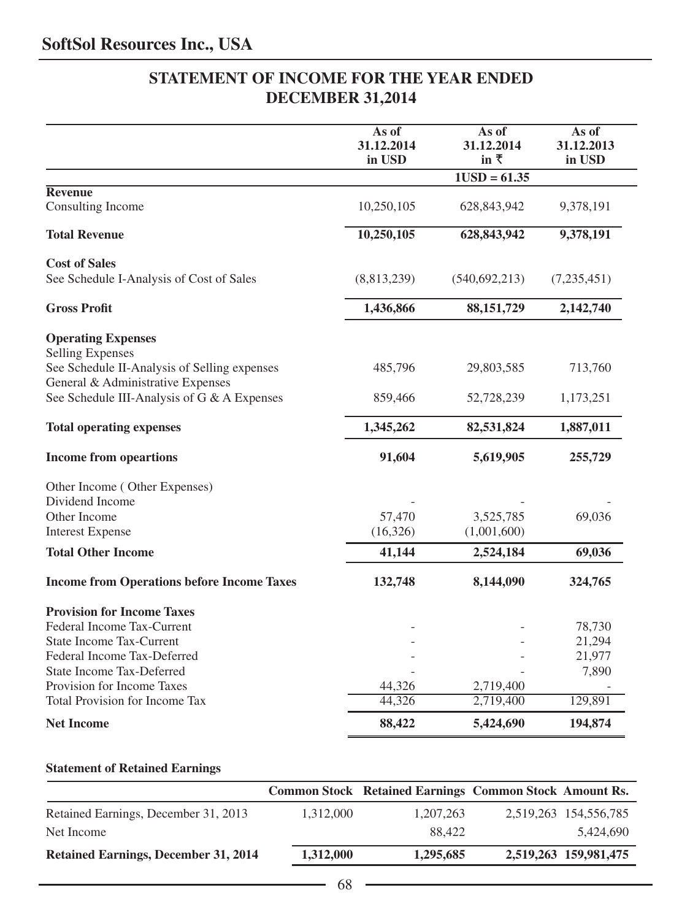## **STATEMENT OF INCOME FOR THE YEAR ENDED DECEMBER 31,2014**

|                                                   |                | in $\bar{\tau}$ | 31.12.2013<br>in USD |
|---------------------------------------------------|----------------|-----------------|----------------------|
|                                                   | $1USD = 61.35$ |                 |                      |
| <b>Revenue</b>                                    |                |                 |                      |
| Consulting Income                                 | 10,250,105     | 628,843,942     | 9,378,191            |
| <b>Total Revenue</b>                              | 10,250,105     | 628, 843, 942   | 9,378,191            |
| <b>Cost of Sales</b>                              |                |                 |                      |
| See Schedule I-Analysis of Cost of Sales          | (8,813,239)    | (540, 692, 213) | (7, 235, 451)        |
| <b>Gross Profit</b>                               | 1,436,866      | 88, 151, 729    | 2,142,740            |
| <b>Operating Expenses</b>                         |                |                 |                      |
| <b>Selling Expenses</b>                           |                |                 |                      |
| See Schedule II-Analysis of Selling expenses      | 485,796        | 29,803,585      | 713,760              |
| General & Administrative Expenses                 |                |                 |                      |
| See Schedule III-Analysis of G & A Expenses       | 859,466        | 52,728,239      | 1,173,251            |
| <b>Total operating expenses</b>                   | 1,345,262      | 82,531,824      | 1,887,011            |
| <b>Income from opeartions</b>                     | 91,604         | 5,619,905       | 255,729              |
| Other Income (Other Expenses)                     |                |                 |                      |
| Dividend Income                                   |                |                 |                      |
| Other Income                                      | 57,470         | 3,525,785       | 69,036               |
| <b>Interest Expense</b>                           | (16,326)       | (1,001,600)     |                      |
| <b>Total Other Income</b>                         | 41,144         | 2,524,184       | 69,036               |
| <b>Income from Operations before Income Taxes</b> | 132,748        | 8,144,090       | 324,765              |
| <b>Provision for Income Taxes</b>                 |                |                 |                      |
| Federal Income Tax-Current                        |                |                 | 78,730               |
| <b>State Income Tax-Current</b>                   |                |                 | 21,294               |
| Federal Income Tax-Deferred                       |                |                 | 21,977               |
| <b>State Income Tax-Deferred</b>                  |                |                 | 7,890                |
| Provision for Income Taxes                        | 44,326         | 2,719,400       |                      |
| Total Provision for Income Tax                    | 44,326         | 2,719,400       | 129,891              |
| <b>Net Income</b>                                 | 88,422         | 5,424,690       | 194,874              |

### **Statement of Retained Earnings**

|                                             |           |           | <b>Common Stock Retained Earnings Common Stock Amount Rs.</b> |
|---------------------------------------------|-----------|-----------|---------------------------------------------------------------|
| Retained Earnings, December 31, 2013        | 1.312,000 | 1.207.263 | 2,519,263 154,556,785                                         |
| Net Income                                  |           | 88.422    | 5.424,690                                                     |
| <b>Retained Earnings, December 31, 2014</b> | 1,312,000 | 1,295,685 | 2,519,263 159,981,475                                         |
|                                             |           |           |                                                               |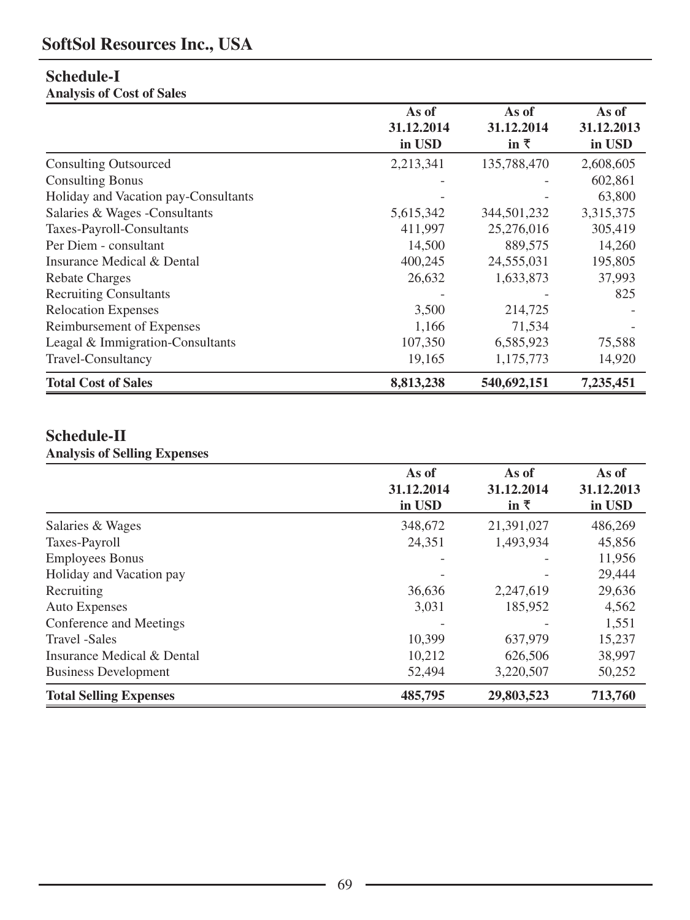## **SoftSol Resources Inc., USA**

## **Schedule-I**

**Analysis of Cost of Sales** 

|                                      | As of      | As of        | As of      |
|--------------------------------------|------------|--------------|------------|
|                                      | 31.12.2014 | 31.12.2014   | 31.12.2013 |
|                                      | in USD     | in $\bar{x}$ | in USD     |
| <b>Consulting Outsourced</b>         | 2,213,341  | 135,788,470  | 2,608,605  |
| <b>Consulting Bonus</b>              |            |              | 602,861    |
| Holiday and Vacation pay-Consultants |            |              | 63,800     |
| Salaries & Wages - Consultants       | 5,615,342  | 344,501,232  | 3,315,375  |
| Taxes-Payroll-Consultants            | 411,997    | 25,276,016   | 305,419    |
| Per Diem - consultant                | 14,500     | 889,575      | 14,260     |
| Insurance Medical & Dental           | 400,245    | 24,555,031   | 195,805    |
| <b>Rebate Charges</b>                | 26,632     | 1,633,873    | 37,993     |
| <b>Recruiting Consultants</b>        |            |              | 825        |
| <b>Relocation Expenses</b>           | 3,500      | 214,725      |            |
| Reimbursement of Expenses            | 1,166      | 71,534       |            |
| Leagal & Immigration-Consultants     | 107,350    | 6,585,923    | 75,588     |
| Travel-Consultancy                   | 19,165     | 1,175,773    | 14,920     |
| <b>Total Cost of Sales</b>           | 8,813,238  | 540,692,151  | 7,235,451  |

## **Schedule-II**

## **Analysis of Selling Expenses**

|                               | As of<br>31.12.2014 | As of<br>31.12.2014 | As of<br>31.12.2013 |
|-------------------------------|---------------------|---------------------|---------------------|
|                               | in USD              | in $\bar{\tau}$     | in USD              |
| Salaries & Wages              | 348,672             | 21,391,027          | 486,269             |
| Taxes-Payroll                 | 24,351              | 1,493,934           | 45,856              |
| <b>Employees Bonus</b>        |                     |                     | 11,956              |
| Holiday and Vacation pay      |                     |                     | 29,444              |
| Recruiting                    | 36,636              | 2,247,619           | 29,636              |
| <b>Auto Expenses</b>          | 3,031               | 185,952             | 4,562               |
| Conference and Meetings       |                     |                     | 1,551               |
| <b>Travel</b> -Sales          | 10.399              | 637,979             | 15,237              |
| Insurance Medical & Dental    | 10,212              | 626,506             | 38,997              |
| <b>Business Development</b>   | 52,494              | 3,220,507           | 50,252              |
| <b>Total Selling Expenses</b> | 485,795             | 29,803,523          | 713,760             |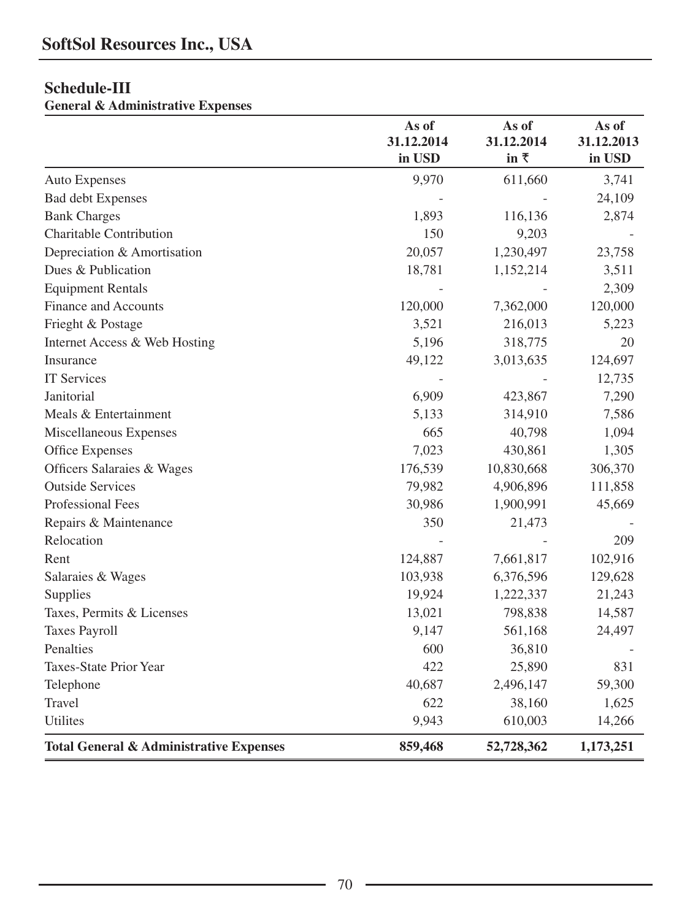## **Schedule-III**

**General & Administrative Expenses** 

|                                                    | As of<br>31.12.2014 | As of<br>31.12.2014 | As of<br>31.12.2013 |
|----------------------------------------------------|---------------------|---------------------|---------------------|
|                                                    | in USD              | in $\bar{\tau}$     | in USD              |
| Auto Expenses                                      | 9,970               | 611,660             | 3,741               |
| <b>Bad debt Expenses</b>                           |                     |                     | 24,109              |
| <b>Bank Charges</b>                                | 1,893               | 116,136             | 2,874               |
| Charitable Contribution                            | 150                 | 9,203               |                     |
| Depreciation & Amortisation                        | 20,057              | 1,230,497           | 23,758              |
| Dues & Publication                                 | 18,781              | 1,152,214           | 3,511               |
| <b>Equipment Rentals</b>                           |                     |                     | 2,309               |
| Finance and Accounts                               | 120,000             | 7,362,000           | 120,000             |
| Frieght & Postage                                  | 3,521               | 216,013             | 5,223               |
| Internet Access & Web Hosting                      | 5,196               | 318,775             | 20                  |
| Insurance                                          | 49,122              | 3,013,635           | 124,697             |
| <b>IT Services</b>                                 |                     |                     | 12,735              |
| Janitorial                                         | 6,909               | 423,867             | 7,290               |
| Meals & Entertainment                              | 5,133               | 314,910             | 7,586               |
| Miscellaneous Expenses                             | 665                 | 40,798              | 1,094               |
| Office Expenses                                    | 7,023               | 430,861             | 1,305               |
| Officers Salaraies & Wages                         | 176,539             | 10,830,668          | 306,370             |
| <b>Outside Services</b>                            | 79,982              | 4,906,896           | 111,858             |
| Professional Fees                                  | 30,986              | 1,900,991           | 45,669              |
| Repairs & Maintenance                              | 350                 | 21,473              |                     |
| Relocation                                         |                     |                     | 209                 |
| Rent                                               | 124,887             | 7,661,817           | 102,916             |
| Salaraies & Wages                                  | 103,938             | 6,376,596           | 129,628             |
| Supplies                                           | 19,924              | 1,222,337           | 21,243              |
| Taxes, Permits & Licenses                          | 13,021              | 798,838             | 14,587              |
| <b>Taxes Payroll</b>                               | 9,147               | 561,168             | 24,497              |
| Penalties                                          | 600                 | 36,810              |                     |
| Taxes-State Prior Year                             | 422                 | 25,890              | 831                 |
| Telephone                                          | 40,687              | 2,496,147           | 59,300              |
| Travel                                             | 622                 | 38,160              | 1,625               |
| Utilites                                           | 9,943               | 610,003             | 14,266              |
| <b>Total General &amp; Administrative Expenses</b> | 859,468             | 52,728,362          | 1,173,251           |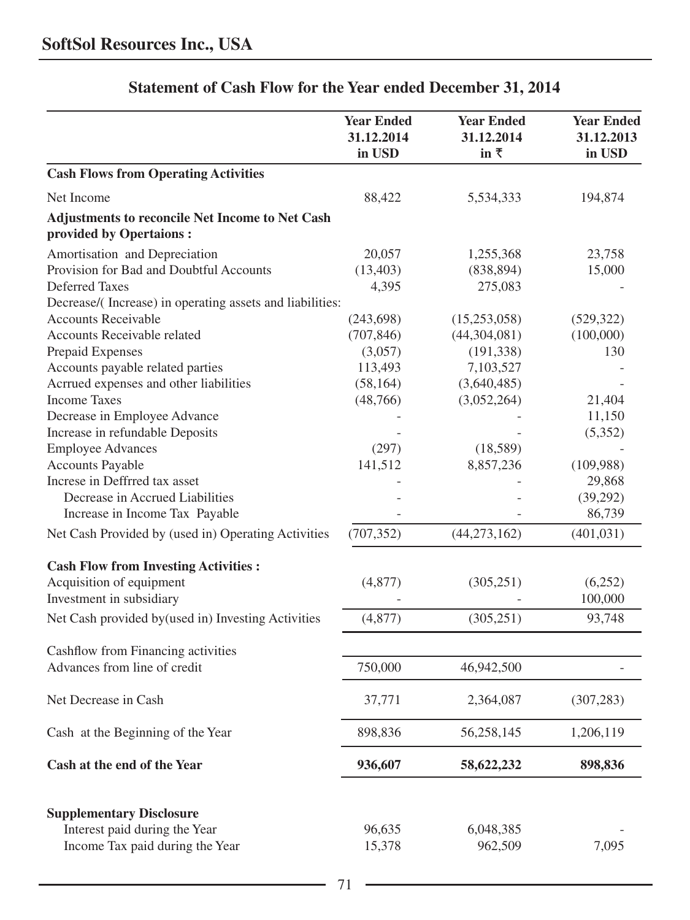|                                                                            | <b>Year Ended</b><br>31.12.2014<br>in USD | <b>Year Ended</b><br>31.12.2014<br>in $\bar{x}$ | <b>Year Ended</b><br>31.12.2013<br>in USD |
|----------------------------------------------------------------------------|-------------------------------------------|-------------------------------------------------|-------------------------------------------|
| <b>Cash Flows from Operating Activities</b>                                |                                           |                                                 |                                           |
| Net Income                                                                 | 88,422                                    | 5,534,333                                       | 194,874                                   |
| Adjustments to reconcile Net Income to Net Cash<br>provided by Opertaions: |                                           |                                                 |                                           |
| Amortisation and Depreciation                                              | 20,057                                    | 1,255,368                                       | 23,758                                    |
| Provision for Bad and Doubtful Accounts                                    | (13, 403)                                 | (838, 894)                                      | 15,000                                    |
| <b>Deferred Taxes</b>                                                      | 4,395                                     | 275,083                                         |                                           |
| Decrease/(Increase) in operating assets and liabilities:                   |                                           |                                                 |                                           |
| <b>Accounts Receivable</b>                                                 | (243, 698)                                | (15,253,058)                                    | (529, 322)                                |
| Accounts Receivable related                                                | (707, 846)                                | (44,304,081)                                    | (100,000)                                 |
| Prepaid Expenses                                                           | (3,057)                                   | (191, 338)                                      | 130                                       |
| Accounts payable related parties                                           | 113,493                                   | 7,103,527                                       |                                           |
| Acrrued expenses and other liabilities                                     | (58, 164)                                 | (3,640,485)                                     |                                           |
| <b>Income Taxes</b>                                                        | (48,766)                                  | (3,052,264)                                     | 21,404                                    |
| Decrease in Employee Advance                                               |                                           |                                                 | 11,150                                    |
| Increase in refundable Deposits                                            |                                           |                                                 | (5,352)                                   |
| <b>Employee Advances</b>                                                   | (297)                                     | (18,589)                                        |                                           |
| Accounts Payable                                                           | 141,512                                   | 8,857,236                                       | (109,988)                                 |
| Increse in Deffrred tax asset                                              |                                           |                                                 | 29,868                                    |
| Decrease in Accrued Liabilities                                            |                                           |                                                 | (39,292)                                  |
| Increase in Income Tax Payable                                             |                                           |                                                 | 86,739                                    |
| Net Cash Provided by (used in) Operating Activities                        | (707, 352)                                | (44, 273, 162)                                  | (401, 031)                                |
| <b>Cash Flow from Investing Activities:</b>                                |                                           |                                                 |                                           |
| Acquisition of equipment                                                   | (4,877)                                   | (305, 251)                                      | (6,252)                                   |
| Investment in subsidiary                                                   |                                           |                                                 | 100,000                                   |
| Net Cash provided by (used in) Investing Activities                        | (4,877)                                   | (305, 251)                                      | 93,748                                    |
| Cashflow from Financing activities                                         |                                           |                                                 |                                           |
| Advances from line of credit                                               | 750,000                                   | 46,942,500                                      |                                           |
|                                                                            |                                           |                                                 |                                           |
| Net Decrease in Cash                                                       | 37,771                                    | 2,364,087                                       | (307, 283)                                |
| Cash at the Beginning of the Year                                          | 898,836                                   | 56,258,145                                      | 1,206,119                                 |
| Cash at the end of the Year                                                | 936,607                                   | 58,622,232                                      | 898,836                                   |
| <b>Supplementary Disclosure</b>                                            |                                           |                                                 |                                           |
| Interest paid during the Year                                              | 96,635                                    | 6,048,385                                       |                                           |
| Income Tax paid during the Year                                            | 15,378                                    | 962,509                                         | 7,095                                     |
|                                                                            |                                           |                                                 |                                           |

# **Statement of Cash Flow for the Year ended December 31, 2014**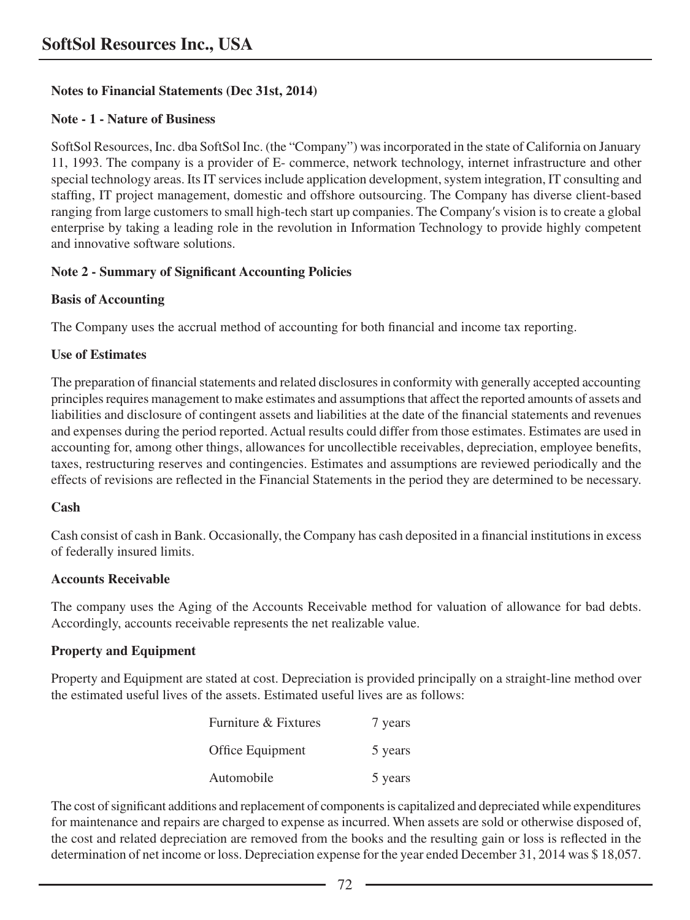#### **Notes to Financial Statements (Dec 31st, 2014)**

#### **Note - 1 - Nature of Business**

SoftSol Resources, Inc. dba SoftSol Inc. (the "Company") was incorporated in the state of California on January 11, 1993. The company is a provider of E- commerce, network technology, internet infrastructure and other special technology areas. Its IT services include application development, system integration, IT consulting and staffing, IT project management, domestic and offshore outsourcing. The Company has diverse client-based ranging from large customers to small high-tech start up companies. The Company's vision is to create a global enterprise by taking a leading role in the revolution in Information Technology to provide highly competent and innovative software solutions.

#### **Note 2 - Summary of Significant Accounting Policies**

#### **Basis of Accounting**

The Company uses the accrual method of accounting for both financial and income tax reporting.

#### **Use of Estimates**

The preparation of financial statements and related disclosures in conformity with generally accepted accounting principles requires management to make estimates and assumptions that affect the reported amounts of assets and liabilities and disclosure of contingent assets and liabilities at the date of the financial statements and revenues and expenses during the period reported. Actual results could differ from those estimates. Estimates are used in accounting for, among other things, allowances for uncollectible receivables, depreciation, employee benefits, taxes, restructuring reserves and contingencies. Estimates and assumptions are reviewed periodically and the effects of revisions are reflected in the Financial Statements in the period they are determined to be necessary.

#### **Cash**

Cash consist of cash in Bank. Occasionally, the Company has cash deposited in a financial institutions in excess of federally insured limits.

#### **Accounts Receivable**

The company uses the Aging of the Accounts Receivable method for valuation of allowance for bad debts. Accordingly, accounts receivable represents the net realizable value.

#### **Property and Equipment**

Property and Equipment are stated at cost. Depreciation is provided principally on a straight-line method over the estimated useful lives of the assets. Estimated useful lives are as follows:

| Furniture & Fixtures | 7 years |
|----------------------|---------|
| Office Equipment     | 5 years |
| Automobile           | 5 years |

The cost of significant additions and replacement of components is capitalized and depreciated while expenditures for maintenance and repairs are charged to expense as incurred. When assets are sold or otherwise disposed of, the cost and related depreciation are removed from the books and the resulting gain or loss is reflected in the determination of net income or loss. Depreciation expense for the year ended December 31, 2014 was \$ 18,057.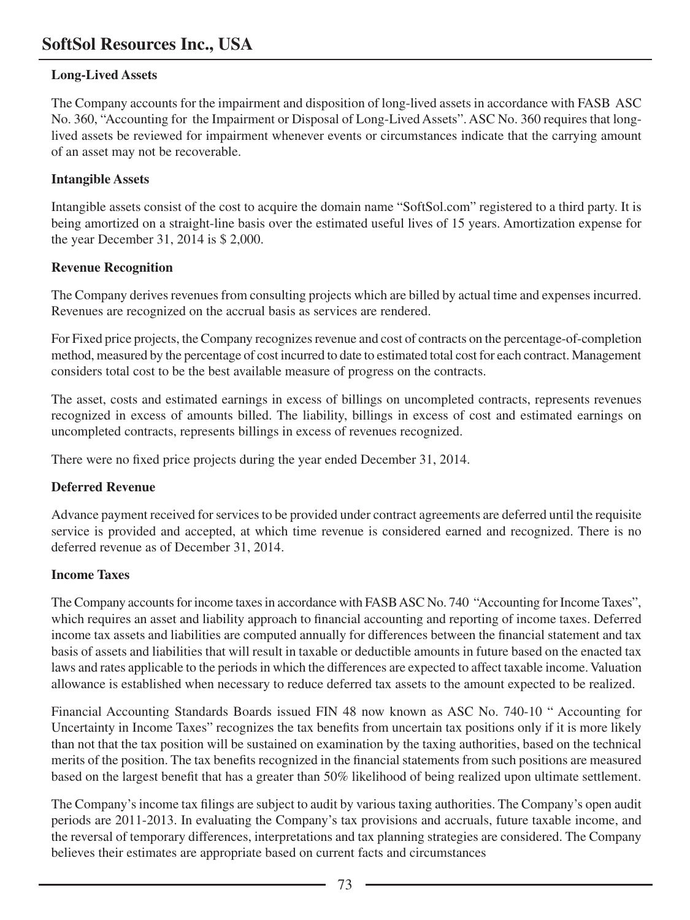# **Long-Lived Assets**

The Company accounts for the impairment and disposition of long-lived assets in accordance with FASB ASC No. 360, "Accounting for the Impairment or Disposal of Long-Lived Assets". ASC No. 360 requires that longlived assets be reviewed for impairment whenever events or circumstances indicate that the carrying amount of an asset may not be recoverable.

#### **Intangible Assets**

Intangible assets consist of the cost to acquire the domain name "SoftSol.com" registered to a third party. It is being amortized on a straight-line basis over the estimated useful lives of 15 years. Amortization expense for the year December 31, 2014 is \$ 2,000.

#### **Revenue Recognition**

The Company derives revenues from consulting projects which are billed by actual time and expenses incurred. Revenues are recognized on the accrual basis as services are rendered.

For Fixed price projects, the Company recognizes revenue and cost of contracts on the percentage-of-completion method, measured by the percentage of cost incurred to date to estimated total cost for each contract. Management considers total cost to be the best available measure of progress on the contracts.

The asset, costs and estimated earnings in excess of billings on uncompleted contracts, represents revenues recognized in excess of amounts billed. The liability, billings in excess of cost and estimated earnings on uncompleted contracts, represents billings in excess of revenues recognized.

There were no fixed price projects during the year ended December 31, 2014.

## **Deferred Revenue**

Advance payment received for services to be provided under contract agreements are deferred until the requisite service is provided and accepted, at which time revenue is considered earned and recognized. There is no deferred revenue as of December 31, 2014.

## **Income Taxes**

The Company accounts for income taxes in accordance with FASB ASC No. 740 "Accounting for Income Taxes", which requires an asset and liability approach to financial accounting and reporting of income taxes. Deferred income tax assets and liabilities are computed annually for differences between the financial statement and tax basis of assets and liabilities that will result in taxable or deductible amounts in future based on the enacted tax laws and rates applicable to the periods in which the differences are expected to affect taxable income. Valuation allowance is established when necessary to reduce deferred tax assets to the amount expected to be realized.

Financial Accounting Standards Boards issued FIN 48 now known as ASC No. 740-10 " Accounting for Uncertainty in Income Taxes" recognizes the tax benefits from uncertain tax positions only if it is more likely than not that the tax position will be sustained on examination by the taxing authorities, based on the technical merits of the position. The tax benefits recognized in the financial statements from such positions are measured based on the largest benefit that has a greater than 50% likelihood of being realized upon ultimate settlement.

The Company's income tax filings are subject to audit by various taxing authorities. The Company's open audit periods are 2011-2013. In evaluating the Company's tax provisions and accruals, future taxable income, and the reversal of temporary differences, interpretations and tax planning strategies are considered. The Company believes their estimates are appropriate based on current facts and circumstances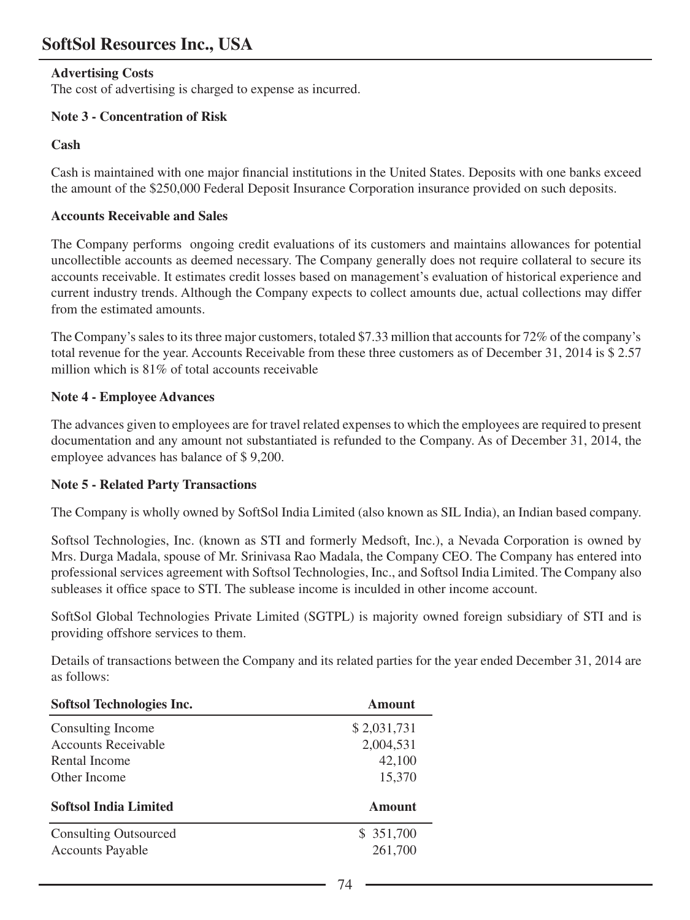# **SoftSol Resources Inc., USA**

#### **Advertising Costs**

The cost of advertising is charged to expense as incurred.

#### **Note 3 - Concentration of Risk**

**Cash**

Cash is maintained with one major financial institutions in the United States. Deposits with one banks exceed the amount of the \$250,000 Federal Deposit Insurance Corporation insurance provided on such deposits.

#### **Accounts Receivable and Sales**

The Company performs ongoing credit evaluations of its customers and maintains allowances for potential uncollectible accounts as deemed necessary. The Company generally does not require collateral to secure its accounts receivable. It estimates credit losses based on management's evaluation of historical experience and current industry trends. Although the Company expects to collect amounts due, actual collections may differ from the estimated amounts.

The Company's sales to its three major customers, totaled \$7.33 million that accounts for 72% of the company's total revenue for the year. Accounts Receivable from these three customers as of December 31, 2014 is \$ 2.57 million which is 81% of total accounts receivable

#### **Note 4 - Employee Advances**

The advances given to employees are for travel related expenses to which the employees are required to present documentation and any amount not substantiated is refunded to the Company. As of December 31, 2014, the employee advances has balance of \$ 9,200.

## **Note 5 - Related Party Transactions**

The Company is wholly owned by SoftSol India Limited (also known as SIL India), an Indian based company.

Softsol Technologies, Inc. (known as STI and formerly Medsoft, Inc.), a Nevada Corporation is owned by Mrs. Durga Madala, spouse of Mr. Srinivasa Rao Madala, the Company CEO. The Company has entered into professional services agreement with Softsol Technologies, Inc., and Softsol India Limited. The Company also subleases it office space to STI. The sublease income is inculded in other income account.

SoftSol Global Technologies Private Limited (SGTPL) is majority owned foreign subsidiary of STI and is providing offshore services to them.

Details of transactions between the Company and its related parties for the year ended December 31, 2014 are as follows:

| Softsol Technologies Inc.    | Amount      |
|------------------------------|-------------|
| Consulting Income            | \$2,031,731 |
| <b>Accounts Receivable</b>   | 2,004,531   |
| Rental Income                | 42,100      |
| Other Income                 | 15,370      |
| <b>Softsol India Limited</b> | Amount      |
| <b>Consulting Outsourced</b> | \$ 351,700  |
| <b>Accounts Payable</b>      | 261,700     |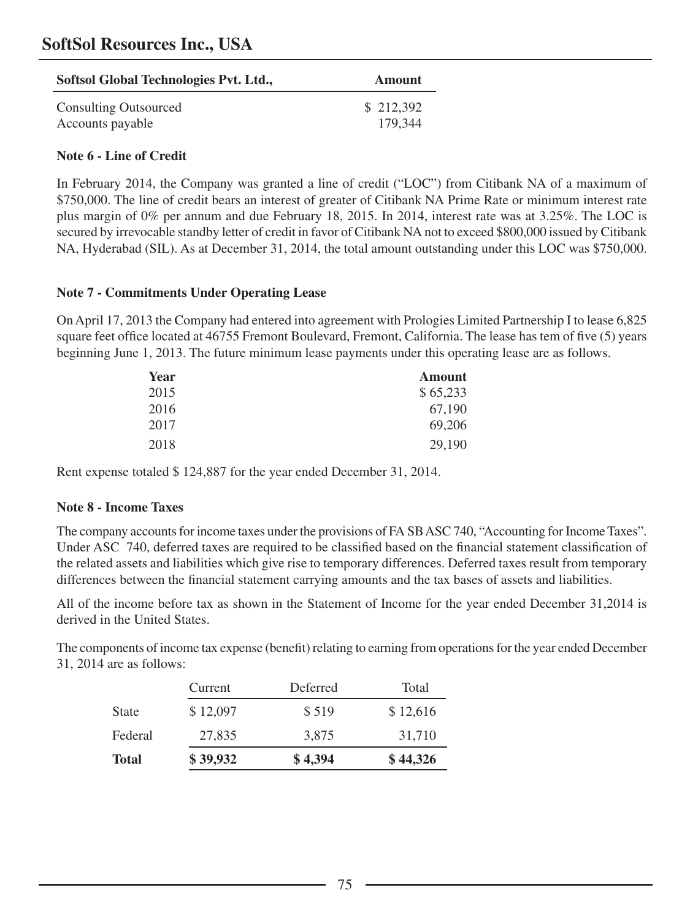# **SoftSol Resources Inc., USA**

| Softsol Global Technologies Pvt. Ltd., | Amount    |
|----------------------------------------|-----------|
| <b>Consulting Outsourced</b>           | \$212,392 |
| Accounts payable                       | 179.344   |

#### **Note 6 - Line of Credit**

In February 2014, the Company was granted a line of credit ("LOC") from Citibank NA of a maximum of \$750,000. The line of credit bears an interest of greater of Citibank NA Prime Rate or minimum interest rate plus margin of 0% per annum and due February 18, 2015. In 2014, interest rate was at 3.25%. The LOC is secured by irrevocable standby letter of credit in favor of Citibank NA not to exceed \$800,000 issued by Citibank NA, Hyderabad (SIL). As at December 31, 2014, the total amount outstanding under this LOC was \$750,000.

## **Note 7 - Commitments Under Operating Lease**

On April 17, 2013 the Company had entered into agreement with Prologies Limited Partnership I to lease 6,825 square feet office located at 46755 Fremont Boulevard, Fremont, California. The lease has tem of five (5) years beginning June 1, 2013. The future minimum lease payments under this operating lease are as follows.

| Year | <b>Amount</b> |
|------|---------------|
| 2015 | \$65,233      |
| 2016 | 67.190        |
| 2017 | 69,206        |
| 2018 | 29,190        |

Rent expense totaled \$ 124,887 for the year ended December 31, 2014.

## **Note 8 - Income Taxes**

The company accounts for income taxes under the provisions of FA SB ASC 740, "Accounting for Income Taxes". Under ASC 740, deferred taxes are required to be classified based on the financial statement classification of the related assets and liabilities which give rise to temporary differences. Deferred taxes result from temporary differences between the financial statement carrying amounts and the tax bases of assets and liabilities.

All of the income before tax as shown in the Statement of Income for the year ended December 31,2014 is derived in the United States.

The components of income tax expense (benefit) relating to earning from operations for the year ended December 31, 2014 are as follows:

| <b>Total</b> | \$39,932 | \$4,394  | \$44,326 |
|--------------|----------|----------|----------|
| Federal      | 27,835   | 3,875    | 31,710   |
| <b>State</b> | \$12,097 | \$519    | \$12,616 |
|              | Current  | Deferred | Total    |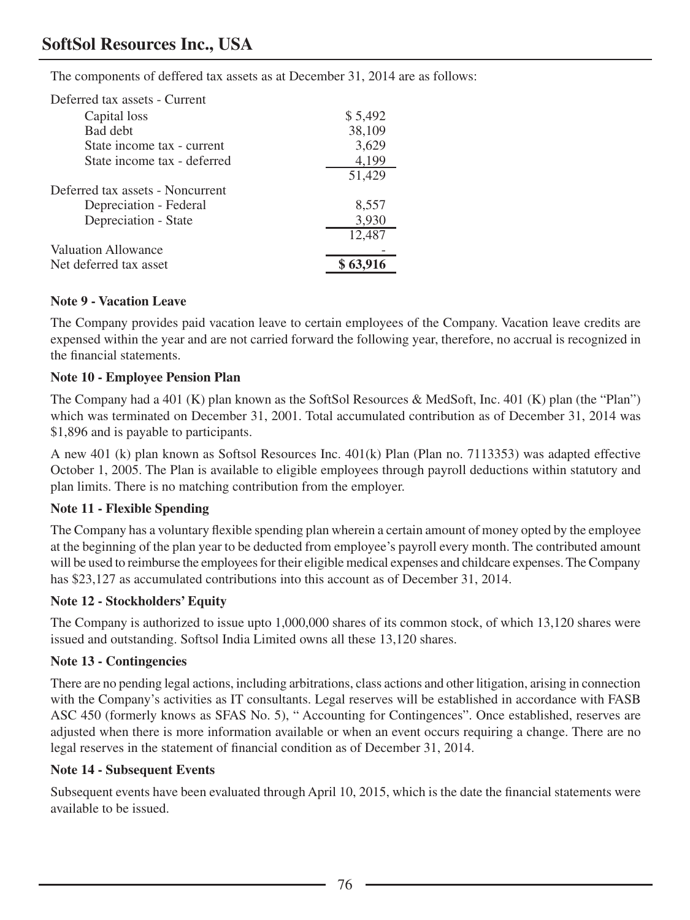# **SoftSol Resources Inc., USA**

The components of deffered tax assets as at December 31, 2014 are as follows:

| Deferred tax assets - Current    |         |
|----------------------------------|---------|
| Capital loss                     | \$5,492 |
| Bad debt                         | 38,109  |
| State income tax - current       | 3,629   |
| State income tax - deferred      | 4,199   |
|                                  | 51,429  |
| Deferred tax assets - Noncurrent |         |
| Depreciation - Federal           | 8,557   |
| Depreciation - State             | 3,930   |
|                                  | 12,487  |
| <b>Valuation Allowance</b>       |         |
| Net deferred tax asset           |         |

#### **Note 9 - Vacation Leave**

The Company provides paid vacation leave to certain employees of the Company. Vacation leave credits are expensed within the year and are not carried forward the following year, therefore, no accrual is recognized in the financial statements.

#### **Note 10 - Employee Pension Plan**

The Company had a 401 (K) plan known as the SoftSol Resources & MedSoft, Inc. 401 (K) plan (the "Plan") which was terminated on December 31, 2001. Total accumulated contribution as of December 31, 2014 was \$1,896 and is payable to participants.

A new 401 (k) plan known as Softsol Resources Inc. 401(k) Plan (Plan no. 7113353) was adapted effective October 1, 2005. The Plan is available to eligible employees through payroll deductions within statutory and plan limits. There is no matching contribution from the employer.

#### **Note 11 - Flexible Spending**

The Company has a voluntary flexible spending plan wherein a certain amount of money opted by the employee at the beginning of the plan year to be deducted from employee's payroll every month. The contributed amount will be used to reimburse the employees for their eligible medical expenses and childcare expenses. The Company has \$23,127 as accumulated contributions into this account as of December 31, 2014.

## **Note 12 - Stockholders' Equity**

The Company is authorized to issue upto 1,000,000 shares of its common stock, of which 13,120 shares were issued and outstanding. Softsol India Limited owns all these 13,120 shares.

#### **Note 13 - Contingencies**

There are no pending legal actions, including arbitrations, class actions and other litigation, arising in connection with the Company's activities as IT consultants. Legal reserves will be established in accordance with FASB ASC 450 (formerly knows as SFAS No. 5), " Accounting for Contingences". Once established, reserves are adjusted when there is more information available or when an event occurs requiring a change. There are no legal reserves in the statement of financial condition as of December 31, 2014.

#### **Note 14 - Subsequent Events**

Subsequent events have been evaluated through April 10, 2015, which is the date the financial statements were available to be issued.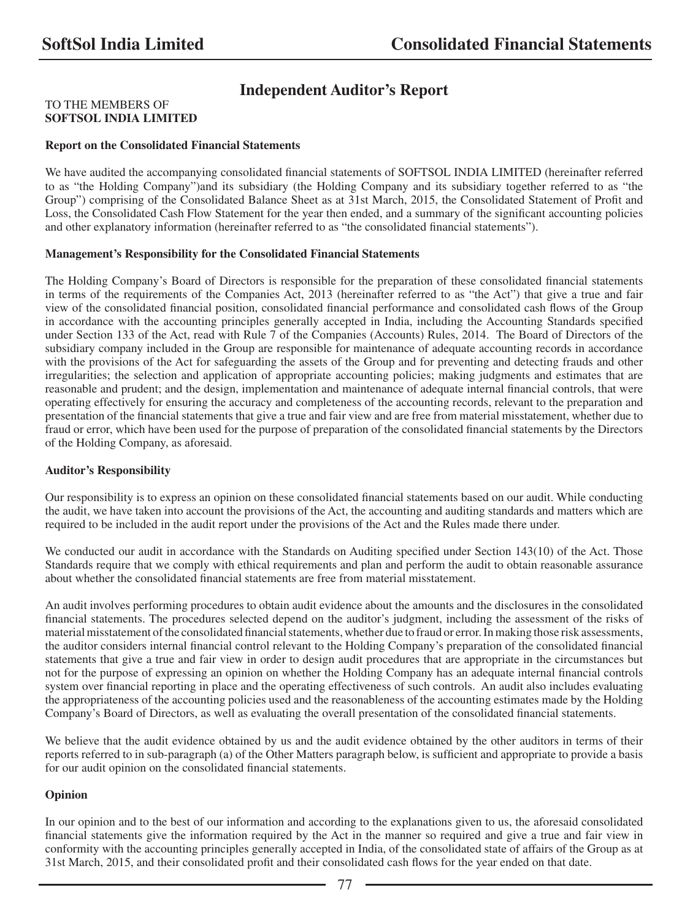# **Independent Auditor's Report**

#### TO THE MEMBERS OF **SOFTSOL INDIA LIMITED**

#### **Report on the Consolidated Financial Statements**

We have audited the accompanying consolidated financial statements of SOFTSOL INDIA LIMITED (hereinafter referred to as "the Holding Company")and its subsidiary (the Holding Company and its subsidiary together referred to as "the Group") comprising of the Consolidated Balance Sheet as at 31st March, 2015, the Consolidated Statement of Profit and Loss, the Consolidated Cash Flow Statement for the year then ended, and a summary of the significant accounting policies and other explanatory information (hereinafter referred to as "the consolidated financial statements").

#### **Management's Responsibility for the Consolidated Financial Statements**

The Holding Company's Board of Directors is responsible for the preparation of these consolidated financial statements in terms of the requirements of the Companies Act, 2013 (hereinafter referred to as "the Act") that give a true and fair view of the consolidated financial position, consolidated financial performance and consolidated cash flows of the Group in accordance with the accounting principles generally accepted in India, including the Accounting Standards specified under Section 133 of the Act, read with Rule 7 of the Companies (Accounts) Rules, 2014. The Board of Directors of the subsidiary company included in the Group are responsible for maintenance of adequate accounting records in accordance with the provisions of the Act for safeguarding the assets of the Group and for preventing and detecting frauds and other irregularities; the selection and application of appropriate accounting policies; making judgments and estimates that are reasonable and prudent; and the design, implementation and maintenance of adequate internal financial controls, that were operating effectively for ensuring the accuracy and completeness of the accounting records, relevant to the preparation and presentation of the financial statements that give a true and fair view and are free from material misstatement, whether due to fraud or error, which have been used for the purpose of preparation of the consolidated financial statements by the Directors of the Holding Company, as aforesaid.

#### **Auditor's Responsibility**

Our responsibility is to express an opinion on these consolidated financial statements based on our audit. While conducting the audit, we have taken into account the provisions of the Act, the accounting and auditing standards and matters which are required to be included in the audit report under the provisions of the Act and the Rules made there under.

We conducted our audit in accordance with the Standards on Auditing specified under Section 143(10) of the Act. Those Standards require that we comply with ethical requirements and plan and perform the audit to obtain reasonable assurance about whether the consolidated financial statements are free from material misstatement.

An audit involves performing procedures to obtain audit evidence about the amounts and the disclosures in the consolidated financial statements. The procedures selected depend on the auditor's judgment, including the assessment of the risks of material misstatement of the consolidated financial statements, whether due to fraud or error. In making those risk assessments, the auditor considers internal financial control relevant to the Holding Company's preparation of the consolidated financial statements that give a true and fair view in order to design audit procedures that are appropriate in the circumstances but not for the purpose of expressing an opinion on whether the Holding Company has an adequate internal financial controls system over financial reporting in place and the operating effectiveness of such controls. An audit also includes evaluating the appropriateness of the accounting policies used and the reasonableness of the accounting estimates made by the Holding Company's Board of Directors, as well as evaluating the overall presentation of the consolidated financial statements.

We believe that the audit evidence obtained by us and the audit evidence obtained by the other auditors in terms of their reports referred to in sub-paragraph (a) of the Other Matters paragraph below, is sufficient and appropriate to provide a basis for our audit opinion on the consolidated financial statements.

#### **Opinion**

In our opinion and to the best of our information and according to the explanations given to us, the aforesaid consolidated financial statements give the information required by the Act in the manner so required and give a true and fair view in conformity with the accounting principles generally accepted in India, of the consolidated state of affairs of the Group as at 31st March, 2015, and their consolidated profit and their consolidated cash flows for the year ended on that date.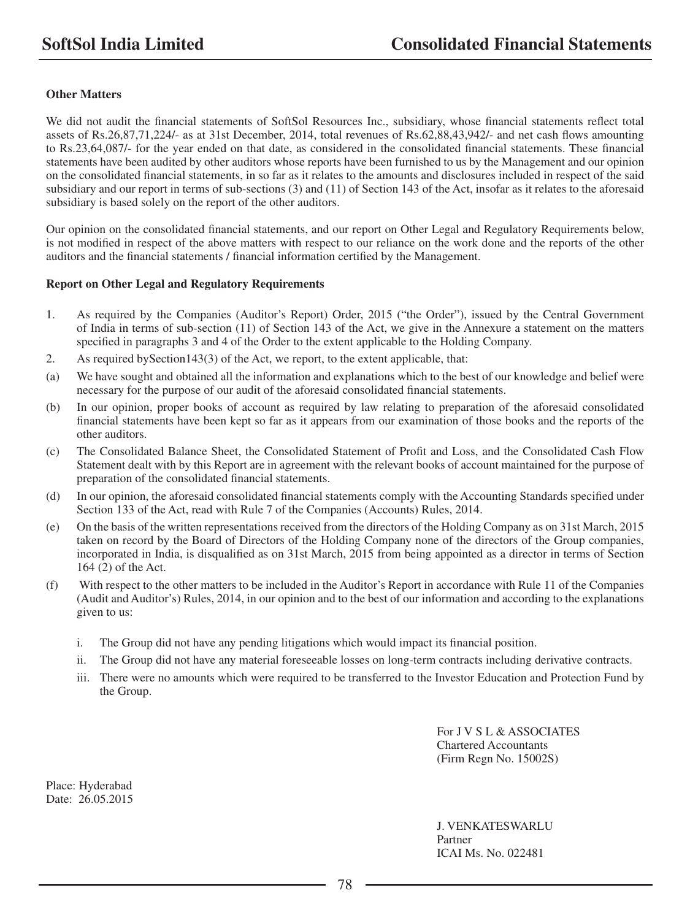#### **Other Matters**

We did not audit the financial statements of SoftSol Resources Inc., subsidiary, whose financial statements reflect total assets of Rs.26,87,71,224/- as at 31st December, 2014, total revenues of Rs.62,88,43,942/- and net cash flows amounting to Rs.23,64,087/- for the year ended on that date, as considered in the consolidated financial statements. These financial statements have been audited by other auditors whose reports have been furnished to us by the Management and our opinion on the consolidated financial statements, in so far as it relates to the amounts and disclosures included in respect of the said subsidiary and our report in terms of sub-sections (3) and (11) of Section 143 of the Act, insofar as it relates to the aforesaid subsidiary is based solely on the report of the other auditors.

Our opinion on the consolidated financial statements, and our report on Other Legal and Regulatory Requirements below, is not modified in respect of the above matters with respect to our reliance on the work done and the reports of the other auditors and the financial statements / financial information certified by the Management.

#### **Report on Other Legal and Regulatory Requirements**

- 1. As required by the Companies (Auditor's Report) Order, 2015 ("the Order"), issued by the Central Government of India in terms of sub-section (11) of Section 143 of the Act, we give in the Annexure a statement on the matters specified in paragraphs 3 and 4 of the Order to the extent applicable to the Holding Company.
- 2. As required bySection143(3) of the Act, we report, to the extent applicable, that:
- (a) We have sought and obtained all the information and explanations which to the best of our knowledge and belief were necessary for the purpose of our audit of the aforesaid consolidated financial statements.
- (b) In our opinion, proper books of account as required by law relating to preparation of the aforesaid consolidated financial statements have been kept so far as it appears from our examination of those books and the reports of the other auditors.
- (c) The Consolidated Balance Sheet, the Consolidated Statement of Profit and Loss, and the Consolidated Cash Flow Statement dealt with by this Report are in agreement with the relevant books of account maintained for the purpose of preparation of the consolidated financial statements.
- (d) In our opinion, the aforesaid consolidated financial statements comply with the Accounting Standards specified under Section 133 of the Act, read with Rule 7 of the Companies (Accounts) Rules, 2014.
- (e) On the basis of the written representations received from the directors of the Holding Company as on 31st March, 2015 taken on record by the Board of Directors of the Holding Company none of the directors of the Group companies, incorporated in India, is disqualified as on 31st March, 2015 from being appointed as a director in terms of Section 164 (2) of the Act.
- (f) With respect to the other matters to be included in the Auditor's Report in accordance with Rule 11 of the Companies (Audit and Auditor's) Rules, 2014, in our opinion and to the best of our information and according to the explanations given to us:
	- i. The Group did not have any pending litigations which would impact its financial position.
	- ii. The Group did not have any material foreseeable losses on long-term contracts including derivative contracts.
	- iii. There were no amounts which were required to be transferred to the Investor Education and Protection Fund by the Group.

For J V S L & ASSOCIATES Chartered Accountants (Firm Regn No. 15002S)

Place: Hyderabad Date: 26.05.2015

> J. VENKATESWARLU Partner ICAI Ms. No. 022481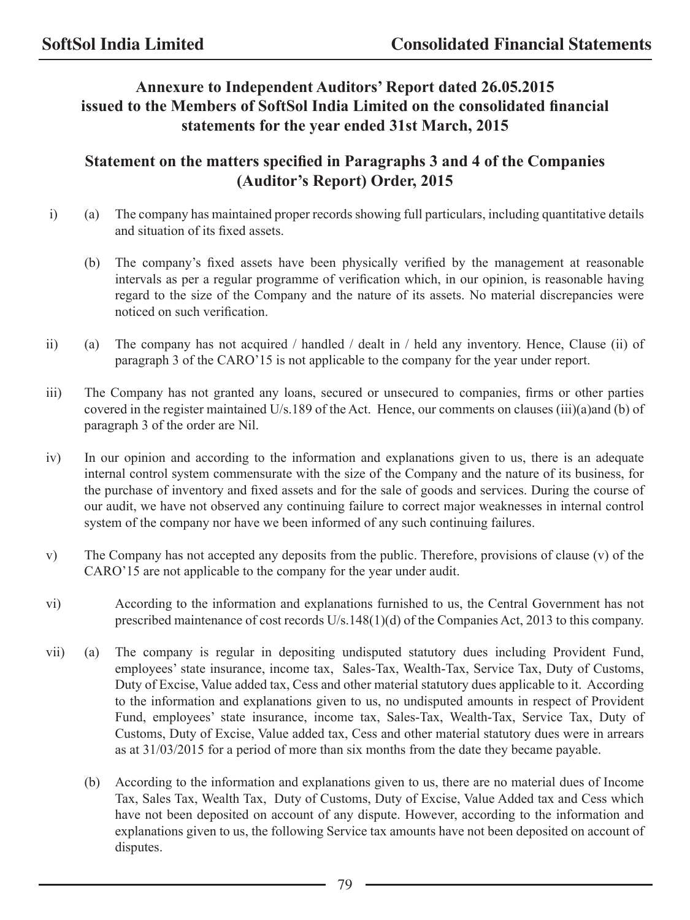# **Annexure to Independent Auditors' Report dated 26.05.2015 issued to the Members of SoftSol India Limited on the consolidated financial statements for the year ended 31st March, 2015**

# **Statement on the matters specified in Paragraphs 3 and 4 of the Companies (Auditor's Report) Order, 2015**

- i) (a) The company has maintained proper records showing full particulars, including quantitative details and situation of its fixed assets.
	- (b) The company's fixed assets have been physically verified by the management at reasonable intervals as per a regular programme of verification which, in our opinion, is reasonable having regard to the size of the Company and the nature of its assets. No material discrepancies were noticed on such verification.
- ii) (a) The company has not acquired / handled / dealt in / held any inventory. Hence, Clause (ii) of paragraph 3 of the CARO'15 is not applicable to the company for the year under report.
- iii) The Company has not granted any loans, secured or unsecured to companies, firms or other parties covered in the register maintained U/s.189 of the Act. Hence, our comments on clauses (iii)(a)and (b) of paragraph 3 of the order are Nil.
- iv) In our opinion and according to the information and explanations given to us, there is an adequate internal control system commensurate with the size of the Company and the nature of its business, for the purchase of inventory and fixed assets and for the sale of goods and services. During the course of our audit, we have not observed any continuing failure to correct major weaknesses in internal control system of the company nor have we been informed of any such continuing failures.
- v) The Company has not accepted any deposits from the public. Therefore, provisions of clause (v) of the CARO'15 are not applicable to the company for the year under audit.
- vi) According to the information and explanations furnished to us, the Central Government has not prescribed maintenance of cost records U/s.148(1)(d) of the Companies Act, 2013 to this company.
- vii) (a) The company is regular in depositing undisputed statutory dues including Provident Fund, employees' state insurance, income tax, Sales-Tax, Wealth-Tax, Service Tax, Duty of Customs, Duty of Excise, Value added tax, Cess and other material statutory dues applicable to it. According to the information and explanations given to us, no undisputed amounts in respect of Provident Fund, employees' state insurance, income tax, Sales-Tax, Wealth-Tax, Service Tax, Duty of Customs, Duty of Excise, Value added tax, Cess and other material statutory dues were in arrears as at 31/03/2015 for a period of more than six months from the date they became payable.
	- (b) According to the information and explanations given to us, there are no material dues of Income Tax, Sales Tax, Wealth Tax, Duty of Customs, Duty of Excise, Value Added tax and Cess which have not been deposited on account of any dispute. However, according to the information and explanations given to us, the following Service tax amounts have not been deposited on account of disputes.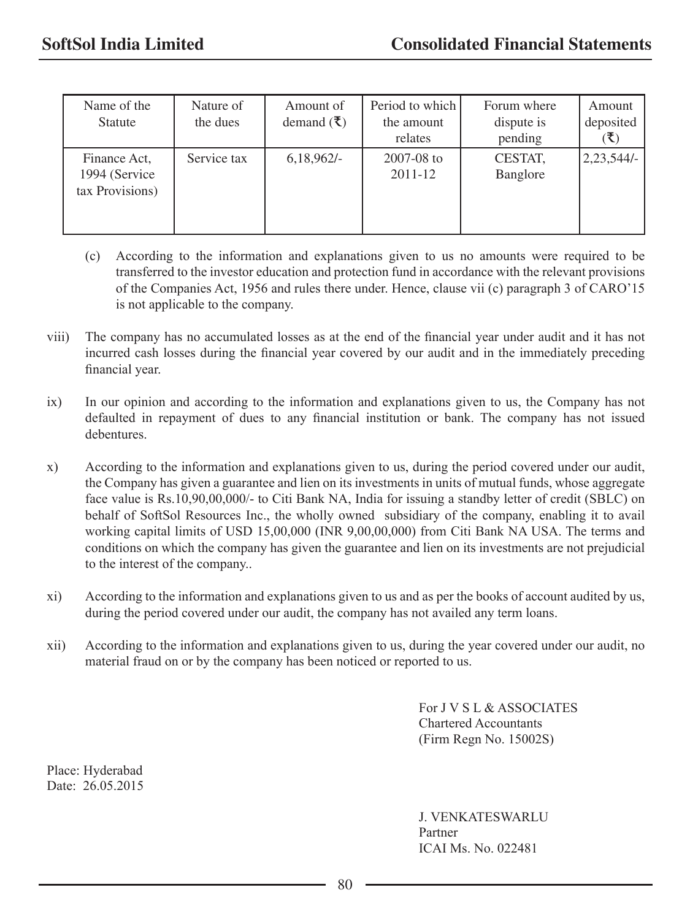| Name of the<br>Statute                           | Nature of<br>the dues | Amount of<br>demand $(\xi)$ | Period to which<br>the amount<br>relates | Forum where<br>dispute is<br>pending | Amount<br>deposited |
|--------------------------------------------------|-----------------------|-----------------------------|------------------------------------------|--------------------------------------|---------------------|
| Finance Act.<br>1994 (Service<br>tax Provisions) | Service tax           | $6,18,962/-$                | $2007 - 08$ to<br>$2011 - 12$            | CESTAT,<br>Banglore                  | 2,23,544/           |

- (c) According to the information and explanations given to us no amounts were required to be transferred to the investor education and protection fund in accordance with the relevant provisions of the Companies Act, 1956 and rules there under. Hence, clause vii (c) paragraph 3 of CARO'15 is not applicable to the company.
- viii) The company has no accumulated losses as at the end of the financial year under audit and it has not incurred cash losses during the financial year covered by our audit and in the immediately preceding financial year.
- ix) In our opinion and according to the information and explanations given to us, the Company has not defaulted in repayment of dues to any financial institution or bank. The company has not issued debentures.
- x) According to the information and explanations given to us, during the period covered under our audit, the Company has given a guarantee and lien on its investments in units of mutual funds, whose aggregate face value is Rs.10,90,00,000/- to Citi Bank NA, India for issuing a standby letter of credit (SBLC) on behalf of SoftSol Resources Inc., the wholly owned subsidiary of the company, enabling it to avail working capital limits of USD 15,00,000 (INR 9,00,00,000) from Citi Bank NA USA. The terms and conditions on which the company has given the guarantee and lien on its investments are not prejudicial to the interest of the company..
- xi) According to the information and explanations given to us and as per the books of account audited by us, during the period covered under our audit, the company has not availed any term loans.
- xii) According to the information and explanations given to us, during the year covered under our audit, no material fraud on or by the company has been noticed or reported to us.

For J V S L & ASSOCIATES Chartered Accountants (Firm Regn No. 15002S)

Place: Hyderabad Date: 26.05.2015

> J. VENKATESWARLU Partner ICAI Ms. No. 022481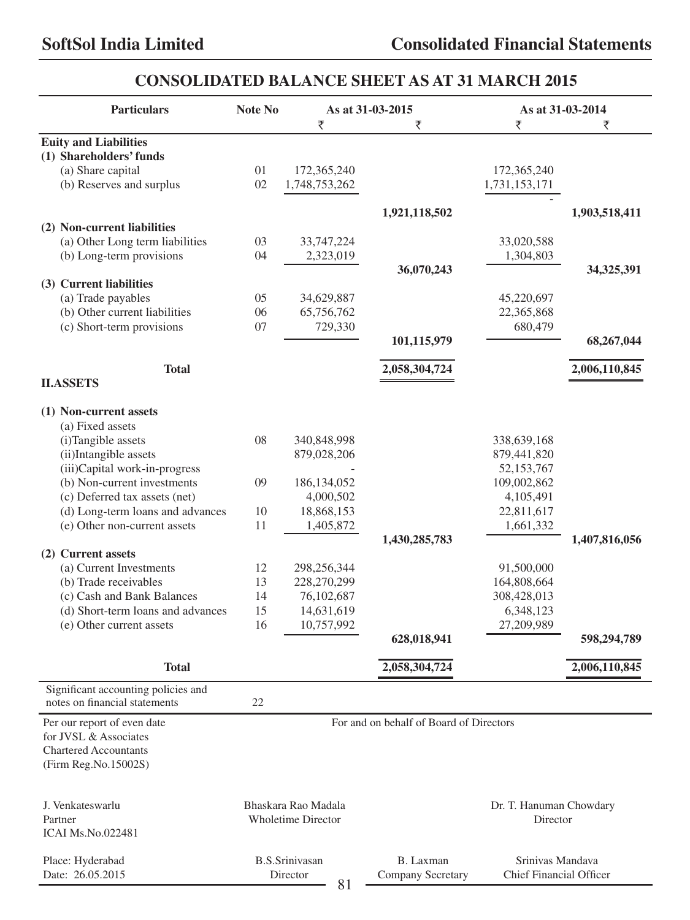# **CONSOLIDATED BALANCE SHEET AS AT 31 MARCH 2015**

| <b>Particulars</b>                                                   | Note No<br>As at 31-03-2015 |                           |                                         | As at 31-03-2014               |               |
|----------------------------------------------------------------------|-----------------------------|---------------------------|-----------------------------------------|--------------------------------|---------------|
|                                                                      |                             | ₹                         | ₹                                       | ₹                              | ₹             |
| <b>Euity and Liabilities</b>                                         |                             |                           |                                         |                                |               |
| (1) Shareholders' funds                                              |                             |                           |                                         |                                |               |
| (a) Share capital                                                    | 01                          | 172,365,240               |                                         | 172,365,240                    |               |
| (b) Reserves and surplus                                             | 02                          | 1,748,753,262             |                                         | 1,731,153,171                  |               |
|                                                                      |                             |                           | 1,921,118,502                           |                                | 1,903,518,411 |
| (2) Non-current liabilities                                          |                             |                           |                                         |                                |               |
| (a) Other Long term liabilities                                      | 03                          | 33,747,224                |                                         | 33,020,588                     |               |
| (b) Long-term provisions                                             | 04                          | 2,323,019                 |                                         | 1,304,803                      |               |
|                                                                      |                             |                           | 36,070,243                              |                                | 34,325,391    |
| (3) Current liabilities                                              |                             |                           |                                         |                                |               |
| (a) Trade payables                                                   | 05                          | 34,629,887                |                                         | 45,220,697                     |               |
| (b) Other current liabilities                                        | 06                          | 65,756,762                |                                         | 22,365,868                     |               |
| (c) Short-term provisions                                            | 07                          | 729,330                   | 101,115,979                             | 680,479                        | 68,267,044    |
|                                                                      |                             |                           |                                         |                                |               |
| <b>Total</b>                                                         |                             |                           | 2,058,304,724                           |                                | 2,006,110,845 |
| <b>II.ASSETS</b>                                                     |                             |                           |                                         |                                |               |
| (1) Non-current assets                                               |                             |                           |                                         |                                |               |
| (a) Fixed assets                                                     |                             |                           |                                         |                                |               |
| (i)Tangible assets                                                   | 08                          | 340,848,998               |                                         | 338,639,168                    |               |
| (ii)Intangible assets                                                |                             | 879,028,206               |                                         | 879,441,820                    |               |
| (iii)Capital work-in-progress                                        |                             |                           |                                         | 52,153,767                     |               |
| (b) Non-current investments                                          | 09                          | 186, 134, 052             |                                         | 109,002,862                    |               |
| (c) Deferred tax assets (net)                                        |                             | 4,000,502                 |                                         | 4,105,491                      |               |
| (d) Long-term loans and advances                                     | 10                          | 18,868,153                |                                         | 22,811,617                     |               |
| (e) Other non-current assets                                         | 11                          | 1,405,872                 |                                         | 1,661,332                      |               |
|                                                                      |                             |                           | 1,430,285,783                           |                                | 1,407,816,056 |
| (2) Current assets<br>(a) Current Investments                        | 12                          |                           |                                         |                                |               |
| (b) Trade receivables                                                | 13                          | 298,256,344               |                                         | 91,500,000                     |               |
| (c) Cash and Bank Balances                                           | 14                          | 228,270,299<br>76,102,687 |                                         | 164,808,664<br>308,428,013     |               |
| (d) Short-term loans and advances                                    | 15                          | 14,631,619                |                                         | 6,348,123                      |               |
| (e) Other current assets                                             | 16                          | 10,757,992                |                                         | 27,209,989                     |               |
|                                                                      |                             |                           | 628,018,941                             |                                | 598,294,789   |
| <b>Total</b>                                                         |                             |                           | 2,058,304,724                           |                                | 2,006,110,845 |
|                                                                      |                             |                           |                                         |                                |               |
| Significant accounting policies and<br>notes on financial statements | 22                          |                           |                                         |                                |               |
| Per our report of even date                                          |                             |                           | For and on behalf of Board of Directors |                                |               |
| for JVSL & Associates                                                |                             |                           |                                         |                                |               |
| <b>Chartered Accountants</b>                                         |                             |                           |                                         |                                |               |
| (Firm Reg.No.15002S)                                                 |                             |                           |                                         |                                |               |
|                                                                      |                             |                           |                                         |                                |               |
| J. Venkateswarlu                                                     |                             | Bhaskara Rao Madala       |                                         | Dr. T. Hanuman Chowdary        |               |
| Partner                                                              |                             | <b>Wholetime Director</b> |                                         | Director                       |               |
| ICAI Ms.No.022481                                                    |                             |                           |                                         |                                |               |
| Place: Hyderabad                                                     |                             | <b>B.S.Srinivasan</b>     | <b>B.</b> Laxman                        | Srinivas Mandava               |               |
| Date: 26.05.2015                                                     |                             | Director                  | Company Secretary                       | <b>Chief Financial Officer</b> |               |
|                                                                      |                             | 81                        |                                         |                                |               |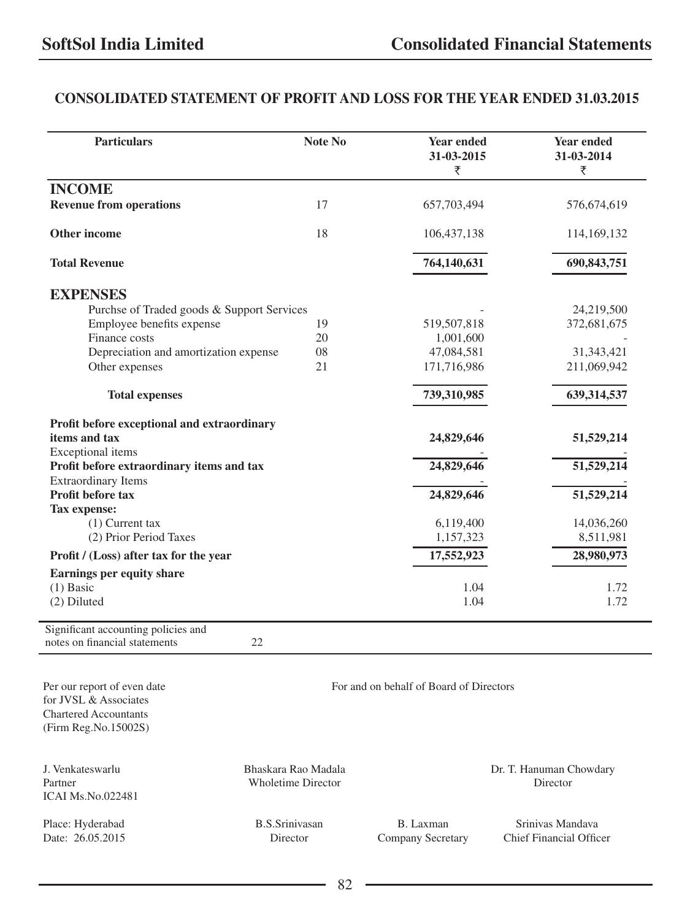# **CONSOLIDATED STATEMENT OF PROFIT AND LOSS FOR THE YEAR ENDED 31.03.2015**

| <b>Particulars</b>                                                                                           | Note No                                                                                 | <b>Year ended</b><br>31-03-2015<br>₹    | <b>Year ended</b><br>31-03-2014<br>₹ |
|--------------------------------------------------------------------------------------------------------------|-----------------------------------------------------------------------------------------|-----------------------------------------|--------------------------------------|
| <b>INCOME</b>                                                                                                |                                                                                         |                                         |                                      |
| <b>Revenue from operations</b>                                                                               | 17                                                                                      | 657,703,494                             | 576,674,619                          |
| <b>Other income</b>                                                                                          | 18                                                                                      | 106, 437, 138                           | 114,169,132                          |
| <b>Total Revenue</b>                                                                                         |                                                                                         | 764,140,631                             | 690, 843, 751                        |
| <b>EXPENSES</b>                                                                                              |                                                                                         |                                         |                                      |
| Purchse of Traded goods & Support Services                                                                   |                                                                                         |                                         | 24,219,500                           |
| Employee benefits expense                                                                                    | 19                                                                                      | 519,507,818                             | 372,681,675                          |
| Finance costs                                                                                                | 20                                                                                      | 1,001,600                               |                                      |
| Depreciation and amortization expense                                                                        | 08                                                                                      | 47,084,581                              | 31, 343, 421                         |
| Other expenses                                                                                               | 21                                                                                      | 171,716,986                             | 211,069,942                          |
| <b>Total expenses</b>                                                                                        |                                                                                         | 739,310,985                             | 639,314,537                          |
| Profit before exceptional and extraordinary                                                                  |                                                                                         |                                         |                                      |
| items and tax                                                                                                |                                                                                         | 24,829,646                              | 51,529,214                           |
| Exceptional items<br>Profit before extraordinary items and tax                                               |                                                                                         | 24,829,646                              | 51,529,214                           |
| <b>Extraordinary Items</b>                                                                                   |                                                                                         |                                         |                                      |
| Profit before tax                                                                                            |                                                                                         | 24,829,646                              | 51,529,214                           |
| Tax expense:                                                                                                 |                                                                                         |                                         |                                      |
| $(1)$ Current tax                                                                                            |                                                                                         | 6,119,400                               | 14,036,260                           |
| (2) Prior Period Taxes                                                                                       |                                                                                         | 1,157,323                               | 8,511,981                            |
| Profit / (Loss) after tax for the year                                                                       |                                                                                         | 17,552,923                              | 28,980,973                           |
| Earnings per equity share                                                                                    |                                                                                         |                                         |                                      |
| $(1)$ Basic                                                                                                  |                                                                                         | 1.04                                    | 1.72                                 |
| (2) Diluted                                                                                                  |                                                                                         | 1.04                                    | 1.72                                 |
| Significant accounting policies and<br>notes on financial statements<br>22                                   |                                                                                         |                                         |                                      |
|                                                                                                              |                                                                                         |                                         |                                      |
| Per our report of even date<br>for JVSL & Associates<br><b>Chartered Accountants</b><br>(Firm Reg.No.15002S) |                                                                                         | For and on behalf of Board of Directors |                                      |
|                                                                                                              |                                                                                         |                                         |                                      |
| J. Venkateswarlu<br>Partner                                                                                  | Bhaskara Rao Madala<br>Dr. T. Hanuman Chowdary<br><b>Wholetime Director</b><br>Director |                                         |                                      |
| <b>ICAI Ms.No.022481</b>                                                                                     |                                                                                         |                                         |                                      |

Director Company Secretary Chief Financial Officer

Place: Hyderabad B.S.Srinivasan B. Laxman Srinivas Mandava<br>
Director Company Secretary Chief Financial Offic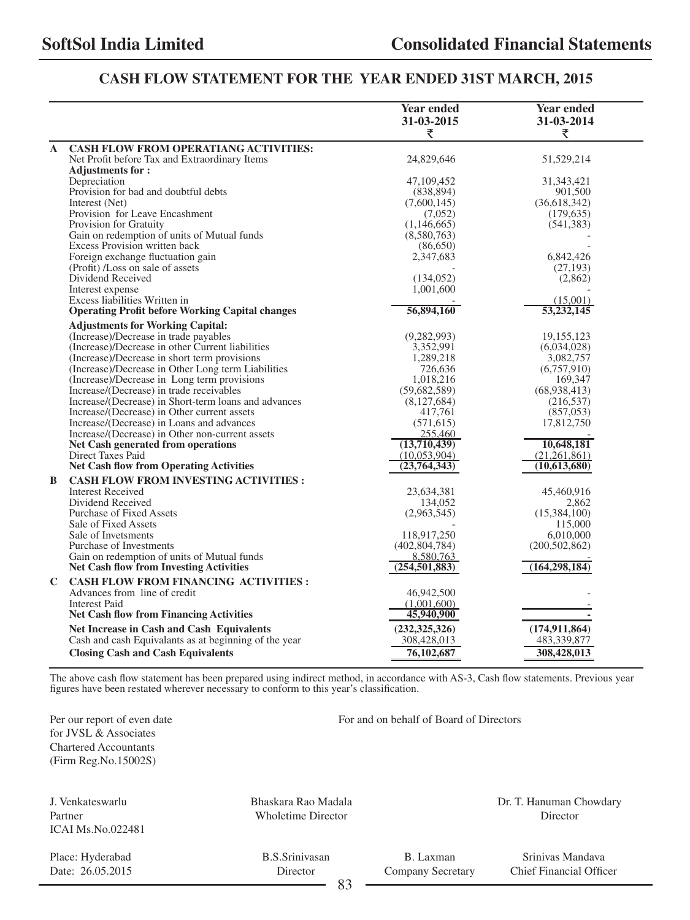# **CASH FLOW STATEMENT FOR THE YEAR ENDED 31ST MARCH, 2015**

|              |                                                                          | <b>Year ended</b><br>31-03-2015 | <b>Year ended</b><br>31-03-2014 |
|--------------|--------------------------------------------------------------------------|---------------------------------|---------------------------------|
|              |                                                                          | ₹                               | ₹                               |
| $\mathbf{A}$ | CASH FLOW FROM OPERATIANG ACTIVITIES:                                    |                                 |                                 |
|              | Net Profit before Tax and Extraordinary Items<br><b>Adjustments for:</b> | 24,829,646                      | 51,529,214                      |
|              | Depreciation                                                             | 47, 109, 452                    | 31, 343, 421                    |
|              | Provision for bad and doubtful debts                                     | (838, 894)                      | 901,500                         |
|              | Interest (Net)                                                           | (7,600,145)                     | (36,618,342)                    |
|              | Provision for Leave Encashment                                           | (7,052)                         | (179, 635)                      |
|              | Provision for Gratuity                                                   | (1,146,665)                     | (541, 383)                      |
|              | Gain on redemption of units of Mutual funds                              | (8,580,763)                     |                                 |
|              | Excess Provision written back                                            | (86,650)                        |                                 |
|              | Foreign exchange fluctuation gain                                        | 2,347,683                       | 6,842,426                       |
|              | (Profit) /Loss on sale of assets                                         |                                 | (27, 193)                       |
|              | Dividend Received                                                        | (134, 052)                      | (2,862)                         |
|              | Interest expense                                                         | 1,001,600                       |                                 |
|              | Excess liabilities Written in                                            |                                 | (15,001)                        |
|              | <b>Operating Profit before Working Capital changes</b>                   | 56,894,160                      | $\overline{53,232,145}$         |
|              |                                                                          |                                 |                                 |
|              | <b>Adjustments for Working Capital:</b>                                  |                                 |                                 |
|              | (Increase)/Decrease in trade payables                                    | (9, 282, 993)                   | 19.155.123                      |
|              | (Increase)/Decrease in other Current liabilities                         | 3,352,991                       | (6,034,028)                     |
|              | (Increase)/Decrease in short term provisions                             | 1,289,218                       | 3,082,757                       |
|              | (Increase)/Decrease in Other Long term Liabilities                       | 726,636                         | (6,757,910)                     |
|              | (Increase)/Decrease in Long term provisions                              | 1,018,216                       | 169,347                         |
|              | Increase/(Decrease) in trade receivables                                 | (59,682,589)                    | (68,938,413)                    |
|              | Increase/(Decrease) in Short-term loans and advances                     | (8,127,684)                     | (216, 537)                      |
|              | Increase/(Decrease) in Other current assets                              | 417,761                         | (857,053)                       |
|              | Increase/(Decrease) in Loans and advances                                | (571, 615)                      | 17,812,750                      |
|              | Increase/(Decrease) in Other non-current assets                          | 255,460                         |                                 |
|              | Net Cash generated from operations                                       | (13,710,439)                    | 10,648,181                      |
|              | Direct Taxes Paid                                                        | (10,053,904)                    | (21, 261, 861)                  |
|              | <b>Net Cash flow from Operating Activities</b>                           | (23,764,343)                    | (10,613,680)                    |
| B            | <b>CASH FLOW FROM INVESTING ACTIVITIES :</b>                             |                                 |                                 |
|              | <b>Interest Received</b>                                                 | 23,634,381                      | 45,460,916                      |
|              | Dividend Received                                                        | 134,052                         | 2,862                           |
|              | <b>Purchase of Fixed Assets</b>                                          | (2,963,545)                     | (15,384,100)                    |
|              | Sale of Fixed Assets                                                     |                                 | 115,000                         |
|              | Sale of Invetsments                                                      | 118,917,250                     | 6,010,000                       |
|              | Purchase of Investments                                                  | (402, 804, 784)                 | (200, 502, 862)                 |
|              | Gain on redemption of units of Mutual funds                              | 8,580,763                       |                                 |
|              | <b>Net Cash flow from Investing Activities</b>                           | (254, 501, 883)                 | (164, 298, 184)                 |
| $\mathbf{C}$ | CASH FLOW FROM FINANCING ACTIVITIES :                                    |                                 |                                 |
|              | Advances from line of credit                                             | 46,942,500                      |                                 |
|              | <b>Interest Paid</b>                                                     | (1,001,600)                     |                                 |
|              | <b>Net Cash flow from Financing Activities</b>                           | 45,940,900                      |                                 |
|              |                                                                          |                                 |                                 |
|              | Net Increase in Cash and Cash Equivalents                                | (232, 325, 326)                 | (174, 911, 864)                 |
|              | Cash and cash Equivalants as at beginning of the year                    | 308,428,013                     | 483,339,877                     |
|              | <b>Closing Cash and Cash Equivalents</b>                                 | 76,102,687                      | 308,428,013                     |
|              |                                                                          |                                 |                                 |

The above cash flow statement has been prepared using indirect method, in accordance with AS-3, Cash flow statements. Previous year figures have been restated wherever necessary to conform to this year's classification.

Per our report of even date For and on behalf of Board of Directors for JVSL & Associates Chartered Accountants (Firm Reg.No.15002S)

J. Venkateswarlu Bhaskara Rao Madala Dr. T. Hanuman Chowdary Partner Mholetime Director Director Director ICAI Ms.No.022481

Place: Hyderabad B.S.Srinivasan B. Laxman Srinivas Mandava

Date: 26.05.2015 Director Company Secretary Chief Financial Officer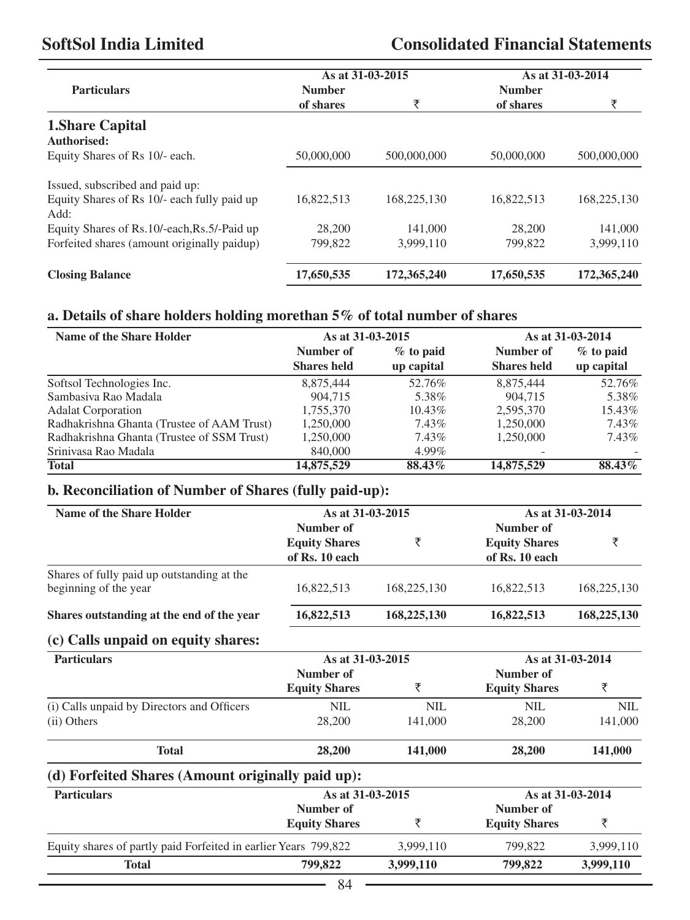|                                                     | As at 31-03-2015 |             |               | As at 31-03-2014 |  |
|-----------------------------------------------------|------------------|-------------|---------------|------------------|--|
| <b>Particulars</b>                                  | <b>Number</b>    |             | <b>Number</b> |                  |  |
|                                                     | of shares        | ₹           | of shares     | ₹                |  |
| <b>1. Share Capital</b><br>Authorised:              |                  |             |               |                  |  |
| Equity Shares of Rs 10/- each.                      | 50,000,000       | 500,000,000 | 50,000,000    | 500,000,000      |  |
| Issued, subscribed and paid up:                     |                  |             |               |                  |  |
| Equity Shares of Rs 10/- each fully paid up<br>Add: | 16,822,513       | 168,225,130 | 16,822,513    | 168,225,130      |  |
| Equity Shares of Rs.10/-each, Rs.5/-Paid up         | 28,200           | 141,000     | 28,200        | 141,000          |  |
| Forfeited shares (amount originally paidup)         | 799,822          | 3.999.110   | 799,822       | 3.999.110        |  |
| <b>Closing Balance</b>                              | 17,650,535       | 172,365,240 | 17,650,535    | 172,365,240      |  |

# **a. Details of share holders holding morethan 5% of total number of shares**

| Name of the Share Holder                   | As at 31-03-2015   |              |                    | As at 31-03-2014 |  |
|--------------------------------------------|--------------------|--------------|--------------------|------------------|--|
|                                            | Number of          | $\%$ to paid | Number of          | % to paid        |  |
|                                            | <b>Shares held</b> | up capital   | <b>Shares held</b> | up capital       |  |
| Softsol Technologies Inc.                  | 8.875.444          | 52.76%       | 8.875.444          | 52.76%           |  |
| Sambasiya Rao Madala                       | 904,715            | 5.38%        | 904,715            | 5.38%            |  |
| <b>Adalat Corporation</b>                  | 1,755,370          | 10.43%       | 2,595,370          | 15.43%           |  |
| Radhakrishna Ghanta (Trustee of AAM Trust) | 1.250,000          | 7.43%        | 1,250,000          | 7.43%            |  |
| Radhakrishna Ghanta (Trustee of SSM Trust) | 1,250,000          | 7.43%        | 1.250,000          | 7.43%            |  |
| Sriniyasa Rao Madala                       | 840,000            | 4.99%        |                    |                  |  |
| <b>Total</b>                               | 14,875,529         | 88.43%       | 14,875,529         | 88.43%           |  |

# **b. Reconciliation of Number of Shares (fully paid-up):**

| Name of the Share Holder                                            | As at 31-03-2015                                                             |             | As at 31-03-2014                                                             |                  |
|---------------------------------------------------------------------|------------------------------------------------------------------------------|-------------|------------------------------------------------------------------------------|------------------|
|                                                                     | Number of<br><b>Equity Shares</b><br>of Rs. 10 each                          | ₹           | Number of<br><b>Equity Shares</b><br>of Rs. 10 each                          | ₹                |
| Shares of fully paid up outstanding at the<br>beginning of the year | 16,822,513                                                                   | 168,225,130 | 16,822,513                                                                   | 168,225,130      |
| Shares outstanding at the end of the year                           | 16,822,513                                                                   | 168,225,130 | 16,822,513                                                                   | 168,225,130      |
| (c) Calls unpaid on equity shares:                                  |                                                                              |             |                                                                              |                  |
| <b>Particulars</b>                                                  | As at 31-03-2015                                                             |             |                                                                              | As at 31-03-2014 |
|                                                                     | Number of<br>$\mathbf{E}$ and $\mathbf{H}$ and $\mathbf{H}$ and $\mathbf{H}$ |             | Number of<br>$\mathbf{E}$ and $\mathbf{H}$ and $\mathbf{H}$ and $\mathbf{H}$ |                  |

|                                                           | Number of<br><b>Equity Shares</b> |                       | Number of<br><b>Equity Shares</b> |                       |
|-----------------------------------------------------------|-----------------------------------|-----------------------|-----------------------------------|-----------------------|
| (i) Calls unpaid by Directors and Officers<br>(ii) Others | NIL<br>28,200                     | <b>NIL</b><br>141,000 | NIL<br>28,200                     | <b>NIL</b><br>141,000 |
| <b>Total</b>                                              | 28,200                            | 141,000               | 28,200                            | 141,000               |

# **(d) Forfeited Shares (Amount originally paid up):**

| <b>Particulars</b>                                              | As at 31-03-2015                  |           | As at 31-03-2014                  |           |
|-----------------------------------------------------------------|-----------------------------------|-----------|-----------------------------------|-----------|
|                                                                 | Number of<br><b>Equity Shares</b> |           | Number of<br><b>Equity Shares</b> |           |
| Equity shares of partly paid Forfeited in earlier Years 799,822 |                                   | 3.999.110 | 799.822                           | 3.999.110 |
| <b>Total</b>                                                    | 799,822                           | 3,999,110 | 799,822                           | 3,999,110 |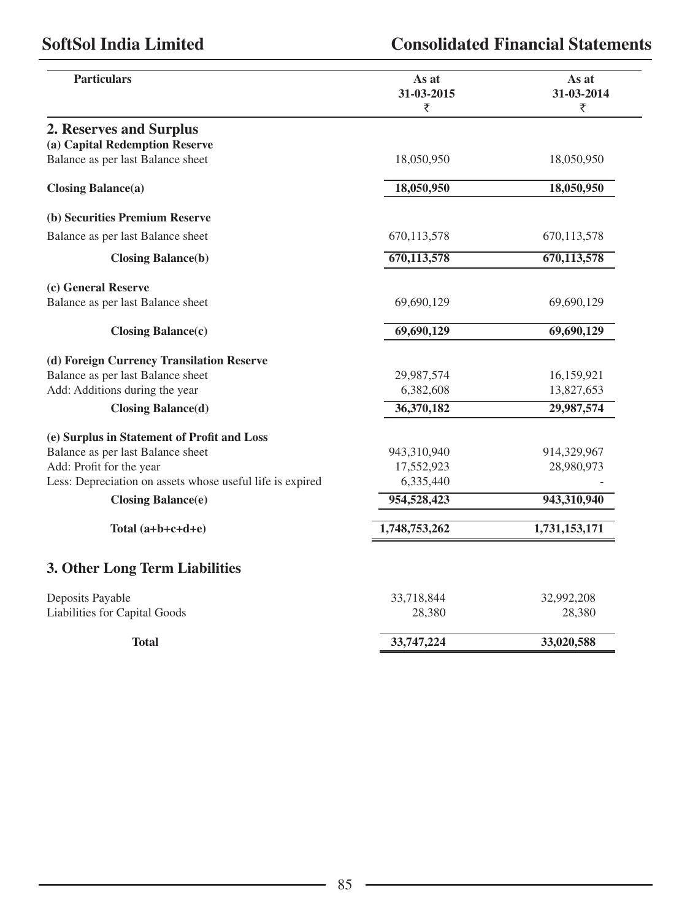| <b>Particulars</b>                                        | As at<br>31-03-2015<br>₹ | As at<br>31-03-2014<br>₹ |
|-----------------------------------------------------------|--------------------------|--------------------------|
|                                                           |                          |                          |
| 2. Reserves and Surplus<br>(a) Capital Redemption Reserve |                          |                          |
| Balance as per last Balance sheet                         | 18,050,950               | 18,050,950               |
|                                                           |                          |                          |
| <b>Closing Balance(a)</b>                                 | 18,050,950               | 18,050,950               |
| (b) Securities Premium Reserve                            |                          |                          |
| Balance as per last Balance sheet                         | 670,113,578              | 670,113,578              |
| <b>Closing Balance(b)</b>                                 | 670,113,578              | 670,113,578              |
| (c) General Reserve                                       |                          |                          |
| Balance as per last Balance sheet                         | 69,690,129               | 69,690,129               |
| $\text{Closing Balance}(c)$                               | 69,690,129               | 69,690,129               |
| (d) Foreign Currency Transilation Reserve                 |                          |                          |
| Balance as per last Balance sheet                         | 29,987,574               | 16,159,921               |
| Add: Additions during the year                            | 6,382,608                | 13,827,653               |
| <b>Closing Balance(d)</b>                                 | 36,370,182               | 29,987,574               |
| (e) Surplus in Statement of Profit and Loss               |                          |                          |
| Balance as per last Balance sheet                         | 943,310,940              | 914,329,967              |
| Add: Profit for the year                                  | 17,552,923               | 28,980,973               |
| Less: Depreciation on assets whose useful life is expired | 6,335,440                |                          |
| <b>Closing Balance(e)</b>                                 | 954,528,423              | 943,310,940              |
| Total $(a+b+c+d+e)$                                       | 1,748,753,262            | 1,731,153,171            |
| 3. Other Long Term Liabilities                            |                          |                          |
| Deposits Payable                                          | 33,718,844               | 32,992,208               |
| Liabilities for Capital Goods                             | 28,380                   | 28,380                   |
| <b>Total</b>                                              | 33,747,224               | 33,020,588               |

L,

<u> 1989 - Johann Barn, mars ann an t-Amhair an t-Amhair an t-Amhair an t-Amhair an t-Amhair an t-Amhair an t-Amh</u>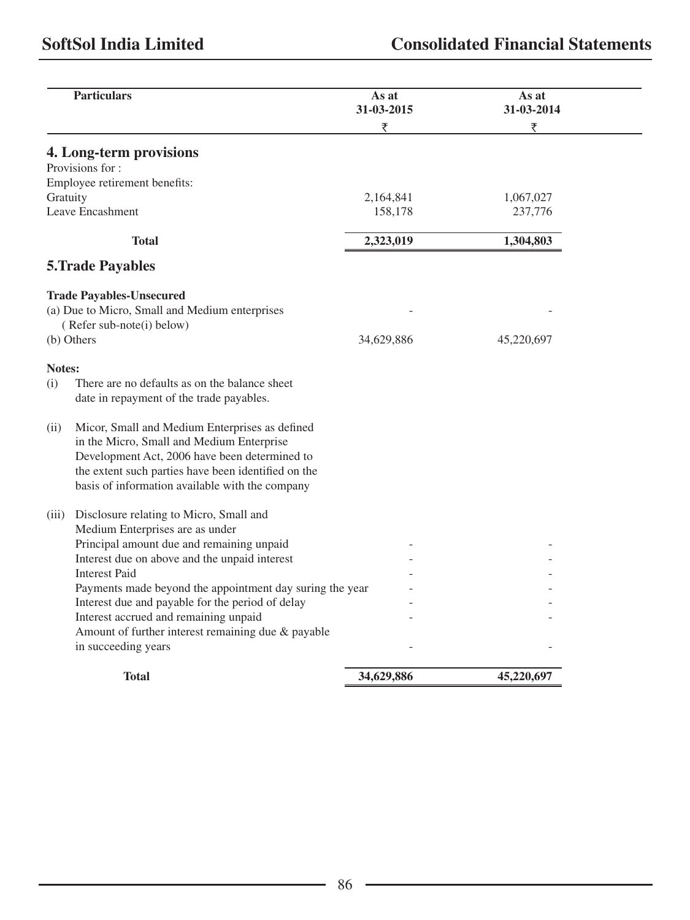| <b>Particulars</b>                                                                                                                                                                                                                                             | As at<br>31-03-2015<br>₹ | As at<br>31-03-2014<br>₹ |
|----------------------------------------------------------------------------------------------------------------------------------------------------------------------------------------------------------------------------------------------------------------|--------------------------|--------------------------|
| 4. Long-term provisions<br>Provisions for:                                                                                                                                                                                                                     |                          |                          |
| Employee retirement benefits:                                                                                                                                                                                                                                  |                          |                          |
| Gratuity                                                                                                                                                                                                                                                       | 2,164,841                | 1,067,027                |
| Leave Encashment                                                                                                                                                                                                                                               | 158,178                  | 237,776                  |
| <b>Total</b>                                                                                                                                                                                                                                                   | 2,323,019                | 1,304,803                |
| <b>5. Trade Payables</b>                                                                                                                                                                                                                                       |                          |                          |
| <b>Trade Payables-Unsecured</b><br>(a) Due to Micro, Small and Medium enterprises<br>(Refer sub-note(i) below)                                                                                                                                                 |                          |                          |
| (b) Others                                                                                                                                                                                                                                                     | 34,629,886               | 45,220,697               |
| Notes:<br>There are no defaults as on the balance sheet<br>(i)<br>date in repayment of the trade payables.                                                                                                                                                     |                          |                          |
| Micor, Small and Medium Enterprises as defined<br>(ii)<br>in the Micro, Small and Medium Enterprise<br>Development Act, 2006 have been determined to<br>the extent such parties have been identified on the<br>basis of information available with the company |                          |                          |
| Disclosure relating to Micro, Small and<br>(iii)<br>Medium Enterprises are as under                                                                                                                                                                            |                          |                          |
| Principal amount due and remaining unpaid                                                                                                                                                                                                                      |                          |                          |
| Interest due on above and the unpaid interest                                                                                                                                                                                                                  |                          |                          |
| <b>Interest Paid</b>                                                                                                                                                                                                                                           |                          |                          |
| Payments made beyond the appointment day suring the year                                                                                                                                                                                                       |                          |                          |
| Interest due and payable for the period of delay                                                                                                                                                                                                               |                          |                          |
| Interest accrued and remaining unpaid                                                                                                                                                                                                                          |                          |                          |
| Amount of further interest remaining due & payable<br>in succeeding years                                                                                                                                                                                      |                          |                          |
|                                                                                                                                                                                                                                                                |                          |                          |
| <b>Total</b>                                                                                                                                                                                                                                                   | 34,629,886               | 45,220,697               |

<u> 1989 - Johann Barn, mars ann an t-Aonaich an t-Aonaich an t-Aonaich an t-Aonaich an t-Aonaich an t-Aonaich an </u>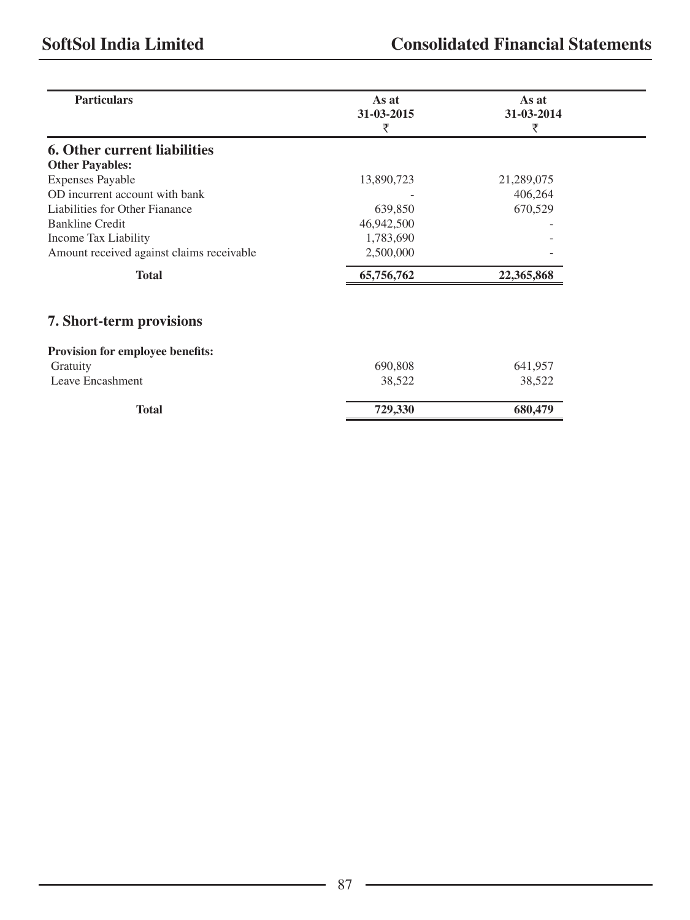| <b>Particulars</b>                        | As at<br>31-03-2015<br>₹ | As at<br>31-03-2014<br>₹ |
|-------------------------------------------|--------------------------|--------------------------|
|                                           |                          |                          |
| <b>6. Other current liabilities</b>       |                          |                          |
| <b>Other Payables:</b>                    |                          |                          |
| <b>Expenses Payable</b>                   | 13,890,723               | 21,289,075               |
| OD incurrent account with bank            |                          | 406,264                  |
| Liabilities for Other Fianance            | 639,850                  | 670,529                  |
| <b>Bankline Credit</b>                    | 46,942,500               |                          |
| Income Tax Liability                      | 1,783,690                |                          |
| Amount received against claims receivable | 2,500,000                |                          |
| <b>Total</b>                              | 65,756,762               | 22,365,868               |
|                                           |                          |                          |
| 7. Short-term provisions                  |                          |                          |
| Provision for employee benefits:          |                          |                          |
| Gratuity                                  | 690,808                  | 641,957                  |
| Leave Encashment                          | 38,522                   | 38,522                   |
| <b>Total</b>                              | 729,330                  | 680,479                  |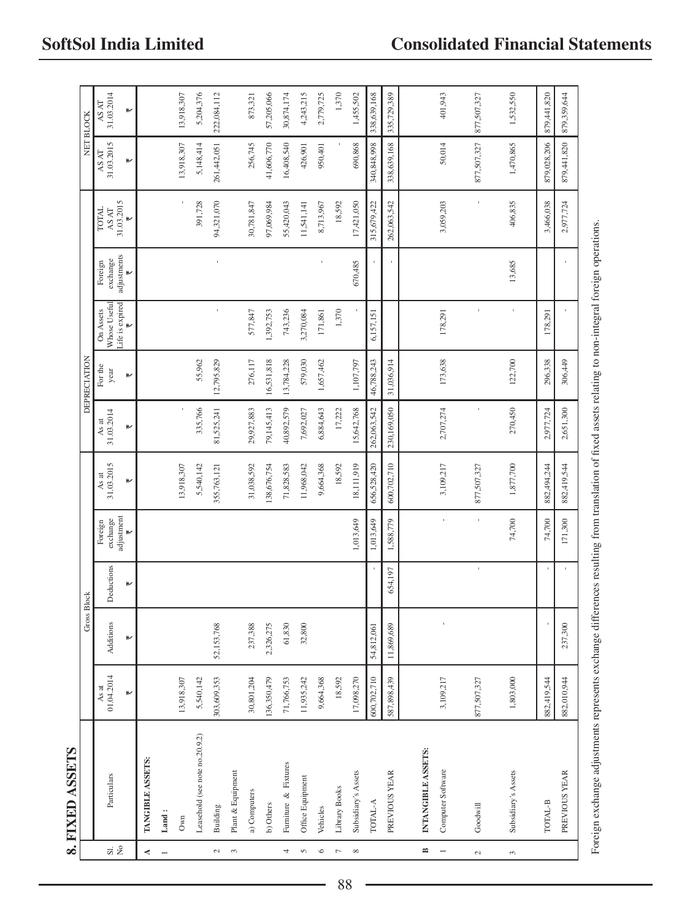|                          | 8. FIXED ASSETS                |                                               |                    |                     |                     |                                                           |                     |                     |                           |                     |                 |                     |                     |
|--------------------------|--------------------------------|-----------------------------------------------|--------------------|---------------------|---------------------|-----------------------------------------------------------|---------------------|---------------------|---------------------------|---------------------|-----------------|---------------------|---------------------|
|                          |                                |                                               | <b>Gross Block</b> |                     |                     |                                                           |                     | <b>DEPRECIATION</b> |                           |                     |                 |                     | <b>NET BLOCK</b>    |
| $\overrightarrow{a}$     | Particulars                    | 2014<br>$\overline{a}$<br>$rac{As}{101.04.2}$ | Additions          | Deductions          | exchange<br>Foreign | $\begin{array}{c} \text{As at} \\ 31.03.2015 \end{array}$ | 31.03.2014<br>As at | For the<br>year     | Whose Useful<br>On Assets | exchange<br>Foreign | TOTAL<br>AS AT  | 31.03.2015<br>AS AT | 31.03.2014<br>AS AT |
|                          |                                |                                               | ₩                  | ₩                   | adjustment<br>⊮     | ₩                                                         | ₩                   | ₩                   | Life is expired           | adjustments<br>⊮    | 31.03.2015<br>₩ | ₩                   | ₩                   |
| ⋖                        | TANGIBLE ASSETS:               |                                               |                    |                     |                     |                                                           |                     |                     |                           |                     |                 |                     |                     |
|                          | $\mathbf{Land}$ :              |                                               |                    |                     |                     |                                                           |                     |                     |                           |                     |                 |                     |                     |
|                          | $_{\rm Own}$                   | 307<br>13,918,                                |                    |                     |                     | 13,918,307                                                |                     |                     |                           |                     |                 | 13,918,307          | 13,918,307          |
|                          | Leasehold (see note no.20.9.2) | 5,540,142                                     |                    |                     |                     | 5,540,142                                                 | 335,766             | 55,962              |                           |                     | 391,728         | 5,148,414           | 5,204,376           |
| $\mathfrak{c}$           | Building                       | 303,609,353                                   | 52,153,768         |                     |                     | 355,763,121                                               | 81,525,241          | 12,795,829          | ł                         | ï                   | 94,321,070      | 261,442,051         | 222,084,112         |
| $\epsilon$               | Plant & Equipment              |                                               |                    |                     |                     |                                                           |                     |                     |                           |                     |                 |                     |                     |
|                          | a) Computers                   | 204<br>30,801,                                | 237,388            |                     |                     | 31,038,592                                                | 29,927,883          | 276,117             | 577,847                   |                     | 30,781,847      | 256,745             | 873,321             |
|                          | b) Others                      | 136,350,479                                   | 2,326,275          |                     |                     | 38,676,754                                                | 79,145,413          | 16,531,818          | 1,392,753                 |                     | 97,069,984      | 41,606,770          | 57,205,066          |
| 4                        | Furniture & Fixtures           | 71,766,753                                    | 61,830             |                     |                     | 71,828,583                                                | 40,892,579          | 13,784,228          | 743,236                   |                     | 55,420,043      | 16,408,540          | 30,874,174          |
| 5                        | Office Equipment               | 11,935,242                                    | 32,800             |                     |                     | 11,968,042                                                | 7,692,027           | 579,030             | 3,270,084                 |                     | 11,541,141      | 426,901             | 4,243,215           |
| $\circ$                  | Vehicles                       | 9,664,368                                     |                    |                     |                     | 9,664,368                                                 | 6,884,643           | 1,657,462           | 171,861                   | ï                   | 8,713,967       | 950,401             | 2,779,725           |
| $\overline{ }$           | Library Books                  | 18,592                                        |                    |                     |                     | 18,592                                                    | 17,222              |                     | 1,370                     |                     | 18,592          |                     | 1,370               |
| ${}^{\circ}$             | Subsidiary's Assets            | 17,098,270                                    |                    |                     | 1,013,649           | 18,111,919                                                | 15,642,768          | 1,107,797           |                           | 670,485             | 17,421,050      | 690,868             | 1,455,502           |
|                          | TOTAL-A                        | 600,702,710                                   | 54,812,061         |                     | 1,013,649           | 656,528,420                                               | 262,063,542         | 46,788,243          | 6,157,151                 |                     | 315,679,422     | 340,848,998         | 338,639,168         |
|                          | PREVIOUS YEAR                  | 587,898,439                                   | 11,869,689         | 654,197             | 1,588,779           | 600,702,710                                               | 230,169,050         | 31,036,914          |                           |                     | 262,063,542     | 338,639,168         | 335,729,389         |
| $\mathbf{r}$             | INTANGIBLE ASSETS:             |                                               |                    |                     |                     |                                                           |                     |                     |                           |                     |                 |                     |                     |
| $\overline{\phantom{0}}$ | Computer Software              | 3,109,217                                     |                    |                     | Î.                  | 3,109,217                                                 | 2,707,274           | 173,638             | 178,291                   |                     | 3,059,203       | 50,014              | 401,943             |
|                          |                                |                                               |                    |                     |                     |                                                           |                     |                     |                           |                     |                 |                     |                     |
| $\mathfrak{g}$           | Goodwill                       | 327<br>877,507,                               |                    | $\bar{\phantom{a}}$ | $\mathbf{r}$        | 877,507,327                                               |                     |                     | ï                         |                     |                 | 877,507,327         | 877,507,327         |
| $\omega$                 | Subsidiary's Assets            | 1,803,000                                     |                    |                     | 74,700              | 1,877,700                                                 | 270,450             | 122,700             | $\bar{1}$                 | 13,685              | 406,835         | 1,470,865           | 1,532,550           |
|                          | TOTAL-B                        | 544<br>882,419,                               |                    | í,                  | 74,700              | 882,494,244                                               | 2,977,724           | 296,338             | 178,291                   |                     | 3,466,038       | 879,028,206         | 879,441,820         |
|                          | PREVIOUS YEAR                  | 882,010,944                                   | 237,300            |                     | 171,300             | 882,419,544                                               | 2,651,300           | 306,449             |                           |                     | 2,977,724       | 879, 441, 820       | 879,359,644         |

Foreign exchange adjustments represents exchange differences resulting from translation of fixed assets relating to non-integral foreign operations. Foreign exchange adjustments represents exchange differences resulting from translation of fixed assets relating to non-integral foreign operations.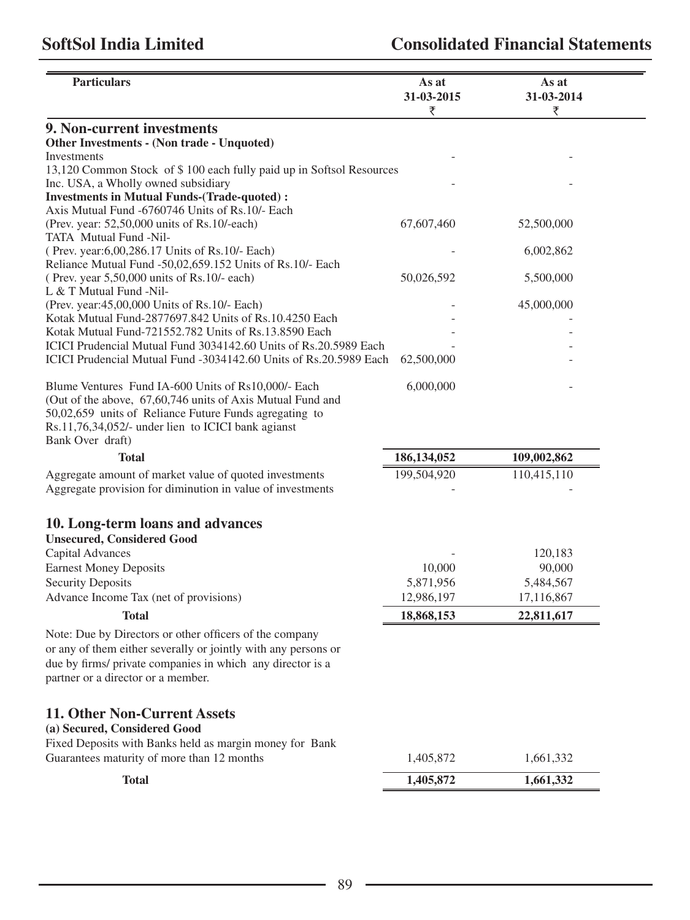| <b>Particulars</b>                                                                                                   | As at<br>31-03-2015<br>₹ | As at<br>31-03-2014<br>₹ |
|----------------------------------------------------------------------------------------------------------------------|--------------------------|--------------------------|
| 9. Non-current investments                                                                                           |                          |                          |
| Other Investments - (Non trade - Unquoted)                                                                           |                          |                          |
| Investments                                                                                                          |                          |                          |
| 13,120 Common Stock of \$100 each fully paid up in Softsol Resources                                                 |                          |                          |
| Inc. USA, a Wholly owned subsidiary                                                                                  |                          |                          |
| <b>Investments in Mutual Funds-(Trade-quoted):</b>                                                                   |                          |                          |
| Axis Mutual Fund -6760746 Units of Rs.10/- Each                                                                      |                          |                          |
| (Prev. year: 52,50,000 units of Rs.10/-each)                                                                         | 67,607,460               | 52,500,000               |
| TATA Mutual Fund -Nil-                                                                                               |                          |                          |
| (Prev. year: 6,00,286.17 Units of Rs.10/- Each)                                                                      |                          | 6,002,862                |
| Reliance Mutual Fund -50,02,659.152 Units of Rs.10/- Each                                                            |                          |                          |
| (Prev. year 5,50,000 units of Rs.10/- each)                                                                          | 50,026,592               | 5,500,000                |
| L & T Mutual Fund -Nil-                                                                                              |                          |                          |
| (Prev. year: 45,00,000 Units of Rs. 10/- Each)                                                                       |                          | 45,000,000               |
| Kotak Mutual Fund-2877697.842 Units of Rs.10.4250 Each                                                               |                          |                          |
| Kotak Mutual Fund-721552.782 Units of Rs.13.8590 Each                                                                |                          |                          |
| ICICI Prudencial Mutual Fund 3034142.60 Units of Rs.20.5989 Each                                                     |                          |                          |
| ICICI Prudencial Mutual Fund -3034142.60 Units of Rs.20.5989 Each                                                    | 62,500,000               |                          |
| Blume Ventures Fund IA-600 Units of Rs10,000/- Each                                                                  | 6,000,000                |                          |
| (Out of the above, 67,60,746 units of Axis Mutual Fund and                                                           |                          |                          |
| 50,02,659 units of Reliance Future Funds agregating to                                                               |                          |                          |
| Rs.11,76,34,052/- under lien to ICICI bank agianst                                                                   |                          |                          |
| Bank Over draft)                                                                                                     |                          |                          |
| <b>Total</b>                                                                                                         | 186, 134, 052            | 109,002,862              |
|                                                                                                                      |                          |                          |
| Aggregate amount of market value of quoted investments<br>Aggregate provision for diminution in value of investments | 199,504,920              | 110,415,110              |
| 10. Long-term loans and advances                                                                                     |                          |                          |
| <b>Unsecured, Considered Good</b>                                                                                    |                          |                          |
| Capital Advances                                                                                                     |                          | 120,183                  |
| <b>Earnest Money Deposits</b>                                                                                        | 10,000                   | 90,000                   |
| <b>Security Deposits</b>                                                                                             | 5,871,956                | 5,484,567                |
| Advance Income Tax (net of provisions)                                                                               | 12,986,197               | 17,116,867               |
| <b>Total</b>                                                                                                         | 18,868,153               | 22,811,617               |
| Note: Due by Directors or other officers of the company                                                              |                          |                          |
|                                                                                                                      |                          |                          |
| or any of them either severally or jointly with any persons or                                                       |                          |                          |
| due by firms/ private companies in which any director is a                                                           |                          |                          |
| partner or a director or a member.                                                                                   |                          |                          |
|                                                                                                                      |                          |                          |
| 11. Other Non-Current Assets                                                                                         |                          |                          |
| (a) Secured, Considered Good                                                                                         |                          |                          |
| Fixed Deposits with Banks held as margin money for Bank                                                              |                          |                          |
| Guarantees maturity of more than 12 months                                                                           | 1,405,872                | 1,661,332                |
| <b>Total</b>                                                                                                         | 1,405,872                | 1,661,332                |
|                                                                                                                      |                          |                          |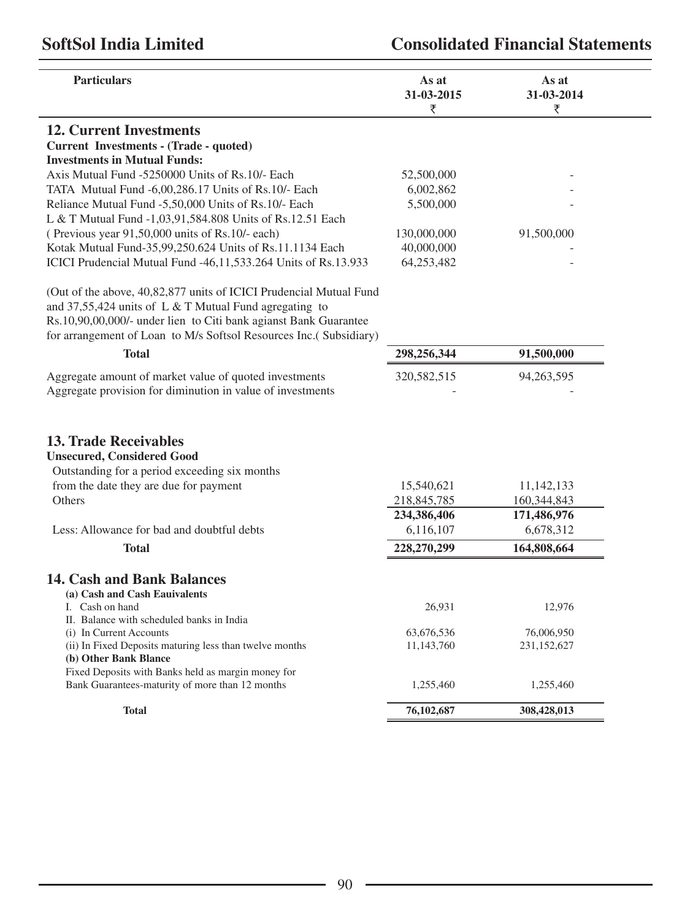|                                                                                                                                                                                                                                                                       | As at<br>31-03-2015<br>₹  | As at<br>31-03-2014<br>₹  |
|-----------------------------------------------------------------------------------------------------------------------------------------------------------------------------------------------------------------------------------------------------------------------|---------------------------|---------------------------|
| <b>12. Current Investments</b>                                                                                                                                                                                                                                        |                           |                           |
| Current Investments - (Trade - quoted)                                                                                                                                                                                                                                |                           |                           |
| <b>Investments in Mutual Funds:</b>                                                                                                                                                                                                                                   |                           |                           |
| Axis Mutual Fund -5250000 Units of Rs.10/- Each                                                                                                                                                                                                                       | 52,500,000                |                           |
| TATA Mutual Fund -6,00,286.17 Units of Rs.10/- Each                                                                                                                                                                                                                   | 6,002,862                 |                           |
| Reliance Mutual Fund -5,50,000 Units of Rs.10/- Each                                                                                                                                                                                                                  | 5,500,000                 |                           |
| L & T Mutual Fund -1,03,91,584.808 Units of Rs.12.51 Each                                                                                                                                                                                                             |                           |                           |
| (Previous year 91,50,000 units of Rs.10/- each)                                                                                                                                                                                                                       | 130,000,000               | 91,500,000                |
| Kotak Mutual Fund-35,99,250.624 Units of Rs.11.1134 Each                                                                                                                                                                                                              | 40,000,000                |                           |
| ICICI Prudencial Mutual Fund -46,11,533.264 Units of Rs.13.933                                                                                                                                                                                                        | 64,253,482                |                           |
| (Out of the above, 40,82,877 units of ICICI Prudencial Mutual Fund<br>and 37,55,424 units of L & T Mutual Fund agregating to<br>Rs.10,90,00,000/- under lien to Citi bank agianst Bank Guarantee<br>for arrangement of Loan to M/s Softsol Resources Inc.(Subsidiary) |                           |                           |
| <b>Total</b>                                                                                                                                                                                                                                                          | 298,256,344               | 91,500,000                |
| Aggregate amount of market value of quoted investments<br>Aggregate provision for diminution in value of investments                                                                                                                                                  | 320,582,515               | 94,263,595                |
| <b>13. Trade Receivables</b><br><b>Unsecured, Considered Good</b>                                                                                                                                                                                                     |                           |                           |
| Outstanding for a period exceeding six months<br>from the date they are due for payment<br><b>Others</b>                                                                                                                                                              | 15,540,621<br>218,845,785 | 11,142,133<br>160,344,843 |
|                                                                                                                                                                                                                                                                       | 234,386,406               | 171,486,976               |
| Less: Allowance for bad and doubtful debts                                                                                                                                                                                                                            | 6,116,107                 | 6,678,312                 |
| <b>Total</b>                                                                                                                                                                                                                                                          | 228,270,299               | 164,808,664               |
| <b>14. Cash and Bank Balances</b><br>(a) Cash and Cash Eauivalents                                                                                                                                                                                                    |                           |                           |
| I. Cash on hand                                                                                                                                                                                                                                                       | 26,931                    | 12,976                    |
| II. Balance with scheduled banks in India                                                                                                                                                                                                                             |                           |                           |
| (i) In Current Accounts<br>(ii) In Fixed Deposits maturing less than twelve months                                                                                                                                                                                    | 63,676,536<br>11,143,760  | 76,006,950<br>231,152,627 |
| (b) Other Bank Blance                                                                                                                                                                                                                                                 |                           |                           |
| Fixed Deposits with Banks held as margin money for                                                                                                                                                                                                                    |                           |                           |
| Bank Guarantees-maturity of more than 12 months                                                                                                                                                                                                                       | 1,255,460                 | 1,255,460                 |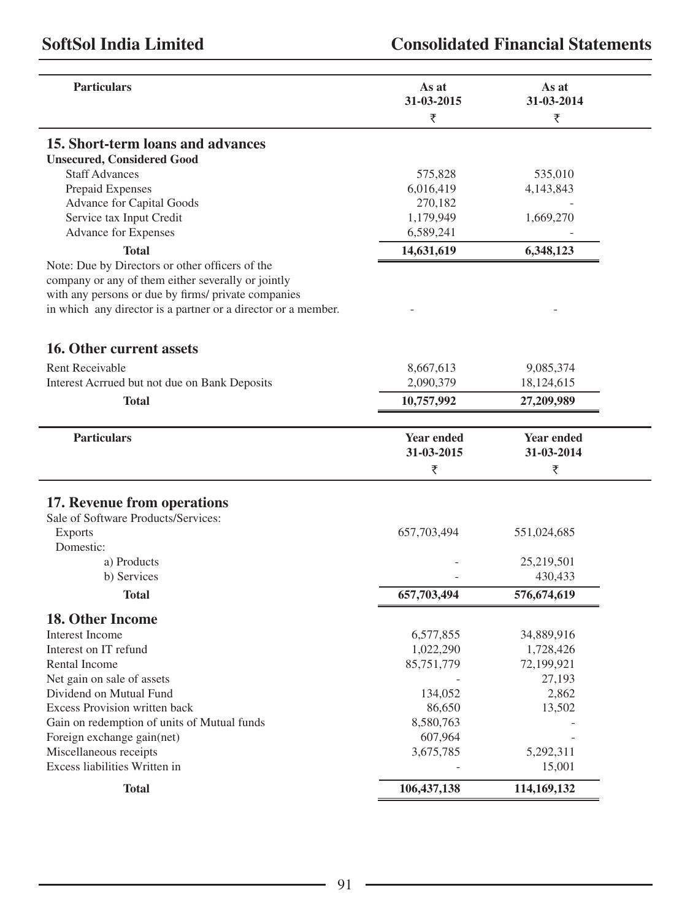| <b>Particulars</b>                                            | As at<br>31-03-2015 | As at<br>31-03-2014 |
|---------------------------------------------------------------|---------------------|---------------------|
|                                                               | ₹                   | ₹                   |
| 15. Short-term loans and advances                             |                     |                     |
| <b>Unsecured, Considered Good</b>                             |                     |                     |
| <b>Staff Advances</b>                                         | 575,828             | 535,010             |
| Prepaid Expenses                                              | 6,016,419           | 4,143,843           |
| Advance for Capital Goods                                     | 270,182             |                     |
| Service tax Input Credit                                      | 1,179,949           | 1,669,270           |
| Advance for Expenses                                          | 6,589,241           |                     |
| <b>Total</b>                                                  | 14,631,619          | 6,348,123           |
| Note: Due by Directors or other officers of the               |                     |                     |
| company or any of them either severally or jointly            |                     |                     |
| with any persons or due by firms/ private companies           |                     |                     |
| in which any director is a partner or a director or a member. |                     |                     |
|                                                               |                     |                     |
|                                                               |                     |                     |
| 16. Other current assets                                      |                     |                     |
| Rent Receivable                                               | 8,667,613           | 9,085,374           |
| Interest Acrrued but not due on Bank Deposits                 | 2,090,379           | 18,124,615          |
| <b>Total</b>                                                  | 10,757,992          | 27,209,989          |
|                                                               |                     |                     |
| <b>Particulars</b>                                            | <b>Year ended</b>   | <b>Year ended</b>   |
|                                                               | 31-03-2015          | 31-03-2014          |
|                                                               | ₹                   | ₹                   |
|                                                               |                     |                     |
| 17. Revenue from operations                                   |                     |                     |
| Sale of Software Products/Services:                           |                     |                     |
| <b>Exports</b>                                                | 657,703,494         | 551,024,685         |
| Domestic:                                                     |                     |                     |
| a) Products                                                   |                     | 25,219,501          |
| b) Services                                                   |                     | 430,433             |
| <b>Total</b>                                                  | 657,703,494         | 576,674,619         |
| 18. Other Income                                              |                     |                     |
| Interest Income                                               | 6,577,855           | 34,889,916          |
| Interest on IT refund                                         | 1,022,290           | 1,728,426           |
| Rental Income                                                 | 85,751,779          | 72,199,921          |
| Net gain on sale of assets                                    |                     | 27,193              |
| Dividend on Mutual Fund                                       | 134,052             | 2,862               |
| Excess Provision written back                                 | 86,650              | 13,502              |
| Gain on redemption of units of Mutual funds                   | 8,580,763           |                     |
| Foreign exchange gain(net)                                    | 607,964             |                     |
| Miscellaneous receipts                                        | 3,675,785           | 5,292,311           |
| Excess liabilities Written in                                 |                     | 15,001              |
| <b>Total</b>                                                  | 106,437,138         | 114,169,132         |
|                                                               |                     |                     |

<u> 1980 - Johann Barn, mars an t-Amerikaansk ferskeider (</u>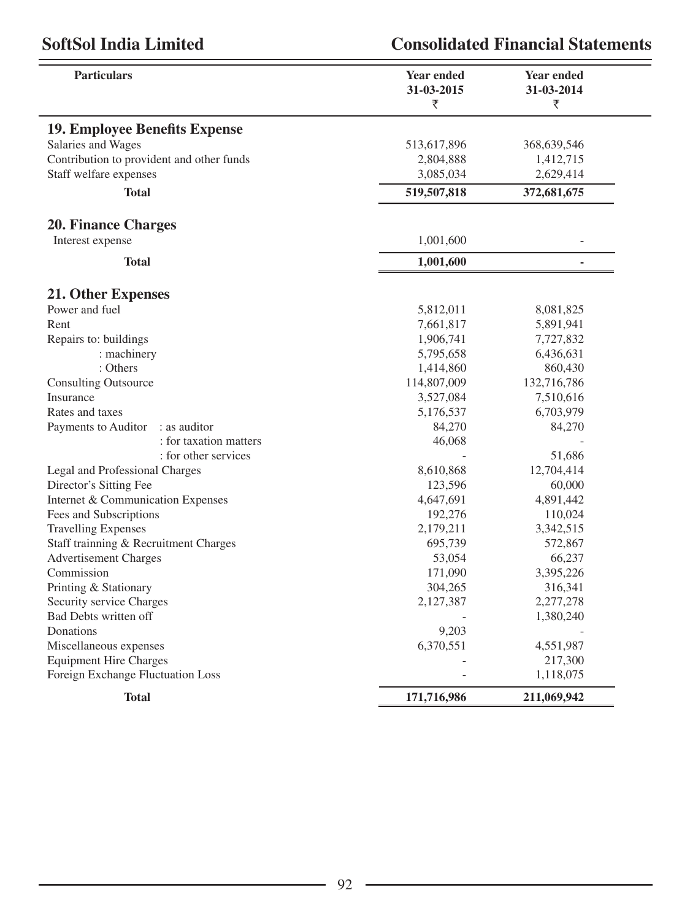# **SoftSol India Limited 2015 Consolidated Financial Statements**

| <b>Particulars</b>                        | Year ended<br>31-03-2015 | Year ended<br>31-03-2014 |
|-------------------------------------------|--------------------------|--------------------------|
|                                           | ₹                        | ₹                        |
| 19. Employee Benefits Expense             |                          |                          |
| Salaries and Wages                        | 513,617,896              | 368,639,546              |
| Contribution to provident and other funds | 2,804,888                | 1,412,715                |
| Staff welfare expenses                    | 3,085,034                | 2,629,414                |
| <b>Total</b>                              | 519,507,818              | 372,681,675              |
| <b>20. Finance Charges</b>                |                          |                          |
| Interest expense                          | 1,001,600                |                          |
| <b>Total</b>                              | 1,001,600                |                          |
|                                           |                          |                          |
| 21. Other Expenses<br>Power and fuel      | 5,812,011                | 8,081,825                |
| Rent                                      | 7,661,817                | 5,891,941                |
| Repairs to: buildings                     | 1,906,741                | 7,727,832                |
| : machinery                               | 5,795,658                | 6,436,631                |
| : Others                                  | 1,414,860                | 860,430                  |
| <b>Consulting Outsource</b>               | 114,807,009              | 132,716,786              |
| Insurance                                 | 3,527,084                | 7,510,616                |
| Rates and taxes                           | 5,176,537                | 6,703,979                |
| : as auditor<br>Payments to Auditor       | 84,270                   | 84,270                   |
| : for taxation matters                    | 46,068                   |                          |
| : for other services                      |                          | 51,686                   |
| Legal and Professional Charges            | 8,610,868                | 12,704,414               |
| Director's Sitting Fee                    | 123,596                  | 60,000                   |
| Internet & Communication Expenses         | 4,647,691                | 4,891,442                |
| Fees and Subscriptions                    | 192,276                  | 110,024                  |
| <b>Travelling Expenses</b>                | 2,179,211                | 3,342,515                |
| Staff trainning & Recruitment Charges     | 695,739                  | 572,867                  |
| <b>Advertisement Charges</b>              | 53,054                   | 66,237                   |
| Commission                                | 171,090                  | 3,395,226                |
| Printing & Stationary                     | 304,265                  | 316,341                  |
| Security service Charges                  | 2,127,387                | 2,277,278                |
| Bad Debts written off                     |                          | 1,380,240                |
| Donations                                 | 9,203                    |                          |
| Miscellaneous expenses                    | 6,370,551                | 4,551,987                |
| <b>Equipment Hire Charges</b>             |                          | 217,300                  |
| Foreign Exchange Fluctuation Loss         |                          | 1,118,075                |
| <b>Total</b>                              | 171,716,986              | 211,069,942              |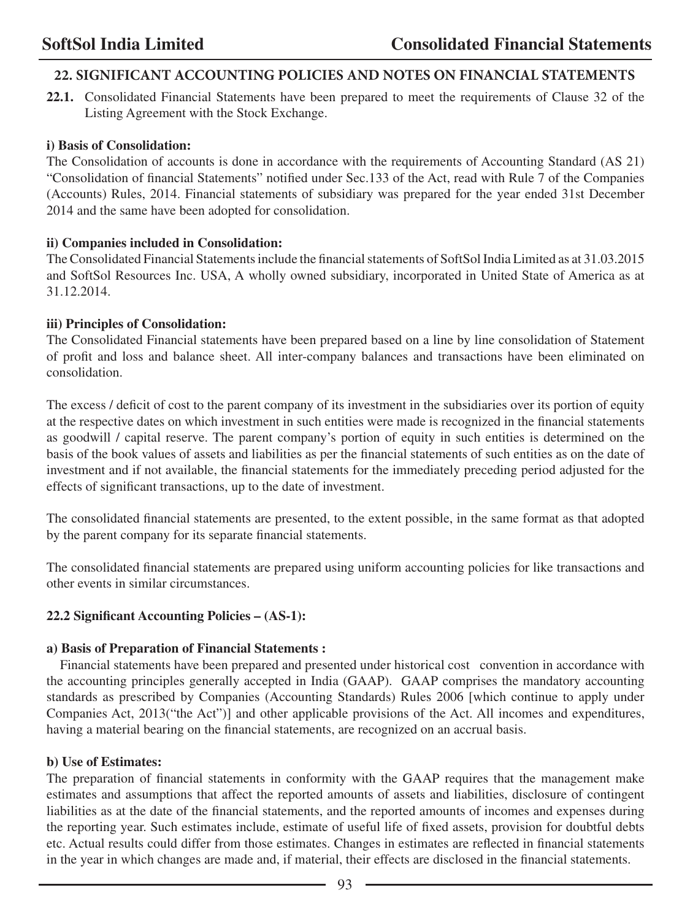# **22. SIGNIFICANT ACCOUNTING POLICIES AND NOTES ON FINANCIAL STATEMENTS**

**22.1.** Consolidated Financial Statements have been prepared to meet the requirements of Clause 32 of the Listing Agreement with the Stock Exchange.

# **i) Basis of Consolidation:**

The Consolidation of accounts is done in accordance with the requirements of Accounting Standard (AS 21) "Consolidation of financial Statements" notified under Sec.133 of the Act, read with Rule 7 of the Companies (Accounts) Rules, 2014. Financial statements of subsidiary was prepared for the year ended 31st December 2014 and the same have been adopted for consolidation.

# **ii) Companies included in Consolidation:**

The Consolidated Financial Statements include the financial statements of SoftSol India Limited as at 31.03.2015 and SoftSol Resources Inc. USA, A wholly owned subsidiary, incorporated in United State of America as at 31.12.2014.

# **iii) Principles of Consolidation:**

The Consolidated Financial statements have been prepared based on a line by line consolidation of Statement of profit and loss and balance sheet. All inter-company balances and transactions have been eliminated on consolidation.

The excess / deficit of cost to the parent company of its investment in the subsidiaries over its portion of equity at the respective dates on which investment in such entities were made is recognized in the financial statements as goodwill / capital reserve. The parent company's portion of equity in such entities is determined on the basis of the book values of assets and liabilities as per the financial statements of such entities as on the date of investment and if not available, the financial statements for the immediately preceding period adjusted for the effects of significant transactions, up to the date of investment.

The consolidated financial statements are presented, to the extent possible, in the same format as that adopted by the parent company for its separate financial statements.

The consolidated financial statements are prepared using uniform accounting policies for like transactions and other events in similar circumstances.

# **22.2 Significant Accounting Policies – (AS-1):**

# **a) Basis of Preparation of Financial Statements :**

 Financial statements have been prepared and presented under historical cost convention in accordance with the accounting principles generally accepted in India (GAAP). GAAP comprises the mandatory accounting standards as prescribed by Companies (Accounting Standards) Rules 2006 [which continue to apply under Companies Act, 2013("the Act")] and other applicable provisions of the Act. All incomes and expenditures, having a material bearing on the financial statements, are recognized on an accrual basis.

# **b) Use of Estimates:**

The preparation of financial statements in conformity with the GAAP requires that the management make estimates and assumptions that affect the reported amounts of assets and liabilities, disclosure of contingent liabilities as at the date of the financial statements, and the reported amounts of incomes and expenses during the reporting year. Such estimates include, estimate of useful life of fixed assets, provision for doubtful debts etc. Actual results could differ from those estimates. Changes in estimates are reflected in financial statements in the year in which changes are made and, if material, their effects are disclosed in the financial statements.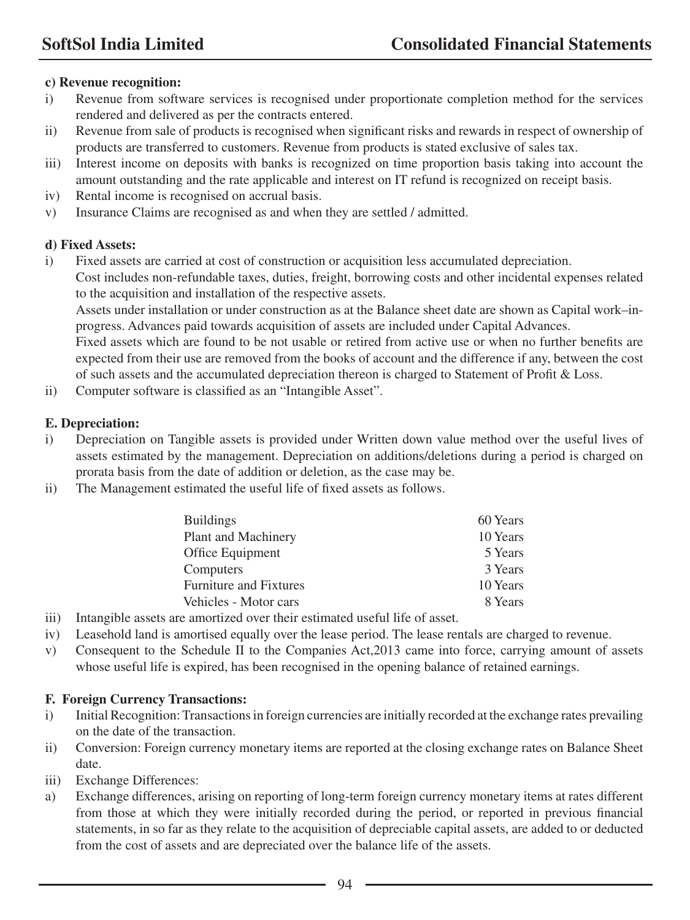# **c) Revenue recognition:**

- i) Revenue from software services is recognised under proportionate completion method for the services rendered and delivered as per the contracts entered.
- ii) Revenue from sale of products is recognised when significant risks and rewards in respect of ownership of products are transferred to customers. Revenue from products is stated exclusive of sales tax.
- iii) Interest income on deposits with banks is recognized on time proportion basis taking into account the amount outstanding and the rate applicable and interest on IT refund is recognized on receipt basis.
- iv) Rental income is recognised on accrual basis.
- v) Insurance Claims are recognised as and when they are settled / admitted.

## **d) Fixed Assets:**

i) Fixed assets are carried at cost of construction or acquisition less accumulated depreciation. Cost includes non-refundable taxes, duties, freight, borrowing costs and other incidental expenses related to the acquisition and installation of the respective assets.

Assets under installation or under construction as at the Balance sheet date are shown as Capital work–inprogress. Advances paid towards acquisition of assets are included under Capital Advances.

Fixed assets which are found to be not usable or retired from active use or when no further benefits are expected from their use are removed from the books of account and the difference if any, between the cost of such assets and the accumulated depreciation thereon is charged to Statement of Profit & Loss.

ii) Computer software is classified as an "Intangible Asset".

# **E. Depreciation:**

- i) Depreciation on Tangible assets is provided under Written down value method over the useful lives of assets estimated by the management. Depreciation on additions/deletions during a period is charged on prorata basis from the date of addition or deletion, as the case may be.
- ii) The Management estimated the useful life of fixed assets as follows.

| <b>Buildings</b>              | 60 Years |
|-------------------------------|----------|
| Plant and Machinery           | 10 Years |
| Office Equipment              | 5 Years  |
| Computers                     | 3 Years  |
| <b>Furniture and Fixtures</b> | 10 Years |
| Vehicles - Motor cars         | 8 Years  |

- iii) Intangible assets are amortized over their estimated useful life of asset.
- iv) Leasehold land is amortised equally over the lease period. The lease rentals are charged to revenue.
- v) Consequent to the Schedule II to the Companies Act,2013 came into force, carrying amount of assets whose useful life is expired, has been recognised in the opening balance of retained earnings.

# **F. Foreign Currency Transactions:**

- i) Initial Recognition: Transactions in foreign currencies are initially recorded at the exchange rates prevailing on the date of the transaction.
- ii) Conversion: Foreign currency monetary items are reported at the closing exchange rates on Balance Sheet date.
- iii) Exchange Differences:
- a) Exchange differences, arising on reporting of long-term foreign currency monetary items at rates different from those at which they were initially recorded during the period, or reported in previous financial statements, in so far as they relate to the acquisition of depreciable capital assets, are added to or deducted from the cost of assets and are depreciated over the balance life of the assets.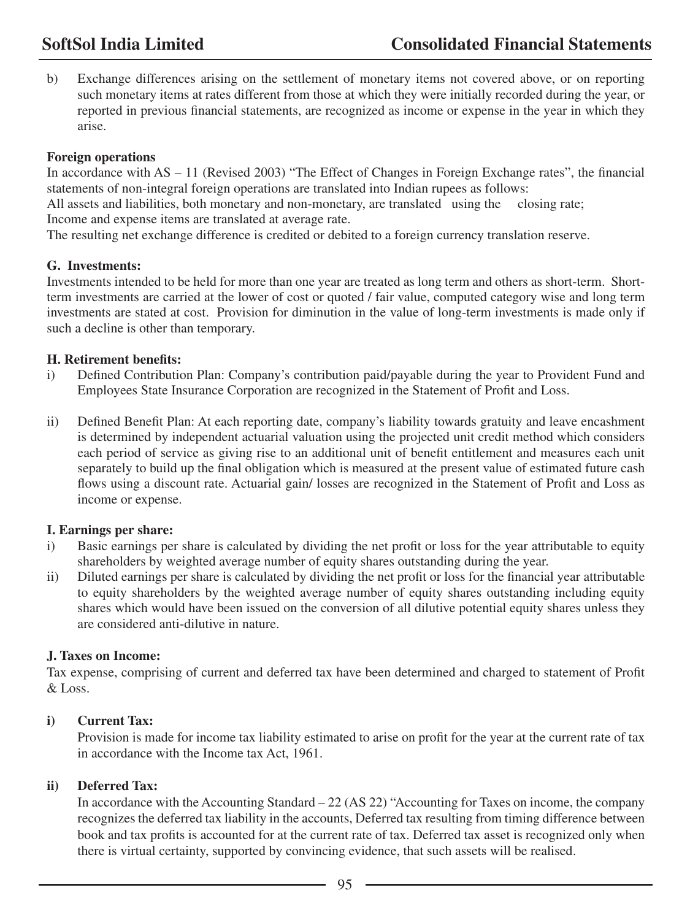b) Exchange differences arising on the settlement of monetary items not covered above, or on reporting such monetary items at rates different from those at which they were initially recorded during the year, or reported in previous financial statements, are recognized as income or expense in the year in which they arise.

#### **Foreign operations**

In accordance with AS – 11 (Revised 2003) "The Effect of Changes in Foreign Exchange rates", the financial statements of non-integral foreign operations are translated into Indian rupees as follows:

All assets and liabilities, both monetary and non-monetary, are translated using the closing rate; Income and expense items are translated at average rate.

The resulting net exchange difference is credited or debited to a foreign currency translation reserve.

#### **G. Investments:**

Investments intended to be held for more than one year are treated as long term and others as short-term. Shortterm investments are carried at the lower of cost or quoted / fair value, computed category wise and long term investments are stated at cost. Provision for diminution in the value of long-term investments is made only if such a decline is other than temporary.

#### **H. Retirement benefits:**

- i) Defined Contribution Plan: Company's contribution paid/payable during the year to Provident Fund and Employees State Insurance Corporation are recognized in the Statement of Profit and Loss.
- ii) Defined Benefit Plan: At each reporting date, company's liability towards gratuity and leave encashment is determined by independent actuarial valuation using the projected unit credit method which considers each period of service as giving rise to an additional unit of benefit entitlement and measures each unit separately to build up the final obligation which is measured at the present value of estimated future cash flows using a discount rate. Actuarial gain/ losses are recognized in the Statement of Profit and Loss as income or expense.

## **I. Earnings per share:**

- i) Basic earnings per share is calculated by dividing the net profit or loss for the year attributable to equity shareholders by weighted average number of equity shares outstanding during the year.
- ii) Diluted earnings per share is calculated by dividing the net profit or loss for the financial year attributable to equity shareholders by the weighted average number of equity shares outstanding including equity shares which would have been issued on the conversion of all dilutive potential equity shares unless they are considered anti-dilutive in nature.

## **J. Taxes on Income:**

Tax expense, comprising of current and deferred tax have been determined and charged to statement of Profit & Loss.

## **i) Current Tax:**

Provision is made for income tax liability estimated to arise on profit for the year at the current rate of tax in accordance with the Income tax Act, 1961.

## **ii) Deferred Tax:**

 In accordance with the Accounting Standard – 22 (AS 22) "Accounting for Taxes on income, the company recognizes the deferred tax liability in the accounts, Deferred tax resulting from timing difference between book and tax profits is accounted for at the current rate of tax. Deferred tax asset is recognized only when there is virtual certainty, supported by convincing evidence, that such assets will be realised.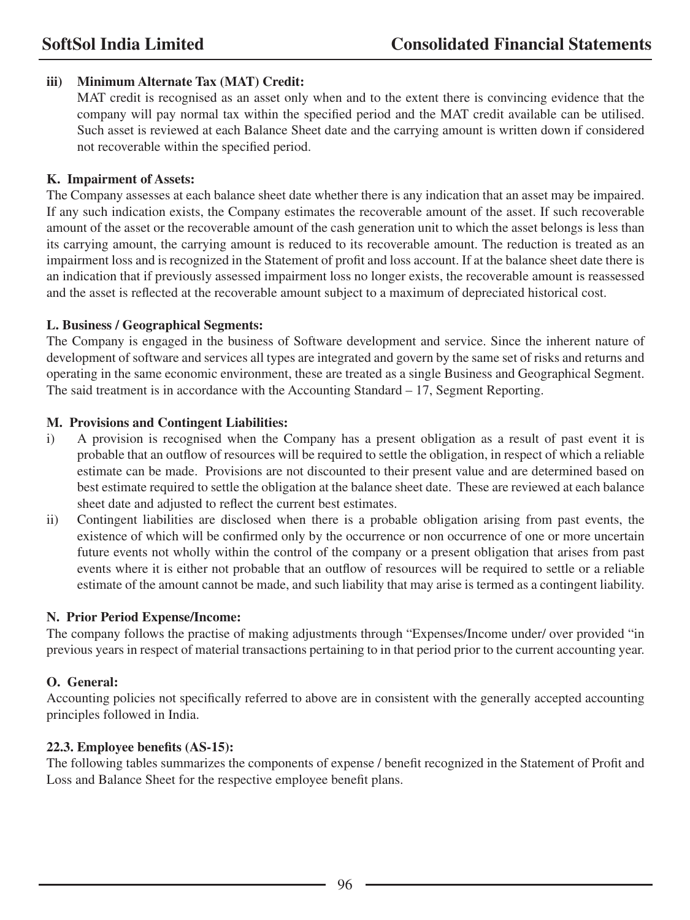# **iii) Minimum Alternate Tax (MAT) Credit:**

MAT credit is recognised as an asset only when and to the extent there is convincing evidence that the company will pay normal tax within the specified period and the MAT credit available can be utilised. Such asset is reviewed at each Balance Sheet date and the carrying amount is written down if considered not recoverable within the specified period.

#### **K. Impairment of Assets:**

The Company assesses at each balance sheet date whether there is any indication that an asset may be impaired. If any such indication exists, the Company estimates the recoverable amount of the asset. If such recoverable amount of the asset or the recoverable amount of the cash generation unit to which the asset belongs is less than its carrying amount, the carrying amount is reduced to its recoverable amount. The reduction is treated as an impairment loss and is recognized in the Statement of profit and loss account. If at the balance sheet date there is an indication that if previously assessed impairment loss no longer exists, the recoverable amount is reassessed and the asset is reflected at the recoverable amount subject to a maximum of depreciated historical cost.

#### **L. Business / Geographical Segments:**

The Company is engaged in the business of Software development and service. Since the inherent nature of development of software and services all types are integrated and govern by the same set of risks and returns and operating in the same economic environment, these are treated as a single Business and Geographical Segment. The said treatment is in accordance with the Accounting Standard  $-17$ , Segment Reporting.

#### **M. Provisions and Contingent Liabilities:**

- i) A provision is recognised when the Company has a present obligation as a result of past event it is probable that an outflow of resources will be required to settle the obligation, in respect of which a reliable estimate can be made. Provisions are not discounted to their present value and are determined based on best estimate required to settle the obligation at the balance sheet date. These are reviewed at each balance sheet date and adjusted to reflect the current best estimates.
- ii) Contingent liabilities are disclosed when there is a probable obligation arising from past events, the existence of which will be confirmed only by the occurrence or non occurrence of one or more uncertain future events not wholly within the control of the company or a present obligation that arises from past events where it is either not probable that an outflow of resources will be required to settle or a reliable estimate of the amount cannot be made, and such liability that may arise is termed as a contingent liability.

## **N. Prior Period Expense/Income:**

The company follows the practise of making adjustments through "Expenses/Income under/ over provided "in previous years in respect of material transactions pertaining to in that period prior to the current accounting year.

## **O. General:**

Accounting policies not specifically referred to above are in consistent with the generally accepted accounting principles followed in India.

## **22.3. Employee benefits (AS-15):**

The following tables summarizes the components of expense / benefit recognized in the Statement of Profit and Loss and Balance Sheet for the respective employee benefit plans.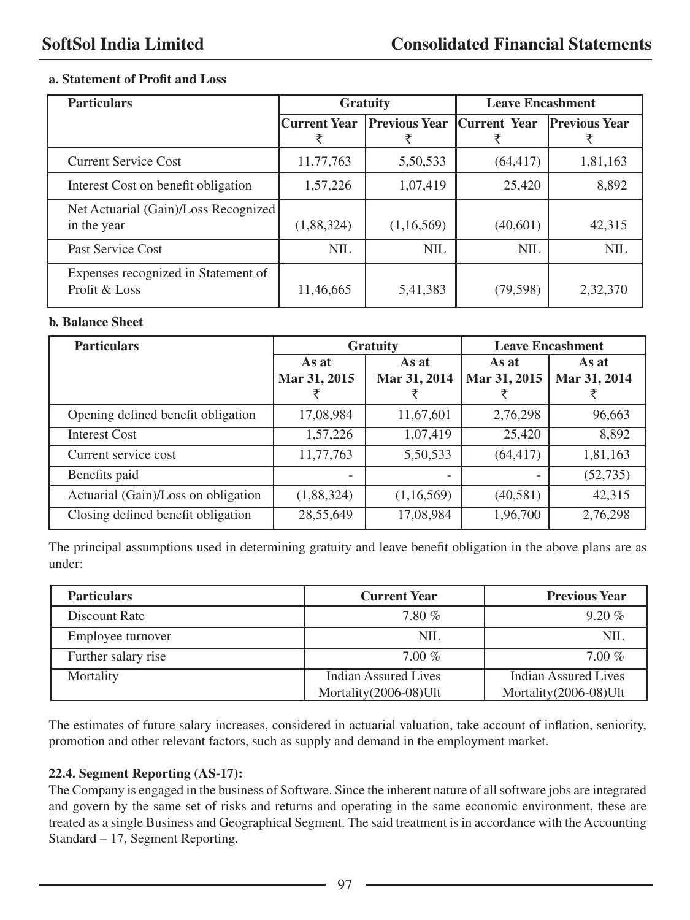## **a. Statement of Profit and Loss**

| <b>Particulars</b>                                   |                    | <b>Gratuity</b>                     | <b>Leave Encashment</b> |                      |
|------------------------------------------------------|--------------------|-------------------------------------|-------------------------|----------------------|
|                                                      | lCurrent Year<br>₹ | <b>Previous Year   Current Year</b> |                         | <b>Previous Year</b> |
| <b>Current Service Cost</b>                          | 11,77,763          | 5,50,533                            | (64, 417)               | 1,81,163             |
| Interest Cost on benefit obligation                  | 1,57,226           | 1,07,419                            | 25,420                  | 8,892                |
| Net Actuarial (Gain)/Loss Recognized<br>in the year  | (1,88,324)         | (1,16,569)                          | (40,601)                | 42,315               |
| Past Service Cost                                    | <b>NIL</b>         | <b>NIL</b>                          | <b>NIL</b>              | <b>NIL</b>           |
| Expenses recognized in Statement of<br>Profit & Loss | 11,46,665          | 5,41,383                            | (79, 598)               | 2,32,370             |

#### **b. Balance Sheet**

| <b>Particulars</b>                  | <b>Gratuity</b>       |                       | <b>Leave Encashment</b> |                       |
|-------------------------------------|-----------------------|-----------------------|-------------------------|-----------------------|
|                                     | As at<br>Mar 31, 2015 | As at<br>Mar 31, 2014 | As at<br>Mar 31, 2015   | As at<br>Mar 31, 2014 |
| Opening defined benefit obligation  | 17,08,984             | 11,67,601             | 2,76,298                | 96,663                |
| Interest Cost                       | 1,57,226              | 1,07,419              | 25,420                  | 8,892                 |
| Current service cost                | 11,77,763             | 5,50,533              | (64, 417)               | 1,81,163              |
| Benefits paid                       |                       |                       |                         | (52, 735)             |
| Actuarial (Gain)/Loss on obligation | (1,88,324)            | (1,16,569)            | (40,581)                | 42,315                |
| Closing defined benefit obligation  | 28,55,649             | 17,08,984             | 1,96,700                | 2,76,298              |

The principal assumptions used in determining gratuity and leave benefit obligation in the above plans are as under:

| <b>Particulars</b>  | <b>Current Year</b>   | <b>Previous Year</b>    |
|---------------------|-----------------------|-------------------------|
| Discount Rate       | 7.80%                 | $9.20 \%$               |
| Employee turnover   | NIL.                  | NIL.                    |
| Further salary rise | $7.00\%$              | $7.00\%$                |
| Mortality           | Indian Assured Lives  | Indian Assured Lives    |
|                     | Mortality(2006-08)Ult | Mortality (2006-08) Ult |

The estimates of future salary increases, considered in actuarial valuation, take account of inflation, seniority, promotion and other relevant factors, such as supply and demand in the employment market.

## **22.4. Segment Reporting (AS-17):**

The Company is engaged in the business of Software. Since the inherent nature of all software jobs are integrated and govern by the same set of risks and returns and operating in the same economic environment, these are treated as a single Business and Geographical Segment. The said treatment is in accordance with the Accounting Standard – 17, Segment Reporting.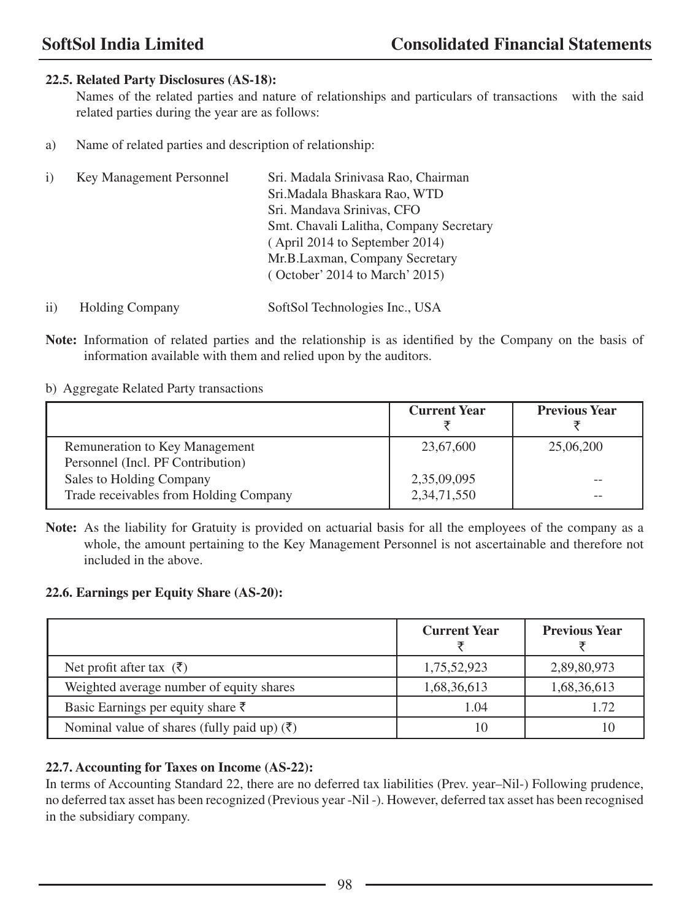#### **22.5. Related Party Disclosures (AS-18):**

Names of the related parties and nature of relationships and particulars of transactions with the said related parties during the year are as follows:

a) Name of related parties and description of relationship:

| $\mathbf{i}$ | Key Management Personnel | Sri. Madala Srinivasa Rao, Chairman     |
|--------------|--------------------------|-----------------------------------------|
|              |                          | Sri. Madala Bhaskara Rao, WTD           |
|              |                          | Sri. Mandava Srinivas, CFO              |
|              |                          | Smt. Chavali Lalitha, Company Secretary |
|              |                          | (Apri1 2014 to September 2014)          |
|              |                          | Mr.B.Laxman, Company Secretary          |
|              |                          | $($ October' 2014 to March' 2015)       |
|              |                          |                                         |

- ii) Holding Company SoftSol Technologies Inc., USA
- **Note:** Information of related parties and the relationship is as identified by the Company on the basis of information available with them and relied upon by the auditors.

#### b) Aggregate Related Party transactions

|                                        | <b>Current Year</b> | <b>Previous Year</b> |
|----------------------------------------|---------------------|----------------------|
| Remuneration to Key Management         | 23,67,600           | 25,06,200            |
| Personnel (Incl. PF Contribution)      |                     |                      |
| Sales to Holding Company               | 2,35,09,095         |                      |
| Trade receivables from Holding Company | 2,34,71,550         |                      |

**Note:** As the liability for Gratuity is provided on actuarial basis for all the employees of the company as a whole, the amount pertaining to the Key Management Personnel is not ascertainable and therefore not included in the above.

## **22.6. Earnings per Equity Share (AS-20):**

|                                                         | <b>Current Year</b> | <b>Previous Year</b> |
|---------------------------------------------------------|---------------------|----------------------|
| Net profit after tax $(\bar{\zeta})$                    | 1,75,52,923         | 2,89,80,973          |
| Weighted average number of equity shares                | 1,68,36,613         | 1,68,36,613          |
| Basic Earnings per equity share $\bar{\tau}$            | 1.04                | 1.72                 |
| Nominal value of shares (fully paid up) $(\bar{\zeta})$ | 10                  | 10                   |

## **22.7. Accounting for Taxes on Income (AS-22):**

In terms of Accounting Standard 22, there are no deferred tax liabilities (Prev. year–Nil-) Following prudence, no deferred tax asset has been recognized (Previous year -Nil -). However, deferred tax asset has been recognised in the subsidiary company.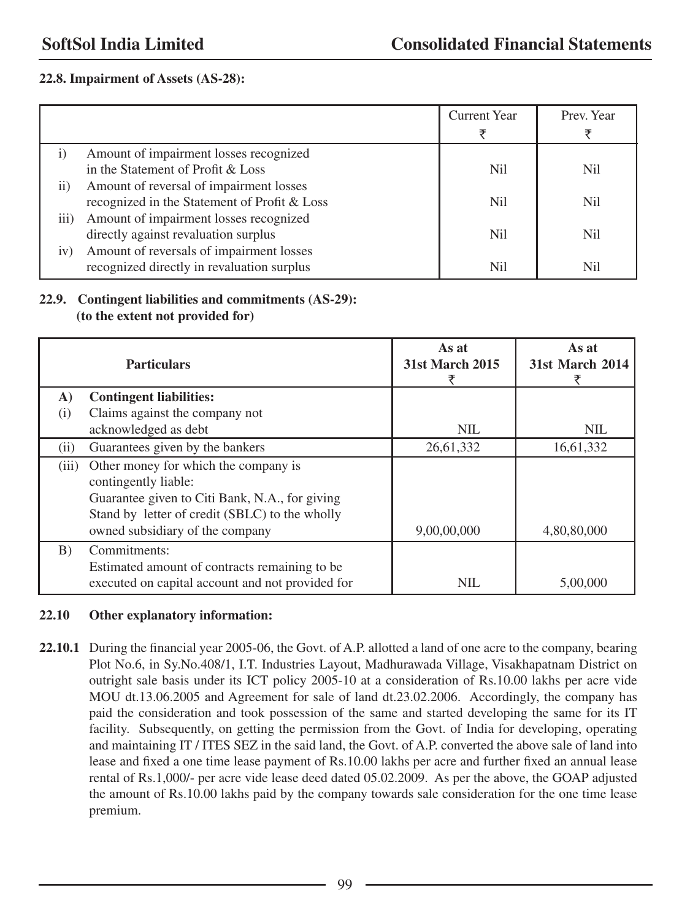# **22.8. Impairment of Assets (AS-28):**

|                              |                                              | <b>Current Year</b> | Prev. Year |
|------------------------------|----------------------------------------------|---------------------|------------|
|                              |                                              |                     |            |
| $\left( \frac{1}{2} \right)$ | Amount of impairment losses recognized       |                     |            |
|                              | in the Statement of Profit & Loss            | Nil                 | Nil        |
| $\rm ii)$                    | Amount of reversal of impairment losses      |                     |            |
|                              | recognized in the Statement of Profit & Loss | Nil                 | Nil        |
| iii)                         | Amount of impairment losses recognized       |                     |            |
|                              | directly against revaluation surplus         | Nil                 | Nil        |
| iv)                          | Amount of reversals of impairment losses     |                     |            |
|                              | recognized directly in revaluation surplus   | Nil                 | Nil        |

#### **22.9. Contingent liabilities and commitments (AS-29): (to the extent not provided for)**

|                   | <b>Particulars</b>                                                                                                                                                                                  | As at<br><b>31st March 2015</b> | As at<br><b>31st March 2014</b> |
|-------------------|-----------------------------------------------------------------------------------------------------------------------------------------------------------------------------------------------------|---------------------------------|---------------------------------|
| A)                | <b>Contingent liabilities:</b>                                                                                                                                                                      |                                 |                                 |
| $\left( i\right)$ | Claims against the company not<br>acknowledged as debt                                                                                                                                              | <b>NIL</b>                      | <b>NIL</b>                      |
| (i)               | Guarantees given by the bankers                                                                                                                                                                     | 26,61,332                       | 16,61,332                       |
| (iii)             | Other money for which the company is<br>contingently liable:<br>Guarantee given to Citi Bank, N.A., for giving<br>Stand by letter of credit (SBLC) to the wholly<br>owned subsidiary of the company | 9,00,00,000                     | 4,80,80,000                     |
| B)                | Commitments:<br>Estimated amount of contracts remaining to be.<br>executed on capital account and not provided for                                                                                  | <b>NIL</b>                      | 5,00,000                        |

## **22.10 Other explanatory information:**

**22.10.1** During the financial year 2005-06, the Govt. of A.P. allotted a land of one acre to the company, bearing Plot No.6, in Sy.No.408/1, I.T. Industries Layout, Madhurawada Village, Visakhapatnam District on outright sale basis under its ICT policy 2005-10 at a consideration of Rs.10.00 lakhs per acre vide MOU dt.13.06.2005 and Agreement for sale of land dt.23.02.2006. Accordingly, the company has paid the consideration and took possession of the same and started developing the same for its IT facility. Subsequently, on getting the permission from the Govt. of India for developing, operating and maintaining IT / ITES SEZ in the said land, the Govt. of A.P. converted the above sale of land into lease and fixed a one time lease payment of Rs.10.00 lakhs per acre and further fixed an annual lease rental of Rs.1,000/- per acre vide lease deed dated 05.02.2009. As per the above, the GOAP adjusted the amount of Rs.10.00 lakhs paid by the company towards sale consideration for the one time lease premium.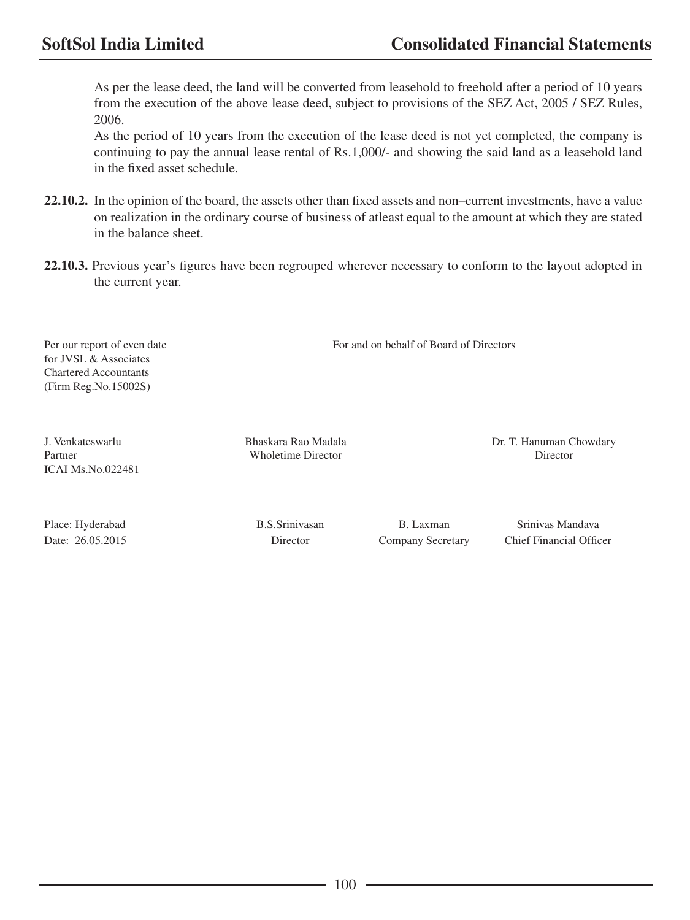As per the lease deed, the land will be converted from leasehold to freehold after a period of 10 years from the execution of the above lease deed, subject to provisions of the SEZ Act, 2005 / SEZ Rules, 2006.

As the period of 10 years from the execution of the lease deed is not yet completed, the company is continuing to pay the annual lease rental of Rs.1,000/- and showing the said land as a leasehold land in the fixed asset schedule.

- **22.10.2.** In the opinion of the board, the assets other than fixed assets and non–current investments, have a value on realization in the ordinary course of business of atleast equal to the amount at which they are stated in the balance sheet.
- **22.10.3.** Previous year's figures have been regrouped wherever necessary to conform to the layout adopted in the current year.

for JVSL & Associates Chartered Accountants (Firm Reg.No.15002S)

Per our report of even date For and on behalf of Board of Directors

ICAI Ms.No.022481

Partner **Contract Contract Contract Contract Contract Contract Contract Contract Contract Contract Contract Contract Contract Contract Contract Contract Contract Contract Contract Contract Contract Contract Contract Contra** 

J. Venkateswarlu Bhaskara Rao Madala Dr. T. Hanuman Chowdary

Place: Hyderabad B.S.Srinivasan B. Laxman Srinivas Mandava Date: 26.05.2015 Director Company Secretary Chief Financial Officer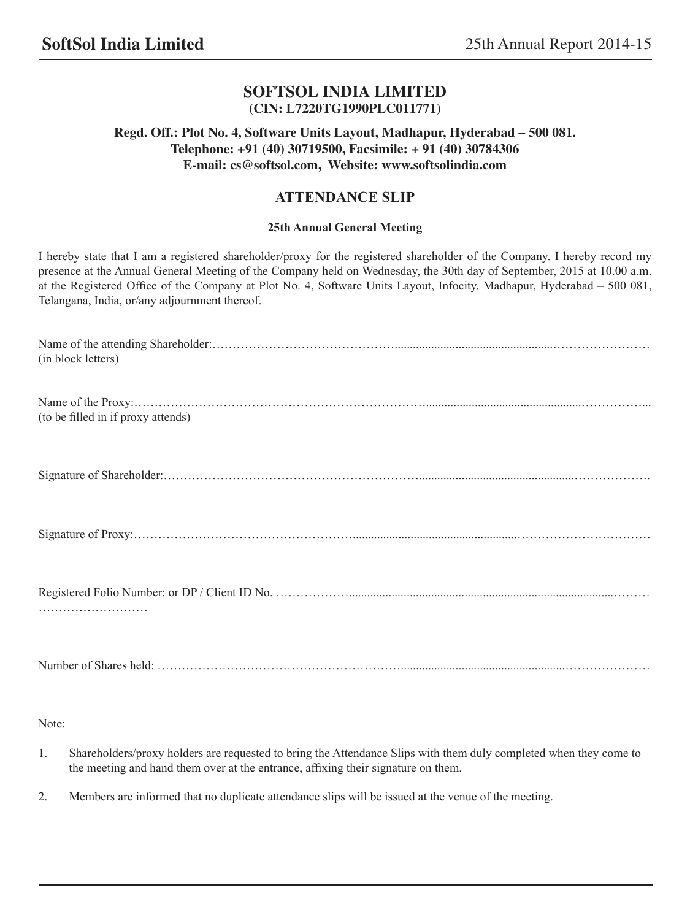## **SOFTSOL INDIA LIMITED (CIN: L7220TG1990PLC011771)**

#### **Regd. Off.: Plot No. 4, Software Units Layout, Madhapur, Hyderabad – 500 081. Telephone: +91 (40) 30719500, Facsimile: + 91 (40) 30784306 E-mail: cs@softsol.com, Website: www.softsolindia.com**

# **ATTENDANCE SLIP**

#### **25th Annual General Meeting**

I hereby state that I am a registered shareholder/proxy for the registered shareholder of the Company. I hereby record my presence at the Annual General Meeting of the Company held on Wednesday, the 30th day of September, 2015 at 10.00 a.m. at the Registered Office of the Company at Plot No. 4, Software Units Layout, Infocity, Madhapur, Hyderabad – 500 081, Telangana, India, or/any adjournment thereof.

| (in block letters)                 |
|------------------------------------|
| (to be filled in if proxy attends) |
|                                    |
|                                    |
|                                    |

Number of Shares held: ……………………………………………………......................................................…………………

Note:

1. Shareholders/proxy holders are requested to bring the Attendance Slips with them duly completed when they come to the meeting and hand them over at the entrance, affixing their signature on them.

101

2. Members are informed that no duplicate attendance slips will be issued at the venue of the meeting.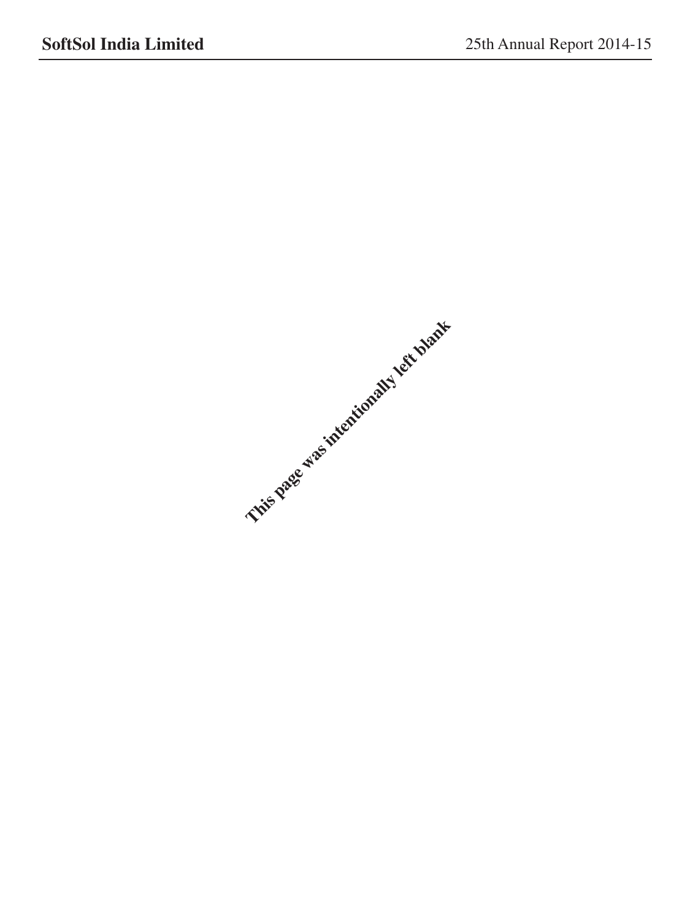**This page was intentionally left blank**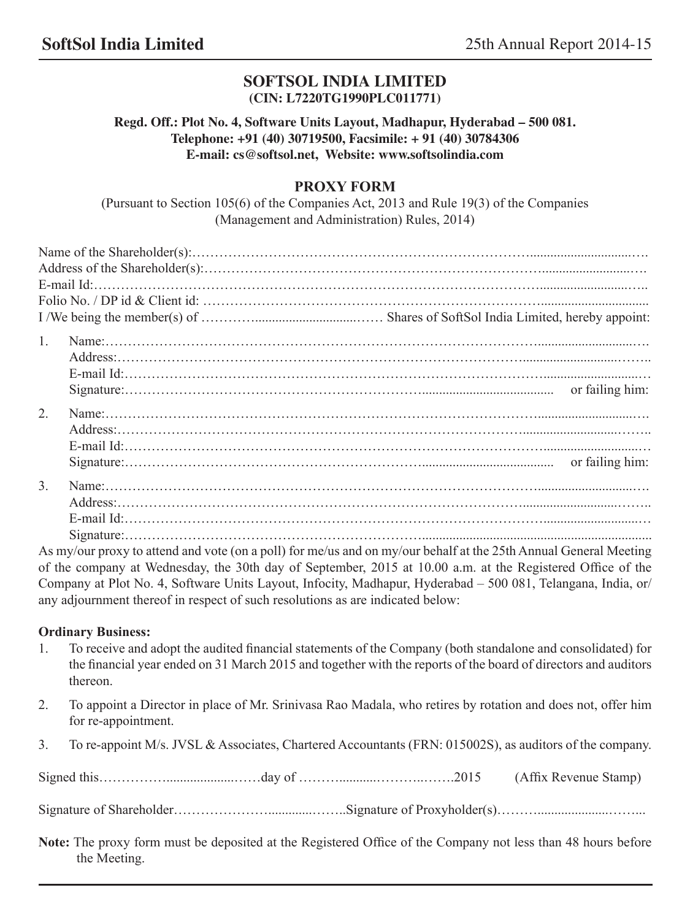# **SOFTSOL INDIA LIMITED (CIN: L7220TG1990PLC011771)**

**Regd. Off.: Plot No. 4, Software Units Layout, Madhapur, Hyderabad – 500 081. Telephone: +91 (40) 30719500, Facsimile: + 91 (40) 30784306 E-mail: cs@softsol.net, Website: www.softsolindia.com**

# **PROXY FORM**

(Pursuant to Section 105(6) of the Companies Act, 2013 and Rule 19(3) of the Companies (Management and Administration) Rules, 2014)

| $\mathbf{1}$                                                                                                     |                 |
|------------------------------------------------------------------------------------------------------------------|-----------------|
|                                                                                                                  |                 |
|                                                                                                                  |                 |
|                                                                                                                  | or failing him: |
| $2_{\cdot}$                                                                                                      |                 |
|                                                                                                                  |                 |
|                                                                                                                  |                 |
|                                                                                                                  |                 |
| 3 <sub>1</sub>                                                                                                   |                 |
|                                                                                                                  |                 |
|                                                                                                                  |                 |
|                                                                                                                  |                 |
| As my/our proxy to attend and vote (on a poll) for me/us and on my/our behalf at the 25th Annual General Meeting |                 |

of the company at Wednesday, the 30th day of September, 2015 at 10.00 a.m. at the Registered Office of the Company at Plot No. 4, Software Units Layout, Infocity, Madhapur, Hyderabad – 500 081, Telangana, India, or/ any adjournment thereof in respect of such resolutions as are indicated below:

#### **Ordinary Business:**

- 1. To receive and adopt the audited financial statements of the Company (both standalone and consolidated) for the financial year ended on 31 March 2015 and together with the reports of the board of directors and auditors thereon.
- 2. To appoint a Director in place of Mr. Srinivasa Rao Madala, who retires by rotation and does not, offer him for re-appointment.
- 3. To re-appoint M/s. JVSL & Associates, Chartered Accountants (FRN: 015002S), as auditors of the company.

Signature of Shareholder………………………………………………Signature of Proxyholder(s)………………………………

**Note:** The proxy form must be deposited at the Registered Office of the Company not less than 48 hours before the Meeting.

103